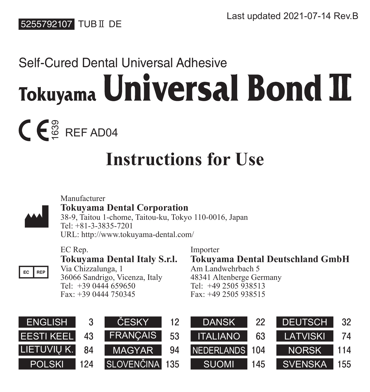

# Self-Cured Dental Universal Adhesive Tokuyama Universal Bond II

္တ<br>မို REF AD04

# **Instructions for Use**



#### Manufacturer **Tokuyama Dental Corporation**

38-9, Taitou 1-chome, Taitou-ku, Tokyo 110-0016, Japan Tel: +81-3-3835-7201 URL: http://www.tokuyama-dental.com/

EC Rep. **Tokuyama Dental Italy S.r.l.** Via Chizzalunga, 1

EC REP 36066 Sandrigo, Vicenza, Italy  $Tel: +39.0444.659650$ Fax: +39 0444 750345

Importer

**Tokuyama Dental Deutschland GmbH** Am Landwehrbach 5

48341 Altenberge Germany  $T_{e1}$ :  $+49.2505.938513$ Fax: +49 2505 938515

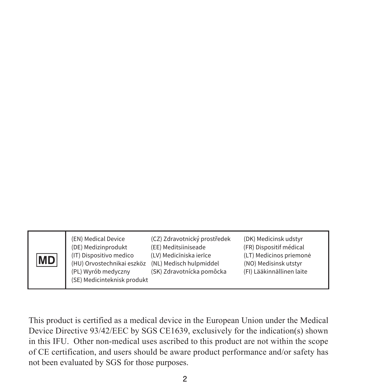| <b>MD</b> | (EN) Medical Device<br>(DE) Medizinprodukt<br>(IT) Dispositivo medico<br>(HU) Orvostechnikai eszköz<br>(PL) Wyrób medyczny<br>(SE) Medicinteknisk produkt | (CZ) Zdravotnický prostředek<br>(EE) Meditsiiniseade<br>(LV) Medicīniska ierīce<br>(NL) Medisch hulpmiddel<br>(SK) Zdravotnícka pomôcka | (DK) Medicinsk udstyr<br>(FR) Dispositif médical<br>(LT) Medicinos priemonė<br>(NO) Medisinsk utstyr<br>(FI) Lääkinnällinen laite |
|-----------|-----------------------------------------------------------------------------------------------------------------------------------------------------------|-----------------------------------------------------------------------------------------------------------------------------------------|-----------------------------------------------------------------------------------------------------------------------------------|
|-----------|-----------------------------------------------------------------------------------------------------------------------------------------------------------|-----------------------------------------------------------------------------------------------------------------------------------------|-----------------------------------------------------------------------------------------------------------------------------------|

This product is certified as a medical device in the European Union under the Medical Device Directive 93/42/EEC by SGS CE1639, exclusively for the indication(s) shown in this IFU. Other non-medical uses ascribed to this product are not within the scope of CE certification, and users should be aware product performance and/or safety has not been evaluated by SGS for those purposes.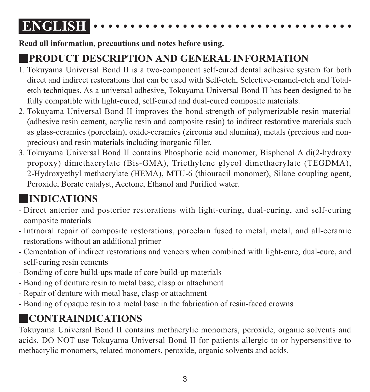## **ENGLISH**

**Read all information, precautions and notes before using.**

### ■**PRODUCT DESCRIPTION AND GENERAL INFORMATION**

- 1. Tokuyama Universal Bond II is a two-component self-cured dental adhesive system for both direct and indirect restorations that can be used with Self-etch, Selective-enamel-etch and Totaletch techniques. As a universal adhesive, Tokuyama Universal Bond II has been designed to be fully compatible with light-cured, self-cured and dual-cured composite materials.
- 2. Tokuyama Universal Bond II improves the bond strength of polymerizable resin material (adhesive resin cement, acrylic resin and composite resin) to indirect restorative materials such as glass-ceramics (porcelain), oxide-ceramics (zirconia and alumina), metals (precious and nonprecious) and resin materials including inorganic filler.
- 3. Tokuyama Universal Bond II contains Phosphoric acid monomer, Bisphenol A di(2-hydroxy propoxy) dimethacrylate (Bis-GMA), Triethylene glycol dimethacrylate (TEGDMA), 2-Hydroxyethyl methacrylate (HEMA), MTU-6 (thiouracil monomer), Silane coupling agent, Peroxide, Borate catalyst, Acetone, Ethanol and Purified water.

### ■**INDICATIONS**

- Direct anterior and posterior restorations with light-curing, dual-curing, and self-curing composite materials
- Intraoral repair of composite restorations, porcelain fused to metal, metal, and all-ceramic restorations without an additional primer
- Cementation of indirect restorations and veneers when combined with light-cure, dual-cure, and self-curing resin cements
- Bonding of core build-ups made of core build-up materials
- Bonding of denture resin to metal base, clasp or attachment
- Repair of denture with metal base, clasp or attachment
- Bonding of opaque resin to a metal base in the fabrication of resin-faced crowns

### ■**CONTRAINDICATIONS**

Tokuyama Universal Bond II contains methacrylic monomers, peroxide, organic solvents and acids. DO NOT use Tokuyama Universal Bond II for patients allergic to or hypersensitive to methacrylic monomers, related monomers, peroxide, organic solvents and acids.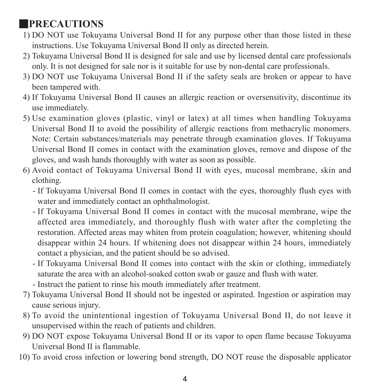### ■**PRECAUTIONS**

- 1) DO NOT use Tokuyama Universal Bond II for any purpose other than those listed in these instructions. Use Tokuyama Universal Bond II only as directed herein.
- 2) Tokuyama Universal Bond II is designed for sale and use by licensed dental care professionals only. It is not designed for sale nor is it suitable for use by non-dental care professionals.
- 3) DO NOT use Tokuyama Universal Bond II if the safety seals are broken or appear to have been tampered with.
- 4) If Tokuyama Universal Bond II causes an allergic reaction or oversensitivity, discontinue its use immediately.
- 5) Use examination gloves (plastic, vinyl or latex) at all times when handling Tokuyama Universal Bond II to avoid the possibility of allergic reactions from methacrylic monomers. Note: Certain substances/materials may penetrate through examination gloves. If Tokuyama Universal Bond II comes in contact with the examination gloves, remove and dispose of the gloves, and wash hands thoroughly with water as soon as possible.
- 6) Avoid contact of Tokuyama Universal Bond II with eyes, mucosal membrane, skin and clothing.
	- - If Tokuyama Universal Bond II comes in contact with the eyes, thoroughly flush eyes with water and immediately contact an ophthalmologist.
	- - If Tokuyama Universal Bond II comes in contact with the mucosal membrane, wipe the affected area immediately, and thoroughly flush with water after the completing the restoration. Affected areas may whiten from protein coagulation; however, whitening should disappear within 24 hours. If whitening does not disappear within 24 hours, immediately contact a physician, and the patient should be so advised.
	- - If Tokuyama Universal Bond II comes into contact with the skin or clothing, immediately saturate the area with an alcohol-soaked cotton swab or gauze and flush with water.
	- Instruct the patient to rinse his mouth immediately after treatment.
- 7) Tokuyama Universal Bond II should not be ingested or aspirated. Ingestion or aspiration may cause serious injury.
- 8) To avoid the unintentional ingestion of Tokuyama Universal Bond II, do not leave it unsupervised within the reach of patients and children.
- 9) DO NOT expose Tokuyama Universal Bond II or its vapor to open flame because Tokuyama Universal Bond II is flammable.
- 10) To avoid cross infection or lowering bond strength, DO NOT reuse the disposable applicator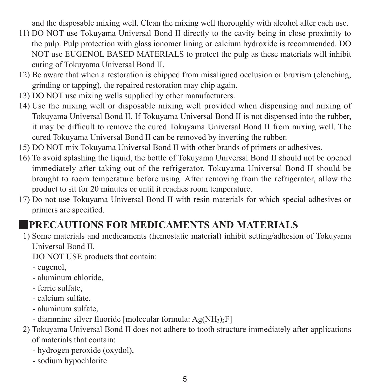and the disposable mixing well. Clean the mixing well thoroughly with alcohol after each use.

- 11) DO NOT use Tokuyama Universal Bond II directly to the cavity being in close proximity to the pulp. Pulp protection with glass ionomer lining or calcium hydroxide is recommended. DO NOT use EUGENOL BASED MATERIALS to protect the pulp as these materials will inhibit curing of Tokuyama Universal Bond II.
- 12) Be aware that when a restoration is chipped from misaligned occlusion or bruxism (clenching, grinding or tapping), the repaired restoration may chip again.
- 13) DO NOT use mixing wells supplied by other manufacturers.
- 14) Use the mixing well or disposable mixing well provided when dispensing and mixing of Tokuyama Universal Bond II. If Tokuyama Universal Bond II is not dispensed into the rubber, it may be difficult to remove the cured Tokuyama Universal Bond II from mixing well. The cured Tokuyama Universal Bond II can be removed by inverting the rubber.
- 15) DO NOT mix Tokuyama Universal Bond II with other brands of primers or adhesives.
- 16) To avoid splashing the liquid, the bottle of Tokuyama Universal Bond II should not be opened immediately after taking out of the refrigerator. Tokuyama Universal Bond II should be brought to room temperature before using. After removing from the refrigerator, allow the product to sit for 20 minutes or until it reaches room temperature.
- 17) Do not use Tokuyama Universal Bond II with resin materials for which special adhesives or primers are specified.

#### ■**PRECAUTIONS FOR MEDICAMENTS AND MATERIALS**

1) Some materials and medicaments (hemostatic material) inhibit setting/adhesion of Tokuyama Universal Bond II.

DO NOT USE products that contain:

- eugenol,
- aluminum chloride,
- ferric sulfate,
- calcium sulfate,
- aluminum sulfate,
- $-$  diammine silver fluoride [molecular formula:  $A\varphi(NH_3)$ <sub>F</sub>]
- 2) Tokuyama Universal Bond II does not adhere to tooth structure immediately after applications of materials that contain:
	- hydrogen peroxide (oxydol),
	- sodium hypochlorite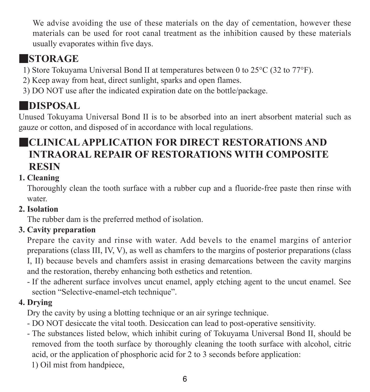We advise avoiding the use of these materials on the day of cementation, however these materials can be used for root canal treatment as the inhibition caused by these materials usually evaporates within five days.

### ■**STORAGE**

- 1) Store Tokuyama Universal Bond II at temperatures between 0 to 25°C (32 to 77°F).
- 2) Keep away from heat, direct sunlight, sparks and open flames.
- 3) DO NOT use after the indicated expiration date on the bottle/package.

### ■**DISPOSAL**

Unused Tokuyama Universal Bond II is to be absorbed into an inert absorbent material such as gauze or cotton, and disposed of in accordance with local regulations.

### ■**CLINICAL APPLICATION FOR DIRECT RESTORATIONS AND INTRAORAL REPAIR OF RESTORATIONS WITH COMPOSITE RESIN**

#### **1. Cleaning**

Thoroughly clean the tooth surface with a rubber cup and a fluoride-free paste then rinse with water.

#### **2. Isolation**

The rubber dam is the preferred method of isolation.

#### **3. Cavity preparation**

Prepare the cavity and rinse with water. Add bevels to the enamel margins of anterior preparations (class III, IV, V), as well as chamfers to the margins of posterior preparations (class I, II) because bevels and chamfers assist in erasing demarcations between the cavity margins and the restoration, thereby enhancing both esthetics and retention.

- If the adherent surface involves uncut enamel, apply etching agent to the uncut enamel. See section "Selective-enamel-etch technique".

#### **4. Drying**

Dry the cavity by using a blotting technique or an air syringe technique.

- DO NOT desiccate the vital tooth. Desiccation can lead to post-operative sensitivity.
- The substances listed below, which inhibit curing of Tokuyama Universal Bond II, should be removed from the tooth surface by thoroughly cleaning the tooth surface with alcohol, citric acid, or the application of phosphoric acid for 2 to 3 seconds before application:
	- 1) Oil mist from handpiece,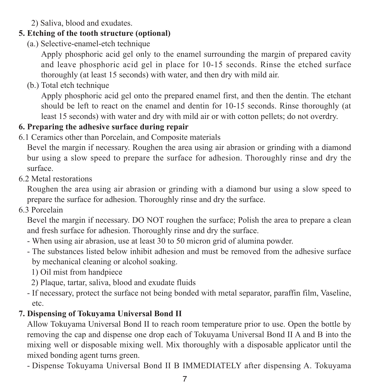2) Saliva, blood and exudates.

#### **5. Etching of the tooth structure (optional)**

(a.) Selective-enamel-etch technique

 Apply phosphoric acid gel only to the enamel surrounding the margin of prepared cavity and leave phosphoric acid gel in place for 10-15 seconds. Rinse the etched surface thoroughly (at least 15 seconds) with water, and then dry with mild air.

(b.) Total etch technique

 Apply phosphoric acid gel onto the prepared enamel first, and then the dentin. The etchant should be left to react on the enamel and dentin for 10-15 seconds. Rinse thoroughly (at least 15 seconds) with water and dry with mild air or with cotton pellets; do not overdry.

#### **6. Preparing the adhesive surface during repair**

6.1 Ceramics other than Porcelain, and Composite materials

Bevel the margin if necessary. Roughen the area using air abrasion or grinding with a diamond bur using a slow speed to prepare the surface for adhesion. Thoroughly rinse and dry the surface.

6.2 Metal restorations

Roughen the area using air abrasion or grinding with a diamond bur using a slow speed to prepare the surface for adhesion. Thoroughly rinse and dry the surface.

6.3 Porcelain

Bevel the margin if necessary. DO NOT roughen the surface: Polish the area to prepare a clean and fresh surface for adhesion. Thoroughly rinse and dry the surface.

- When using air abrasion, use at least 30 to 50 micron grid of alumina powder.
- The substances listed below inhibit adhesion and must be removed from the adhesive surface by mechanical cleaning or alcohol soaking.
	- 1) Oil mist from handpiece
	- 2) Plaque, tartar, saliva, blood and exudate fluids
- If necessary, protect the surface not being bonded with metal separator, paraffin film, Vaseline, etc.

#### **7. Dispensing of Tokuyama Universal Bond II**

Allow Tokuyama Universal Bond II to reach room temperature prior to use. Open the bottle by removing the cap and dispense one drop each of Tokuyama Universal Bond II A and B into the mixing well or disposable mixing well. Mix thoroughly with a disposable applicator until the mixed bonding agent turns green.

- Dispense Tokuyama Universal Bond II B IMMEDIATELY after dispensing A. Tokuyama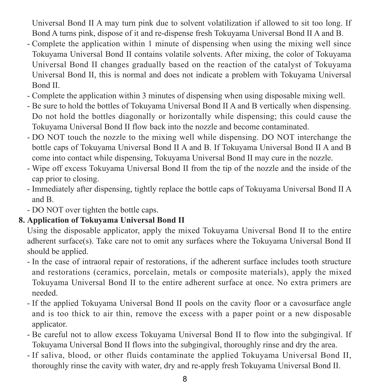Universal Bond II A may turn pink due to solvent volatilization if allowed to sit too long. If Bond A turns pink, dispose of it and re-dispense fresh Tokuyama Universal Bond II A and B.

- Complete the application within 1 minute of dispensing when using the mixing well since Tokuyama Universal Bond II contains volatile solvents. After mixing, the color of Tokuyama Universal Bond II changes gradually based on the reaction of the catalyst of Tokuyama Universal Bond II, this is normal and does not indicate a problem with Tokuyama Universal Bond II.
- Complete the application within 3 minutes of dispensing when using disposable mixing well.
- Be sure to hold the bottles of Tokuyama Universal Bond II A and B vertically when dispensing. Do not hold the bottles diagonally or horizontally while dispensing; this could cause the Tokuyama Universal Bond II flow back into the nozzle and become contaminated.
- DO NOT touch the nozzle to the mixing well while dispensing. DO NOT interchange the bottle caps of Tokuyama Universal Bond II A and B. If Tokuyama Universal Bond II A and B come into contact while dispensing, Tokuyama Universal Bond II may cure in the nozzle.
- Wipe off excess Tokuyama Universal Bond II from the tip of the nozzle and the inside of the cap prior to closing.
- Immediately after dispensing, tightly replace the bottle caps of Tokuyama Universal Bond II A and B.
- DO NOT over tighten the bottle caps.

#### **8. Application of Tokuyama Universal Bond II**

Using the disposable applicator, apply the mixed Tokuyama Universal Bond II to the entire adherent surface(s). Take care not to omit any surfaces where the Tokuyama Universal Bond II should be applied.

- In the case of intraoral repair of restorations, if the adherent surface includes tooth structure and restorations (ceramics, porcelain, metals or composite materials), apply the mixed Tokuyama Universal Bond II to the entire adherent surface at once. No extra primers are needed.
- If the applied Tokuyama Universal Bond II pools on the cavity floor or a cavosurface angle and is too thick to air thin, remove the excess with a paper point or a new disposable applicator.
- Be careful not to allow excess Tokuyama Universal Bond II to flow into the subgingival. If Tokuyama Universal Bond II flows into the subgingival, thoroughly rinse and dry the area.
- If saliva, blood, or other fluids contaminate the applied Tokuyama Universal Bond II, thoroughly rinse the cavity with water, dry and re-apply fresh Tokuyama Universal Bond II.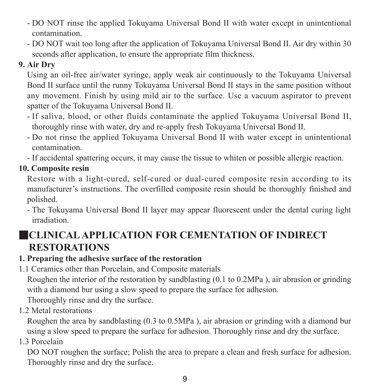- DO NOT rinse the applied Tokuyama Universal Bond II with water except in unintentional contamination.
- DO NOT wait too long after the application of Tokuyama Universal Bond II. Air dry within 30 seconds after application, to ensure the appropriate film thickness.

#### **9. Air Dry**

Using an oil-free air/water syringe, apply weak air continuously to the Tokuyama Universal Bond II surface until the runny Tokuyama Universal Bond II stays in the same position without any movement. Finish by using mild air to the surface. Use a vacuum aspirator to prevent spatter of the Tokuyama Universal Bond II.

- If saliva, blood, or other fluids contaminate the applied Tokuyama Universal Bond II, thoroughly rinse with water, dry and re-apply fresh Tokuyama Universal Bond II.
- Do not rinse the applied Tokuyama Universal Bond II with water except in unintentional contamination.
- If accidental spattering occurs, it may cause the tissue to whiten or possible allergic reaction.

**10. Composite resin**

Restore with a light-cured, self-cured or dual-cured composite resin according to its manufacturer's instructions. The overfilled composite resin should be thoroughly finished and polished.

- The Tokuyama Universal Bond II layer may appear fluorescent under the dental curing light irradiation.

### ■**CLINICAL APPLICATION FOR CEMENTATION OF INDIRECT RESTORATIONS**

#### **1. Preparing the adhesive surface of the restoration**

1.1 Ceramics other than Porcelain, and Composite materials

Roughen the interior of the restoration by sandblasting (0.1 to 0.2MPa ), air abrasion or grinding with a diamond bur using a slow speed to prepare the surface for adhesion.

Thoroughly rinse and dry the surface.

1.2 Metal restorations

Roughen the area by sandblasting (0.3 to 0.5MPa ), air abrasion or grinding with a diamond bur using a slow speed to prepare the surface for adhesion. Thoroughly rinse and dry the surface.

1.3 Porcelain

DO NOT roughen the surface; Polish the area to prepare a clean and fresh surface for adhesion. Thoroughly rinse and dry the surface.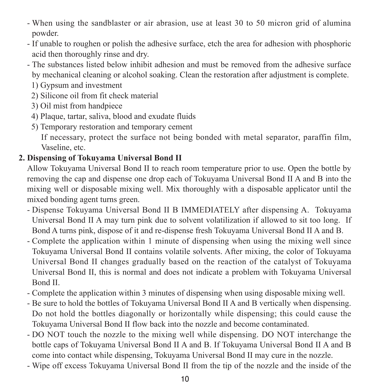- When using the sandblaster or air abrasion, use at least 30 to 50 micron grid of alumina powder.
- If unable to roughen or polish the adhesive surface, etch the area for adhesion with phosphoric acid then thoroughly rinse and dry.
- The substances listed below inhibit adhesion and must be removed from the adhesive surface by mechanical cleaning or alcohol soaking. Clean the restoration after adjustment is complete.
	- 1) Gypsum and investment
	- 2) Silicone oil from fit check material
	- 3) Oil mist from handpiece
	- 4) Plaque, tartar, saliva, blood and exudate fluids
	- 5) Temporary restoration and temporary cement

 If necessary, protect the surface not being bonded with metal separator, paraffin film, Vaseline, etc.

#### **2. Dispensing of Tokuyama Universal Bond II**

Allow Tokuyama Universal Bond II to reach room temperature prior to use. Open the bottle by removing the cap and dispense one drop each of Tokuyama Universal Bond II A and B into the mixing well or disposable mixing well. Mix thoroughly with a disposable applicator until the mixed bonding agent turns green.

- Dispense Tokuyama Universal Bond II B IMMEDIATELY after dispensing A. Tokuyama Universal Bond II A may turn pink due to solvent volatilization if allowed to sit too long. If Bond A turns pink, dispose of it and re-dispense fresh Tokuyama Universal Bond II A and B.
- Complete the application within 1 minute of dispensing when using the mixing well since Tokuyama Universal Bond II contains volatile solvents. After mixing, the color of Tokuyama Universal Bond II changes gradually based on the reaction of the catalyst of Tokuyama Universal Bond II, this is normal and does not indicate a problem with Tokuyama Universal Bond II.
- Complete the application within 3 minutes of dispensing when using disposable mixing well.
- Be sure to hold the bottles of Tokuyama Universal Bond II A and B vertically when dispensing. Do not hold the bottles diagonally or horizontally while dispensing; this could cause the Tokuyama Universal Bond II flow back into the nozzle and become contaminated.
- DO NOT touch the nozzle to the mixing well while dispensing. DO NOT interchange the bottle caps of Tokuyama Universal Bond II A and B. If Tokuyama Universal Bond II A and B come into contact while dispensing, Tokuyama Universal Bond II may cure in the nozzle.
- Wipe off excess Tokuyama Universal Bond II from the tip of the nozzle and the inside of the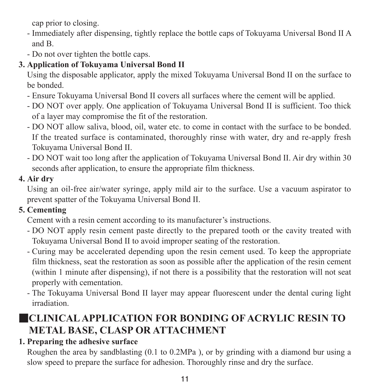cap prior to closing.

- Immediately after dispensing, tightly replace the bottle caps of Tokuyama Universal Bond II A and B.
- Do not over tighten the bottle caps.

#### **3. Application of Tokuyama Universal Bond II**

Using the disposable applicator, apply the mixed Tokuyama Universal Bond II on the surface to be bonded.

- Ensure Tokuyama Universal Bond II covers all surfaces where the cement will be applied.
- DO NOT over apply. One application of Tokuyama Universal Bond II is sufficient. Too thick of a layer may compromise the fit of the restoration.
- DO NOT allow saliva, blood, oil, water etc. to come in contact with the surface to be bonded. If the treated surface is contaminated, thoroughly rinse with water, dry and re-apply fresh Tokuyama Universal Bond II.
- DO NOT wait too long after the application of Tokuyama Universal Bond II. Air dry within 30 seconds after application, to ensure the appropriate film thickness.

#### **4. Air dry**

Using an oil-free air/water syringe, apply mild air to the surface. Use a vacuum aspirator to prevent spatter of the Tokuyama Universal Bond II.

#### **5. Cementing**

Cement with a resin cement according to its manufacturer's instructions.

- DO NOT apply resin cement paste directly to the prepared tooth or the cavity treated with Tokuyama Universal Bond II to avoid improper seating of the restoration.
- Curing may be accelerated depending upon the resin cement used. To keep the appropriate film thickness, seat the restoration as soon as possible after the application of the resin cement (within 1 minute after dispensing), if not there is a possibility that the restoration will not seat properly with cementation.
- The Tokuyama Universal Bond II layer may appear fluorescent under the dental curing light irradiation.

### ■**CLINICAL APPLICATION FOR BONDING OF ACRYLIC RESIN TO METAL BASE, CLASP OR ATTACHMENT**

#### **1. Preparing the adhesive surface**

Roughen the area by sandblasting (0.1 to 0.2MPa ), or by grinding with a diamond bur using a slow speed to prepare the surface for adhesion. Thoroughly rinse and dry the surface.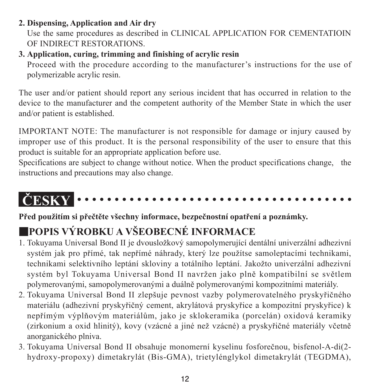#### **2. Dispensing, Application and Air dry**

Use the same procedures as described in CLINICAL APPLICATION FOR CEMENTATIOIN OF INDIRECT RESTORATIONS.

#### **3. Application, curing, trimming and finishing of acrylic resin**

Proceed with the procedure according to the manufacturer's instructions for the use of polymerizable acrylic resin.

The user and/or patient should report any serious incident that has occurred in relation to the device to the manufacturer and the competent authority of the Member State in which the user and/or patient is established.

IMPORTANT NOTE: The manufacturer is not responsible for damage or injury caused by improper use of this product. It is the personal responsibility of the user to ensure that this product is suitable for an appropriate application before use.

Specifications are subject to change without notice. When the product specifications change, the instructions and precautions may also change.

#### **ČESKY**

**Před použitím si přečtěte všechny informace, bezpečnostní opatření a poznámky.**

### ■**POPIS VÝROBKU A VŠEOBECNÉ INFORMACE**

- 1. Tokuyama Universal Bond II je dvousložkový samopolymerující dentální univerzální adhezivní systém jak pro přímé, tak nepřímé náhrady, který lze použítse samoleptacími technikami, technikami selektivního leptání skloviny a totálního leptání. Jakožto univerzální adhezivní systém byl Tokuyama Universal Bond II navržen jako plně kompatibilní se světlem polymerovanými, samopolymerovanými a duálně polymerovanými kompozitními materiály.
- 2. Tokuyama Universal Bond II zlepšuje pevnost vazby polymerovatelného pryskyřičného materiálu (adhezivní pryskyřičný cement, akrylátová pryskyřice a kompozitní pryskyřice) k nepřímým výplňovým materiálům, jako je sklokeramika (porcelán) oxidová keramiky (zirkonium a oxid hlinitý), kovy (vzácné a jiné než vzácné) a pryskyřičné materiály včetně anorganického plniva.
- 3. Tokuyama Universal Bond II obsahuje monomerní kyselinu fosforečnou, bisfenol-A-di(2 hydroxy-propoxy) dimetakrylát (Bis-GMA), trietylénglykol dimetakrylát (TEGDMA),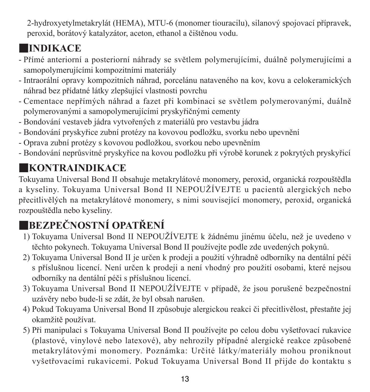2-hydroxyetylmetakrylát (HEMA), MTU-6 (monomer tiouracilu), silanový spojovací přípravek, peroxid, borátový katalyzátor, aceton, ethanol a čištěnou vodu.

### ■**INDIKACE**

- Přímé anteriorní a posteriorní náhrady se světlem polymerujícími, duálně polymerujícími a samopolymerujícími kompozitními materiály
- Intraorální opravy kompozitních náhrad, porcelánu nataveného na kov, kovu a celokeramických náhrad bez přídatné látky zlepšující vlastnosti povrchu
- Cementace nepřímých náhrad a fazet při kombinaci se světlem polymerovanými, duálně polymerovanými a samopolymerujícími pryskyřičnými cementy
- Bondování vestaveb jádra vytvořených z materiálů pro vestavbu jádra
- Bondování pryskyřice zubní protézy na kovovou podložku, svorku nebo upevnění
- Oprava zubní protézy s kovovou podložkou, svorkou nebo upevněním
- Bondování neprůsvitné pryskyřice na kovou podložku při výrobě korunek z pokrytých pryskyřicí

### ■**KONTRAINDIKACE**

Tokuyama Universal Bond II obsahuje metakrylátové monomery, peroxid, organická rozpouštědla a kyseliny. Tokuyama Universal Bond II NEPOUŽÍVEJTE u pacientů alergických nebo přecitlivělých na metakrylátové monomery, s nimi související monomery, peroxid, organická rozpouštědla nebo kyseliny.

### ■**BEZPEČNOSTNÍ OPATŘENÍ**

- 1) Tokuyama Universal Bond II NEPOUŽÍVEJTE k žádnému jinému účelu, než je uvedeno v těchto pokynech. Tokuyama Universal Bond II používejte podle zde uvedených pokynů.
- 2) Tokuyama Universal Bond II je určen k prodeji a použití výhradně odborníky na dentální péči s příslušnou licencí. Není určen k prodeji a není vhodný pro použití osobami, které nejsou odborníky na dentální péči s příslušnou licencí.
- 3) Tokuyama Universal Bond II NEPOUŽÍVEJTE v případě, že jsou porušené bezpečnostní uzávěry nebo bude-li se zdát, že byl obsah narušen.
- 4) Pokud Tokuyama Universal Bond II způsobuje alergickou reakci či přecitlivělost, přestaňte jej okamžitě používat.
- 5) Při manipulaci s Tokuyama Universal Bond II používejte po celou dobu vyšetřovací rukavice (plastové, vinylové nebo latexové), aby nehrozily případné alergické reakce způsobené metakrylátovými monomery. Poznámka: Určité látky/materiály mohou proniknout vyšetřovacími rukavicemi. Pokud Tokuyama Universal Bond II přijde do kontaktu s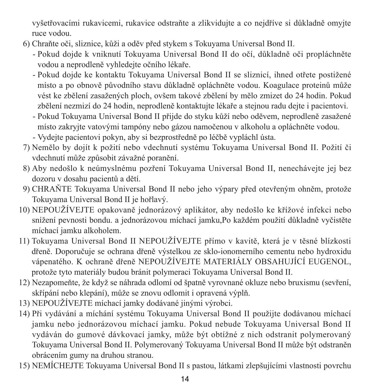vyšetřovacími rukavicemi, rukavice odstraňte a zlikvidujte a co nejdříve si důkladně omyjte ruce vodou.

- 6) Chraňte oči, sliznice, kůži a oděv před stykem s Tokuyama Universal Bond II.
	- - Pokud dojde k vniknutí Tokuyama Universal Bond II do očí, důkladně oči propláchněte vodou a neprodleně vyhledejte očního lékaře.
	- - Pokud dojde ke kontaktu Tokuyama Universal Bond II se sliznicí, ihned otřete postižené místo a po obnově původního stavu důkladně opláchněte vodou. Koagulace proteinů může vést ke zbělení zasažených ploch, ovšem takové zbělení by mělo zmizet do 24 hodin. Pokud zbělení nezmizí do 24 hodin, neprodleně kontaktujte lékaře a stejnou radu dejte i pacientovi.
	- - Pokud Tokuyama Universal Bond II přijde do styku kůží nebo oděvem, neprodleně zasažené místo zakryjte vatovými tampóny nebo gázou namočenou v alkoholu a opláchněte vodou.
	- Vydejte pacientovi pokyn, aby si bezprostředně po léčbě vypláchl ústa.
- 7) Nemělo by dojít k požití nebo vdechnutí systému Tokuyama Universal Bond II. Požití či vdechnutí může způsobit závažné poranění.
- 8) Aby nedošlo k neúmyslnému pozření Tokuyama Universal Bond II, nenechávejte jej bez dozoru v dosahu pacientů a dětí.
- 9) CHRAŇTE Tokuyama Universal Bond II nebo jeho výpary před otevřeným ohněm, protože Tokuyama Universal Bond II je hořlavý.
- 10) NEPOUŽÍVEJTE opakovaně jednorázový aplikátor, aby nedošlo ke křížové infekci nebo snížení pevnosti bondu. a jednorázovou míchací jamku,Po každém použití důkladně vyčistěte míchací jamku alkoholem.
- 11) Tokuyama Universal Bond II NEPOUŽÍVEJTE přímo v kavitě, která je v těsné blízkosti dřeně. Doporučuje se ochrana dřeně výstelkou ze sklo-ionomerního cementu nebo hydroxidu vápenatého. K ochraně dřeně NEPOUŽÍVEJTE MATERIÁLY OBSAHUJÍCÍ EUGENOL, protože tyto materiály budou bránit polymeraci Tokuyama Universal Bond II.
- 12) Nezapomeňte, že když se náhrada odlomí od špatně vyrovnané okluze nebo bruxismu (sevření, skřípání nebo klepání), může se znovu odlomit i opravená výplň.
- 13) NEPOUŽÍVEJTE míchací jamky dodávané jinými výrobci.
- 14) Při vydávání a míchání systému Tokuyama Universal Bond II použijte dodávanou míchací jamku nebo jednorázovou míchací jamku. Pokud nebude Tokuyama Universal Bond II vydáván do gumové dávkovací jamky, může být obtížné z nich odstranit polymerovaný Tokuyama Universal Bond II. Polymerovaný Tokuyama Universal Bond II může být odstraněn obrácením gumy na druhou stranou.
- 15) NEMÍCHEJTE Tokuyama Universal Bond II s pastou, látkami zlepšujícími vlastnosti povrchu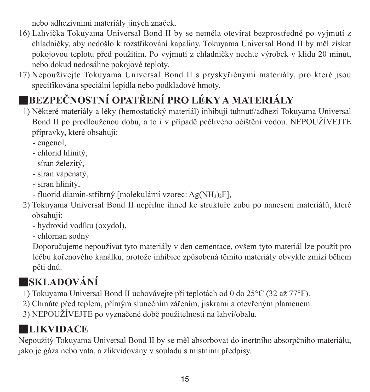nebo adhezivními materiály jiných značek.

- 16) Lahvička Tokuyama Universal Bond II by se neměla otevírat bezprostředně po vyjmutí z chladničky, aby nedošlo k rozstřikování kapaliny. Tokuyama Universal Bond II by měl získat pokojovou teplotu před použitím. Po vyjmutí z chladničky nechte výrobek v klidu 20 minut, nebo dokud nedosáhne pokojové teploty.
- 17) Nepoužívejte Tokuyama Universal Bond II s pryskyřičnými materiály, pro které jsou specifikována speciální lepidla nebo podkladové hmoty.

### ■**BEZPEČNOSTNÍ OPATŘENÍ PRO LÉKY A MATERIÁLY**

- 1) Některé materiály a léky (hemostatický materiál) inhibují tuhnutí/adhezi Tokuyama Universal Bond II po prodlouženou dobu, a to i v případě pečlivého očištění vodou. NEPOUŽÍVEJTE přípravky, které obsahují:
	- eugenol,
	- chlorid hlinitý,
	- síran železitý,
	- síran vápenatý,
	- síran hlinitý,
	- fluorid diamin-stříbrný [molekulární vzorec: Ag(NH3)2F],
- 2) Tokuyama Universal Bond II nepřilne ihned ke struktuře zubu po nanesení materiálů, které obsahují:
	- hydroxid vodíku (oxydol),
	- chlornan sodný

 Doporučujeme nepoužívat tyto materiály v den cementace, ovšem tyto materiál lze použít pro léčbu kořenového kanálku, protože inhibice způsobená těmito materiály obvykle zmizí během pěti dnů.

### ■**SKLADOVÁNÍ**

- 1) Tokuyama Universal Bond II uchovávejte při teplotách od 0 do 25°C (32 až 77°F).
- 2) Chraňte před teplem, přímým slunečním zářením, jiskrami a otevřeným plamenem.
- 3) NEPOUŽÍVEJTE po vyznačené době použitelnosti na lahvi/obalu.

### ■**LIKVIDACE**

Nepoužitý Tokuyama Universal Bond II by se měl absorbovat do inertního absorpčního materiálu, jako je gáza nebo vata, a zlikvidovány v souladu s místními předpisy.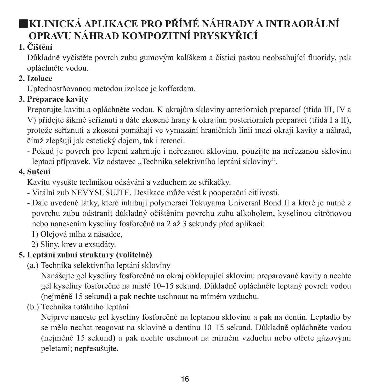### ■**KLINICKÁ APLIKACE PRO PŘÍMÉ NÁHRADY A INTRAORÁLNÍ OPRAVU NÁHRAD KOMPOZITNÍ PRYSKYŘICÍ**

#### **1. Čištění**

Důkladně vyčistěte povrch zubu gumovým kalíškem a čisticí pastou neobsahující fluoridy, pak opláchněte vodou.

#### **2. Izolace**

Upřednostňovanou metodou izolace je kofferdam.

#### **3. Preparace kavity**

Preparujte kavitu a opláchněte vodou. K okrajům skloviny anteriorních preparací (třída III, IV a V) přidejte šikmé seříznutí a dále zkosené hrany k okrajům posteriorních preparací (třída I a II), protože seříznutí a zkosení pomáhají ve vymazání hraničních linií mezi okraji kavity a náhrad, čímž zlepšují jak estetický dojem, tak i retenci.

- Pokud je povrch pro lepení zahrnuje i neřezanou sklovinu, použijte na neřezanou sklovinu leptací přípravek. Viz odstavec "Technika selektivního leptání skloviny".

#### **4. Sušení**

Kavitu vysušte technikou odsávání a vzduchem ze stříkačky.

- Vitální zub NEVYSUŠUJTE. Desikace může vést k pooperační citlivosti.
- Dále uvedené látky, které inhibují polymeraci Tokuyama Universal Bond II a které je nutné z povrchu zubu odstranit důkladný očištěním povrchu zubu alkoholem, kyselinou citrónovou nebo nanesením kyseliny fosforečné na 2 až 3 sekundy před aplikací:
	- 1) Olejová mlha z násadce,
	- 2) Sliny, krev a exsudáty.

#### **5. Leptání zubní struktury (volitelné)**

(a.) Technika selektivního leptání skloviny

 Nanášejte gel kyseliny fosforečné na okraj obklopující sklovinu preparované kavity a nechte gel kyseliny fosforečné na místě 10–15 sekund. Důkladně opláchněte leptaný povrch vodou (nejméně 15 sekund) a pak nechte uschnout na mírném vzduchu.

(b.) Technika totálního leptání

 Nejprve naneste gel kyseliny fosforečné na leptanou sklovinu a pak na dentin. Leptadlo by se mělo nechat reagovat na sklovině a dentinu 10–15 sekund. Důkladně opláchněte vodou (nejméně 15 sekund) a pak nechte uschnout na mírném vzduchu nebo otřete gázovými peletami; nepřesušujte.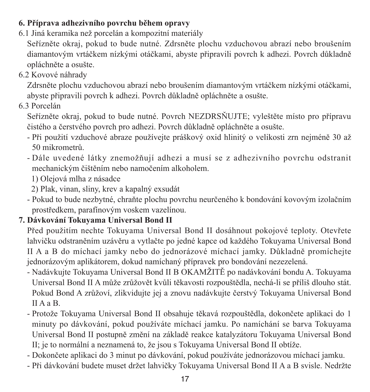#### **6. Příprava adhezivního povrchu během opravy**

6.1 Jiná keramika než porcelán a kompozitní materiály

Seřízněte okraj, pokud to bude nutné. Zdrsněte plochu vzduchovou abrazí nebo broušením diamantovým vrtáčkem nízkými otáčkami, abyste připravili povrch k adhezi. Povrch důkladně opláchněte a osušte.

6.2 Kovové náhrady

Zdrsněte plochu vzduchovou abrazí nebo broušením diamantovým vrtáčkem nízkými otáčkami, abyste připravili povrch k adhezi. Povrch důkladně opláchněte a osušte.

6.3 Porcelán

Seřízněte okraj, pokud to bude nutné. Povrch NEZDRSŇUJTE; vyleštěte místo pro přípravu čistého a čerstvého povrch pro adhezi. Povrch důkladně opláchněte a osušte.

- Při použití vzduchové abraze používejte práškový oxid hlinitý o velikosti zrn nejméně 30 až 50 mikrometrů.
- Dále uvedené látky znemožňují adhezi a musí se z adhezivního povrchu odstranit mechanickým čištěním nebo namočením alkoholem.
	- 1) Olejová mlha z násadce
	- 2) Plak, vinan, sliny, krev a kapalný exsudát
- Pokud to bude nezbytné, chraňte plochu povrchu neurčeného k bondování kovovým izolačním prostředkem, parafínovým voskem vazelínou.

#### **7. Dávkování Tokuyama Universal Bond II**

- Před použitím nechte Tokuyama Universal Bond II dosáhnout pokojové teploty. Otevřete lahvičku odstraněním uzávěru a vytlačte po jedné kapce od každého Tokuyama Universal Bond II A a B do míchací jamky nebo do jednorázové míchací jamky. Důkladně promíchejte jednorázovým aplikátorem, dokud namíchaný přípravek pro bondování nezezelená.
- Nadávkujte Tokuyama Universal Bond II B OKAMŽITĚ po nadávkování bondu A. Tokuyama Universal Bond II A může zrůžovět kvůli těkavosti rozpouštědla, nechá-li se příliš dlouho stát. Pokud Bond A zrůžoví, zlikvidujte jej a znovu nadávkujte čerstvý Tokuyama Universal Bond II A a B.
- Protože Tokuyama Universal Bond II obsahuje těkavá rozpouštědla, dokončete aplikaci do 1 minuty po dávkování, pokud používáte míchací jamku. Po namíchání se barva Tokuyama Universal Bond II postupně změní na základě reakce katalyzátoru Tokuyama Universal Bond II; je to normální a neznamená to, že jsou s Tokuyama Universal Bond II obtíže.
- Dokončete aplikaci do 3 minut po dávkování, pokud používáte jednorázovou míchací jamku.
- Při dávkování budete muset držet lahvičky Tokuyama Universal Bond II A a B svisle. Nedržte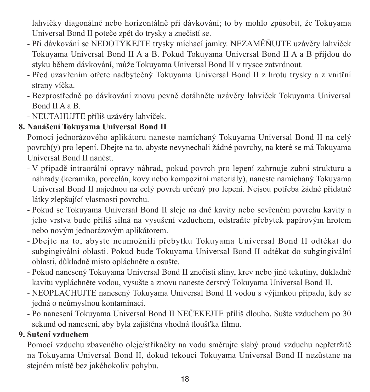lahvičky diagonálně nebo horizontálně při dávkování; to by mohlo způsobit, že Tokuyama Universal Bond II poteče zpět do trysky a znečistí se.

- Při dávkování se NEDOTÝKEJTE trysky míchací jamky. NEZAMĚŇUJTE uzávěry lahviček Tokuyama Universal Bond II A a B. Pokud Tokuyama Universal Bond II A a B přijdou do styku během dávkování, může Tokuyama Universal Bond II v trysce zatvrdnout.
- Před uzavřením otřete nadbytečný Tokuyama Universal Bond II z hrotu trysky a z vnitřní strany víčka.
- Bezprostředně po dávkování znovu pevně dotáhněte uzávěry lahviček Tokuyama Universal Bond II A a B.
- NEUTAHUJTE příliš uzávěry lahviček.

#### **8. Nanášení Tokuyama Universal Bond II**

Pomocí jednorázového aplikátoru naneste namíchaný Tokuyama Universal Bond II na celý povrch(y) pro lepení. Dbejte na to, abyste nevynechali žádné povrchy, na které se má Tokuyama Universal Bond II nanést.

- V případě intraorální opravy náhrad, pokud povrch pro lepení zahrnuje zubní strukturu a náhrady (keramika, porcelán, kovy nebo kompozitní materiály), naneste namíchaný Tokuyama Universal Bond II najednou na celý povrch určený pro lepení. Nejsou potřeba žádné přídatné látky zlepšující vlastnosti povrchu.
- Pokud se Tokuyama Universal Bond II sleje na dně kavity nebo sevřeném povrchu kavity a jeho vrstva bude příliš silná na vysušení vzduchem, odstraňte přebytek papírovým hrotem nebo novým jednorázovým aplikátorem.
- Dbejte na to, abyste neumožnili přebytku Tokuyama Universal Bond II odtékat do subgingivální oblasti. Pokud bude Tokuyama Universal Bond II odtékat do subgingivální oblasti, důkladně místo opláchněte a osušte.
- Pokud nanesený Tokuyama Universal Bond II znečistí sliny, krev nebo jiné tekutiny, důkladně kavitu vypláchněte vodou, vysušte a znovu naneste čerstvý Tokuyama Universal Bond II.
- NEOPLACHUJTE nanesený Tokuyama Universal Bond II vodou s výjimkou případu, kdy se jedná o neúmyslnou kontaminaci.
- Po nanesení Tokuyama Universal Bond II NEČEKEJTE příliš dlouho. Sušte vzduchem po 30 sekund od nanesení, aby byla zajištěna vhodná tloušťka filmu.

#### **9. Sušení vzduchem**

Pomocí vzduchu zbaveného oleje/stříkačky na vodu směrujte slabý proud vzduchu nepřetržitě na Tokuyama Universal Bond II, dokud tekoucí Tokuyama Universal Bond II nezůstane na stejném místě bez jakéhokoliv pohybu.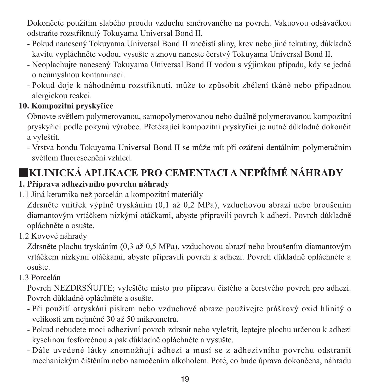Dokončete použitím slabého proudu vzduchu směrovaného na povrch. Vakuovou odsávačkou odstraňte rozstříknutý Tokuyama Universal Bond II.

- Pokud nanesený Tokuyama Universal Bond II znečistí sliny, krev nebo jiné tekutiny, důkladně kavitu vypláchněte vodou, vysušte a znovu naneste čerstvý Tokuyama Universal Bond II.
- Neoplachujte nanesený Tokuyama Universal Bond II vodou s výjimkou případu, kdy se jedná o neúmyslnou kontaminaci.
- Pokud doje k náhodnému rozstříknutí, může to způsobit zbělení tkáně nebo případnou alergickou reakci.

#### **10. Kompozitní prysky**ř**ice**

Obnovte světlem polymerovanou, samopolymerovanou nebo duálně polymerovanou kompozitní pryskyřicí podle pokynů výrobce. Přetékající kompozitní pryskyřici je nutné důkladně dokončit a vyleštit.

- Vrstva bondu Tokuyama Universal Bond II se může mít při ozáření dentálním polymeračním světlem fluorescenční vzhled.

### ■**KLINICKÁ APLIKACE PRO CEMENTACI A NEPŘÍMÉ NÁHRADY**

#### **1. Příprava adhezivního povrchu náhrady**

1.1 Jiná keramika než porcelán a kompozitní materiály

Zdrsněte vnitřek výplně tryskáním (0,1 až 0,2 MPa), vzduchovou abrazí nebo broušením diamantovým vrtáčkem nízkými otáčkami, abyste připravili povrch k adhezi. Povrch důkladně opláchněte a osušte.

1.2 Kovové náhrady

Zdrsněte plochu tryskáním (0,3 až 0,5 MPa), vzduchovou abrazí nebo broušením diamantovým vrtáčkem nízkými otáčkami, abyste připravili povrch k adhezi. Povrch důkladně opláchněte a osušte.

1.3 Porcelán

Povrch NEZDRSŇUJTE; vyleštěte místo pro přípravu čistého a čerstvého povrch pro adhezi. Povrch důkladně opláchněte a osušte.

- Při použití otryskání pískem nebo vzduchové abraze používejte práškový oxid hlinitý o velikosti zrn nejméně 30 až 50 mikrometrů.
- Pokud nebudete moci adhezivní povrch zdrsnit nebo vyleštit, leptejte plochu určenou k adhezi kyselinou fosforečnou a pak důkladně opláchněte a vysušte.
- Dále uvedené látky znemožňují adhezi a musí se z adhezivního povrchu odstranit mechanickým čištěním nebo namočením alkoholem. Poté, co bude úprava dokončena, náhradu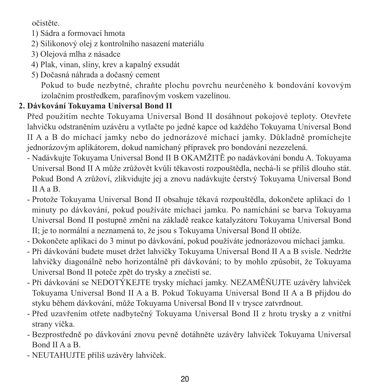očistěte.

- 1) Sádra a formovací hmota
- 2) Silikonový olej z kontrolního nasazení materiálu
- 3) Olejová mlha z násadce
- 4) Plak, vinan, sliny, krev a kapalný exsudát
- 5) Dočasná náhrada a dočasný cement

 Pokud to bude nezbytné, chraňte plochu povrchu neurčeného k bondování kovovým izolačním prostředkem, parafínovým voskem vazelínou.

#### **2. Dávkování Tokuyama Universal Bond II**

Před použitím nechte Tokuyama Universal Bond II dosáhnout pokojové teploty. Otevřete lahvičku odstraněním uzávěru a vytlačte po jedné kapce od každého Tokuyama Universal Bond II A a B do míchací jamky nebo do jednorázové míchací jamky. Důkladně promíchejte jednorázovým aplikátorem, dokud namíchaný přípravek pro bondování nezezelená.

- Nadávkujte Tokuyama Universal Bond II B OKAMŽITĚ po nadávkování bondu A. Tokuyama Universal Bond II A může zrůžovět kvůli těkavosti rozpouštědla, nechá-li se příliš dlouho stát. Pokud Bond A zrůžoví, zlikvidujte jej a znovu nadávkujte čerstvý Tokuyama Universal Bond II A a B.
- Protože Tokuyama Universal Bond II obsahuje těkavá rozpouštědla, dokončete aplikaci do 1 minuty po dávkování, pokud používáte míchací jamku. Po namíchání se barva Tokuyama Universal Bond II postupně změní na základě reakce katalyzátoru Tokuyama Universal Bond II; je to normální a neznamená to, že jsou s Tokuyama Universal Bond II obtíže.
- Dokončete aplikaci do 3 minut po dávkování, pokud používáte jednorázovou míchací jamku.
- Při dávkování budete muset držet lahvičky Tokuyama Universal Bond II A a B svisle. Nedržte lahvičky diagonálně nebo horizontálně při dávkování; to by mohlo způsobit, že Tokuyama Universal Bond II poteče zpět do trysky a znečistí se.
- Při dávkování se NEDOTÝKEJTE trysky míchací jamky. NEZAMĚŇUJTE uzávěry lahviček Tokuyama Universal Bond II A a B. Pokud Tokuyama Universal Bond II A a B přijdou do styku během dávkování, může Tokuyama Universal Bond II v trysce zatvrdnout.
- Před uzavřením otřete nadbytečný Tokuyama Universal Bond II z hrotu trysky a z vnitřní strany víčka.
- Bezprostředně po dávkování znovu pevně dotáhněte uzávěry lahviček Tokuyama Universal Bond II A a B.
- NEUTAHUJTE příliš uzávěry lahviček.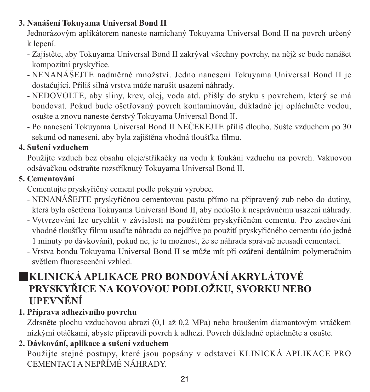#### **3. Nanášení Tokuyama Universal Bond II**

Jednorázovým aplikátorem naneste namíchaný Tokuyama Universal Bond II na povrch určený k lepení.

- Zajistěte, aby Tokuyama Universal Bond II zakrýval všechny povrchy, na nějž se bude nanášet kompozitní pryskyřice.
- NENANÁŠEJTE nadměrné množství. Jedno nanesení Tokuyama Universal Bond II je dostačující. Příliš silná vrstva může narušit usazení náhrady.
- NEDOVOLTE, aby sliny, krev, olej, voda atd. přišly do styku s povrchem, který se má bondovat. Pokud bude ošetřovaný povrch kontaminován, důkladně jej opláchněte vodou, osušte a znovu naneste čerstvý Tokuyama Universal Bond II.
- Po nanesení Tokuyama Universal Bond II NEČEKEJTE příliš dlouho. Sušte vzduchem po 30 sekund od nanesení, aby byla zajištěna vhodná tloušťka filmu.

#### **4. Sušení vzduchem**

Použijte vzduch bez obsahu oleje/stříkačky na vodu k foukání vzduchu na povrch. Vakuovou odsávačkou odstraňte rozstříknutý Tokuyama Universal Bond II.

#### **5. Cementování**

Cementujte pryskyřičný cement podle pokynů výrobce.

- NENANÁŠEJTE pryskyřičnou cementovou pastu přímo na připravený zub nebo do dutiny, která byla ošetřena Tokuyama Universal Bond II, aby nedošlo k nesprávnému usazení náhrady.
- Vytvrzování lze urychlit v závislosti na použitém pryskyřičném cementu. Pro zachování vhodné tloušťky filmu usaďte náhradu co nejdříve po použití pryskyřičného cementu (do jedné 1 minuty po dávkování), pokud ne, je tu možnost, že se náhrada správně neusadí cementací.
- Vrstva bondu Tokuyama Universal Bond II se může mít při ozáření dentálním polymeračním světlem fluorescenční vzhled.

### ■**KLINICKÁ APLIKACE PRO BONDOVÁNÍ AKRYLÁTOVÉ PRYSKYŘICE NA KOVOVOU PODLOŽKU, SVORKU NEBO UPEVNĚNÍ**

#### **1. Příprava adhezivního povrchu**

Zdrsněte plochu vzduchovou abrazí (0,1 až 0,2 MPa) nebo broušením diamantovým vrtáčkem nízkými otáčkami, abyste připravili povrch k adhezi. Povrch důkladně opláchněte a osušte.

#### **2. Dávkování, aplikace a sušení vzduchem**

Použijte stejné postupy, které jsou popsány v odstavci KLINICKÁ APLIKACE PRO CEMENTACI A NEPŘÍMÉ NÁHRADY.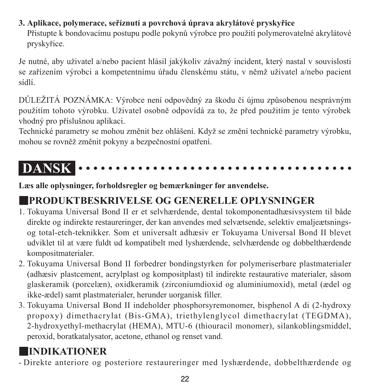**3. Aplikace, polymerace, seříznutí a povrchová úprava akrylátové pryskyřice** Přistupte k bondovacímu postupu podle pokynů výrobce pro použití polymerovatelné akrylátové pryskyřice.

Je nutné, aby uživatel a/nebo pacient hlásil jakýkoliv závažný incident, který nastal v souvislosti se zařízením výrobci a kompetentnímu úřadu členskému státu, v němž uživatel a/nebo pacient sídlí.

DŮLEŽITÁ POZNÁMKA: Výrobce není odpovědný za škodu či újmu způsobenou nesprávným použitím tohoto výrobku. Uživatel osobně odpovídá za to, že před použitím je tento výrobek vhodný pro příslušnou aplikaci.

Technické parametry se mohou změnit bez ohlášení. Když se změní technické parametry výrobku, mohou se rovněž změnit pokyny a bezpečnostní opatření.

#### **DANSK**  $\cdot$

**Læs alle oplysninger, forholdsregler og bemærkninger før anvendelse.**

### ■**PRODUKTBESKRIVELSE OG GENERELLE OPLYSNINGER**

- 1. Tokuyama Universal Bond II er et selvhærdende, dental tokomponentadhæsivsystem til både direkte og indirekte restaureringer, der kan anvendes med selvætsende, selektiv emaljeætsningsog total-etch-teknikker. Som et universalt adhæsiv er Tokuyama Universal Bond II blevet udviklet til at være fuldt ud kompatibelt med lyshærdende, selvhærdende og dobbelthærdende kompositmaterialer.
- 2. Tokuyama Universal Bond II forbedrer bondingstyrken for polymeriserbare plastmaterialer (adhæsiv plastcement, acrylplast og kompositplast) til indirekte restaurative materialer, såsom glaskeramik (porcelæn), oxidkeramik (zirconiumdioxid og aluminiumoxid), metal (ædel og ikke-ædel) samt plastmaterialer, herunder uorganisk filler.
- 3. Tokuyama Universal Bond II indeholder phosphorsyremonomer, bisphenol A di (2-hydroxy propoxy) dimethacrylat (Bis-GMA), triethylenglycol dimethacrylat (TEGDMA), 2-hydroxyethyl-methacrylat (HEMA), MTU-6 (thiouracil monomer), silankoblingsmiddel, peroxid, boratkatalysator, acetone, ethanol og renset vand.

### ■**INDIKATIONER**

- Direkte anteriore og posteriore restaureringer med lyshærdende, dobbelthærdende og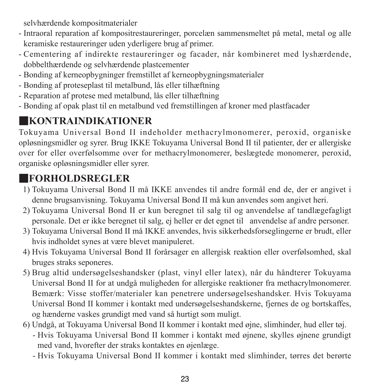selvhærdende kompositmaterialer

- Intraoral reparation af kompositrestaureringer, porcelæn sammensmeltet på metal, metal og alle keramiske restaureringer uden yderligere brug af primer.
- Cementering af indirekte restaureringer og facader, når kombineret med lyshærdende, dobbelthærdende og selvhærdende plastcementer
- Bonding af kerneopbygninger fremstillet af kerneopbygningsmaterialer
- Bonding af proteseplast til metalbund, lås eller tilhæftning
- Reparation af protese med metalbund, lås eller tilhæftning
- Bonding af opak plast til en metalbund ved fremstillingen af kroner med plastfacader

### ■**KONTRAINDIKATIONER**

Tokuyama Universal Bond II indeholder methacrylmonomerer, peroxid, organiske opløsningsmidler og syrer. Brug IKKE Tokuyama Universal Bond II til patienter, der er allergiske over for eller overfølsomme over for methacrylmonomerer, beslægtede monomerer, peroxid, organiske opløsningsmidler eller syrer.

### ■**FORHOLDSREGLER**

- 1) Tokuyama Universal Bond II må IKKE anvendes til andre formål end de, der er angivet i denne brugsanvisning. Tokuyama Universal Bond II må kun anvendes som angivet heri.
- 2) Tokuyama Universal Bond II er kun beregnet til salg til og anvendelse af tandlægefagligt personale. Det er ikke beregnet til salg, ej heller er det egnet til anvendelse af andre personer.
- 3) Tokuyama Universal Bond II må IKKE anvendes, hvis sikkerhedsforseglingerne er brudt, eller hvis indholdet synes at være blevet manipuleret.
- 4) Hvis Tokuyama Universal Bond II forårsager en allergisk reaktion eller overfølsomhed, skal bruges straks seponeres.
- 5) Brug altid undersøgelseshandsker (plast, vinyl eller latex), når du håndterer Tokuyama Universal Bond II for at undgå muligheden for allergiske reaktioner fra methacrylmonomerer. Bemærk: Visse stoffer/materialer kan penetrere undersøgelseshandsker. Hvis Tokuyama Universal Bond II kommer i kontakt med undersøgelseshandskerne, fjernes de og bortskaffes, og hænderne vaskes grundigt med vand så hurtigt som muligt.
- 6) Undgå, at Tokuyama Universal Bond II kommer i kontakt med øjne, slimhinder, hud eller tøj.
	- - Hvis Tokuyama Universal Bond II kommer i kontakt med øjnene, skylles øjnene grundigt med vand, hvorefter der straks kontaktes en øjenlæge.
	- Hvis Tokuyama Universal Bond II kommer i kontakt med slimhinder, tørres det berørte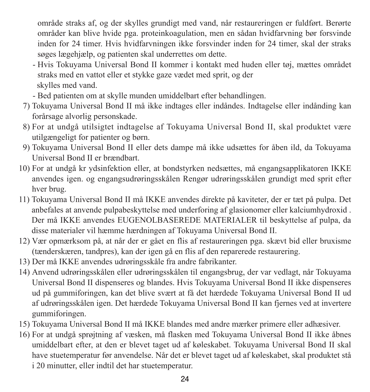område straks af, og der skylles grundigt med vand, når restaureringen er fuldført. Berørte områder kan blive hvide pga. proteinkoagulation, men en sådan hvidfarvning bør forsvinde inden for 24 timer. Hvis hvidfarvningen ikke forsvinder inden for 24 timer, skal der straks søges lægehjælp, og patienten skal underrettes om dette.

- - Hvis Tokuyama Universal Bond II kommer i kontakt med huden eller tøj, mættes området straks med en vattot eller et stykke gaze vædet med sprit, og der skylles med vand.
- Bed patienten om at skylle munden umiddelbart efter behandlingen.
- 7) Tokuyama Universal Bond II må ikke indtages eller indåndes. Indtagelse eller indånding kan forårsage alvorlig personskade.
- 8) For at undgå utilsigtet indtagelse af Tokuyama Universal Bond II, skal produktet være utilgængeligt for patienter og børn.
- 9) Tokuyama Universal Bond II eller dets dampe må ikke udsættes for åben ild, da Tokuyama Universal Bond II er brændbart.
- 10) For at undgå kr ydsinfektion eller, at bondstyrken nedsættes, må engangsapplikatoren IKKE anvendes igen. og engangsudrøringsskålen Rengør udrøringsskålen grundigt med sprit efter hver brug.
- 11) Tokuyama Universal Bond II må IKKE anvendes direkte på kaviteter, der er tæt på pulpa. Det anbefales at anvende pulpabeskyttelse med underforing af glasionomer eller kalciumhydroxid . Der må IKKE anvendes EUGENOLBASEREDE MATERIALER til beskyttelse af pulpa, da disse materialer vil hæmme hærdningen af Tokuyama Universal Bond II.
- 12) Vær opmærksom på, at når der er gået en flis af restaureringen pga. skævt bid eller bruxisme (tænderskæren, tandpres), kan der igen gå en flis af den reparerede restaurering.
- 13) Der må IKKE anvendes udrøringsskåle fra andre fabrikanter.
- 14) Anvend udrøringsskålen eller udrøringsskålen til engangsbrug, der var vedlagt, når Tokuyama Universal Bond II dispenseres og blandes. Hvis Tokuyama Universal Bond II ikke dispenseres ud på gummiforingen, kan det blive svært at få det hærdede Tokuyama Universal Bond II ud af udrøringsskålen igen. Det hærdede Tokuyama Universal Bond II kan fjernes ved at invertere gummiforingen.
- 15) Tokuyama Universal Bond II må IKKE blandes med andre mærker primere eller adhæsiver.
- 16) For at undgå sprøjtning af væsken, må flasken med Tokuyama Universal Bond II ikke åbnes umiddelbart efter, at den er blevet taget ud af køleskabet. Tokuyama Universal Bond II skal have stuetemperatur før anvendelse. Når det er blevet taget ud af køleskabet, skal produktet stå i 20 minutter, eller indtil det har stuetemperatur.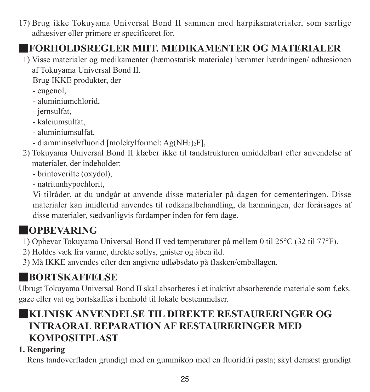17) Brug ikke Tokuyama Universal Bond II sammen med harpiksmaterialer, som særlige adhæsiver eller primere er specificeret for.

### ■**FORHOLDSREGLER MHT. MEDIKAMENTER OG MATERIALER**

1) Visse materialer og medikamenter (hæmostatisk materiale) hæmmer hærdningen/ adhæsionen af Tokuyama Universal Bond II.

Brug IKKE produkter, der

- eugenol,
- aluminiumchlorid,
- jernsulfat,
- kalciumsulfat,
- aluminiumsulfat,
- diamminsølvfluorid [molekylformel:  $Ag(NH_3)_2F$ ],
- 2) Tokuyama Universal Bond II klæber ikke til tandstrukturen umiddelbart efter anvendelse af materialer, der indeholder:
	- brintoverilte (oxydol),
	- natriumhypochlorit,

 Vi tilråder, at du undgår at anvende disse materialer på dagen for cementeringen. Disse materialer kan imidlertid anvendes til rodkanalbehandling, da hæmningen, der forårsages af disse materialer, sædvanligvis fordamper inden for fem dage.

### ■**OPBEVARING**

- 1) Opbevar Tokuyama Universal Bond II ved temperaturer på mellem 0 til 25°C (32 til 77°F).
- 2) Holdes væk fra varme, direkte sollys, gnister og åben ild.
- 3) Må IKKE anvendes efter den angivne udløbsdato på flasken/emballagen.

### ■**BORTSKAFFELSE**

Ubrugt Tokuyama Universal Bond II skal absorberes i et inaktivt absorberende materiale som f.eks. gaze eller vat og bortskaffes i henhold til lokale bestemmelser.

### ■**KLINISK ANVENDELSE TIL DIREKTE RESTAURERINGER OG INTRAORAL REPARATION AF RESTAURERINGER MED KOMPOSITPLAST**

#### **1. Rengøring**

Rens tandoverfladen grundigt med en gummikop med en fluoridfri pasta; skyl dernæst grundigt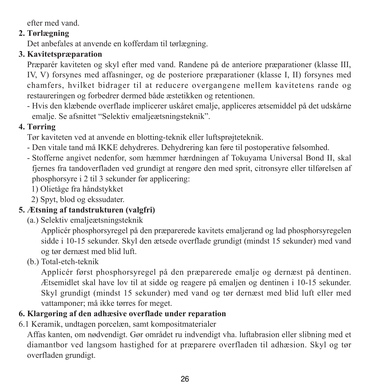efter med vand.

#### **2. Tørlægning**

Det anbefales at anvende en kofferdam til tørlægning.

#### **3. Kavitetspræparation**

Præparér kaviteten og skyl efter med vand. Randene på de anteriore præparationer (klasse III, IV, V) forsynes med affasninger, og de posteriore præparationer (klasse I, II) forsynes med chamfers, hvilket bidrager til at reducere overgangene mellem kavitetens rande og restaureringen og forbedrer dermed både æstetikken og retentionen.

- Hvis den klæbende overflade implicerer uskåret emalje, appliceres ætsemiddel på det udskårne emalje. Se afsnittet "Selektiv emaljeætsningsteknik".

#### **4. Tørring**

Tør kaviteten ved at anvende en blotting-teknik eller luftsprøjteteknik.

- Den vitale tand må IKKE dehydreres. Dehydrering kan føre til postoperative følsomhed.
- Stofferne angivet nedenfor, som hæmmer hærdningen af Tokuyama Universal Bond II, skal fjernes fra tandoverfladen ved grundigt at rengøre den med sprit, citronsyre eller tilførelsen af phosphorsyre i 2 til 3 sekunder før applicering:
	- 1) Olietåge fra håndstykket
	- 2) Spyt, blod og ekssudater.

#### **5. Ætsning af tandstrukturen (valgfri)**

(a.) Selektiv emaljeætsningsteknik

 Applicér phosphorsyregel på den præparerede kavitets emaljerand og lad phosphorsyregelen sidde i 10-15 sekunder. Skyl den ætsede overflade grundigt (mindst 15 sekunder) med vand og tør dernæst med blid luft.

(b.) Total-etch-teknik

 Applicér først phosphorsyregel på den præparerede emalje og dernæst på dentinen. Ætsemidlet skal have lov til at sidde og reagere på emaljen og dentinen i 10-15 sekunder. Skyl grundigt (mindst 15 sekunder) med vand og tør dernæst med blid luft eller med vattamponer; må ikke tørres for meget.

#### **6. Klargøring af den adhæsive overflade under reparation**

6.1 Keramik, undtagen porcelæn, samt kompositmaterialer

Affas kanten, om nødvendigt. Gør området ru indvendigt vha. luftabrasion eller slibning med et diamantbor ved langsom hastighed for at præparere overfladen til adhæsion. Skyl og tør overfladen grundigt.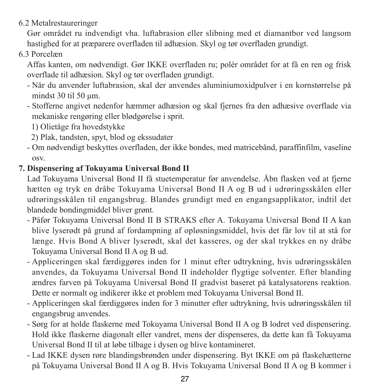6.2 Metalrestaureringer

Gør området ru indvendigt vha. luftabrasion eller slibning med et diamantbor ved langsom hastighed for at præparere overfladen til adhæsion. Skyl og tør overfladen grundigt.

#### 6.3 Porcelæn

Affas kanten, om nødvendigt. Gør IKKE overfladen ru; polér området for at få en ren og frisk overflade til adhæsion. Skyl og tør overfladen grundigt.

- Når du anvender luftabrasion, skal der anvendes aluminiumoxidpulver i en kornstørrelse på mindst 30 til 50 μm.
- Stofferne angivet nedenfor hæmmer adhæsion og skal fjernes fra den adhæsive overflade via mekaniske rengøring eller blødgørelse i sprit.

1) Olietåge fra hovedstykke

- 2) Plak, tandsten, spyt, blod og ekssudater
- Om nødvendigt beskyttes overfladen, der ikke bondes, med matricebånd, paraffinfilm, vaseline osv.

#### **7. Dispensering af Tokuyama Universal Bond II**

Lad Tokuyama Universal Bond II få stuetemperatur før anvendelse. Åbn flasken ved at fjerne hætten og tryk en dråbe Tokuyama Universal Bond II A og B ud i udrøringsskålen eller udrøringsskålen til engangsbrug. Blandes grundigt med en engangsapplikator, indtil det blandede bondingmiddel bliver grønt.

- Påfør Tokuyama Universal Bond II B STRAKS efter A. Tokuyama Universal Bond II A kan blive lyserødt på grund af fordampning af opløsningsmiddel, hvis det får lov til at stå for længe. Hvis Bond A bliver lyserødt, skal det kasseres, og der skal trykkes en ny dråbe Tokuyama Universal Bond II A og B ud.
- Appliceringen skal færdiggøres inden for 1 minut efter udtrykning, hvis udrøringsskålen anvendes, da Tokuyama Universal Bond II indeholder flygtige solventer. Efter blanding ændres farven på Tokuyama Universal Bond II gradvist baseret på katalysatorens reaktion. Dette er normalt og indikerer ikke et problem med Tokuyama Universal Bond II.
- Appliceringen skal færdiggøres inden for 3 minutter efter udtrykning, hvis udrøringsskålen til engangsbrug anvendes.
- Sørg for at holde flaskerne med Tokuyama Universal Bond II A og B lodret ved dispensering. Hold ikke flaskerne diagonalt eller vandret, mens der dispenseres, da dette kan få Tokuyama Universal Bond II til at løbe tilbage i dysen og blive kontamineret.
- Lad IKKE dysen røre blandingsbrønden under dispensering. Byt IKKE om på flaskehætterne på Tokuyama Universal Bond II A og B. Hvis Tokuyama Universal Bond II A og B kommer i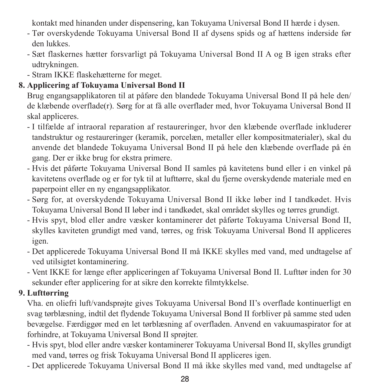kontakt med hinanden under dispensering, kan Tokuyama Universal Bond II hærde i dysen.

- Tør overskydende Tokuyama Universal Bond II af dysens spids og af hættens inderside før den lukkes.
- Sæt flaskernes hætter forsvarligt på Tokuyama Universal Bond II A og B igen straks efter udtrykningen.
- Stram IKKE flaskehætterne for meget.

#### **8. Applicering af Tokuyama Universal Bond II**

Brug engangsapplikatoren til at påføre den blandede Tokuyama Universal Bond II på hele den/ de klæbende overflade(r). Sørg for at få alle overflader med, hvor Tokuyama Universal Bond II skal appliceres.

- I tilfælde af intraoral reparation af restaureringer, hvor den klæbende overflade inkluderer tandstruktur og restaureringer (keramik, porcelæn, metaller eller kompositmaterialer), skal du anvende det blandede Tokuyama Universal Bond II på hele den klæbende overflade på én gang. Der er ikke brug for ekstra primere.
- Hvis det påførte Tokuyama Universal Bond II samles på kavitetens bund eller i en vinkel på kavitetens overflade og er for tyk til at lufttørre, skal du fjerne overskydende materiale med en paperpoint eller en ny engangsapplikator.
- Sørg for, at overskydende Tokuyama Universal Bond II ikke løber ind I tandkødet. Hvis Tokuyama Universal Bond II løber ind i tandkødet, skal området skylles og tørres grundigt.
- Hvis spyt, blod eller andre væsker kontaminerer det påførte Tokuyama Universal Bond II, skylles kaviteten grundigt med vand, tørres, og frisk Tokuyama Universal Bond II appliceres igen.
- Det applicerede Tokuyama Universal Bond II må IKKE skylles med vand, med undtagelse af ved utilsigtet kontaminering.
- Vent IKKE for længe efter appliceringen af Tokuyama Universal Bond II. Lufttør inden for 30 sekunder efter applicering for at sikre den korrekte filmtykkelse.

#### **9. Lufttørring**

Vha. en oliefri luft/vandsprøjte gives Tokuyama Universal Bond II's overflade kontinuerligt en svag tørblæsning, indtil det flydende Tokuyama Universal Bond II forbliver på samme sted uden bevægelse. Færdiggør med en let tørblæsning af overfladen. Anvend en vakuumaspirator for at forhindre, at Tokuyama Universal Bond II sprøjter.

- Hvis spyt, blod eller andre væsker kontaminerer Tokuyama Universal Bond II, skylles grundigt med vand, tørres og frisk Tokuyama Universal Bond II appliceres igen.
- Det applicerede Tokuyama Universal Bond II må ikke skylles med vand, med undtagelse af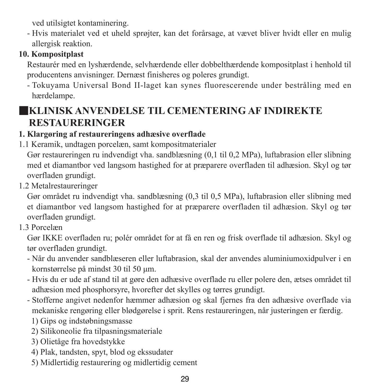ved utilsigtet kontaminering.

- Hvis materialet ved et uheld sprøjter, kan det forårsage, at vævet bliver hvidt eller en mulig allergisk reaktion.

#### **10. Kompositplast**

Restaurér med en lyshærdende, selvhærdende eller dobbelthærdende kompositplast i henhold til producentens anvisninger. Dernæst finisheres og poleres grundigt.

- Tokuyama Universal Bond II-laget kan synes fluorescerende under bestråling med en hærdelampe.

### ■**KLINISK ANVENDELSE TIL CEMENTERING AF INDIREKTE RESTAURERINGER**

#### **1. Klargøring af restaureringens adhæsive overflade**

1.1 Keramik, undtagen porcelæn, samt kompositmaterialer

Gør restaureringen ru indvendigt vha. sandblæsning (0,1 til 0,2 MPa), luftabrasion eller slibning med et diamantbor ved langsom hastighed for at præparere overfladen til adhæsion. Skyl og tør overfladen grundigt.

1.2 Metalrestaureringer

Gør området ru indvendigt vha. sandblæsning (0,3 til 0,5 MPa), luftabrasion eller slibning med et diamantbor ved langsom hastighed for at præparere overfladen til adhæsion. Skyl og tør overfladen grundigt.

1.3 Porcelæn

Gør IKKE overfladen ru; polér området for at få en ren og frisk overflade til adhæsion. Skyl og tør overfladen grundigt.

- Når du anvender sandblæseren eller luftabrasion, skal der anvendes aluminiumoxidpulver i en kornstørrelse på mindst 30 til 50 μm.
- Hvis du er ude af stand til at gøre den adhæsive overflade ru eller polere den, ætses området til adhæsion med phosphorsyre, hvorefter det skylles og tørres grundigt.
- Stofferne angivet nedenfor hæmmer adhæsion og skal fjernes fra den adhæsive overflade via mekaniske rengøring eller blødgørelse i sprit. Rens restaureringen, når justeringen er færdig.
	- 1) Gips og indstøbningsmasse
	- 2) Silikoneolie fra tilpasningsmateriale
	- 3) Olietåge fra hovedstykke
	- 4) Plak, tandsten, spyt, blod og ekssudater
	- 5) Midlertidig restaurering og midlertidig cement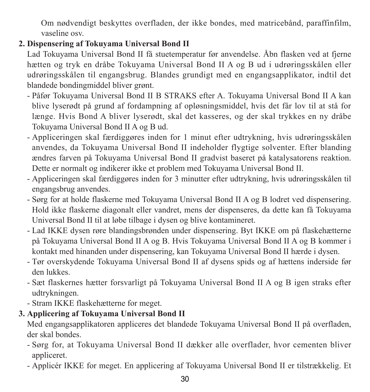Om nødvendigt beskyttes overfladen, der ikke bondes, med matricebånd, paraffinfilm, vaseline osv.

#### **2. Dispensering af Tokuyama Universal Bond II**

Lad Tokuyama Universal Bond II få stuetemperatur før anvendelse. Åbn flasken ved at fjerne hætten og tryk en dråbe Tokuyama Universal Bond II A og B ud i udrøringsskålen eller udrøringsskålen til engangsbrug. Blandes grundigt med en engangsapplikator, indtil det blandede bondingmiddel bliver grønt.

- Påfør Tokuyama Universal Bond II B STRAKS efter A. Tokuyama Universal Bond II A kan blive lyserødt på grund af fordampning af opløsningsmiddel, hvis det får lov til at stå for længe. Hvis Bond A bliver lyserødt, skal det kasseres, og der skal trykkes en ny dråbe Tokuyama Universal Bond II A og B ud.
- Appliceringen skal færdiggøres inden for 1 minut efter udtrykning, hvis udrøringsskålen anvendes, da Tokuyama Universal Bond II indeholder flygtige solventer. Efter blanding ændres farven på Tokuyama Universal Bond II gradvist baseret på katalysatorens reaktion. Dette er normalt og indikerer ikke et problem med Tokuyama Universal Bond II.
- Appliceringen skal færdiggøres inden for 3 minutter efter udtrykning, hvis udrøringsskålen til engangsbrug anvendes.
- Sørg for at holde flaskerne med Tokuyama Universal Bond II A og B lodret ved dispensering. Hold ikke flaskerne diagonalt eller vandret, mens der dispenseres, da dette kan få Tokuyama Universal Bond II til at løbe tilbage i dysen og blive kontamineret.
- Lad IKKE dysen røre blandingsbrønden under dispensering. Byt IKKE om på flaskehætterne på Tokuyama Universal Bond II A og B. Hvis Tokuyama Universal Bond II A og B kommer i kontakt med hinanden under dispensering, kan Tokuyama Universal Bond II hærde i dysen.
- Tør overskydende Tokuyama Universal Bond II af dysens spids og af hættens inderside før den lukkes.
- Sæt flaskernes hætter forsvarligt på Tokuyama Universal Bond II A og B igen straks efter udtrykningen.
- Stram IKKE flaskehætterne for meget.

#### **3. Applicering af Tokuyama Universal Bond II**

Med engangsapplikatoren appliceres det blandede Tokuyama Universal Bond II på overfladen, der skal bondes.

- Sørg for, at Tokuyama Universal Bond II dækker alle overflader, hvor cementen bliver appliceret.
- Applicér IKKE for meget. En applicering af Tokuyama Universal Bond II er tilstrækkelig. Et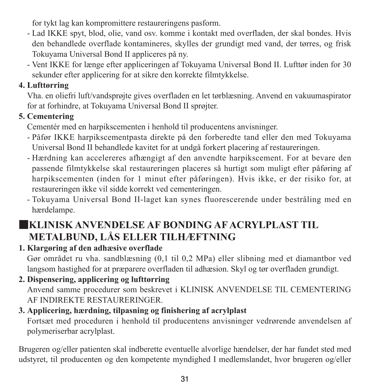for tykt lag kan kompromittere restaureringens pasform.

- Lad IKKE spyt, blod, olie, vand osv. komme i kontakt med overfladen, der skal bondes. Hvis den behandlede overflade kontamineres, skylles der grundigt med vand, der tørres, og frisk Tokuyama Universal Bond II appliceres på ny.
- Vent IKKE for længe efter appliceringen af Tokuyama Universal Bond II. Lufttør inden for 30 sekunder efter applicering for at sikre den korrekte filmtykkelse.

#### **4. Lufttørring**

Vha. en oliefri luft/vandsprøjte gives overfladen en let tørblæsning. Anvend en vakuumaspirator for at forhindre, at Tokuyama Universal Bond II sprøjter.

#### **5. Cementering**

Cementér med en harpikscementen i henhold til producentens anvisninger.

- Påfør IKKE harpikscementpasta direkte på den forberedte tand eller den med Tokuyama Universal Bond II behandlede kavitet for at undgå forkert placering af restaureringen.
- Hærdning kan accelereres afhængigt af den anvendte harpikscement. For at bevare den passende filmtykkelse skal restaureringen placeres så hurtigt som muligt efter påføring af harpikscementen (inden for 1 minut efter påføringen). Hvis ikke, er der risiko for, at restaureringen ikke vil sidde korrekt ved cementeringen.
- Tokuyama Universal Bond II-laget kan synes fluorescerende under bestråling med en hærdelampe.

### ■**KLINISK ANVENDELSE AF BONDING AF ACRYLPLAST TIL METALBUND, LÅS ELLER TILHÆFTNING**

#### **1. Klargøring af den adhæsive overflade**

Gør området ru vha. sandblæsning (0,1 til 0,2 MPa) eller slibning med et diamantbor ved langsom hastighed for at præparere overfladen til adhæsion. Skyl og tør overfladen grundigt.

**2. Dispensering, applicering og lufttørring** Anvend samme procedurer som beskrevet i KLINISK ANVENDELSE TIL CEMENTERING AF INDIREKTE RESTAURERINGER.

#### **3. Applicering, hærdning, tilpasning og finishering af acrylplast** Fortsæt med proceduren i henhold til producentens anvisninger vedrørende anvendelsen af polymeriserbar acrylplast.

Brugeren og/eller patienten skal indberette eventuelle alvorlige hændelser, der har fundet sted med udstyret, til producenten og den kompetente myndighed I medlemslandet, hvor brugeren og/eller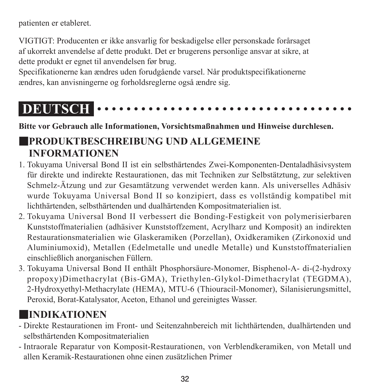patienten er etableret.

VIGTIGT: Producenten er ikke ansvarlig for beskadigelse eller personskade forårsaget af ukorrekt anvendelse af dette produkt. Det er brugerens personlige ansvar at sikre, at dette produkt er egnet til anvendelsen før brug.

Specifikationerne kan ændres uden forudgående varsel. Når produktspecifikationerne ændres, kan anvisningerne og forholdsreglerne også ændre sig.

# **DEUTSCH**

**Bitte vor Gebrauch alle Informationen, Vorsichtsmaßnahmen und Hinweise durchlesen.**

### ■**PRODUKTBESCHREIBUNG UND ALLGEMEINE INFORMATIONEN**

- 1. Tokuyama Universal Bond II ist ein selbsthärtendes Zwei-Komponenten-Dentaladhäsivsystem für direkte und indirekte Restaurationen, das mit Techniken zur Selbstätztung, zur selektiven Schmelz-Ätzung und zur Gesamtätzung verwendet werden kann. Als universelles Adhäsiv wurde Tokuyama Universal Bond II so konzipiert, dass es vollständig kompatibel mit lichthärtenden, selbsthärtenden und dualhärtenden Kompositmaterialien ist.
- 2. Tokuyama Universal Bond II verbessert die Bonding-Festigkeit von polymerisierbaren Kunststoffmaterialien (adhäsiver Kunststoffzement, Acrylharz und Komposit) an indirekten Restaurationsmaterialien wie Glaskeramiken (Porzellan), Oxidkeramiken (Zirkonoxid und Aluminiumoxid), Metallen (Edelmetalle und unedle Metalle) und Kunststoffmaterialien einschließlich anorganischen Füllern.
- 3. Tokuyama Universal Bond II enthält Phosphorsäure-Monomer, Bisphenol-A- di-(2-hydroxy propoxy)Dimethacrylat (Bis-GMA), Triethylen-Glykol-Dimethacrylat (TEGDMA), 2-Hydroxyethyl-Methacrylate (HEMA), MTU-6 (Thiouracil-Monomer), Silanisierungsmittel, Peroxid, Borat-Katalysator, Aceton, Ethanol und gereinigtes Wasser.

### ■**INDIKATIONEN**

- Direkte Restaurationen im Front- und Seitenzahnbereich mit lichthärtenden, dualhärtenden und selbsthärtenden Kompositmaterialien
- Intraorale Reparatur von Komposit-Restaurationen, von Verblendkeramiken, von Metall und allen Keramik-Restaurationen ohne einen zusätzlichen Primer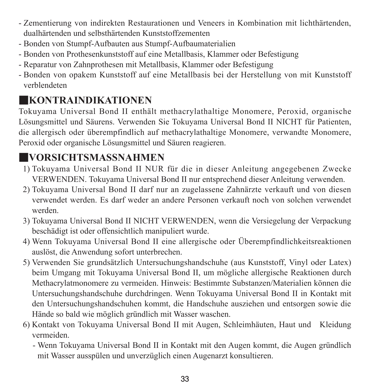- Zementierung von indirekten Restaurationen und Veneers in Kombination mit lichthärtenden, dualhärtenden und selbsthärtenden Kunststoffzementen
- Bonden von Stumpf-Aufbauten aus Stumpf-Aufbaumaterialien
- Bonden von Prothesenkunststoff auf eine Metallbasis, Klammer oder Befestigung
- Reparatur von Zahnprothesen mit Metallbasis, Klammer oder Befestigung
- Bonden von opakem Kunststoff auf eine Metallbasis bei der Herstellung von mit Kunststoff verblendeten

### ■**KONTRAINDIKATIONEN**

Tokuyama Universal Bond II enthält methacrylathaltige Monomere, Peroxid, organische Lösungsmittel und Säurens. Verwenden Sie Tokuyama Universal Bond II NICHT für Patienten, die allergisch oder überempfindlich auf methacrylathaltige Monomere, verwandte Monomere, Peroxid oder organische Lösungsmittel und Säuren reagieren.

### ■**VORSICHTSMASSNAHMEN**

- 1) Tokuyama Universal Bond II NUR für die in dieser Anleitung angegebenen Zwecke VERWENDEN. Tokuyama Universal Bond II nur entsprechend dieser Anleitung verwenden.
- 2) Tokuyama Universal Bond II darf nur an zugelassene Zahnärzte verkauft und von diesen verwendet werden. Es darf weder an andere Personen verkauft noch von solchen verwendet werden.
- 3) Tokuyama Universal Bond II NICHT VERWENDEN, wenn die Versiegelung der Verpackung beschädigt ist oder offensichtlich manipuliert wurde.
- 4) Wenn Tokuyama Universal Bond II eine allergische oder Überempfindlichkeitsreaktionen auslöst, die Anwendung sofort unterbrechen.
- 5) Verwenden Sie grundsätzlich Untersuchungshandschuhe (aus Kunststoff, Vinyl oder Latex) beim Umgang mit Tokuyama Universal Bond II, um mögliche allergische Reaktionen durch Methacrylatmonomere zu vermeiden. Hinweis: Bestimmte Substanzen/Materialien können die Untersuchungshandschuhe durchdringen. Wenn Tokuyama Universal Bond II in Kontakt mit den Untersuchungshandschuhen kommt, die Handschuhe ausziehen und entsorgen sowie die Hände so bald wie möglich gründlich mit Wasser waschen.
- 6) Kontakt von Tokuyama Universal Bond II mit Augen, Schleimhäuten, Haut und Kleidung vermeiden.
	- - Wenn Tokuyama Universal Bond II in Kontakt mit den Augen kommt, die Augen gründlich mit Wasser ausspülen und unverzüglich einen Augenarzt konsultieren.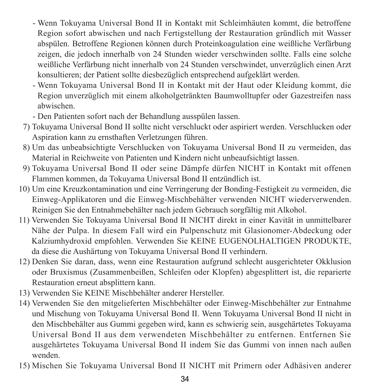- - Wenn Tokuyama Universal Bond II in Kontakt mit Schleimhäuten kommt, die betroffene Region sofort abwischen und nach Fertigstellung der Restauration gründlich mit Wasser abspülen. Betroffene Regionen können durch Proteinkoagulation eine weißliche Verfärbung zeigen, die jedoch innerhalb von 24 Stunden wieder verschwinden sollte. Falls eine solche weißliche Verfärbung nicht innerhalb von 24 Stunden verschwindet, unverzüglich einen Arzt konsultieren; der Patient sollte diesbezüglich entsprechend aufgeklärt werden.
- - Wenn Tokuyama Universal Bond II in Kontakt mit der Haut oder Kleidung kommt, die Region unverzüglich mit einem alkoholgetränkten Baumwolltupfer oder Gazestreifen nass abwischen.
- Den Patienten sofort nach der Behandlung ausspülen lassen.
- 7) Tokuyama Universal Bond II sollte nicht verschluckt oder aspiriert werden. Verschlucken oder Aspiration kann zu ernsthaften Verletzungen führen.
- 8) Um das unbeabsichtigte Verschlucken von Tokuyama Universal Bond II zu vermeiden, das Material in Reichweite von Patienten und Kindern nicht unbeaufsichtigt lassen.
- 9) Tokuyama Universal Bond II oder seine Dämpfe dürfen NICHT in Kontakt mit offenen Flammen kommen, da Tokuyama Universal Bond II entzündlich ist.
- 10) Um eine Kreuzkontamination und eine Verringerung der Bonding-Festigkeit zu vermeiden, die Einweg-Applikatoren und die Einweg-Mischbehälter verwenden NICHT wiederverwenden. Reinigen Sie den Entnahmebehälter nach jedem Gebrauch sorgfältig mit Alkohol.
- 11) Verwenden Sie Tokuyama Universal Bond II NICHT direkt in einer Kavität in unmittelbarer Nähe der Pulpa. In diesem Fall wird ein Pulpenschutz mit Glasionomer-Abdeckung oder Kalziumhydroxid empfohlen. Verwenden Sie KEINE EUGENOLHALTIGEN PRODUKTE, da diese die Aushärtung von Tokuyama Universal Bond II verhindern.
- 12) Denken Sie daran, dass, wenn eine Restauration aufgrund schlecht ausgerichteter Okklusion oder Bruxismus (Zusammenbeißen, Schleifen oder Klopfen) abgesplittert ist, die reparierte Restauration erneut absplittern kann.
- 13) Verwenden Sie KEINE Mischbehälter anderer Hersteller.
- 14) Verwenden Sie den mitgelieferten Mischbehälter oder Einweg-Mischbehälter zur Entnahme und Mischung von Tokuyama Universal Bond II. Wenn Tokuyama Universal Bond II nicht in den Mischbehälter aus Gummi gegeben wird, kann es schwierig sein, ausgehärtetes Tokuyama Universal Bond II aus dem verwendeten Mischbehälter zu entfernen. Entfernen Sie ausgehärtetes Tokuyama Universal Bond II indem Sie das Gummi von innen nach außen wenden.
- 15) Mischen Sie Tokuyama Universal Bond II NICHT mit Primern oder Adhäsiven anderer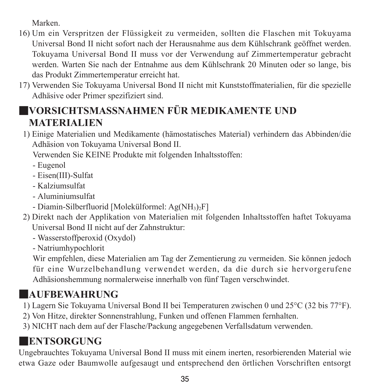Marken.

- 16) Um ein Verspritzen der Flüssigkeit zu vermeiden, sollten die Flaschen mit Tokuyama Universal Bond II nicht sofort nach der Herausnahme aus dem Kühlschrank geöffnet werden. Tokuyama Universal Bond II muss vor der Verwendung auf Zimmertemperatur gebracht werden. Warten Sie nach der Entnahme aus dem Kühlschrank 20 Minuten oder so lange, bis das Produkt Zimmertemperatur erreicht hat.
- 17) Verwenden Sie Tokuyama Universal Bond II nicht mit Kunststoffmaterialien, für die spezielle Adhäsive oder Primer spezifiziert sind.

### ■**VORSICHTSMASSNAHMEN FÜR MEDIKAMENTE UND MATERIALIEN**

1) Einige Materialien und Medikamente (hämostatisches Material) verhindern das Abbinden/die Adhäsion von Tokuyama Universal Bond II.

Verwenden Sie KEINE Produkte mit folgenden Inhaltsstoffen:

- Eugenol
- Eisen(III)-Sulfat
- Kalziumsulfat
- Aluminiumsulfat
- Diamin-Silberfluorid [Molekülformel: Ag(NH<sub>3</sub>)<sub>2</sub>F]
- 2) Direkt nach der Applikation von Materialien mit folgenden Inhaltsstoffen haftet Tokuyama Universal Bond II nicht auf der Zahnstruktur:
	- Wasserstoffperoxid (Oxydol)
	- Natriumhypochlorit

 Wir empfehlen, diese Materialien am Tag der Zementierung zu vermeiden. Sie können jedoch für eine Wurzelbehandlung verwendet werden, da die durch sie hervorgerufene Adhäsionshemmung normalerweise innerhalb von fünf Tagen verschwindet.

### ■**AUFBEWAHRUNG**

- 1) Lagern Sie Tokuyama Universal Bond II bei Temperaturen zwischen 0 und 25°C (32 bis 77°F).
- 2) Von Hitze, direkter Sonnenstrahlung, Funken und offenen Flammen fernhalten.
- 3) NICHT nach dem auf der Flasche/Packung angegebenen Verfallsdatum verwenden.

### ■**ENTSORGUNG**

Ungebrauchtes Tokuyama Universal Bond II muss mit einem inerten, resorbierenden Material wie etwa Gaze oder Baumwolle aufgesaugt und entsprechend den örtlichen Vorschriften entsorgt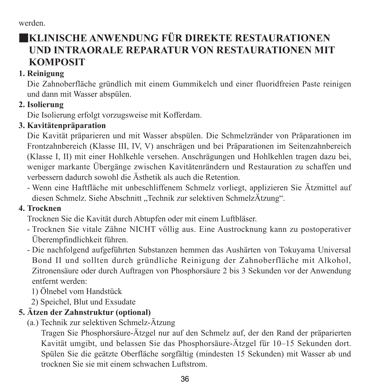werden.

### ■**KLINISCHE ANWENDUNG FÜR DIREKTE RESTAURATIONEN UND INTRAORALE REPARATUR VON RESTAURATIONEN MIT KOMPOSIT**

#### **1. Reinigung**

Die Zahnoberfläche gründlich mit einem Gummikelch und einer fluoridfreien Paste reinigen und dann mit Wasser abspülen.

#### **2. Isolierung**

Die Isolierung erfolgt vorzugsweise mit Kofferdam.

#### **3. Kavitätenpräparation**

Die Kavität präparieren und mit Wasser abspülen. Die Schmelzränder von Präparationen im Frontzahnbereich (Klasse III, IV, V) anschrägen und bei Präparationen im Seitenzahnbereich (Klasse I, II) mit einer Hohlkehle versehen. Anschrägungen und Hohlkehlen tragen dazu bei, weniger markante Übergänge zwischen Kavitätenrändern und Restauration zu schaffen und verbessern dadurch sowohl die Ästhetik als auch die Retention.

- Wenn eine Haftfläche mit unbeschliffenem Schmelz vorliegt, applizieren Sie Ätzmittel auf diesen Schmelz. Siehe Abschnitt "Technik zur selektiven SchmelzÄtzung".

#### **4. Trocknen**

Trocknen Sie die Kavität durch Abtupfen oder mit einem Luftbläser.

- Trocknen Sie vitale Zähne NICHT völlig aus. Eine Austrocknung kann zu postoperativer Überempfindlichkeit führen.
- Die nachfolgend aufgeführten Substanzen hemmen das Aushärten von Tokuyama Universal Bond II und sollten durch gründliche Reinigung der Zahnoberfläche mit Alkohol, Zitronensäure oder durch Auftragen von Phosphorsäure 2 bis 3 Sekunden vor der Anwendung entfernt werden:

1) Ölnebel vom Handstück

2) Speichel, Blut und Exsudate

#### **5. Ätzen der Zahnstruktur (optional)**

(a.) Technik zur selektiven Schmelz-Ätzung

 Tragen Sie Phosphorsäure-Ätzgel nur auf den Schmelz auf, der den Rand der präparierten Kavität umgibt, und belassen Sie das Phosphorsäure-Ätzgel für 10–15 Sekunden dort. Spülen Sie die geätzte Oberfläche sorgfältig (mindesten 15 Sekunden) mit Wasser ab und trocknen Sie sie mit einem schwachen Luftstrom.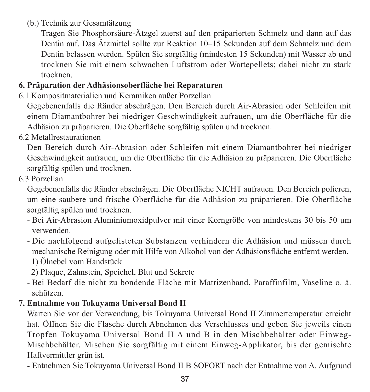(b.) Technik zur Gesamtätzung

 Tragen Sie Phosphorsäure-Ätzgel zuerst auf den präparierten Schmelz und dann auf das Dentin auf. Das Ätzmittel sollte zur Reaktion 10–15 Sekunden auf dem Schmelz und dem Dentin belassen werden. Spülen Sie sorgfältig (mindesten 15 Sekunden) mit Wasser ab und trocknen Sie mit einem schwachen Luftstrom oder Wattepellets; dabei nicht zu stark trocknen.

### **6. Präparation der Adhäsionsoberfläche bei Reparaturen**

6.1 Kompositmaterialien und Keramiken außer Porzellan

Gegebenenfalls die Ränder abschrägen. Den Bereich durch Air-Abrasion oder Schleifen mit einem Diamantbohrer bei niedriger Geschwindigkeit aufrauen, um die Oberfläche für die Adhäsion zu präparieren. Die Oberfläche sorgfältig spülen und trocknen.

6.2 Metallrestaurationen

Den Bereich durch Air-Abrasion oder Schleifen mit einem Diamantbohrer bei niedriger Geschwindigkeit aufrauen, um die Oberfläche für die Adhäsion zu präparieren. Die Oberfläche sorgfältig spülen und trocknen.

6.3 Porzellan

Gegebenenfalls die Ränder abschrägen. Die Oberfläche NICHT aufrauen. Den Bereich polieren, um eine saubere und frische Oberfläche für die Adhäsion zu präparieren. Die Oberfläche sorgfältig spülen und trocknen.

- Bei Air-Abrasion Aluminiumoxidpulver mit einer Korngröße von mindestens 30 bis 50 μm verwenden.
- Die nachfolgend aufgelisteten Substanzen verhindern die Adhäsion und müssen durch mechanische Reinigung oder mit Hilfe von Alkohol von der Adhäsionsfläche entfernt werden.

1) Ölnebel vom Handstück

2) Plaque, Zahnstein, Speichel, Blut und Sekrete

- Bei Bedarf die nicht zu bondende Fläche mit Matrizenband, Paraffinfilm, Vaseline o. ä. schützen.

### **7. Entnahme von Tokuyama Universal Bond II**

Warten Sie vor der Verwendung, bis Tokuyama Universal Bond II Zimmertemperatur erreicht hat. Öffnen Sie die Flasche durch Abnehmen des Verschlusses und geben Sie jeweils einen Tropfen Tokuyama Universal Bond II A und B in den Mischbehälter oder Einweg-Mischbehälter. Mischen Sie sorgfältig mit einem Einweg-Applikator, bis der gemischte Haftvermittler grün ist.

- Entnehmen Sie Tokuyama Universal Bond II B SOFORT nach der Entnahme von A. Aufgrund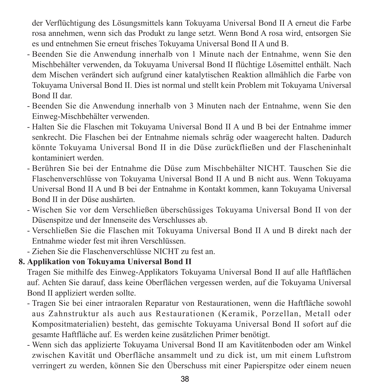der Verflüchtigung des Lösungsmittels kann Tokuyama Universal Bond II A erneut die Farbe rosa annehmen, wenn sich das Produkt zu lange setzt. Wenn Bond A rosa wird, entsorgen Sie es und entnehmen Sie erneut frisches Tokuyama Universal Bond II A und B.

- Beenden Sie die Anwendung innerhalb von 1 Minute nach der Entnahme, wenn Sie den Mischbehälter verwenden, da Tokuyama Universal Bond II flüchtige Lösemittel enthält. Nach dem Mischen verändert sich aufgrund einer katalytischen Reaktion allmählich die Farbe von Tokuyama Universal Bond II. Dies ist normal und stellt kein Problem mit Tokuyama Universal Bond II dar.
- Beenden Sie die Anwendung innerhalb von 3 Minuten nach der Entnahme, wenn Sie den Einweg-Mischbehälter verwenden.
- Halten Sie die Flaschen mit Tokuyama Universal Bond II A und B bei der Entnahme immer senkrecht. Die Flaschen bei der Entnahme niemals schräg oder waagerecht halten. Dadurch könnte Tokuyama Universal Bond II in die Düse zurückfließen und der Flascheninhalt kontaminiert werden.
- Berühren Sie bei der Entnahme die Düse zum Mischbehälter NICHT. Tauschen Sie die Flaschenverschlüsse von Tokuyama Universal Bond II A und B nicht aus. Wenn Tokuyama Universal Bond II A und B bei der Entnahme in Kontakt kommen, kann Tokuyama Universal Bond II in der Düse aushärten.
- Wischen Sie vor dem Verschließen überschüssiges Tokuyama Universal Bond II von der Düsenspitze und der Innenseite des Verschlusses ab.
- Verschließen Sie die Flaschen mit Tokuyama Universal Bond II A und B direkt nach der Entnahme wieder fest mit ihren Verschlüssen.
- Ziehen Sie die Flaschenverschlüsse NICHT zu fest an.

### **8. Applikation von Tokuyama Universal Bond II**

Tragen Sie mithilfe des Einweg-Applikators Tokuyama Universal Bond II auf alle Haftflächen auf. Achten Sie darauf, dass keine Oberflächen vergessen werden, auf die Tokuyama Universal Bond II appliziert werden sollte.

- Tragen Sie bei einer intraoralen Reparatur von Restaurationen, wenn die Haftfläche sowohl aus Zahnstruktur als auch aus Restaurationen (Keramik, Porzellan, Metall oder Kompositmaterialien) besteht, das gemischte Tokuyama Universal Bond II sofort auf die gesamte Haftfläche auf. Es werden keine zusätzlichen Primer benötigt.
- Wenn sich das applizierte Tokuyama Universal Bond II am Kavitätenboden oder am Winkel zwischen Kavität und Oberfläche ansammelt und zu dick ist, um mit einem Luftstrom verringert zu werden, können Sie den Überschuss mit einer Papierspitze oder einem neuen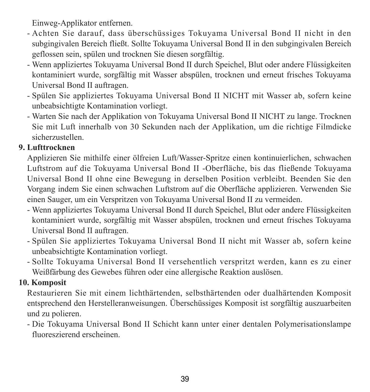Einweg-Applikator entfernen.

- Achten Sie darauf, dass überschüssiges Tokuyama Universal Bond II nicht in den subgingivalen Bereich fließt. Sollte Tokuyama Universal Bond II in den subgingivalen Bereich geflossen sein, spülen und trocknen Sie diesen sorgfältig.
- Wenn appliziertes Tokuyama Universal Bond II durch Speichel, Blut oder andere Flüssigkeiten kontaminiert wurde, sorgfältig mit Wasser abspülen, trocknen und erneut frisches Tokuyama Universal Bond II auftragen.
- Spülen Sie appliziertes Tokuyama Universal Bond II NICHT mit Wasser ab, sofern keine unbeabsichtigte Kontamination vorliegt.
- Warten Sie nach der Applikation von Tokuyama Universal Bond II NICHT zu lange. Trocknen Sie mit Luft innerhalb von 30 Sekunden nach der Applikation, um die richtige Filmdicke sicherzustellen.

#### **9. Lufttrocknen**

Applizieren Sie mithilfe einer ölfreien Luft/Wasser-Spritze einen kontinuierlichen, schwachen Luftstrom auf die Tokuyama Universal Bond II -Oberfläche, bis das fließende Tokuyama Universal Bond II ohne eine Bewegung in derselben Position verbleibt. Beenden Sie den Vorgang indem Sie einen schwachen Luftstrom auf die Oberfläche applizieren. Verwenden Sie einen Sauger, um ein Verspritzen von Tokuyama Universal Bond II zu vermeiden.

- Wenn appliziertes Tokuyama Universal Bond II durch Speichel, Blut oder andere Flüssigkeiten kontaminiert wurde, sorgfältig mit Wasser abspülen, trocknen und erneut frisches Tokuyama Universal Bond II auftragen.
- Spülen Sie appliziertes Tokuyama Universal Bond II nicht mit Wasser ab, sofern keine unbeabsichtigte Kontamination vorliegt.
- Sollte Tokuyama Universal Bond II versehentlich verspritzt werden, kann es zu einer Weißfärbung des Gewebes führen oder eine allergische Reaktion auslösen.

#### **10. Komposit**

Restaurieren Sie mit einem lichthärtenden, selbsthärtenden oder dualhärtenden Komposit entsprechend den Herstelleranweisungen. Überschüssiges Komposit ist sorgfältig auszuarbeiten und zu polieren.

- Die Tokuyama Universal Bond II Schicht kann unter einer dentalen Polymerisationslampe fluoreszierend erscheinen.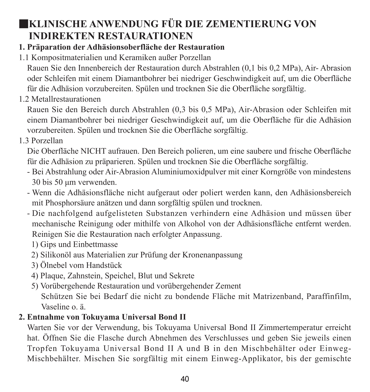## ■**KLINISCHE ANWENDUNG FÜR DIE ZEMENTIERUNG VON INDIREKTEN RESTAURATIONEN**

### **1. Präparation der Adhäsionsoberfläche der Restauration**

1.1 Kompositmaterialien und Keramiken außer Porzellan

Rauen Sie den Innenbereich der Restauration durch Abstrahlen (0,1 bis 0,2 MPa), Air- Abrasion oder Schleifen mit einem Diamantbohrer bei niedriger Geschwindigkeit auf, um die Oberfläche für die Adhäsion vorzubereiten. Spülen und trocknen Sie die Oberfläche sorgfältig.

1.2 Metallrestaurationen

Rauen Sie den Bereich durch Abstrahlen (0,3 bis 0,5 MPa), Air-Abrasion oder Schleifen mit einem Diamantbohrer bei niedriger Geschwindigkeit auf, um die Oberfläche für die Adhäsion vorzubereiten. Spülen und trocknen Sie die Oberfläche sorgfältig.

1.3 Porzellan

Die Oberfläche NICHT aufrauen. Den Bereich polieren, um eine saubere und frische Oberfläche für die Adhäsion zu präparieren. Spülen und trocknen Sie die Oberfläche sorgfältig.

- Bei Abstrahlung oder Air-Abrasion Aluminiumoxidpulver mit einer Korngröße von mindestens 30 bis 50 μm verwenden.
- Wenn die Adhäsionsfläche nicht aufgeraut oder poliert werden kann, den Adhäsionsbereich mit Phosphorsäure anätzen und dann sorgfältig spülen und trocknen.
- Die nachfolgend aufgelisteten Substanzen verhindern eine Adhäsion und müssen über mechanische Reinigung oder mithilfe von Alkohol von der Adhäsionsfläche entfernt werden. Reinigen Sie die Restauration nach erfolgter Anpassung.
	- 1) Gips und Einbettmasse
	- 2) Silikonöl aus Materialien zur Prüfung der Kronenanpassung
	- 3) Ölnebel vom Handstück
	- 4) Plaque, Zahnstein, Speichel, Blut und Sekrete
	- 5) Vorübergehende Restauration und vorübergehender Zement Schützen Sie bei Bedarf die nicht zu bondende Fläche mit Matrizenband, Paraffinfilm, Vaseline o. ä.

### **2. Entnahme von Tokuyama Universal Bond II**

Warten Sie vor der Verwendung, bis Tokuyama Universal Bond II Zimmertemperatur erreicht hat. Öffnen Sie die Flasche durch Abnehmen des Verschlusses und geben Sie jeweils einen Tropfen Tokuyama Universal Bond II A und B in den Mischbehälter oder Einweg-Mischbehälter. Mischen Sie sorgfältig mit einem Einweg-Applikator, bis der gemischte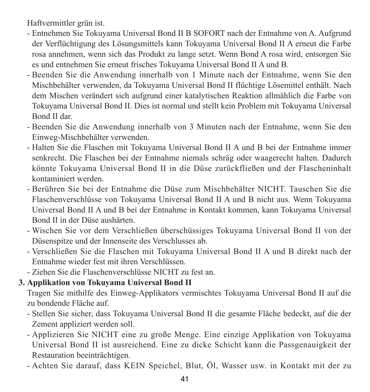Haftvermittler grün ist.

- Entnehmen Sie Tokuyama Universal Bond II B SOFORT nach der Entnahme von A. Aufgrund der Verflüchtigung des Lösungsmittels kann Tokuyama Universal Bond II A erneut die Farbe rosa annehmen, wenn sich das Produkt zu lange setzt. Wenn Bond A rosa wird, entsorgen Sie es und entnehmen Sie erneut frisches Tokuyama Universal Bond II A und B.
- Beenden Sie die Anwendung innerhalb von 1 Minute nach der Entnahme, wenn Sie den Mischbehälter verwenden, da Tokuyama Universal Bond II flüchtige Lösemittel enthält. Nach dem Mischen verändert sich aufgrund einer katalytischen Reaktion allmählich die Farbe von Tokuyama Universal Bond II. Dies ist normal und stellt kein Problem mit Tokuyama Universal Bond II dar.
- Beenden Sie die Anwendung innerhalb von 3 Minuten nach der Entnahme, wenn Sie den Einweg-Mischbehälter verwenden.
- Halten Sie die Flaschen mit Tokuyama Universal Bond II A und B bei der Entnahme immer senkrecht. Die Flaschen bei der Entnahme niemals schräg oder waagerecht halten. Dadurch könnte Tokuyama Universal Bond II in die Düse zurückfließen und der Flascheninhalt kontaminiert werden.
- Berühren Sie bei der Entnahme die Düse zum Mischbehälter NICHT. Tauschen Sie die Flaschenverschlüsse von Tokuyama Universal Bond II A und B nicht aus. Wenn Tokuyama Universal Bond II A und B bei der Entnahme in Kontakt kommen, kann Tokuyama Universal Bond II in der Düse aushärten.
- Wischen Sie vor dem Verschließen überschüssiges Tokuyama Universal Bond II von der Düsenspitze und der Innenseite des Verschlusses ab.
- Verschließen Sie die Flaschen mit Tokuyama Universal Bond II A und B direkt nach der Entnahme wieder fest mit ihren Verschlüssen.
- Ziehen Sie die Flaschenverschlüsse NICHT zu fest an.

### **3. Applikation von Tokuyama Universal Bond II**

Tragen Sie mithilfe des Einweg-Applikators vermischtes Tokuyama Universal Bond II auf die zu bondende Fläche auf.

- Stellen Sie sicher, dass Tokuyama Universal Bond II die gesamte Fläche bedeckt, auf die der Zement appliziert werden soll.
- Applizieren Sie NICHT eine zu große Menge. Eine einzige Applikation von Tokuyama Universal Bond II ist ausreichend. Eine zu dicke Schicht kann die Passgenauigkeit der Restauration beeinträchtigen.
- Achten Sie darauf, dass KEIN Speichel, Blut, Öl, Wasser usw. in Kontakt mit der zu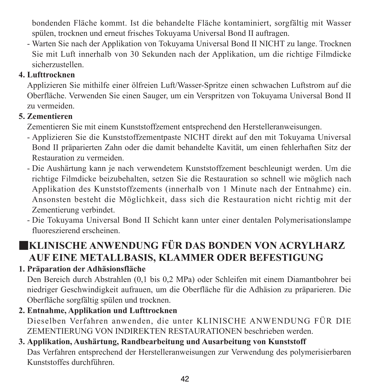bondenden Fläche kommt. Ist die behandelte Fläche kontaminiert, sorgfältig mit Wasser spülen, trocknen und erneut frisches Tokuyama Universal Bond II auftragen.

- Warten Sie nach der Applikation von Tokuyama Universal Bond II NICHT zu lange. Trocknen Sie mit Luft innerhalb von 30 Sekunden nach der Applikation, um die richtige Filmdicke sicherzustellen.

### **4. Lufttrocknen**

Applizieren Sie mithilfe einer ölfreien Luft/Wasser-Spritze einen schwachen Luftstrom auf die Oberfläche. Verwenden Sie einen Sauger, um ein Verspritzen von Tokuyama Universal Bond II zu vermeiden.

### **5. Zementieren**

Zementieren Sie mit einem Kunststoffzement entsprechend den Herstelleranweisungen.

- Applizieren Sie die Kunststoffzementpaste NICHT direkt auf den mit Tokuyama Universal Bond II präparierten Zahn oder die damit behandelte Kavität, um einen fehlerhaften Sitz der Restauration zu vermeiden.
- Die Aushärtung kann je nach verwendetem Kunststoffzement beschleunigt werden. Um die richtige Filmdicke beizubehalten, setzen Sie die Restauration so schnell wie möglich nach Applikation des Kunststoffzements (innerhalb von 1 Minute nach der Entnahme) ein. Ansonsten besteht die Möglichkeit, dass sich die Restauration nicht richtig mit der Zementierung verbindet.
- Die Tokuyama Universal Bond II Schicht kann unter einer dentalen Polymerisationslampe fluoreszierend erscheinen.

## ■**KLINISCHE ANWENDUNG FÜR DAS BONDEN VON ACRYLHARZ AUF EINE METALLBASIS, KLAMMER ODER BEFESTIGUNG**

### **1. Präparation der Adhäsionsfläche**

Den Bereich durch Abstrahlen (0,1 bis 0,2 MPa) oder Schleifen mit einem Diamantbohrer bei niedriger Geschwindigkeit aufrauen, um die Oberfläche für die Adhäsion zu präparieren. Die Oberfläche sorgfältig spülen und trocknen.

**2. Entnahme, Applikation und Lufttrocknen** Dieselben Verfahren anwenden, die unter KLINISCHE ANWENDUNG FÜR DIE ZEMENTIERUNG VON INDIREKTEN RESTAURATIONEN beschrieben werden.

#### **3. Applikation, Aushärtung, Randbearbeitung und Ausarbeitung von Kunststoff** Das Verfahren entsprechend der Herstelleranweisungen zur Verwendung des polymerisierbaren Kunststoffes durchführen.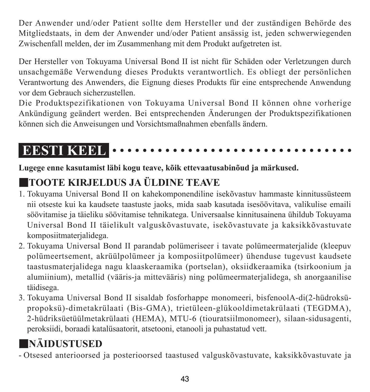Der Anwender und/oder Patient sollte dem Hersteller und der zuständigen Behörde des Mitgliedstaats, in dem der Anwender und/oder Patient ansässig ist, jeden schwerwiegenden Zwischenfall melden, der im Zusammenhang mit dem Produkt aufgetreten ist.

Der Hersteller von Tokuyama Universal Bond II ist nicht für Schäden oder Verletzungen durch unsachgemäße Verwendung dieses Produkts verantwortlich. Es obliegt der persönlichen Verantwortung des Anwenders, die Eignung dieses Produkts für eine entsprechende Anwendung vor dem Gebrauch sicherzustellen.

Die Produktspezifikationen von Tokuyama Universal Bond II können ohne vorherige Ankündigung geändert werden. Bei entsprechenden Änderungen der Produktspezifikationen können sich die Anweisungen und Vorsichtsmaßnahmen ebenfalls ändern.

# **EESTI KEEL**

**Lugege enne kasutamist läbi kogu teave, kõik ettevaatusabinõud ja märkused.**

# ■**TOOTE KIRJELDUS JA ÜLDINE TEAVE**

- 1. Tokuyama Universal Bond II on kahekomponendiline isekõvastuv hammaste kinnitussüsteem nii otseste kui ka kaudsete taastuste jaoks, mida saab kasutada isesöövitava, valikulise emaili söövitamise ja täieliku söövitamise tehnikatega. Universaalse kinnitusainena ühildub Tokuyama Universal Bond II täielikult valguskõvastuvate, isekõvastuvate ja kaksikkõvastuvate komposiitmaterjalidega.
- 2. Tokuyama Universal Bond II parandab polümeriseer i tavate polümeermaterjalide (kleepuv polümeertsement, akrüülpolümeer ja komposiitpolümeer) ühenduse tugevust kaudsete taastusmaterjalidega nagu klaaskeraamika (portselan), oksiidkeraamika (tsirkoonium ja alumiinium), metallid (vääris-ja mittevääris) ning polümeermaterjalidega, sh anorgaanilise täidisega.
- 3. Tokuyama Universal Bond II sisaldab fosforhappe monomeeri, bisfenoolA-di(2-hüdroksüpropoksü)-dimetakrülaati (Bis-GMA), trietüleen-glükooldimetakrülaati (TEGDMA), 2-hüdriksüetüülmetakrülaati (HEMA), MTU-6 (tiouratsiilmonomeer), silaan-sidusagenti, peroksiidi, boraadi katalüsaatorit, atsetooni, etanooli ja puhastatud vett.

# ■**NÄIDUSTUSED**

- Otsesed anterioorsed ja posterioorsed taastused valguskõvastuvate, kaksikkõvastuvate ja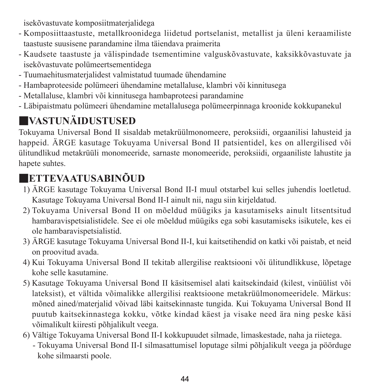isekõvastuvate komposiitmaterjalidega

- Komposiittaastuste, metallkroonidega liidetud portselanist, metallist ja üleni keraamiliste taastuste suusisene parandamine ilma täiendava praimerita
- Kaudsete taastuste ja välispindade tsementimine valguskõvastuvate, kaksikkõvastuvate ja isekõvastuvate polümeertsementidega
- Tuumaehitusmaterjalidest valmistatud tuumade ühendamine
- Hambaproteeside polümeeri ühendamine metallaluse, klambri või kinnitusega
- Metallaluse, klambri või kinnitusega hambaproteesi parandamine
- Läbipaistmatu polümeeri ühendamine metallalusega polümeerpinnaga kroonide kokkupanekul

# ■**VASTUNÄIDUSTUSED**

Tokuyama Universal Bond II sisaldab metakrüülmonomeere, peroksiidi, orgaanilisi lahusteid ja happeid. ÄRGE kasutage Tokuyama Universal Bond II patsientidel, kes on allergilised või ülitundlikud metakrüüli monomeeride, sarnaste monomeeride, peroksiidi, orgaaniliste lahustite ja hanete suhtes.

# ■**ETTEVAATUSABINÕUD**

- 1) ÄRGE kasutage Tokuyama Universal Bond II-I muul otstarbel kui selles juhendis loetletud. Kasutage Tokuyama Universal Bond II-I ainult nii, nagu siin kirjeldatud.
- 2) Tokuyama Universal Bond II on mõeldud müügiks ja kasutamiseks ainult litsentsitud hambaravispetsialistidele. See ei ole mõeldud müügiks ega sobi kasutamiseks isikutele, kes ei ole hambaravispetsialistid.
- 3) ÄRGE kasutage Tokuyama Universal Bond II-I, kui kaitsetihendid on katki või paistab, et neid on proovitud avada.
- 4) Kui Tokuyama Universal Bond II tekitab allergilise reaktsiooni või ülitundlikkuse, lõpetage kohe selle kasutamine.
- 5) Kasutage Tokuyama Universal Bond II käsitsemisel alati kaitsekindaid (kilest, vinüülist või lateksist), et vältida võimalikke allergilisi reaktsioone metakrüülmonomeeridele. Märkus: mõned ained/materjalid võivad läbi kaitsekinnaste tungida. Kui Tokuyama Universal Bond II puutub kaitsekinnastega kokku, võtke kindad käest ja visake need ära ning peske käsi võimalikult kiiresti põhjalikult veega.
- 6) Vältige Tokuyama Universal Bond II-I kokkupuudet silmade, limaskestade, naha ja riietega.
	- - Tokuyama Universal Bond II-I silmasattumisel loputage silmi põhjalikult veega ja pöörduge kohe silmaarsti poole.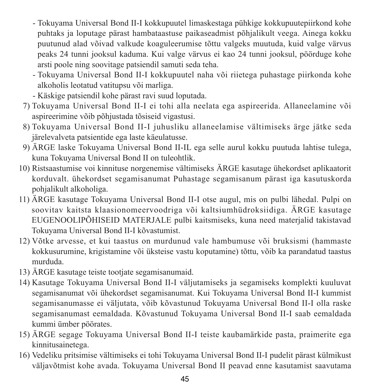- - Tokuyama Universal Bond II-I kokkupuutel limaskestaga pühkige kokkupuutepiirkond kohe puhtaks ja loputage pärast hambataastuse paikaseadmist põhjalikult veega. Ainega kokku puutunud alad võivad valkude koaguleerumise tõttu valgeks muutuda, kuid valge värvus peaks 24 tunni jooksul kaduma. Kui valge värvus ei kao 24 tunni jooksul, pöörduge kohe arsti poole ning soovitage patsiendil samuti seda teha.
- - Tokuyama Universal Bond II-I kokkupuutel naha või riietega puhastage piirkonda kohe alkoholis leotatud vatitupsu või marliga.
- Käskige patsiendil kohe pärast ravi suud loputada.
- 7) Tokuyama Universal Bond II-I ei tohi alla neelata ega aspireerida. Allaneelamine või aspireerimine võib põhjustada tõsiseid vigastusi.
- 8) Tokuyama Universal Bond II-I juhusliku allaneelamise vältimiseks ärge jätke seda järelevalveta patsientide ega laste käeulatusse.
- 9) ÄRGE laske Tokuyama Universal Bond II-IL ega selle aurul kokku puutuda lahtise tulega, kuna Tokuyama Universal Bond II on tuleohtlik.
- 10) Ristsaastumise voi kinnituse norgenemise vältimiseks ÄRGE kasutage ühekordset aplikaatorit korduvalt. ühekordset segamisanumat Puhastage segamisanum pärast iga kasutuskorda pohjalikult alkoholiga.
- 11) ÄRGE kasutage Tokuyama Universal Bond II-I otse augul, mis on pulbi lähedal. Pulpi on soovitav kaitsta klaasionomeervoodriga või kaltsiumhüdroksiidiga. ÄRGE kasutage EUGENOOLIPÕHISEID MATERJALE pulbi kaitsmiseks, kuna need materjalid takistavad Tokuyama Universal Bond II-I kõvastumist.
- 12) Võtke arvesse, et kui taastus on murdunud vale hambumuse või bruksismi (hammaste kokkusurumine, krigistamine või üksteise vastu koputamine) tõttu, võib ka parandatud taastus murduda.
- 13) ÄRGE kasutage teiste tootjate segamisanumaid.
- 14) Kasutage Tokuyama Universal Bond II-I väljutamiseks ja segamiseks komplekti kuuluvat segamisanumat või ühekordset segamisanumat. Kui Tokuyama Universal Bond II-I kummist segamisanumasse ei väljutata, võib kõvastunud Tokuyama Universal Bond II-I olla raske segamisanumast eemaldada. Kõvastunud Tokuyama Universal Bond II-I saab eemaldada kummi ümber pöörates.
- 15) ÄRGE segage Tokuyama Universal Bond II-I teiste kaubamärkide pasta, praimerite ega kinnitusainetega.
- 16) Vedeliku pritsimise vältimiseks ei tohi Tokuyama Universal Bond II-I pudelit pärast külmikust väljavõtmist kohe avada. Tokuyama Universal Bond II peavad enne kasutamist saavutama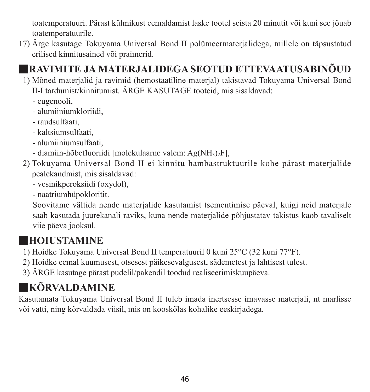toatemperatuuri. Pärast külmikust eemaldamist laske tootel seista 20 minutit või kuni see jõuab toatemperatuurile.

17) Ärge kasutage Tokuyama Universal Bond II polümeermaterjalidega, millele on täpsustatud erilised kinnitusained või praimerid.

# ■**RAVIMITE JA MATERJALIDEGA SEOTUD ETTEVAATUSABINÕUD**

- 1) Mõned materjalid ja ravimid (hemostaatiline materjal) takistavad Tokuyama Universal Bond II-I tardumist/kinnitumist. ÄRGE KASUTAGE tooteid, mis sisaldavad:
	- eugenooli,
	- alumiiniumkloriidi,
	- raudsulfaati,
	- kaltsiumsulfaati,
	- alumiiniumsulfaati,
	- diamiin-hõbefluoriidi [molekulaarne valem: Ag(NH3)2F],
- 2) Tokuyama Universal Bond II ei kinnitu hambastruktuurile kohe pärast materjalide pealekandmist, mis sisaldavad:
	- vesinikperoksiidi (oxydol),
	- naatriumhüpokloritit.

 Soovitame vältida nende materjalide kasutamist tsementimise päeval, kuigi neid materjale saab kasutada juurekanali raviks, kuna nende materjalide põhjustatav takistus kaob tavaliselt viie päeva jooksul.

# ■**HOIUSTAMINE**

- 1) Hoidke Tokuyama Universal Bond II temperatuuril 0 kuni 25°C (32 kuni 77°F).
- 2) Hoidke eemal kuumusest, otsesest päikesevalgusest, sädemetest ja lahtisest tulest.
- 3) ÄRGE kasutage pärast pudelil/pakendil toodud realiseerimiskuupäeva.

# ■**KÕRVALDAMINE**

Kasutamata Tokuyama Universal Bond II tuleb imada inertsesse imavasse materjali, nt marlisse või vatti, ning kõrvaldada viisil, mis on kooskõlas kohalike eeskirjadega.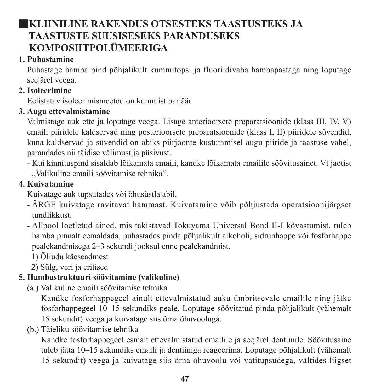## ■**KLIINILINE RAKENDUS OTSESTEKS TAASTUSTEKS JA TAASTUSTE SUUSISESEKS PARANDUSEKS KOMPOSIITPOLÜMEERIGA**

#### **1. Puhastamine**

Puhastage hamba pind põhjalikult kummitopsi ja fluoriidivaba hambapastaga ning loputage seejärel veega.

### **2. Isoleerimine**

Eelistatav isoleerimismeetod on kummist barjäär.

### **3. Augu ettevalmistamine**

Valmistage auk ette ja loputage veega. Lisage anterioorsete preparatsioonide (klass III, IV, V) emaili piiridele kaldservad ning posterioorsete preparatsioonide (klass I, II) piiridele süvendid, kuna kaldservad ja süvendid on abiks piirjoonte kustutamisel augu piiride ja taastuse vahel, parandades nii täidise välimust ja püsivust.

- Kui kinnituspind sisaldab lõikamata emaili, kandke lõikamata emailile söövitusainet. Vt jaotist "Valikuline emaili söövitamise tehnika".

### **4. Kuivatamine**

Kuivatage auk tupsutades või õhusüstla abil.

- ÄRGE kuivatage ravitavat hammast. Kuivatamine võib põhjustada operatsioonijärgset tundlikkust.
- Allpool loetletud ained, mis takistavad Tokuyama Universal Bond II-I kõvastumist, tuleb hamba pinnalt eemaldada, puhastades pinda põhjalikult alkoholi, sidrunhappe või fosforhappe pealekandmisega 2–3 sekundi jooksul enne pealekandmist.
	- 1) Õliudu käeseadmest
	- 2) Sülg, veri ja eritised

## **5. Hambastruktuuri söövitamine (valikuline)**

(a.) Valikuline emaili söövitamise tehnika

 Kandke fosforhappegeel ainult ettevalmistatud auku ümbritsevale emailile ning jätke fosforhappegeel 10–15 sekundiks peale. Loputage söövitatud pinda põhjalikult (vähemalt 15 sekundit) veega ja kuivatage siis õrna õhuvooluga.

(b.) Täieliku söövitamise tehnika

 Kandke fosforhappegeel esmalt ettevalmistatud emailile ja seejärel dentiinile. Söövitusaine tuleb jätta 10–15 sekundiks emaili ja dentiiniga reageerima. Loputage põhjalikult (vähemalt 15 sekundit) veega ja kuivatage siis õrna õhuvoolu või vatitupsudega, vältides liigset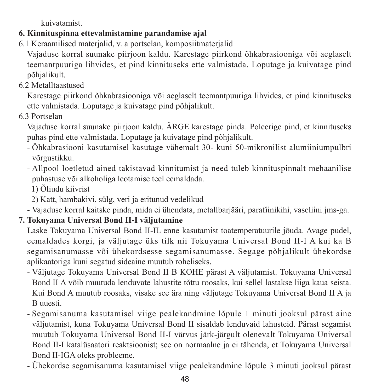kuivatamist.

### **6. Kinnituspinna ettevalmistamine parandamise ajal**

6.1 Keraamilised materjalid, v. a portselan, komposiitmaterjalid

Vajaduse korral suunake piirjoon kaldu. Karestage piirkond õhkabrasiooniga või aeglaselt teemantpuuriga lihvides, et pind kinnituseks ette valmistada. Loputage ja kuivatage pind põhjalikult.

6.2 Metalltaastused

Karestage piirkond õhkabrasiooniga või aeglaselt teemantpuuriga lihvides, et pind kinnituseks ette valmistada. Loputage ja kuivatage pind põhjalikult.

6.3 Portselan

Vajaduse korral suunake piirjoon kaldu. ÄRGE karestage pinda. Poleerige pind, et kinnituseks puhas pind ette valmistada. Loputage ja kuivatage pind põhjalikult.

- Õhkabrasiooni kasutamisel kasutage vähemalt 30- kuni 50-mikronilist alumiiniumpulbri võrgustikku.
- Allpool loetletud ained takistavad kinnitumist ja need tuleb kinnituspinnalt mehaanilise puhastuse või alkoholiga leotamise teel eemaldada.
	- 1) Õliudu kiivrist
	- 2) Katt, hambakivi, sülg, veri ja eritunud vedelikud
- Vajaduse korral kaitske pinda, mida ei ühendata, metallbarjääri, parafiinikihi, vaseliini jms-ga.

## **7. Tokuyama Universal Bond II-I väljutamine**

Laske Tokuyama Universal Bond II-IL enne kasutamist toatemperatuurile jõuda. Avage pudel, eemaldades korgi, ja väljutage üks tilk nii Tokuyama Universal Bond II-I A kui ka B segamisanumasse või ühekordsesse segamisanumasse. Segage põhjalikult ühekordse aplikaatoriga kuni segatud sideaine muutub roheliseks.

- Väljutage Tokuyama Universal Bond II B KOHE pärast A väljutamist. Tokuyama Universal Bond II A võib muutuda lenduvate lahustite tõttu roosaks, kui sellel lastakse liiga kaua seista. Kui Bond A muutub roosaks, visake see ära ning väljutage Tokuyama Universal Bond II A ja B uuesti.
- Segamisanuma kasutamisel viige pealekandmine lõpule 1 minuti jooksul pärast aine väljutamist, kuna Tokuyama Universal Bond II sisaldab lenduvaid lahusteid. Pärast segamist muutub Tokuyama Universal Bond II-I värvus järk-järgult olenevalt Tokuyama Universal Bond II-I katalüsaatori reaktsioonist; see on normaalne ja ei tähenda, et Tokuyama Universal Bond II-IGA oleks probleeme.
- Ühekordse segamisanuma kasutamisel viige pealekandmine lõpule 3 minuti jooksul pärast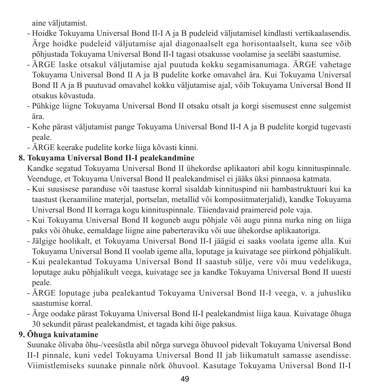aine väljutamist.

- Hoidke Tokuyama Universal Bond II-I A ja B pudeleid väljutamisel kindlasti vertikaalasendis. Ärge hoidke pudeleid väljutamise ajal diagonaalselt ega horisontaalselt, kuna see võib põhjustada Tokuyama Universal Bond II-I tagasi otsakusse voolamise ja seeläbi saastumise.
- ÄRGE laske otsakul väljutamise ajal puutuda kokku segamisanumaga. ÄRGE vahetage Tokuyama Universal Bond II A ja B pudelite korke omavahel ära. Kui Tokuyama Universal Bond II A ja B puutuvad omavahel kokku väljutamise ajal, võib Tokuyama Universal Bond II otsakus kõvastuda.
- Pühkige liigne Tokuyama Universal Bond II otsaku otsalt ja korgi sisemusest enne sulgemist ära.
- Kohe pärast väljutamist pange Tokuyama Universal Bond II-I A ja B pudelite korgid tugevasti peale.
- ÄRGE keerake pudelite korke liiga kõvasti kinni.

### **8. Tokuyama Universal Bond II-I pealekandmine**

Kandke segatud Tokuyama Universal Bond II ühekordse aplikaatori abil kogu kinnituspinnale. Veenduge, et Tokuyama Universal Bond II pealekandmisel ei jääks üksi pinnaosa katmata.

- Kui suusisese paranduse või taastuse korral sisaldab kinnituspind nii hambastruktuuri kui ka taastust (keraamiline materjal, portselan, metallid või komposiitmaterjalid), kandke Tokuyama Universal Bond II korraga kogu kinnituspinnale. Täiendavaid praimereid pole vaja.
- Kui Tokuyama Universal Bond II koguneb augu põhjale või augu pinna nurka ning on liiga paks või õhuke, eemaldage liigne aine paberteraviku või uue ühekordse aplikaatoriga.
- Jälgige hoolikalt, et Tokuyama Universal Bond II-I jäägid ei saaks voolata igeme alla. Kui Tokuyama Universal Bond II voolab igeme alla, loputage ja kuivatage see piirkond põhjalikult.
- Kui pealekantud Tokuyama Universal Bond II saastub sülje, vere või muu vedelikuga, loputage auku põhjalikult veega, kuivatage see ja kandke Tokuyama Universal Bond II uuesti peale.
- ÄRGE loputage juba pealekantud Tokuyama Universal Bond II-I veega, v. a juhusliku saastumise korral.
- Ärge oodake pärast Tokuyama Universal Bond II-I pealekandmist liiga kaua. Kuivatage õhuga 30 sekundit pärast pealekandmist, et tagada kihi õige paksus.

### **9. Õhuga kuivatamine**

Suunake õlivaba õhu-/veesüstla abil nõrga survega õhuvool pidevalt Tokuyama Universal Bond II-I pinnale, kuni vedel Tokuyama Universal Bond II jab liikumatult samasse asendisse. Viimistlemiseks suunake pinnale nõrk õhuvool. Kasutage Tokuyama Universal Bond II-I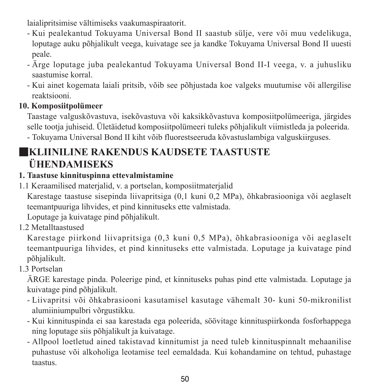laialipritsimise vältimiseks vaakumaspiraatorit.

- Kui pealekantud Tokuyama Universal Bond II saastub sülje, vere või muu vedelikuga, loputage auku põhjalikult veega, kuivatage see ja kandke Tokuyama Universal Bond II uuesti peale.
- Ärge loputage juba pealekantud Tokuyama Universal Bond II-I veega, v. a juhusliku saastumise korral.
- Kui ainet kogemata laiali pritsib, võib see põhjustada koe valgeks muutumise või allergilise reaktsiooni.

#### **10. Komposiitpolümeer**

Taastage valguskõvastuva, isekõvastuva või kaksikkõvastuva komposiitpolümeeriga, järgides selle tootja juhiseid. Ületäidetud komposiitpolümeeri tuleks põhjalikult viimistleda ja poleerida.

- Tokuyama Universal Bond II kiht võib fluorestseeruda kõvastuslambiga valguskiirguses.

## ■**KLIINILINE RAKENDUS KAUDSETE TAASTUSTE ÜHENDAMISEKS**

#### **1. Taastuse kinnituspinna ettevalmistamine**

1.1 Keraamilised materjalid, v. a portselan, komposiitmaterjalid

Karestage taastuse sisepinda liivapritsiga (0,1 kuni 0,2 MPa), õhkabrasiooniga või aeglaselt teemantpuuriga lihvides, et pind kinnituseks ette valmistada.

Loputage ja kuivatage pind põhjalikult.

1.2 Metalltaastused

Karestage piirkond liivapritsiga (0,3 kuni 0,5 MPa), õhkabrasiooniga või aeglaselt teemantpuuriga lihvides, et pind kinnituseks ette valmistada. Loputage ja kuivatage pind põhjalikult.

### 1.3 Portselan

ÄRGE karestage pinda. Poleerige pind, et kinnituseks puhas pind ette valmistada. Loputage ja kuivatage pind põhjalikult.

- Liivapritsi või õhkabrasiooni kasutamisel kasutage vähemalt 30- kuni 50-mikronilist alumiiniumpulbri võrgustikku.
- Kui kinnituspinda ei saa karestada ega poleerida, söövitage kinnituspiirkonda fosforhappega ning loputage siis põhjalikult ja kuivatage.
- Allpool loetletud ained takistavad kinnitumist ja need tuleb kinnituspinnalt mehaanilise puhastuse või alkoholiga leotamise teel eemaldada. Kui kohandamine on tehtud, puhastage taastus.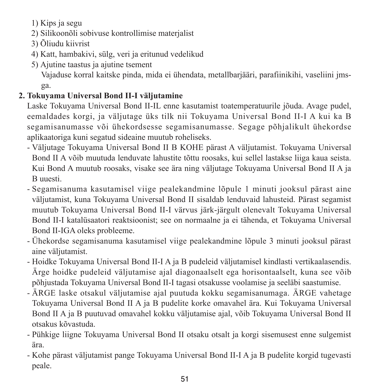1) Kips ja segu

- 2) Silikoonõli sobivuse kontrollimise materjalist
- 3) Õliudu kiivrist
- 4) Katt, hambakivi, sülg, veri ja eritunud vedelikud
- 5) Ajutine taastus ja ajutine tsement

 Vajaduse korral kaitske pinda, mida ei ühendata, metallbarjääri, parafiinikihi, vaseliini jmsga.

### **2. Tokuyama Universal Bond II-I väljutamine**

Laske Tokuyama Universal Bond II-IL enne kasutamist toatemperatuurile jõuda. Avage pudel, eemaldades korgi, ja väljutage üks tilk nii Tokuyama Universal Bond II-I A kui ka B segamisanumasse või ühekordsesse segamisanumasse. Segage põhjalikult ühekordse aplikaatoriga kuni segatud sideaine muutub roheliseks.

- Väljutage Tokuyama Universal Bond II B KOHE pärast A väljutamist. Tokuyama Universal Bond II A võib muutuda lenduvate lahustite tõttu roosaks, kui sellel lastakse liiga kaua seista. Kui Bond A muutub roosaks, visake see ära ning väljutage Tokuyama Universal Bond II A ja B uuesti.
- Segamisanuma kasutamisel viige pealekandmine lõpule 1 minuti jooksul pärast aine väljutamist, kuna Tokuyama Universal Bond II sisaldab lenduvaid lahusteid. Pärast segamist muutub Tokuyama Universal Bond II-I värvus järk-järgult olenevalt Tokuyama Universal Bond II-I katalüsaatori reaktsioonist; see on normaalne ja ei tähenda, et Tokuyama Universal Bond II-IGA oleks probleeme.
- Ühekordse segamisanuma kasutamisel viige pealekandmine lõpule 3 minuti jooksul pärast aine väljutamist.
- Hoidke Tokuyama Universal Bond II-I A ja B pudeleid väljutamisel kindlasti vertikaalasendis. Ärge hoidke pudeleid väljutamise ajal diagonaalselt ega horisontaalselt, kuna see võib põhjustada Tokuyama Universal Bond II-I tagasi otsakusse voolamise ja seeläbi saastumise.
- ÄRGE laske otsakul väljutamise ajal puutuda kokku segamisanumaga. ÄRGE vahetage Tokuyama Universal Bond II A ja B pudelite korke omavahel ära. Kui Tokuyama Universal Bond II A ja B puutuvad omavahel kokku väljutamise ajal, võib Tokuyama Universal Bond II otsakus kõvastuda.
- Pühkige liigne Tokuyama Universal Bond II otsaku otsalt ja korgi sisemusest enne sulgemist ära.
- Kohe pärast väljutamist pange Tokuyama Universal Bond II-I A ja B pudelite korgid tugevasti peale.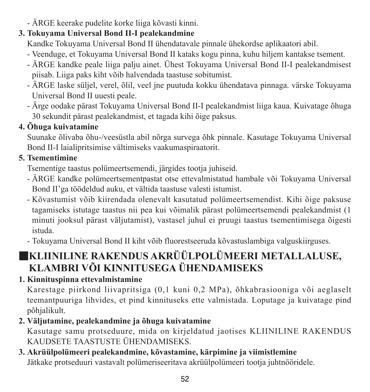- ÄRGE keerake pudelite korke liiga kõvasti kinni.

### **3. Tokuyama Universal Bond II-I pealekandmine**

Kandke Tokuyama Universal Bond II ühendatavale pinnale ühekordse aplikaatori abil.

- Veenduge, et Tokuyama Universal Bond II kataks kogu pinna, kuhu hiljem kantakse tsement.
- ÄRGE kandke peale liiga palju ainet. Ühest Tokuyama Universal Bond II-I pealekandmisest piisab. Liiga paks kiht võib halvendada taastuse sobitumist.
- ÄRGE laske süljel, verel, õlil, veel jne puutuda kokku ühendatava pinnaga. värske Tokuyama Universal Bond II uuesti peale.
- Ärge oodake pärast Tokuyama Universal Bond II-I pealekandmist liiga kaua. Kuivatage õhuga 30 sekundit pärast pealekandmist, et tagada kihi õige paksus.

### **4. Õhuga kuivatamine**

Suunake õlivaba õhu-/veesüstla abil nõrga survega õhk pinnale. Kasutage Tokuyama Universal Bond II-I laialipritsimise vältimiseks vaakumaspiraatorit.

### **5. Tsementimine**

Tsementige taastus polümeertsemendi, järgides tootja juhiseid.

- ÄRGE kandke polümeertsementpastat otse ettevalmistatud hambale või Tokuyama Universal Bond II'ga töödeldud auku, et vältida taastuse valesti istumist.
- Kõvastumist võib kiirendada olenevalt kasutatud polümeertsemendist. Kihi õige paksuse tagamiseks istutage taastus nii pea kui võimalik pärast polümeertsemendi pealekandmist (1 minuti jooksul pärast väljutamist), vastasel juhul ei pruugi taastus tsementimisega õigesti istuda.
- Tokuyama Universal Bond II kiht võib fluorestseeruda kõvastuslambiga valguskiirguses.

## ■**KLIINILINE RAKENDUS AKRÜÜLPOLÜMEERI METALLALUSE, KLAMBRI VÕI KINNITUSEGA ÜHENDAMISEKS**

### **1. Kinnituspinna ettevalmistamine**

Karestage piirkond liivapritsiga (0,1 kuni 0,2 MPa), õhkabrasiooniga või aeglaselt teemantpuuriga lihvides, et pind kinnituseks ette valmistada. Loputage ja kuivatage pind põhjalikult.

### **2. Väljutamine, pealekandmine ja õhuga kuivatamine**

Kasutage samu protseduure, mida on kirjeldatud jaotises KLIINILINE RAKENDUS KAUDSETE TAASTUSTE ÜHENDAMISEKS.

## **3. Akrüülpolümeeri pealekandmine, kõvastamine, kärpimine ja viimistlemine** Jätkake protseduuri vastavalt polümeriseeritava akrüülpolümeeri tootja juhtnööridele.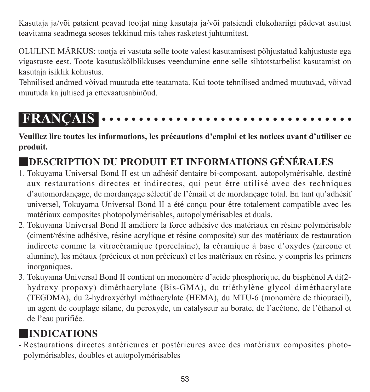Kasutaja ja/või patsient peavad tootjat ning kasutaja ja/või patsiendi elukohariigi pädevat asutust teavitama seadmega seoses tekkinud mis tahes rasketest juhtumitest.

OLULINE MÄRKUS: tootja ei vastuta selle toote valest kasutamisest põhjustatud kahjustuste ega vigastuste eest. Toote kasutuskõlblikkuses veendumine enne selle sihtotstarbelist kasutamist on kasutaja isiklik kohustus.

Tehnilised andmed võivad muutuda ette teatamata. Kui toote tehnilised andmed muutuvad, võivad muutuda ka juhised ja ettevaatusabinõud.

# **FRANÇAIS**

**Veuillez lire toutes les informations, les précautions d'emploi et les notices avant d'utiliser ce produit.**

# ■**DESCRIPTION DU PRODUIT ET INFORMATIONS GÉNÉRALES**

- 1. Tokuyama Universal Bond II est un adhésif dentaire bi-composant, autopolymérisable, destiné aux restaurations directes et indirectes, qui peut être utilisé avec des techniques d'automordançage, de mordançage sélectif de l'émail et de mordançage total. En tant qu'adhésif universel, Tokuyama Universal Bond II a été conçu pour être totalement compatible avec les matériaux composites photopolymérisables, autopolymérisables et duals.
- 2. Tokuyama Universal Bond II améliore la force adhésive des matériaux en résine polymérisable (ciment/résine adhésive, résine acrylique et résine composite) sur des matériaux de restauration indirecte comme la vitrocéramique (porcelaine), la céramique à base d'oxydes (zircone et alumine), les métaux (précieux et non précieux) et les matériaux en résine, y compris les primers inorganiques.
- 3. Tokuyama Universal Bond II contient un monomère d'acide phosphorique, du bisphénol A di(2 hydroxy propoxy) diméthacrylate (Bis-GMA), du triéthylène glycol diméthacrylate (TEGDMA), du 2-hydroxyéthyl méthacrylate (HEMA), du MTU-6 (monomère de thiouracil), un agent de couplage silane, du peroxyde, un catalyseur au borate, de l'acétone, de l'éthanol et de l'eau purifiée.

# ■**INDICATIONS**

- Restaurations directes antérieures et postérieures avec des matériaux composites photopolymérisables, doubles et autopolymérisables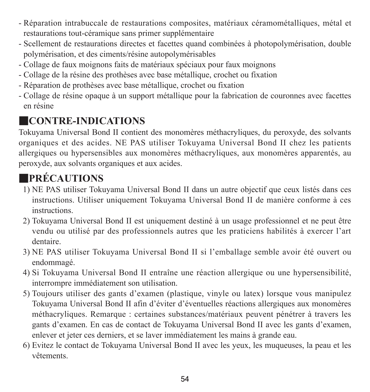- Réparation intrabuccale de restaurations composites, matériaux céramométalliques, métal et restaurations tout-céramique sans primer supplémentaire
- Scellement de restaurations directes et facettes quand combinées à photopolymérisation, double polymérisation, et des ciments/résine autopolymérisables
- Collage de faux moignons faits de matériaux spéciaux pour faux moignons
- Collage de la résine des prothèses avec base métallique, crochet ou fixation
- Réparation de prothèses avec base métallique, crochet ou fixation
- Collage de résine opaque à un support métallique pour la fabrication de couronnes avec facettes en résine

## ■**CONTRE-INDICATIONS**

Tokuyama Universal Bond II contient des monomères méthacryliques, du peroxyde, des solvants organiques et des acides. NE PAS utiliser Tokuyama Universal Bond II chez les patients allergiques ou hypersensibles aux monomères méthacryliques, aux monomères apparentés, au peroxyde, aux solvants organiques et aux acides.

# ■**PRÉCAUTIONS**

- 1) NE PAS utiliser Tokuyama Universal Bond II dans un autre objectif que ceux listés dans ces instructions. Utiliser uniquement Tokuyama Universal Bond II de manière conforme à ces instructions.
- 2) Tokuyama Universal Bond II est uniquement destiné à un usage professionnel et ne peut être vendu ou utilisé par des professionnels autres que les praticiens habilités à exercer l'art dentaire.
- 3) NE PAS utiliser Tokuyama Universal Bond II si l'emballage semble avoir été ouvert ou endommagé.
- 4) Si Tokuyama Universal Bond II entraîne une réaction allergique ou une hypersensibilité, interrompre immédiatement son utilisation.
- 5) Toujours utiliser des gants d'examen (plastique, vinyle ou latex) lorsque vous manipulez Tokuyama Universal Bond II afin d'éviter d'éventuelles réactions allergiques aux monomères méthacryliques. Remarque : certaines substances/matériaux peuvent pénétrer à travers les gants d'examen. En cas de contact de Tokuyama Universal Bond II avec les gants d'examen, enlever et jeter ces derniers, et se laver immédiatement les mains à grande eau.
- 6) Evitez le contact de Tokuyama Universal Bond II avec les yeux, les muqueuses, la peau et les vêtements.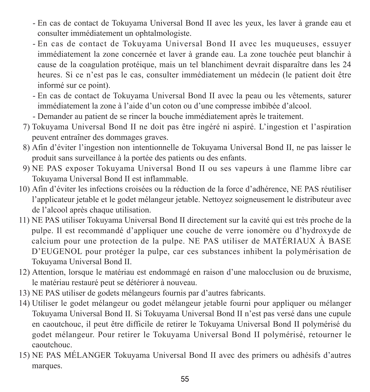- - En cas de contact de Tokuyama Universal Bond II avec les yeux, les laver à grande eau et consulter immédiatement un ophtalmologiste.
- - En cas de contact de Tokuyama Universal Bond II avec les muqueuses, essuyer immédiatement la zone concernée et laver à grande eau. La zone touchée peut blanchir à cause de la coagulation protéique, mais un tel blanchiment devrait disparaître dans les 24 heures. Si ce n'est pas le cas, consulter immédiatement un médecin (le patient doit être informé sur ce point).
- - En cas de contact de Tokuyama Universal Bond II avec la peau ou les vêtements, saturer immédiatement la zone à l'aide d'un coton ou d'une compresse imbibée d'alcool.
- Demander au patient de se rincer la bouche immédiatement après le traitement.
- 7) Tokuyama Universal Bond II ne doit pas être ingéré ni aspiré. L'ingestion et l'aspiration peuvent entraîner des dommages graves.
- 8) Afin d'éviter l'ingestion non intentionnelle de Tokuyama Universal Bond II, ne pas laisser le produit sans surveillance à la portée des patients ou des enfants.
- 9) NE PAS exposer Tokuyama Universal Bond II ou ses vapeurs à une flamme libre car Tokuyama Universal Bond II est inflammable.
- 10) Afin d'éviter les infections croisées ou la réduction de la force d'adhérence, NE PAS réutiliser l'applicateur jetable et le godet mélangeur jetable. Nettoyez soigneusement le distributeur avec de l'alcool après chaque utilisation.
- 11) NE PAS utiliser Tokuyama Universal Bond II directement sur la cavité qui est très proche de la pulpe. Il est recommandé d'appliquer une couche de verre ionomère ou d'hydroxyde de calcium pour une protection de la pulpe. NE PAS utiliser de MATÉRIAUX À BASE D'EUGENOL pour protéger la pulpe, car ces substances inhibent la polymérisation de Tokuyama Universal Bond II.
- 12) Attention, lorsque le matériau est endommagé en raison d'une malocclusion ou de bruxisme, le matériau restauré peut se détériorer à nouveau.
- 13) NE PAS utiliser de godets mélangeurs fournis par d'autres fabricants.
- 14) Utiliser le godet mélangeur ou godet mélangeur jetable fourni pour appliquer ou mélanger Tokuyama Universal Bond II. Si Tokuyama Universal Bond II n'est pas versé dans une cupule en caoutchouc, il peut être difficile de retirer le Tokuyama Universal Bond II polymérisé du godet mélangeur. Pour retirer le Tokuyama Universal Bond II polymérisé, retourner le caoutchouc.
- 15) NE PAS MÉLANGER Tokuyama Universal Bond II avec des primers ou adhésifs d'autres marques.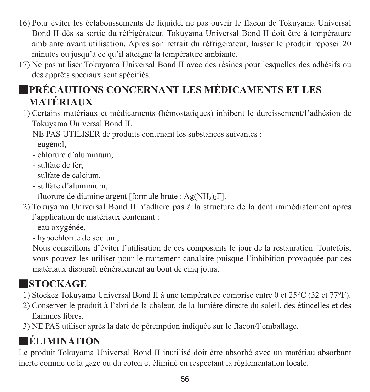- 16) Pour éviter les éclaboussements de liquide, ne pas ouvrir le flacon de Tokuyama Universal Bond II dès sa sortie du réfrigérateur. Tokuyama Universal Bond II doit être à température ambiante avant utilisation. Après son retrait du réfrigérateur, laisser le produit reposer 20 minutes ou jusqu'à ce qu'il atteigne la température ambiante.
- 17) Ne pas utiliser Tokuyama Universal Bond II avec des résines pour lesquelles des adhésifs ou des apprêts spéciaux sont spécifiés.

# ■**PRÉCAUTIONS CONCERNANT LES MÉDICAMENTS ET LES MATÉRIAUX**

1) Certains matériaux et médicaments (hémostatiques) inhibent le durcissement/l'adhésion de Tokuyama Universal Bond II.

NE PAS UTILISER de produits contenant les substances suivantes :

- eugénol,
- chlorure d'aluminium,
- sulfate de fer,
- sulfate de calcium,
- sulfate d'aluminium,
- fluorure de diamine argent [formule brute :  $Ag(NH_3)F$ ].
- 2) Tokuyama Universal Bond II n'adhère pas à la structure de la dent immédiatement après l'application de matériaux contenant :
	- eau oxygénée,
	- hypochlorite de sodium,

 Nous conseillons d'éviter l'utilisation de ces composants le jour de la restauration. Toutefois, vous pouvez les utiliser pour le traitement canalaire puisque l'inhibition provoquée par ces matériaux disparaît généralement au bout de cinq jours.

# ■**STOCKAGE**

- 1) Stockez Tokuyama Universal Bond II à une température comprise entre 0 et 25°C (32 et 77°F).
- 2) Conserver le produit à l'abri de la chaleur, de la lumière directe du soleil, des étincelles et des flammes libres.
- 3) NE PAS utiliser après la date de péremption indiquée sur le flacon/l'emballage.

# ■**ÉLIMINATION**

Le produit Tokuyama Universal Bond II inutilisé doit être absorbé avec un matériau absorbant inerte comme de la gaze ou du coton et éliminé en respectant la réglementation locale.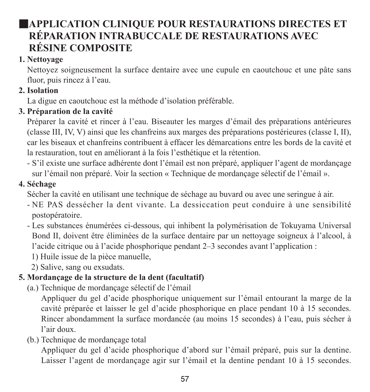## **EXPELICATION CLINIQUE POUR RESTAURATIONS DIRECTES ET RÉPARATION INTRABUCCALE DE RESTAURATIONS AVEC RÉSINE COMPOSITE**

### **1. Nettoyage**

Nettoyez soigneusement la surface dentaire avec une cupule en caoutchouc et une pâte sans fluor, puis rincez à l'eau.

## **2. Isolation**

La digue en caoutchouc est la méthode d'isolation préférable.

## **3. Préparation de la cavité**

Préparer la cavité et rincer à l'eau. Biseauter les marges d'émail des préparations antérieures (classe III, IV, V) ainsi que les chanfreins aux marges des préparations postérieures (classe I, II), car les biseaux et chanfreins contribuent à effacer les démarcations entre les bords de la cavité et la restauration, tout en améliorant à la fois l'esthétique et la rétention.

- S'il existe une surface adhérente dont l'émail est non préparé, appliquer l'agent de mordançage sur l'émail non préparé. Voir la section « Technique de mordançage sélectif de l'émail ».

### **4. Séchage**

Sécher la cavité en utilisant une technique de séchage au buvard ou avec une seringue à air.

- NE PAS dessécher la dent vivante. La dessiccation peut conduire à une sensibilité postopératoire.
- Les substances énumérées ci-dessous, qui inhibent la polymérisation de Tokuyama Universal Bond II, doivent être éliminées de la surface dentaire par un nettoyage soigneux à l'alcool, à l'acide citrique ou à l'acide phosphorique pendant 2–3 secondes avant l'application :
	- 1) Huile issue de la pièce manuelle,
	- 2) Salive, sang ou exsudats.

## **5. Mordançage de la structure de la dent (facultatif)**

(a.) Technique de mordançage sélectif de l'émail

 Appliquer du gel d'acide phosphorique uniquement sur l'émail entourant la marge de la cavité préparée et laisser le gel d'acide phosphorique en place pendant 10 à 15 secondes. Rincer abondamment la surface mordancée (au moins 15 secondes) à l'eau, puis sécher à l'air doux.

(b.) Technique de mordançage total

 Appliquer du gel d'acide phosphorique d'abord sur l'émail préparé, puis sur la dentine. Laisser l'agent de mordançage agir sur l'émail et la dentine pendant 10 à 15 secondes.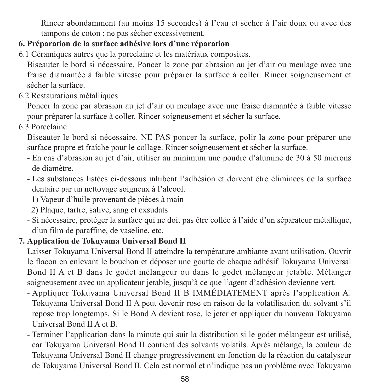Rincer abondamment (au moins 15 secondes) à l'eau et sécher à l'air doux ou avec des tampons de coton ; ne pas sécher excessivement.

### **6. Préparation de la surface adhésive lors d'une réparation**

6.1 Céramiques autres que la porcelaine et les matériaux composites.

Biseauter le bord si nécessaire. Poncer la zone par abrasion au jet d'air ou meulage avec une fraise diamantée à faible vitesse pour préparer la surface à coller. Rincer soigneusement et sécher la surface.

6.2 Restaurations métalliques

Poncer la zone par abrasion au jet d'air ou meulage avec une fraise diamantée à faible vitesse pour préparer la surface à coller. Rincer soigneusement et sécher la surface.

6.3 Porcelaine

Biseauter le bord si nécessaire. NE PAS poncer la surface, polir la zone pour préparer une surface propre et fraîche pour le collage. Rincer soigneusement et sécher la surface.

- En cas d'abrasion au jet d'air, utiliser au minimum une poudre d'alumine de 30 à 50 microns de diamètre.
- Les substances listées ci-dessous inhibent l'adhésion et doivent être éliminées de la surface dentaire par un nettoyage soigneux à l'alcool.
	- 1) Vapeur d'huile provenant de pièces à main
	- 2) Plaque, tartre, salive, sang et exsudats
- Si nécessaire, protéger la surface qui ne doit pas être collée à l'aide d'un séparateur métallique, d'un film de paraffine, de vaseline, etc.

### **7. Application de Tokuyama Universal Bond II**

Laisser Tokuyama Universal Bond II atteindre la température ambiante avant utilisation. Ouvrir le flacon en enlevant le bouchon et déposer une goutte de chaque adhésif Tokuyama Universal Bond II A et B dans le godet mélangeur ou dans le godet mélangeur jetable. Mélanger soigneusement avec un applicateur jetable, jusqu'à ce que l'agent d'adhésion devienne vert.

- Appliquer Tokuyama Universal Bond II B IMMÉDIATEMENT après l'application A. Tokuyama Universal Bond II A peut devenir rose en raison de la volatilisation du solvant s'il repose trop longtemps. Si le Bond A devient rose, le jeter et appliquer du nouveau Tokuyama Universal Bond II A et B.
- Terminer l'application dans la minute qui suit la distribution si le godet mélangeur est utilisé, car Tokuyama Universal Bond II contient des solvants volatils. Après mélange, la couleur de Tokuyama Universal Bond II change progressivement en fonction de la réaction du catalyseur de Tokuyama Universal Bond II. Cela est normal et n'indique pas un problème avec Tokuyama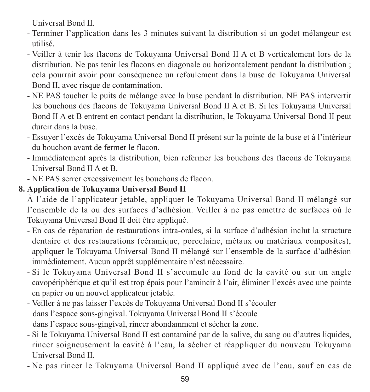Universal Bond II.

- Terminer l'application dans les 3 minutes suivant la distribution si un godet mélangeur est utilisé.
- Veiller à tenir les flacons de Tokuyama Universal Bond II A et B verticalement lors de la distribution. Ne pas tenir les flacons en diagonale ou horizontalement pendant la distribution ; cela pourrait avoir pour conséquence un refoulement dans la buse de Tokuyama Universal Bond II, avec risque de contamination.
- NE PAS toucher le puits de mélange avec la buse pendant la distribution. NE PAS intervertir les bouchons des flacons de Tokuyama Universal Bond II A et B. Si les Tokuyama Universal Bond II A et B entrent en contact pendant la distribution, le Tokuyama Universal Bond II peut durcir dans la buse.
- Essuyer l'excès de Tokuyama Universal Bond II présent sur la pointe de la buse et à l'intérieur du bouchon avant de fermer le flacon.
- Immédiatement après la distribution, bien refermer les bouchons des flacons de Tokuyama Universal Bond II A et B.
- NE PAS serrer excessivement les bouchons de flacon.

### **8. Application de Tokuyama Universal Bond II**

À l'aide de l'applicateur jetable, appliquer le Tokuyama Universal Bond II mélangé sur l'ensemble de la ou des surfaces d'adhésion. Veiller à ne pas omettre de surfaces où le Tokuyama Universal Bond II doit être appliqué.

- En cas de réparation de restaurations intra-orales, si la surface d'adhésion inclut la structure dentaire et des restaurations (céramique, porcelaine, métaux ou matériaux composites), appliquer le Tokuyama Universal Bond II mélangé sur l'ensemble de la surface d'adhésion immédiatement. Aucun apprêt supplémentaire n'est nécessaire.
- Si le Tokuyama Universal Bond II s'accumule au fond de la cavité ou sur un angle cavopériphérique et qu'il est trop épais pour l'amincir à l'air, éliminer l'excès avec une pointe en papier ou un nouvel applicateur jetable.
- Veiller à ne pas laisser l'excès de Tokuyama Universal Bond II s'écouler dans l'espace sous-gingival. Tokuyama Universal Bond II s'écoule dans l'espace sous-gingival, rincer abondamment et sécher la zone.
- Si le Tokuyama Universal Bond II est contaminé par de la salive, du sang ou d'autres liquides, rincer soigneusement la cavité à l'eau, la sécher et réappliquer du nouveau Tokuyama Universal Bond II.
- Ne pas rincer le Tokuyama Universal Bond II appliqué avec de l'eau, sauf en cas de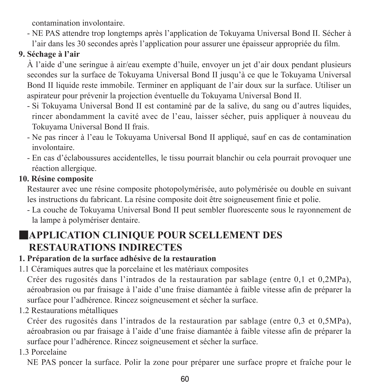contamination involontaire.

- NE PAS attendre trop longtemps après l'application de Tokuyama Universal Bond II. Sécher à l'air dans les 30 secondes après l'application pour assurer une épaisseur appropriée du film.

### **9. Séchage à l'air**

À l'aide d'une seringue à air/eau exempte d'huile, envoyer un jet d'air doux pendant plusieurs secondes sur la surface de Tokuyama Universal Bond II jusqu'à ce que le Tokuyama Universal Bond II liquide reste immobile. Terminer en appliquant de l'air doux sur la surface. Utiliser un aspirateur pour prévenir la projection éventuelle du Tokuyama Universal Bond II.

- Si Tokuyama Universal Bond II est contaminé par de la salive, du sang ou d'autres liquides, rincer abondamment la cavité avec de l'eau, laisser sécher, puis appliquer à nouveau du Tokuyama Universal Bond II frais.
- Ne pas rincer à l'eau le Tokuyama Universal Bond II appliqué, sauf en cas de contamination involontaire.
- En cas d'éclaboussures accidentelles, le tissu pourrait blanchir ou cela pourrait provoquer une réaction allergique.

### **10. Résine composite**

Restaurer avec une résine composite photopolymérisée, auto polymérisée ou double en suivant les instructions du fabricant. La résine composite doit être soigneusement finie et polie.

- La couche de Tokuyama Universal Bond II peut sembler fluorescente sous le rayonnement de la lampe à polymériser dentaire.

## ■**APPLICATION CLINIQUE POUR SCELLEMENT DES RESTAURATIONS INDIRECTES**

### **1. Préparation de la surface adhésive de la restauration**

1.1 Céramiques autres que la porcelaine et les matériaux composites

Créer des rugosités dans l'intrados de la restauration par sablage (entre 0,1 et 0,2MPa), aéroabrasion ou par fraisage à l'aide d'une fraise diamantée à faible vitesse afin de préparer la surface pour l'adhérence. Rincez soigneusement et sécher la surface.

1.2 Restaurations métalliques

Créer des rugosités dans l'intrados de la restauration par sablage (entre 0,3 et 0,5MPa), aéroabrasion ou par fraisage à l'aide d'une fraise diamantée à faible vitesse afin de préparer la surface pour l'adhérence. Rincez soigneusement et sécher la surface.

1.3 Porcelaine

NE PAS poncer la surface. Polir la zone pour préparer une surface propre et fraîche pour le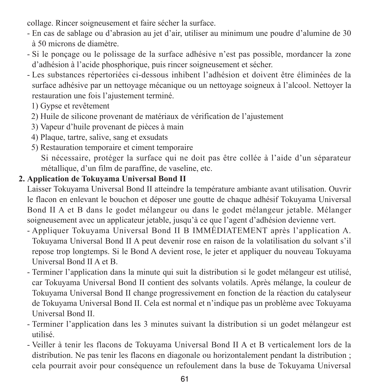collage. Rincer soigneusement et faire sécher la surface.

- En cas de sablage ou d'abrasion au jet d'air, utiliser au minimum une poudre d'alumine de 30 à 50 microns de diamètre.
- Si le ponçage ou le polissage de la surface adhésive n'est pas possible, mordancer la zone d'adhésion à l'acide phosphorique, puis rincer soigneusement et sécher.
- Les substances répertoriées ci-dessous inhibent l'adhésion et doivent être éliminées de la surface adhésive par un nettoyage mécanique ou un nettoyage soigneux à l'alcool. Nettoyer la restauration une fois l'ajustement terminé.
	- 1) Gypse et revêtement
	- 2) Huile de silicone provenant de matériaux de vérification de l'ajustement
	- 3) Vapeur d'huile provenant de pièces à main
	- 4) Plaque, tartre, salive, sang et exsudats
	- 5) Restauration temporaire et ciment temporaire

 Si nécessaire, protéger la surface qui ne doit pas être collée à l'aide d'un séparateur métallique, d'un film de paraffine, de vaseline, etc.

### **2. Application de Tokuyama Universal Bond II**

Laisser Tokuyama Universal Bond II atteindre la température ambiante avant utilisation. Ouvrir le flacon en enlevant le bouchon et déposer une goutte de chaque adhésif Tokuyama Universal Bond II A et B dans le godet mélangeur ou dans le godet mélangeur jetable. Mélanger soigneusement avec un applicateur jetable, jusqu'à ce que l'agent d'adhésion devienne vert.

- Appliquer Tokuyama Universal Bond II B IMMÉDIATEMENT après l'application A. Tokuyama Universal Bond II A peut devenir rose en raison de la volatilisation du solvant s'il repose trop longtemps. Si le Bond A devient rose, le jeter et appliquer du nouveau Tokuyama Universal Bond II A et B.
- Terminer l'application dans la minute qui suit la distribution si le godet mélangeur est utilisé, car Tokuyama Universal Bond II contient des solvants volatils. Après mélange, la couleur de Tokuyama Universal Bond II change progressivement en fonction de la réaction du catalyseur de Tokuyama Universal Bond II. Cela est normal et n'indique pas un problème avec Tokuyama Universal Bond II.
- Terminer l'application dans les 3 minutes suivant la distribution si un godet mélangeur est utilisé.
- Veiller à tenir les flacons de Tokuyama Universal Bond II A et B verticalement lors de la distribution. Ne pas tenir les flacons en diagonale ou horizontalement pendant la distribution ; cela pourrait avoir pour conséquence un refoulement dans la buse de Tokuyama Universal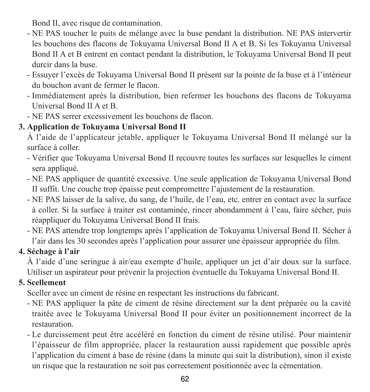Bond II, avec risque de contamination.

- NE PAS toucher le puits de mélange avec la buse pendant la distribution. NE PAS intervertir les bouchons des flacons de Tokuyama Universal Bond II A et B. Si les Tokuyama Universal Bond II A et B entrent en contact pendant la distribution, le Tokuyama Universal Bond II peut durcir dans la buse.
- Essuyer l'excès de Tokuyama Universal Bond II présent sur la pointe de la buse et à l'intérieur du bouchon avant de fermer le flacon.
- Immédiatement après la distribution, bien refermer les bouchons des flacons de Tokuyama Universal Bond II A et B.
- NE PAS serrer excessivement les bouchons de flacon.

### **3. Application de Tokuyama Universal Bond II**

À l'aide de l'applicateur jetable, appliquer le Tokuyama Universal Bond II mélangé sur la surface à coller.

- Vérifier que Tokuyama Universal Bond II recouvre toutes les surfaces sur lesquelles le ciment sera appliqué.
- NE PAS appliquer de quantité excessive. Une seule application de Tokuyama Universal Bond II suffit. Une couche trop épaisse peut compromettre l'ajustement de la restauration.
- NE PAS laisser de la salive, du sang, de l'huile, de l'eau, etc. entrer en contact avec la surface à coller. Si la surface à traiter est contaminée, rincer abondamment à l'eau, faire sécher, puis réappliquer du Tokuyama Universal Bond II frais.
- NE PAS attendre trop longtemps après l'application de Tokuyama Universal Bond II. Sécher à l'air dans les 30 secondes après l'application pour assurer une épaisseur appropriée du film.

### **4. Séchage à l'air**

À l'aide d'une seringue à air/eau exempte d'huile, appliquer un jet d'air doux sur la surface. Utiliser un aspirateur pour prévenir la projection éventuelle du Tokuyama Universal Bond II.

### **5. Scellement**

Sceller avec un ciment de résine en respectant les instructions du fabricant.

- NE PAS appliquer la pâte de ciment de résine directement sur la dent préparée ou la cavité traitée avec le Tokuyama Universal Bond II pour éviter un positionnement incorrect de la restauration.
- Le durcissement peut être accéléré en fonction du ciment de résine utilisé. Pour maintenir l'épaisseur de film appropriée, placer la restauration aussi rapidement que possible après l'application du ciment à base de résine (dans la minute qui suit la distribution), sinon il existe un risque que la restauration ne soit pas correctement positionnée avec la cémentation.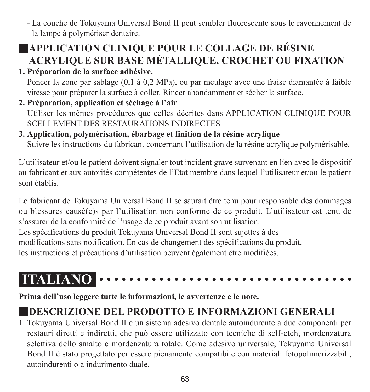- La couche de Tokuyama Universal Bond II peut sembler fluorescente sous le rayonnement de la lampe à polymériser dentaire.

# ■**APPLICATION CLINIQUE POUR LE COLLAGE DE RÉSINE ACRYLIQUE SUR BASE MÉTALLIQUE, CROCHET OU FIXATION**

**1. Préparation de la surface adhésive.**

Poncer la zone par sablage (0,1 à 0,2 MPa), ou par meulage avec une fraise diamantée à faible vitesse pour préparer la surface à coller. Rincer abondamment et sécher la surface.

**2. Préparation, application et séchage à l'air** Utiliser les mêmes procédures que celles décrites dans APPLICATION CLINIQUE POUR SCELLEMENT DES RESTAURATIONS INDIRECTES

## **3. Application, polymérisation, ébarbage et finition de la résine acrylique**

Suivre les instructions du fabricant concernant l'utilisation de la résine acrylique polymérisable.

L'utilisateur et/ou le patient doivent signaler tout incident grave survenant en lien avec le dispositif au fabricant et aux autorités compétentes de l'État membre dans lequel l'utilisateur et/ou le patient sont établis.

Le fabricant de Tokuyama Universal Bond II se saurait être tenu pour responsable des dommages ou blessures causé(e)s par l'utilisation non conforme de ce produit. L'utilisateur est tenu de s'assurer de la conformité de l'usage de ce produit avant son utilisation.

Les spécifications du produit Tokuyama Universal Bond II sont sujettes à des modifications sans notification. En cas de changement des spécifications du produit, les instructions et précautions d'utilisation peuvent également être modifiées.

#### **ITALIANO** . . . . . . . . . . . . . .

**Prima dell'uso leggere tutte le informazioni, le avvertenze e le note.**

## ■**DESCRIZIONE DEL PRODOTTO E INFORMAZIONI GENERALI**

1. Tokuyama Universal Bond II è un sistema adesivo dentale autoindurente a due componenti per restauri diretti e indiretti, che può essere utilizzato con tecniche di self-etch, mordenzatura selettiva dello smalto e mordenzatura totale. Come adesivo universale, Tokuyama Universal Bond II è stato progettato per essere pienamente compatibile con materiali fotopolimerizzabili, autoindurenti o a indurimento duale.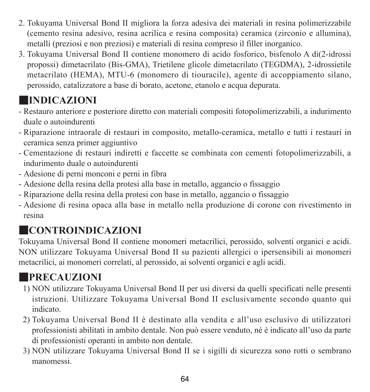- 2. Tokuyama Universal Bond II migliora la forza adesiva dei materiali in resina polimerizzabile (cemento resina adesivo, resina acrilica e resina composita) ceramica (zirconio e allumina), metalli (preziosi e non preziosi) e materiali di resina compreso il filler inorganico.
- 3. Tokuyama Universal Bond II contiene monomero di acido fosforico, bisfenolo A di(2-idrossi propossi) dimetacrilato (Bis-GMA), Trietilene glicole dimetacrilato (TEGDMA), 2-idrossietile metacrilato (HEMA), MTU-6 (monomero di tiouracile), agente di accoppiamento silano, perossido, catalizzatore a base di borato, acetone, etanolo e acqua depurata.

# ■**INDICAZIONI**

- Restauro anteriore e posteriore diretto con materiali compositi fotopolimerizzabili, a indurimento duale o autoindurenti
- Riparazione intraorale di restauri in composito, metallo-ceramica, metallo e tutti i restauri in ceramica senza primer aggiuntivo
- Cementazione di restauri indiretti e faccette se combinata con cementi fotopolimerizzabili, a indurimento duale o autoindurenti
- Adesione di perni monconi e perni in fibra
- Adesione della resina della protesi alla base in metallo, aggancio o fissaggio
- Riparazione della resina della protesi con base in metallo, aggancio o fissaggio
- Adesione di resina opaca alla base in metallo nella produzione di corone con rivestimento in resina

# ■**CONTROINDICAZIONI**

Tokuyama Universal Bond II contiene monomeri metacrilici, perossido, solventi organici e acidi. NON utilizzare Tokuyama Universal Bond II su pazienti allergici o ipersensibili ai monomeri metacrilici, ai monomeri correlati, al perossido, ai solventi organici e agli acidi.

# ■**PRECAUZIONI**

- 1) NON utilizzare Tokuyama Universal Bond II per usi diversi da quelli specificati nelle presenti istruzioni. Utilizzare Tokuyama Universal Bond II esclusivamente secondo quanto qui indicato.
- 2) Tokuyama Universal Bond II è destinato alla vendita e all'uso esclusivo di utilizzatori professionisti abilitati in ambito dentale. Non può essere venduto, né è indicato all'uso da parte di professionisti operanti in ambito non dentale.
- 3) NON utilizzare Tokuyama Universal Bond II se i sigilli di sicurezza sono rotti o sembrano manomessi.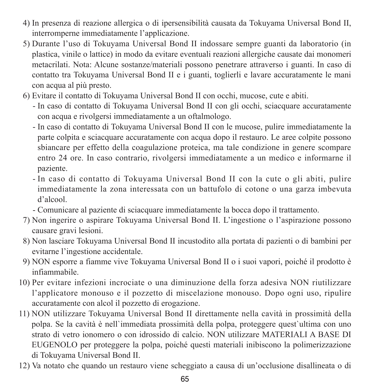- 4) In presenza di reazione allergica o di ipersensibilità causata da Tokuyama Universal Bond II, interromperne immediatamente l'applicazione.
- 5) Durante l'uso di Tokuyama Universal Bond II indossare sempre guanti da laboratorio (in plastica, vinile o lattice) in modo da evitare eventuali reazioni allergiche causate dai monomeri metacrilati. Nota: Alcune sostanze/materiali possono penetrare attraverso i guanti. In caso di contatto tra Tokuyama Universal Bond II e i guanti, toglierli e lavare accuratamente le mani con acqua al più presto.
- 6) Evitare il contatto di Tokuyama Universal Bond II con occhi, mucose, cute e abiti.
	- - In caso di contatto di Tokuyama Universal Bond II con gli occhi, sciacquare accuratamente con acqua e rivolgersi immediatamente a un oftalmologo.
	- - In caso di contatto di Tokuyama Universal Bond II con le mucose, pulire immediatamente la parte colpita e sciacquare accuratamente con acqua dopo il restauro. Le aree colpite possono sbiancare per effetto della coagulazione proteica, ma tale condizione in genere scompare entro 24 ore. In caso contrario, rivolgersi immediatamente a un medico e informarne il paziente.
	- - In caso di contatto di Tokuyama Universal Bond II con la cute o gli abiti, pulire immediatamente la zona interessata con un battufolo di cotone o una garza imbevuta d'alcool.
	- Comunicare al paziente di sciacquare immediatamente la bocca dopo il trattamento.
- 7) Non ingerire o aspirare Tokuyama Universal Bond II. L'ingestione o l'aspirazione possono causare gravi lesioni.
- 8) Non lasciare Tokuyama Universal Bond II incustodito alla portata di pazienti o di bambini per evitarne l'ingestione accidentale.
- 9) NON esporre a fiamme vive Tokuyama Universal Bond II o i suoi vapori, poiché il prodotto è infiammabile.
- 10) Per evitare infezioni incrociate o una diminuzione della forza adesiva NON riutilizzare l'applicatore monouso e il pozzetto di miscelazione monouso. Dopo ogni uso, ripulire accuratamente con alcol il pozzetto di erogazione.
- 11) NON utilizzare Tokuyama Universal Bond II direttamente nella cavità in prossimità della polpa. Se la cavità è nell`immediata prossimità della polpa, proteggere quest`ultima con uno strato di vetro ionomero o con idrossido di calcio. NON utilizzare MATERIALI A BASE DI EUGENOLO per proteggere la polpa, poiché questi materiali inibiscono la polimerizzazione di Tokuyama Universal Bond II.
- 12) Va notato che quando un restauro viene scheggiato a causa di un'occlusione disallineata o di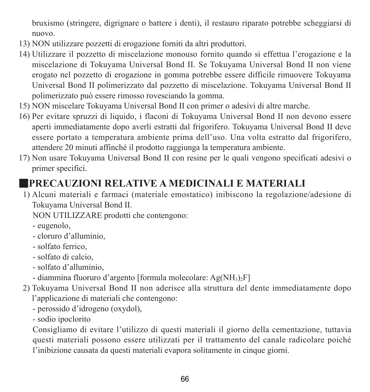bruxismo (stringere, digrignare o battere i denti), il restauro riparato potrebbe scheggiarsi di nuovo.

- 13) NON utilizzare pozzetti di erogazione forniti da altri produttori.
- 14) Utilizzare il pozzetto di miscelazione monouso fornito quando si effettua l'erogazione e la miscelazione di Tokuyama Universal Bond II. Se Tokuyama Universal Bond II non viene erogato nel pozzetto di erogazione in gomma potrebbe essere difficile rimuovere Tokuyama Universal Bond II polimerizzato dal pozzetto di miscelazione. Tokuyama Universal Bond II polimerizzato può essere rimosso rovesciando la gomma.
- 15) NON miscelare Tokuyama Universal Bond II con primer o adesivi di altre marche.
- 16) Per evitare spruzzi di liquido, i flaconi di Tokuyama Universal Bond II non devono essere aperti immediatamente dopo averli estratti dal frigorifero. Tokuyama Universal Bond II deve essere portato a temperatura ambiente prima dell'uso. Una volta estratto dal frigorifero, attendere 20 minuti affinché il prodotto raggiunga la temperatura ambiente.
- 17) Non usare Tokuyama Universal Bond II con resine per le quali vengono specificati adesivi o primer specifici.

## ■**PRECAUZIONI RELATIVE A MEDICINALI E MATERIALI**

1) Alcuni materiali e farmaci (materiale emostatico) inibiscono la regolazione/adesione di Tokuyama Universal Bond II.

NON UTILIZZARE prodotti che contengono:

- eugenolo,

- cloruro d'alluminio,
- solfato ferrico,
- solfato di calcio,
- solfato d'alluminio,
- diammina fluoruro d'argento [formula molecolare: Ag(NH3)2F]
- 2) Tokuyama Universal Bond II non aderisce alla struttura del dente immediatamente dopo l'applicazione di materiali che contengono:
	- perossido d'idrogeno (oxydol),
	- sodio ipoclorito

 Consigliamo di evitare l'utilizzo di questi materiali il giorno della cementazione, tuttavia questi materiali possono essere utilizzati per il trattamento del canale radicolare poiché l'inibizione causata da questi materiali evapora solitamente in cinque giorni.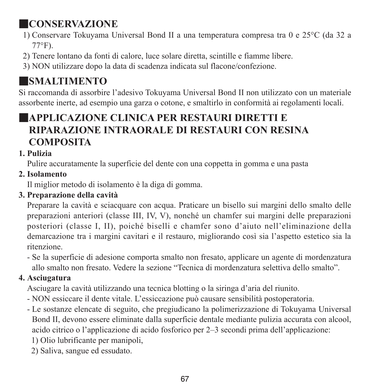# ■**CONSERVAZIONE**

- 1) Conservare Tokuyama Universal Bond II a una temperatura compresa tra 0 e 25°C (da 32 a 77°F).
- 2) Tenere lontano da fonti di calore, luce solare diretta, scintille e fiamme libere.
- 3) NON utilizzare dopo la data di scadenza indicata sul flacone/confezione.

# ■**SMALTIMENTO**

Si raccomanda di assorbire l'adesivo Tokuyama Universal Bond II non utilizzato con un materiale assorbente inerte, ad esempio una garza o cotone, e smaltirlo in conformità ai regolamenti locali.

## ■**APPLICAZIONE CLINICA PER RESTAURI DIRETTI E RIPARAZIONE INTRAORALE DI RESTAURI CON RESINA COMPOSITA**

### **1. Pulizia**

Pulire accuratamente la superficie del dente con una coppetta in gomma e una pasta

**2. Isolamento**

Il miglior metodo di isolamento è la diga di gomma.

### **3. Preparazione della cavità**

Preparare la cavità e sciacquare con acqua. Praticare un bisello sui margini dello smalto delle preparazioni anteriori (classe III, IV, V), nonché un chamfer sui margini delle preparazioni posteriori (classe I, II), poiché biselli e chamfer sono d'aiuto nell'eliminazione della demarcazione tra i margini cavitari e il restauro, migliorando così sia l'aspetto estetico sia la ritenzione.

- Se la superficie di adesione comporta smalto non fresato, applicare un agente di mordenzatura allo smalto non fresato. Vedere la sezione "Tecnica di mordenzatura selettiva dello smalto".

### **4. Asciugatura**

Asciugare la cavità utilizzando una tecnica blotting o la siringa d'aria del riunito.

- NON essiccare il dente vitale. L'essiccazione può causare sensibilità postoperatoria.
- Le sostanze elencate di seguito, che pregiudicano la polimerizzazione di Tokuyama Universal Bond II, devono essere eliminate dalla superficie dentale mediante pulizia accurata con alcool, acido citrico o l'applicazione di acido fosforico per 2–3 secondi prima dell'applicazione:
	- 1) Olio lubrificante per manipoli,
	- 2) Saliva, sangue ed essudato.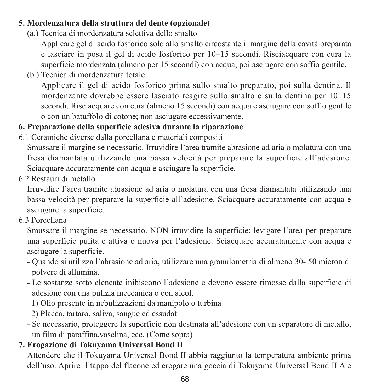#### **5. Mordenzatura della struttura del dente (opzionale)**

(a.) Tecnica di mordenzatura selettiva dello smalto

 Applicare gel di acido fosforico solo allo smalto circostante il margine della cavità preparata e lasciare in posa il gel di acido fosforico per 10–15 secondi. Risciacquare con cura la superficie mordenzata (almeno per 15 secondi) con acqua, poi asciugare con soffio gentile.

(b.) Tecnica di mordenzatura totale

 Applicare il gel di acido fosforico prima sullo smalto preparato, poi sulla dentina. Il mordenzante dovrebbe essere lasciato reagire sullo smalto e sulla dentina per 10–15 secondi. Risciacquare con cura (almeno 15 secondi) con acqua e asciugare con soffio gentile o con un batuffolo di cotone; non asciugare eccessivamente.

### **6. Preparazione della superficie adesiva durante la riparazione**

- 6.1 Ceramiche diverse dalla porcellana e materiali compositi Smussare il margine se necessario. Irruvidire l'area tramite abrasione ad aria o molatura con una fresa diamantata utilizzando una bassa velocità per preparare la superficie all'adesione. Sciacquare accuratamente con acqua e asciugare la superficie.
- 6.2 Restauri di metallo

Irruvidire l'area tramite abrasione ad aria o molatura con una fresa diamantata utilizzando una bassa velocità per preparare la superficie all'adesione. Sciacquare accuratamente con acqua e asciugare la superficie.

6.3 Porcellana

Smussare il margine se necessario. NON irruvidire la superficie; levigare l'area per preparare una superficie pulita e attiva o nuova per l'adesione. Sciacquare accuratamente con acqua e asciugare la superficie.

- Quando si utilizza l'abrasione ad aria, utilizzare una granulometria di almeno 30- 50 micron di polvere di allumina.
- Le sostanze sotto elencate inibiscono l'adesione e devono essere rimosse dalla superficie di adesione con una pulizia meccanica o con alcol.
	- 1) Olio presente in nebulizzazioni da manipolo o turbina

2) Placca, tartaro, saliva, sangue ed essudati

- Se necessario, proteggere la superficie non destinata all'adesione con un separatore di metallo, un film di paraffina,vaselina, ecc. (Come sopra)

## **7. Erogazione di Tokuyama Universal Bond II**

Attendere che il Tokuyama Universal Bond II abbia raggiunto la temperatura ambiente prima dell'uso. Aprire il tappo del flacone ed erogare una goccia di Tokuyama Universal Bond II A e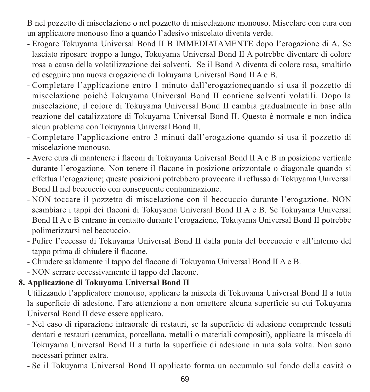B nel pozzetto di miscelazione o nel pozzetto di miscelazione monouso. Miscelare con cura con un applicatore monouso fino a quando l'adesivo miscelato diventa verde.

- Erogare Tokuyama Universal Bond II B IMMEDIATAMENTE dopo l'erogazione di A. Se lasciato riposare troppo a lungo, Tokuyama Universal Bond II A potrebbe diventare di colore rosa a causa della volatilizzazione dei solventi. Se il Bond A diventa di colore rosa, smaltirlo ed eseguire una nuova erogazione di Tokuyama Universal Bond II A e B.
- Completare l'applicazione entro 1 minuto dall'erogazionequando si usa il pozzetto di miscelazione poiché Tokuyama Universal Bond II contiene solventi volatili. Dopo la miscelazione, il colore di Tokuyama Universal Bond II cambia gradualmente in base alla reazione del catalizzatore di Tokuyama Universal Bond II. Questo è normale e non indica alcun problema con Tokuyama Universal Bond II.
- Completare l'applicazione entro 3 minuti dall'erogazione quando si usa il pozzetto di miscelazione monouso.
- Avere cura di mantenere i flaconi di Tokuyama Universal Bond II A e B in posizione verticale durante l'erogazione. Non tenere il flacone in posizione orizzontale o diagonale quando si effettua l'erogazione; queste posizioni potrebbero provocare il reflusso di Tokuyama Universal Bond II nel beccuccio con conseguente contaminazione.
- NON toccare il pozzetto di miscelazione con il beccuccio durante l'erogazione. NON scambiare i tappi dei flaconi di Tokuyama Universal Bond II A e B. Se Tokuyama Universal Bond II A e B entrano in contatto durante l'erogazione, Tokuyama Universal Bond II potrebbe polimerizzarsi nel beccuccio.
- Pulire l'eccesso di Tokuyama Universal Bond II dalla punta del beccuccio e all'interno del tappo prima di chiudere il flacone.
- Chiudere saldamente il tappo del flacone di Tokuyama Universal Bond II A e B.
- NON serrare eccessivamente il tappo del flacone.

### **8. Applicazione di Tokuyama Universal Bond II**

Utilizzando l'applicatore monouso, applicare la miscela di Tokuyama Universal Bond II a tutta la superficie di adesione. Fare attenzione a non omettere alcuna superficie su cui Tokuyama Universal Bond II deve essere applicato.

- Nel caso di riparazione intraorale di restauri, se la superficie di adesione comprende tessuti dentari e restauri (ceramica, porcellana, metalli o materiali compositi), applicare la miscela di Tokuyama Universal Bond II a tutta la superficie di adesione in una sola volta. Non sono necessari primer extra.
- Se il Tokuyama Universal Bond II applicato forma un accumulo sul fondo della cavità o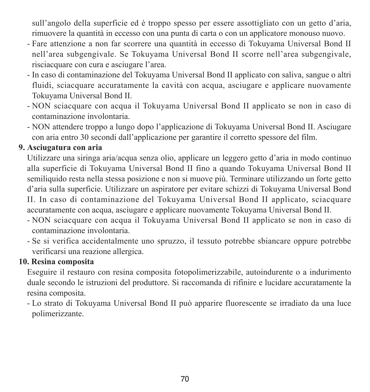sull'angolo della superficie ed è troppo spesso per essere assottigliato con un getto d'aria. rimuovere la quantità in eccesso con una punta di carta o con un applicatore monouso nuovo.

- Fare attenzione a non far scorrere una quantità in eccesso di Tokuyama Universal Bond II nell'area subgengivale. Se Tokuyama Universal Bond II scorre nell'area subgengivale, risciacquare con cura e asciugare l'area.
- In caso di contaminazione del Tokuyama Universal Bond II applicato con saliva, sangue o altri fluidi, sciacquare accuratamente la cavità con acqua, asciugare e applicare nuovamente Tokuyama Universal Bond II.
- NON sciacquare con acqua il Tokuyama Universal Bond II applicato se non in caso di contaminazione involontaria.
- NON attendere troppo a lungo dopo l'applicazione di Tokuyama Universal Bond II. Asciugare con aria entro 30 secondi dall'applicazione per garantire il corretto spessore del film.

### **9. Asciugatura con aria**

Utilizzare una siringa aria/acqua senza olio, applicare un leggero getto d'aria in modo continuo alla superficie di Tokuyama Universal Bond II fino a quando Tokuyama Universal Bond II semiliquido resta nella stessa posizione e non si muove più. Terminare utilizzando un forte getto d'aria sulla superficie. Utilizzare un aspiratore per evitare schizzi di Tokuyama Universal Bond II. In caso di contaminazione del Tokuyama Universal Bond II applicato, sciacquare accuratamente con acqua, asciugare e applicare nuovamente Tokuyama Universal Bond II.

- NON sciacquare con acqua il Tokuyama Universal Bond II applicato se non in caso di contaminazione involontaria.
- Se si verifica accidentalmente uno spruzzo, il tessuto potrebbe sbiancare oppure potrebbe verificarsi una reazione allergica.

### **10. Resina composita**

Eseguire il restauro con resina composita fotopolimerizzabile, autoindurente o a indurimento duale secondo le istruzioni del produttore. Si raccomanda di rifinire e lucidare accuratamente la resina composita.

- Lo strato di Tokuyama Universal Bond II può apparire fluorescente se irradiato da una luce polimerizzante.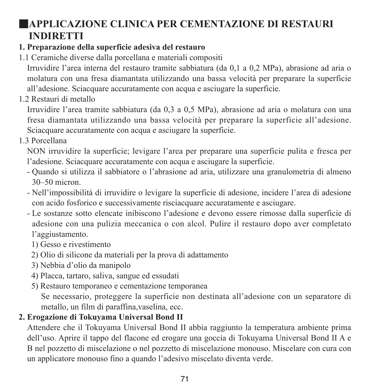## ■**APPLICAZIONE CLINICA PER CEMENTAZIONE DI RESTAURI INDIRETTI**

### **1. Preparazione della superficie adesiva del restauro**

1.1 Ceramiche diverse dalla porcellana e materiali compositi

Irruvidire l'area interna del restauro tramite sabbiatura (da 0,1 a 0,2 MPa), abrasione ad aria o molatura con una fresa diamantata utilizzando una bassa velocità per preparare la superficie all'adesione. Sciacquare accuratamente con acqua e asciugare la superficie.

1.2 Restauri di metallo

Irruvidire l'area tramite sabbiatura (da 0,3 a 0,5 MPa), abrasione ad aria o molatura con una fresa diamantata utilizzando una bassa velocità per preparare la superficie all'adesione. Sciacquare accuratamente con acqua e asciugare la superficie.

1.3 Porcellana

NON irruvidire la superficie; levigare l'area per preparare una superficie pulita e fresca per l'adesione. Sciacquare accuratamente con acqua e asciugare la superficie.

- Quando si utilizza il sabbiatore o l'abrasione ad aria, utilizzare una granulometria di almeno 30–50 micron.
- Nell'impossibilità di irruvidire o levigare la superficie di adesione, incidere l'area di adesione con acido fosforico e successivamente risciacquare accuratamente e asciugare.
- Le sostanze sotto elencate inibiscono l'adesione e devono essere rimosse dalla superficie di adesione con una pulizia meccanica o con alcol. Pulire il restauro dopo aver completato l'aggiustamento.
	- 1) Gesso e rivestimento
	- 2) Olio di silicone da materiali per la prova di adattamento
	- 3) Nebbia d'olio da manipolo
	- 4) Placca, tartaro, saliva, sangue ed essudati
	- 5) Restauro temporaneo e cementazione temporanea

 Se necessario, proteggere la superficie non destinata all'adesione con un separatore di metallo, un film di paraffina,vaselina, ecc.

## **2. Erogazione di Tokuyama Universal Bond II**

Attendere che il Tokuyama Universal Bond II abbia raggiunto la temperatura ambiente prima dell'uso. Aprire il tappo del flacone ed erogare una goccia di Tokuyama Universal Bond II A e B nel pozzetto di miscelazione o nel pozzetto di miscelazione monouso. Miscelare con cura con un applicatore monouso fino a quando l'adesivo miscelato diventa verde.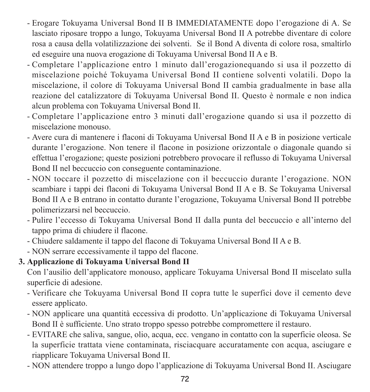- Erogare Tokuyama Universal Bond II B IMMEDIATAMENTE dopo l'erogazione di A. Se lasciato riposare troppo a lungo, Tokuyama Universal Bond II A potrebbe diventare di colore rosa a causa della volatilizzazione dei solventi. Se il Bond A diventa di colore rosa, smaltirlo ed eseguire una nuova erogazione di Tokuyama Universal Bond II A e B.
- Completare l'applicazione entro 1 minuto dall'erogazionequando si usa il pozzetto di miscelazione poiché Tokuyama Universal Bond II contiene solventi volatili. Dopo la miscelazione, il colore di Tokuyama Universal Bond II cambia gradualmente in base alla reazione del catalizzatore di Tokuyama Universal Bond II. Questo è normale e non indica alcun problema con Tokuyama Universal Bond II.
- Completare l'applicazione entro 3 minuti dall'erogazione quando si usa il pozzetto di miscelazione monouso.
- Avere cura di mantenere i flaconi di Tokuyama Universal Bond II A e B in posizione verticale durante l'erogazione. Non tenere il flacone in posizione orizzontale o diagonale quando si effettua l'erogazione; queste posizioni potrebbero provocare il reflusso di Tokuyama Universal Bond II nel beccuccio con conseguente contaminazione.
- NON toccare il pozzetto di miscelazione con il beccuccio durante l'erogazione. NON scambiare i tappi dei flaconi di Tokuyama Universal Bond II A e B. Se Tokuyama Universal Bond II A e B entrano in contatto durante l'erogazione, Tokuyama Universal Bond II potrebbe polimerizzarsi nel beccuccio.
- Pulire l'eccesso di Tokuyama Universal Bond II dalla punta del beccuccio e all'interno del tappo prima di chiudere il flacone.
- Chiudere saldamente il tappo del flacone di Tokuyama Universal Bond II A e B.
- NON serrare eccessivamente il tappo del flacone.

### **3. Applicazione di Tokuyama Universal Bond II**

Con l'ausilio dell'applicatore monouso, applicare Tokuyama Universal Bond II miscelato sulla superficie di adesione.

- Verificare che Tokuyama Universal Bond II copra tutte le superfici dove il cemento deve essere applicato.
- NON applicare una quantità eccessiva di prodotto. Un'applicazione di Tokuyama Universal Bond II è sufficiente. Uno strato troppo spesso potrebbe compromettere il restauro.
- EVITARE che saliva, sangue, olio, acqua, ecc. vengano in contatto con la superficie oleosa. Se la superficie trattata viene contaminata, risciacquare accuratamente con acqua, asciugare e riapplicare Tokuyama Universal Bond II.
- NON attendere troppo a lungo dopo l'applicazione di Tokuyama Universal Bond II. Asciugare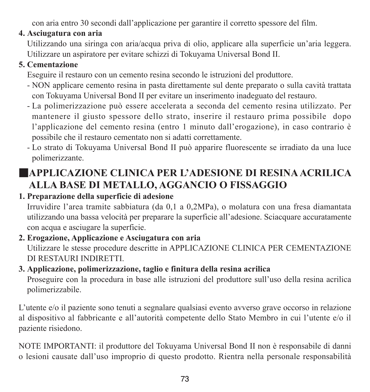con aria entro 30 secondi dall'applicazione per garantire il corretto spessore del film.

### **4. Asciugatura con aria**

Utilizzando una siringa con aria/acqua priva di olio, applicare alla superficie un'aria leggera. Utilizzare un aspiratore per evitare schizzi di Tokuyama Universal Bond II.

#### **5. Cementazione**

Eseguire il restauro con un cemento resina secondo le istruzioni del produttore.

- NON applicare cemento resina in pasta direttamente sul dente preparato o sulla cavità trattata con Tokuyama Universal Bond II per evitare un inserimento inadeguato del restauro.
- La polimerizzazione può essere accelerata a seconda del cemento resina utilizzato. Per mantenere il giusto spessore dello strato, inserire il restauro prima possibile dopo l'applicazione del cemento resina (entro 1 minuto dall'erogazione), in caso contrario è possibile che il restauro cementato non si adatti correttamente.
- Lo strato di Tokuyama Universal Bond II può apparire fluorescente se irradiato da una luce polimerizzante.

# ■**APPLICAZIONE CLINICA PER L'ADESIONE DI RESINAACRILICA ALLA BASE DI METALLO, AGGANCIO O FISSAGGIO**

### **1. Preparazione della superficie di adesione**

Irruvidire l'area tramite sabbiatura (da 0,1 a 0,2MPa), o molatura con una fresa diamantata utilizzando una bassa velocità per preparare la superficie all'adesione. Sciacquare accuratamente con acqua e asciugare la superficie.

#### **2. Erogazione, Applicazione e Asciugatura con aria** Utilizzare le stesse procedure descritte in APPLICAZIONE CLINICA PER CEMENTAZIONE DI RESTAURI INDIRETTI.

#### **3. Applicazione, polimerizzazione, taglio e finitura della resina acrilica**

Proseguire con la procedura in base alle istruzioni del produttore sull'uso della resina acrilica polimerizzabile.

L'utente e/o il paziente sono tenuti a segnalare qualsiasi evento avverso grave occorso in relazione al dispositivo al fabbricante e all'autorità competente dello Stato Membro in cui l'utente e/o il paziente risiedono.

NOTE IMPORTANTI: il produttore del Tokuyama Universal Bond II non è responsabile di danni o lesioni causate dall'uso improprio di questo prodotto. Rientra nella personale responsabilità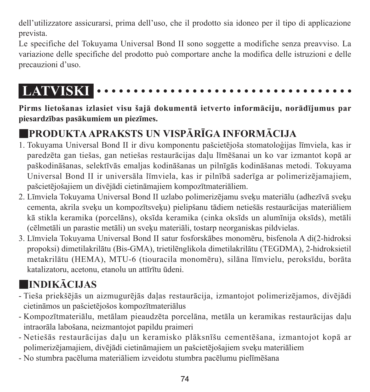dell'utilizzatore assicurarsi, prima dell'uso, che il prodotto sia idoneo per il tipo di applicazione prevista.

Le specifiche del Tokuyama Universal Bond II sono soggette a modifiche senza preavviso. La variazione delle specifiche del prodotto può comportare anche la modifica delle istruzioni e delle precauzioni d'uso.

# **LATVISKI**

**Pirms lietošanas izlasiet visu šajā dokumentā ietverto informāciju, norādījumus par piesardzības pasākumiem un piezīmes.**

# ■**PRODUKTAAPRAKSTS UN VISPĀRĪGA INFORMĀCIJA**

- 1. Tokuyama Universal Bond II ir divu komponentu pašcietējoša stomatoloģijas līmviela, kas ir paredzēta gan tiešas, gan netiešas restaurācijas daļu līmēšanai un ko var izmantot kopā ar paškodināšanas, selektīvās emaljas kodināšanas un pilnīgās kodināšanas metodi. Tokuyama Universal Bond II ir universāla līmviela, kas ir pilnībā saderīga ar polimerizējamajiem, pašcietējošajiem un divējādi cietināmajiem kompozītmateriāliem.
- 2. Līmviela Tokuyama Universal Bond II uzlabo polimerizējamu sveķu materiālu (adhezīvā sveķu cementa, akrila sveķu un kompozītsveķu) pielipšanu tādiem netiešās restaurācijas materiāliem kā stikla keramika (porcelāns), oksīda keramika (cinka oksīds un alumīnija oksīds), metāli (cēlmetāli un parastie metāli) un sveķu materiāli, tostarp neorganiskas pildvielas.
- 3. Līmviela Tokuyama Universal Bond II satur fosforskābes monomēru, bisfenola A di(2-hidroksi propoksi) dimetilakrilātu (Bis-GMA), trietilēnglikola dimetilakrilātu (TEGDMA), 2-hidroksietil metakrilātu (HEMA), MTU-6 (tiouracila monomēru), silāna līmvielu, peroksīdu, borāta katalizatoru, acetonu, etanolu un attīrītu ūdeni.

# ■**INDIKĀCIJAS**

- Tieša priekšējās un aizmugurējās daļas restaurācija, izmantojot polimerizējamos, divējādi cietināmos un pašcietējošos kompozītmateriālus
- Kompozītmateriālu, metālam pieaudzēta porcelāna, metāla un keramikas restaurācijas daļu intraorāla labošana, neizmantojot papildu praimeri
- Netiešās restaurācijas daļu un keramisko plāksnīšu cementēšana, izmantojot kopā ar polimerizējamajiem, divējādi cietināmajiem un pašcietējošajiem sveķu materiāliem
- No stumbra pacēluma materiāliem izveidotu stumbra pacēlumu pielīmēšana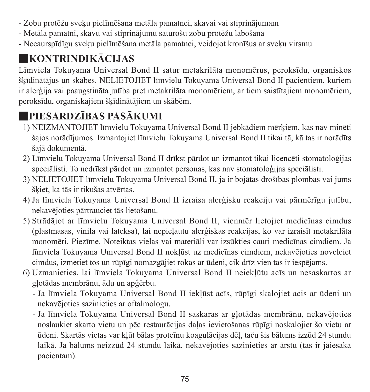- Zobu protēžu sveķu pielīmēšana metāla pamatnei, skavai vai stiprinājumam
- Metāla pamatni, skavu vai stiprinājumu saturošu zobu protēžu labošana
- Necaurspīdīgu sveķu pielīmēšana metāla pamatnei, veidojot kronīšus ar sveķu virsmu

# ■**KONTRINDIKĀCIJAS**

Līmviela Tokuyama Universal Bond II satur metakrilāta monomērus, peroksīdu, organiskos šķīdinātājus un skābes. NELIETOJIET līmvielu Tokuyama Universal Bond II pacientiem, kuriem ir alerģija vai paaugstināta jutība pret metakrilāta monomēriem, ar tiem saistītajiem monomēriem, peroksīdu, organiskajiem šķīdinātājiem un skābēm.

# ■**PIESARDZĪBAS PASĀKUMI**

- 1) NEIZMANTOJIET līmvielu Tokuyama Universal Bond II jebkādiem mērķiem, kas nav minēti šajos norādījumos. Izmantojiet līmvielu Tokuyama Universal Bond II tikai tā, kā tas ir norādīts šajā dokumentā.
- 2) Līmvielu Tokuyama Universal Bond II drīkst pārdot un izmantot tikai licencēti stomatoloģijas speciālisti. To nedrīkst pārdot un izmantot personas, kas nav stomatoloģijas speciālisti.
- 3) NELIETOJIET līmvielu Tokuyama Universal Bond II, ja ir bojātas drošības plombas vai jums šķiet, ka tās ir tikušas atvērtas.
- 4) Ja līmviela Tokuyama Universal Bond II izraisa alerģisku reakciju vai pārmērīgu jutību, nekavējoties pārtrauciet tās lietošanu.
- 5) Strādājot ar līmvielu Tokuyama Universal Bond II, vienmēr lietojiet medicīnas cimdus (plastmasas, vinila vai lateksa), lai nepieļautu alerģiskas reakcijas, ko var izraisīt metakrilāta monomēri. Piezīme. Noteiktas vielas vai materiāli var izsūkties cauri medicīnas cimdiem. Ja līmviela Tokuyama Universal Bond II nokļūst uz medicīnas cimdiem, nekavējoties novelciet cimdus, izmetiet tos un rūpīgi nomazgājiet rokas ar ūdeni, cik drīz vien tas ir iespējams.
- 6) Uzmanieties, lai līmviela Tokuyama Universal Bond II neiekļūtu acīs un nesaskartos ar gļotādas membrānu, ādu un apģērbu.
	- - Ja līmviela Tokuyama Universal Bond II iekļūst acīs, rūpīgi skalojiet acis ar ūdeni un nekavējoties sazinieties ar oftalmologu.
	- - Ja līmviela Tokuyama Universal Bond II saskaras ar gļotādas membrānu, nekavējoties noslaukiet skarto vietu un pēc restaurācijas daļas ievietošanas rūpīgi noskalojiet šo vietu ar ūdeni. Skartās vietas var kļūt bālas proteīnu koagulācijas dēļ, taču šis bālums izzūd 24 stundu laikā. Ja bālums neizzūd 24 stundu laikā, nekavējoties sazinieties ar ārstu (tas ir jāiesaka pacientam).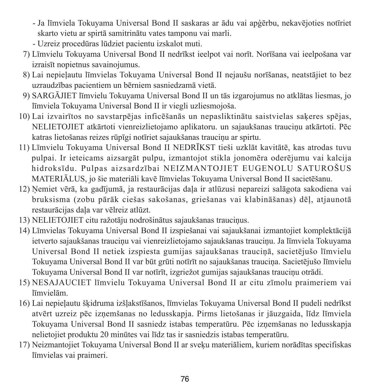- - Ja līmviela Tokuyama Universal Bond II saskaras ar ādu vai apģērbu, nekavējoties notīriet skarto vietu ar spirtā samitrinātu vates tamponu vai marli.
- Uzreiz procedūras lūdziet pacientu izskalot muti.
- 7) Līmvielu Tokuyama Universal Bond II nedrīkst ieelpot vai norīt. Norīšana vai ieelpošana var izraisīt nopietnus savainojumus.
- 8) Lai nepieļautu līmvielas Tokuyama Universal Bond II nejaušu norīšanas, neatstājiet to bez uzraudzības pacientiem un bērniem sasniedzamā vietā.
- 9) SARGĀJIET līmvielu Tokuyama Universal Bond II un tās izgarojumus no atklātas liesmas, jo līmviela Tokuyama Universal Bond II ir viegli uzliesmojoša.
- 10) Lai izvairītos no savstarpējas inficēšanās un nepasliktinātu saistvielas saķeres spējas, NELIETOJIET atkārtoti vienreizlietojamo aplikatoru. un sajaukšanas trauciņu atkārtoti. Pēc katras lietošanas reizes rūpīgi notīriet sajaukšanas trauciņu ar spirtu.
- 11) Līmvielu Tokuyama Universal Bond II NEDRĪKST tieši uzklāt kavitātē, kas atrodas tuvu pulpai. Ir ieteicams aizsargāt pulpu, izmantojot stikla jonomēra oderējumu vai kalcija hidroksīdu. Pulpas aizsardzībai NEIZMANTOJIET EUGENOLU SATUROŠUS MATERIĀLUS, jo šie materiāli kavē līmvielas Tokuyama Universal Bond II sacietēšanu.
- 12) Ņemiet vērā, ka gadījumā, ja restaurācijas daļa ir atlūzusi nepareizi salāgota sakodiena vai bruksisma (zobu pārāk ciešas sakošanas, griešanas vai klabināšanas) dēļ, atjaunotā restaurācijas daļa var vēlreiz atlūzt.
- 13) NELIETOJIET citu ražotāju nodrošinātus sajaukšanas trauciņus.
- 14) Līmvielas Tokuyama Universal Bond II izspiešanai vai sajaukšanai izmantojiet komplektācijā ietverto sajaukšanas trauciņu vai vienreizlietojamo sajaukšanas trauciņu. Ja līmviela Tokuyama Universal Bond II netiek izspiesta gumijas sajaukšanas trauciņā, sacietējušo līmvielu Tokuyama Universal Bond II var būt grūti notīrīt no sajaukšanas trauciņa. Sacietējušo līmvielu Tokuyama Universal Bond II var notīrīt, izgriežot gumijas sajaukšanas trauciņu otrādi.
- 15) NESAJAUCIET līmvielu Tokuyama Universal Bond II ar citu zīmolu praimeriem vai līmvielām.
- 16) Lai nepieļautu šķidruma izšļakstīšanos, līmvielas Tokuyama Universal Bond II pudeli nedrīkst atvērt uzreiz pēc izņemšanas no ledusskapja. Pirms lietošanas ir jāuzgaida, līdz līmviela Tokuyama Universal Bond II sasniedz istabas temperatūru. Pēc izņemšanas no ledusskapja nelietojiet produktu 20 minūtes vai līdz tas ir sasniedzis istabas temperatūru.
- 17) Neizmantojiet Tokuyama Universal Bond II ar sveķu materiāliem, kuriem norādītas specifiskas līmvielas vai praimeri.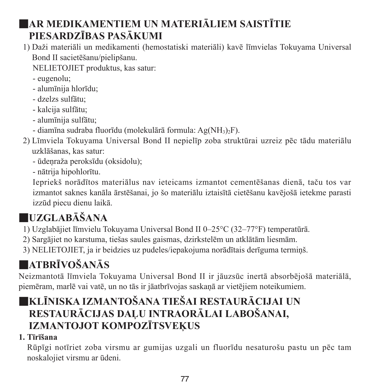# ■**AR MEDIKAMENTIEM UN MATERIĀLIEM SAISTĪTIE PIESARDZĪBAS PASĀKUMI**

- 1) Daži materiāli un medikamenti (hemostatiski materiāli) kavē līmvielas Tokuyama Universal Bond II sacietēšanu/pielipšanu.
	- NELIETOJIET produktus, kas satur:
	- eugenolu;
	- alumīnija hlorīdu;
	- dzelzs sulfātu;
	- kalcija sulfātu;
	- alumīnija sulfātu;
	- diamīna sudraba fluorīdu (molekulārā formula: Ag(NH3)2F).
- 2) Līmviela Tokuyama Universal Bond II nepielīp zoba struktūrai uzreiz pēc tādu materiālu uzklāšanas, kas satur:
	- ūdeņraža peroksīdu (oksidolu);
	- nātrija hipohlorītu.

 Iepriekš norādītos materiālus nav ieteicams izmantot cementēšanas dienā, taču tos var izmantot saknes kanāla ārstēšanai, jo šo materiālu iztaisītā cietēšanu kavējošā ietekme parasti izzūd piecu dienu laikā.

# ■**UZGLABĀŠANA**

- 1) Uzglabājiet līmvielu Tokuyama Universal Bond II 0–25°C (32–77°F) temperatūrā.
- 2) Sargājiet no karstuma, tiešas saules gaismas, dzirkstelēm un atklātām liesmām.
- 3) NELIETOJIET, ja ir beidzies uz pudeles/iepakojuma norādītais derīguma termiņš.

# ■**ATBRĪVOŠANĀS**

Neizmantotā līmviela Tokuyama Universal Bond II ir jāuzsūc inertā absorbējošā materiālā, piemēram, marlē vai vatē, un no tās ir jāatbrīvojas saskaņā ar vietējiem noteikumiem.

# ■**KLĪNISKA IZMANTOŠANA TIEŠAI RESTAURĀCIJAI UN RESTAURĀCIJAS DAĻU INTRAORĀLAI LABOŠANAI, IZMANTOJOT KOMPOZĪTSVEĶUS**

## **1. Tīrīšana**

Rūpīgi notīriet zoba virsmu ar gumijas uzgali un fluorīdu nesaturošu pastu un pēc tam noskalojiet virsmu ar ūdeni.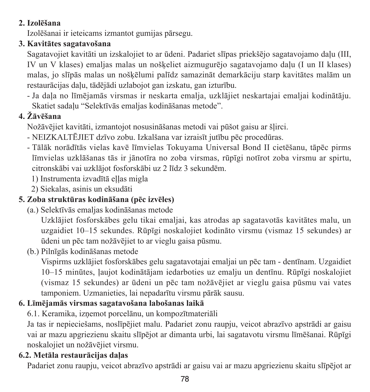#### **2. Izolēšana**

Izolēšanai ir ieteicams izmantot gumijas pārsegu.

#### **3. Kavitātes sagatavošana**

Sagatavojiet kavitāti un izskalojiet to ar ūdeni. Padariet slīpas priekšējo sagatavojamo daļu (III, IV un V klases) emaljas malas un nošķeliet aizmugurējo sagatavojamo daļu (I un II klases) malas, jo slīpās malas un nošķēlumi palīdz samazināt demarkāciju starp kavitātes malām un restaurācijas daļu, tādējādi uzlabojot gan izskatu, gan izturību.

- Ja daļa no līmējamās virsmas ir neskarta emalja, uzklājiet neskartajai emaljai kodinātāju. Skatiet sadaļu "Selektīvās emaljas kodināšanas metode".

### **4. Žāvēšana**

Nožāvējiet kavitāti, izmantojot nosusināšanas metodi vai pūšot gaisu ar šļirci.

- NEIZKALTĒJIET dzīvo zobu. Izkalšana var izraisīt jutību pēc procedūras.
- Tālāk norādītās vielas kavē līmvielas Tokuyama Universal Bond II cietēšanu, tāpēc pirms līmvielas uzklāšanas tās ir jānotīra no zoba virsmas, rūpīgi notīrot zoba virsmu ar spirtu, citronskābi vai uzklājot fosforskābi uz 2 līdz 3 sekundēm.

1) Instrumenta izvadītā eļļas migla

2) Siekalas, asinis un eksudāti

### **5. Zoba struktūras kodināšana (pēc izvēles)**

(a.) Selektīvās emaljas kodināšanas metode

 Uzklājiet fosforskābes gelu tikai emaljai, kas atrodas ap sagatavotās kavitātes malu, un uzgaidiet 10–15 sekundes. Rūpīgi noskalojiet kodināto virsmu (vismaz 15 sekundes) ar ūdeni un pēc tam nožāvējiet to ar vieglu gaisa pūsmu.

(b.) Pilnīgās kodināšanas metode

 Vispirms uzklājiet fosforskābes gelu sagatavotajai emaljai un pēc tam - dentīnam. Uzgaidiet 10–15 minūtes, ļaujot kodinātājam iedarboties uz emalju un dentīnu. Rūpīgi noskalojiet (vismaz 15 sekundes) ar ūdeni un pēc tam nožāvējiet ar vieglu gaisa pūsmu vai vates tamponiem. Uzmanieties, lai nepadarītu virsmu pārāk sausu.

### **6. Līmējamās virsmas sagatavošana labošanas laikā**

6.1. Keramika, izņemot porcelānu, un kompozītmateriāli

Ja tas ir nepieciešams, noslīpējiet malu. Padariet zonu raupju, veicot abrazīvo apstrādi ar gaisu vai ar mazu apgriezienu skaitu slīpējot ar dimanta urbi, lai sagatavotu virsmu līmēšanai. Rūpīgi noskalojiet un nožāvējiet virsmu.

### **6.2. Metāla restaurācijas daļas**

Padariet zonu raupju, veicot abrazīvo apstrādi ar gaisu vai ar mazu apgriezienu skaitu slīpējot ar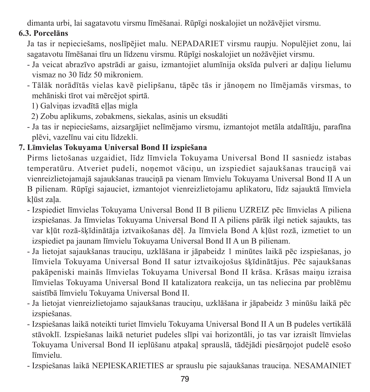dimanta urbi, lai sagatavotu virsmu līmēšanai. Rūpīgi noskalojiet un nožāvējiet virsmu.

#### **6.3. Porcelāns**

Ja tas ir nepieciešams, noslīpējiet malu. NEPADARIET virsmu raupju. Nopulējiet zonu, lai sagatavotu līmēšanai tīru un līdzenu virsmu. Rūpīgi noskalojiet un nožāvējiet virsmu.

- Ja veicat abrazīvo apstrādi ar gaisu, izmantojiet alumīnija oksīda pulveri ar daļiņu lielumu vismaz no 30 līdz 50 mikroniem.
- Tālāk norādītās vielas kavē pielipšanu, tāpēc tās ir jānoņem no līmējamās virsmas, to mehāniski tīrot vai mērcējot spirtā.

1) Galviņas izvadītā ellas migla

- 2) Zobu aplikums, zobakmens, siekalas, asinis un eksudāti
- Ja tas ir nepieciešams, aizsargājiet nelīmējamo virsmu, izmantojot metāla atdalītāju, parafīna plēvi, vazelīnu vai citu līdzekli.

### **7. Līmvielas Tokuyama Universal Bond II izspiešana**

Pirms lietošanas uzgaidiet, līdz līmviela Tokuyama Universal Bond II sasniedz istabas temperatūru. Atveriet pudeli, noņemot vāciņu, un izspiediet sajaukšanas trauciņā vai vienreizlietojamajā sajaukšanas trauciņā pa vienam līmvielu Tokuyama Universal Bond II A un B pilienam. Rūpīgi sajauciet, izmantojot vienreizlietojamu aplikatoru, līdz sajauktā līmviela kļūst zaļa.

- Izspiediet līmvielas Tokuyama Universal Bond II B pilienu UZREIZ pēc līmvielas A piliena izspiešanas. Ja līmvielas Tokuyama Universal Bond II A piliens pārāk ilgi netiek sajaukts, tas var kļūt rozā-šķīdinātāja iztvaikošanas dēļ. Ja līmviela Bond A kļūst rozā, izmetiet to un izspiediet pa jaunam līmvielu Tokuyama Universal Bond II A un B pilienam.
- Ja lietojat sajaukšanas trauciņu, uzklāšana ir jāpabeidz 1 minūtes laikā pēc izspiešanas, jo līmviela Tokuyama Universal Bond II satur iztvaikojošus šķīdinātājus. Pēc sajaukšanas pakāpeniski mainās līmvielas Tokuyama Universal Bond II krāsa. Krāsas maiņu izraisa līmvielas Tokuyama Universal Bond II katalizatora reakcija, un tas neliecina par problēmu saistībā līmvielu Tokuyama Universal Bond II.
- Ja lietojat vienreizlietojamo sajaukšanas trauciņu, uzklāšana ir jāpabeidz 3 minūšu laikā pēc izspiešanas.
- Izspiešanas laikā noteikti turiet līmvielu Tokuyama Universal Bond II A un B pudeles vertikālā stāvoklī. Izspiešanas laikā neturiet pudeles slīpi vai horizontāli, jo tas var izraisīt līmvielas Tokuyama Universal Bond II ieplūšanu atpakaļ sprauslā, tādējādi piesārņojot pudelē esošo līmvielu.
- Izspiešanas laikā NEPIESKARIETIES ar sprauslu pie sajaukšanas trauciņa. NESAMAINIET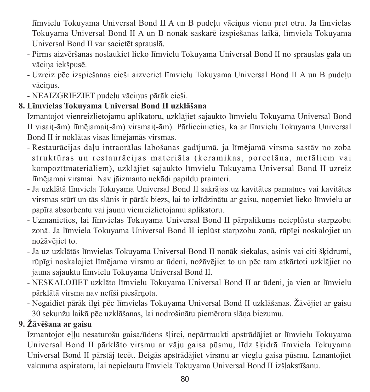līmvielu Tokuyama Universal Bond II A un B pudeļu vāciņus vienu pret otru. Ja līmvielas Tokuyama Universal Bond II A un B nonāk saskarē izspiešanas laikā, līmviela Tokuyama Universal Bond II var sacietēt sprauslā.

- Pirms aizvēršanas noslaukiet lieko līmvielu Tokuyama Universal Bond II no sprauslas gala un vāciņa iekšpusē.
- Uzreiz pēc izspiešanas cieši aizveriet līmvielu Tokuyama Universal Bond II A un B pudeļu vāciņus.
- NEAIZGRIEZIET pudeļu vāciņus pārāk cieši.

#### **8. Līmvielas Tokuyama Universal Bond II uzklāšana**

Izmantojot vienreizlietojamu aplikatoru, uzklājiet sajaukto līmvielu Tokuyama Universal Bond II visai(-ām) līmējamai(-ām) virsmai(-ām). Pārliecinieties, ka ar līmvielu Tokuyama Universal Bond II ir noklātas visas līmējamās virsmas.

- Restaurācijas daļu intraorālas labošanas gadījumā, ja līmējamā virsma sastāv no zoba struktūras un restaurācijas materiāla (keramikas, porcelāna, metāliem vai kompozītmateriāliem), uzklājiet sajaukto līmvielu Tokuyama Universal Bond II uzreiz līmējamai virsmai. Nav jāizmanto nekādi papildu praimeri.
- Ja uzklātā līmviela Tokuyama Universal Bond II sakrājas uz kavitātes pamatnes vai kavitātes virsmas stūrī un tās slānis ir pārāk biezs, lai to izlīdzinātu ar gaisu, noņemiet lieko līmvielu ar papīra absorbentu vai jaunu vienreizlietojamu aplikatoru.
- Uzmanieties, lai līmvielas Tokuyama Universal Bond II pārpalikums neieplūstu starpzobu zonā. Ja līmviela Tokuyama Universal Bond II ieplūst starpzobu zonā, rūpīgi noskalojiet un nožāvējiet to.
- Ja uz uzklātās līmvielas Tokuyama Universal Bond II nonāk siekalas, asinis vai citi šķidrumi, rūpīgi noskalojiet līmējamo virsmu ar ūdeni, nožāvējiet to un pēc tam atkārtoti uzklājiet no jauna sajauktu līmvielu Tokuyama Universal Bond II.
- NESKALOJIET uzklāto līmvielu Tokuyama Universal Bond II ar ūdeni, ja vien ar līmvielu pārklātā virsma nav netīši piesārņota.
- Negaidiet pārāk ilgi pēc līmvielas Tokuyama Universal Bond II uzklāšanas. Žāvējiet ar gaisu 30 sekunžu laikā pēc uzklāšanas, lai nodrošinātu piemērotu slāņa biezumu.

### **9. Žāvēšana ar gaisu**

Izmantojot eļļu nesaturošu gaisa/ūdens šļirci, nepārtraukti apstrādājiet ar līmvielu Tokuyama Universal Bond II pārklāto virsmu ar vāju gaisa pūsmu, līdz šķidrā līmviela Tokuyama Universal Bond II pārstāj tecēt. Beigās apstrādājiet virsmu ar vieglu gaisa pūsmu. Izmantojiet vakuuma aspiratoru, lai nepieļautu līmviela Tokuyama Universal Bond II izšļakstīšanu.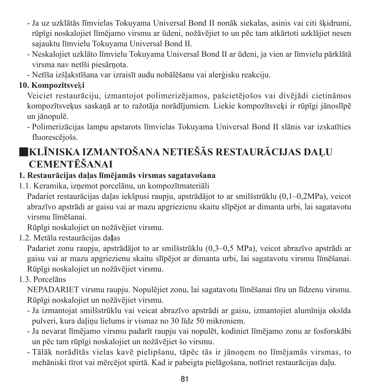- Ja uz uzklātās līmvielas Tokuyama Universal Bond II nonāk siekalas, asinis vai citi šķidrumi, rūpīgi noskalojiet līmējamo virsmu ar ūdeni, nožāvējiet to un pēc tam atkārtoti uzklājiet nesen sajauktu līmvielu Tokuyama Universal Bond II.
- Neskalojiet uzklāto līmvielu Tokuyama Universal Bond II ar ūdeni, ja vien ar līmvielu pārklātā virsma nav netīši piesārņota.
- Netīša izšļakstīšana var izraisīt audu nobālēšanu vai alerģisku reakciju.

#### **10. Kompozītsve**ķ**i**

Veiciet restaurāciju, izmantojot polimerizējamos, pašcietējošos vai divējādi cietināmos kompozītsveķus saskaņā ar to ražotāja norādījumiem. Liekie kompozītsveķi ir rūpīgi jānoslīpē un jānopulē.

- Polimerizācijas lampu apstarots līmvielas Tokuyama Universal Bond II slānis var izskatīties fluorescējošs.

# ■**KLĪNISKA IZMANTOŠANA NETIEŠĀS RESTAURĀCIJAS DAĻU CEMENTĒŠANAI**

#### **1. Restaurācijas daļas līmējamās virsmas sagatavošana**

1.1. Keramika, izņemot porcelānu, un kompozītmateriāli

Padariet restaurācijas daļas iekšpusi raupju, apstrādājot to ar smilšstrūklu (0,1–0,2MPa), veicot abrazīvo apstrādi ar gaisu vai ar mazu apgriezienu skaitu slīpējot ar dimanta urbi, lai sagatavotu virsmu līmēšanai.

Rūpīgi noskalojiet un nožāvējiet virsmu.

1.2. Metāla restaurācijas da**ļ**as

Padariet zonu raupju, apstrādājot to ar smilšstrūklu (0,3–0,5 MPa), veicot abrazīvo apstrādi ar gaisu vai ar mazu apgriezienu skaitu slīpējot ar dimanta urbi, lai sagatavotu virsmu līmēšanai. Rūpīgi noskalojiet un nožāvējiet virsmu.

1.3. Porcelāns

NEPADARIET virsmu raupju. Nopulējiet zonu, lai sagatavotu līmēšanai tīru un līdzenu virsmu. Rūpīgi noskalojiet un nožāvējiet virsmu.

- Ja izmantojat smilšstrūklu vai veicat abrazīvo apstrādi ar gaisu, izmantojiet alumīnija oksīda pulveri, kura daļiņu lielums ir vismaz no 30 līdz 50 mikroniem.
- Ja nevarat līmējamo virsmu padarīt raupju vai nopulēt, kodiniet līmējamo zonu ar fosforskābi un pēc tam rūpīgi noskalojiet un nožāvējiet šo virsmu.
- Tālāk norādītās vielas kavē pielipšanu, tāpēc tās ir jānoņem no līmējamās virsmas, to mehāniski tīrot vai mērcējot spirtā. Kad ir pabeigta pielāgošana, notīriet restaurācijas daļu.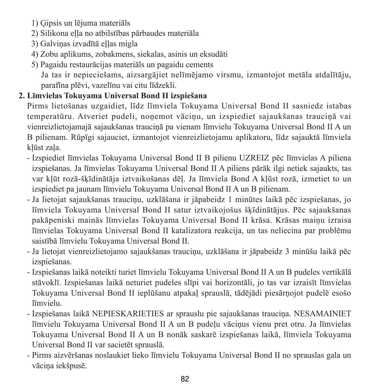- 1) Ģipsis un lējuma materiāls
- 2) Silikona ella no atbilstības pārbaudes materiāla
- 3) Galviņas izvadītā ellas migla
- 4) Zobu aplikums, zobakmens, siekalas, asinis un eksudāti
- 5) Pagaidu restaurācijas materiāls un pagaidu cements

 Ja tas ir nepieciešams, aizsargājiet nelīmējamo virsmu, izmantojot metāla atdalītāju, parafīna plēvi, vazelīnu vai citu līdzekli.

#### **2. Līmvielas Tokuyama Universal Bond II izspiešana**

Pirms lietošanas uzgaidiet, līdz līmviela Tokuyama Universal Bond II sasniedz istabas temperatūru. Atveriet pudeli, noņemot vāciņu, un izspiediet sajaukšanas trauciņā vai vienreizlietojamajā sajaukšanas trauciņā pa vienam līmvielu Tokuyama Universal Bond II A un B pilienam. Rūpīgi sajauciet, izmantojot vienreizlietojamu aplikatoru, līdz sajauktā līmviela kļūst zaļa.

- Izspiediet līmvielas Tokuyama Universal Bond II B pilienu UZREIZ pēc līmvielas A piliena izspiešanas. Ja līmvielas Tokuyama Universal Bond II A piliens pārāk ilgi netiek sajaukts, tas var kļūt rozā-šķīdinātāja iztvaikošanas dēļ. Ja līmviela Bond A kļūst rozā, izmetiet to un izspiediet pa jaunam līmvielu Tokuyama Universal Bond II A un B pilienam.
- Ja lietojat sajaukšanas trauciņu, uzklāšana ir jāpabeidz 1 minūtes laikā pēc izspiešanas, jo līmviela Tokuyama Universal Bond II satur iztvaikojošus šķīdinātājus. Pēc sajaukšanas pakāpeniski mainās līmvielas Tokuyama Universal Bond II krāsa. Krāsas maiņu izraisa līmvielas Tokuyama Universal Bond II katalizatora reakcija, un tas neliecina par problēmu saistībā līmvielu Tokuyama Universal Bond II.
- Ja lietojat vienreizlietojamo sajaukšanas trauciņu, uzklāšana ir jāpabeidz 3 minūšu laikā pēc izspiešanas.
- Izspiešanas laikā noteikti turiet līmvielu Tokuyama Universal Bond II A un B pudeles vertikālā stāvoklī. Izspiešanas laikā neturiet pudeles slīpi vai horizontāli, jo tas var izraisīt līmvielas Tokuyama Universal Bond II ieplūšanu atpakaļ sprauslā, tādējādi piesārņojot pudelē esošo līmvielu.
- Izspiešanas laikā NEPIESKARIETIES ar sprauslu pie sajaukšanas trauciņa. NESAMAINIET līmvielu Tokuyama Universal Bond II A un B pudeļu vāciņus vienu pret otru. Ja līmvielas Tokuyama Universal Bond II A un B nonāk saskarē izspiešanas laikā, līmviela Tokuyama Universal Bond II var sacietēt sprauslā.
- Pirms aizvēršanas noslaukiet lieko līmvielu Tokuyama Universal Bond II no sprauslas gala un vāciņa iekšpusē.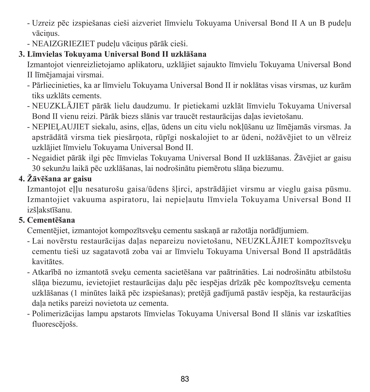- Uzreiz pēc izspiešanas cieši aizveriet līmvielu Tokuyama Universal Bond II A un B pudeļu vāciņus.
- NEAIZGRIEZIET pudeļu vāciņus pārāk cieši.

### **3. Līmvielas Tokuyama Universal Bond II uzklāšana**

Izmantojot vienreizlietojamo aplikatoru, uzklājiet sajaukto līmvielu Tokuyama Universal Bond II līmējamajai virsmai.

- Pārliecinieties, ka ar līmvielu Tokuyama Universal Bond II ir noklātas visas virsmas, uz kurām tiks uzklāts cements.
- NEUZKLĀJIET pārāk lielu daudzumu. Ir pietiekami uzklāt līmvielu Tokuyama Universal Bond II vienu reizi. Pārāk biezs slānis var traucēt restaurācijas daļas ievietošanu.
- NEPIELAUJIET siekalu, asins, ellas, ūdens un citu vielu nokļūšanu uz līmējamās virsmas. Ja apstrādātā virsma tiek piesārņota, rūpīgi noskalojiet to ar ūdeni, nožāvējiet to un vēlreiz uzklājiet līmvielu Tokuyama Universal Bond II.
- Negaidiet pārāk ilgi pēc līmvielas Tokuyama Universal Bond II uzklāšanas. Žāvējiet ar gaisu 30 sekunžu laikā pēc uzklāšanas, lai nodrošinātu piemērotu slāņa biezumu.

### **4. Žāvēšana ar gaisu**

Izmantojot eļļu nesaturošu gaisa/ūdens šļirci, apstrādājiet virsmu ar vieglu gaisa pūsmu. Izmantojiet vakuuma aspiratoru, lai nepieļautu līmviela Tokuyama Universal Bond II izšļakstīšanu.

### **5. Cementēšana**

Cementējiet, izmantojot kompozītsveķu cementu saskaņā ar ražotāja norādījumiem.

- Lai novērstu restaurācijas daļas nepareizu novietošanu, NEUZKLĀJIET kompozītsveķu cementu tieši uz sagatavotā zoba vai ar līmvielu Tokuyama Universal Bond II apstrādātās kavitātes.
- Atkarībā no izmantotā sveķu cementa sacietēšana var paātrināties. Lai nodrošinātu atbilstošu slāņa biezumu, ievietojiet restaurācijas daļu pēc iespējas drīzāk pēc kompozītsveķu cementa uzklāšanas (1 minūtes laikā pēc izspiešanas); pretējā gadījumā pastāv iespēja, ka restaurācijas daļa netiks pareizi novietota uz cementa.
- Polimerizācijas lampu apstarots līmvielas Tokuyama Universal Bond II slānis var izskatīties fluorescējošs.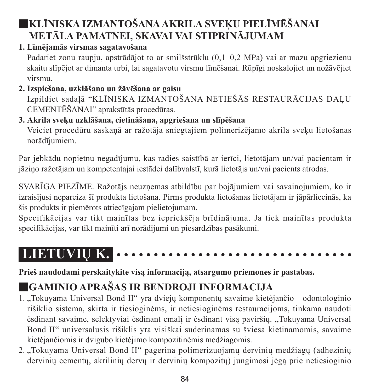# ■**KLĪNISKA IZMANTOŠANAAKRILA SVEĶU PIELĪMĒŠANAI METĀLA PAMATNEI, SKAVAI VAI STIPRINĀJUMAM**

#### **1. Līmējamās virsmas sagatavošana**

Padariet zonu raupju, apstrādājot to ar smilšstrūklu (0,1–0,2 MPa) vai ar mazu apgriezienu skaitu slīpējot ar dimanta urbi, lai sagatavotu virsmu līmēšanai. Rūpīgi noskalojiet un nožāvējiet virsmu.

#### **2. Izspiešana, uzklāšana un žāvēšana ar gaisu** Izpildiet sadaļā "KLĪNISKA IZMANTOŠANA NETIEŠĀS RESTAURĀCIJAS DALU CEMENTĒŠANAI" aprakstītās procedūras.

## **3. Akrila sveķu uzklāšana, cietināšana, apgriešana un slīpēšana**

Veiciet procedūru saskaņā ar ražotāja sniegtajiem polimerizējamo akrila sveķu lietošanas norādījumiem.

Par jebkādu nopietnu negadījumu, kas radies saistībā ar ierīci, lietotājam un/vai pacientam ir jāziņo ražotājam un kompetentajai iestādei dalībvalstī, kurā lietotājs un/vai pacients atrodas.

SVARĪGA PIEZĪME. Ražotājs neuzņemas atbildību par bojājumiem vai savainojumiem, ko ir izraisījusi nepareiza šī produkta lietošana. Pirms produkta lietošanas lietotājam ir jāpārliecinās, ka šis produkts ir piemērots attiecīgajam pielietojumam.

Specifikācijas var tikt mainītas bez iepriekšēja brīdinājuma. Ja tiek mainītas produkta specifikācijas, var tikt mainīti arī norādījumi un piesardzības pasākumi.

# **LIETUVIŲ K.**

**Prieš naudodami perskaitykite visą informaciją, atsargumo priemones ir pastabas.**

# ■**GAMINIO APRAŠAS IR BENDROJI INFORMACIJA**

- 1. "Tokuyama Universal Bond II" yra dviejų komponentų savaime kietėjančio odontologinio rišiklio sistema, skirta ir tiesioginėms, ir netiesioginėms restauracijoms, tinkama naudoti ėsdinant savaime, selektyviai ėsdinant emalį ir ėsdinant visą paviršių. "Tokuyama Universal Bond II" universalusis rišiklis yra visiškai suderinamas su šviesa kietinamomis, savaime kietėjančiomis ir dvigubo kietėjimo kompozitinėmis medžiagomis.
- 2. "Tokuyama Universal Bond II" pagerina polimerizuojamų dervinių medžiagų (adhezinių dervinių cementų, akrilinių dervų ir dervinių kompozitų) jungimosi jėgą prie netiesioginio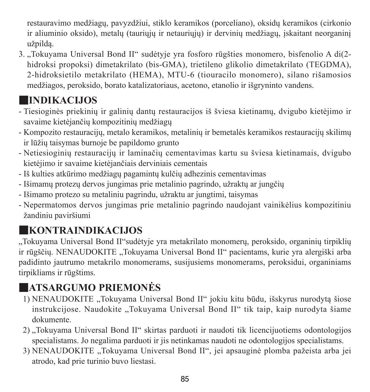restauravimo medžiagų, pavyzdžiui, stiklo keramikos (porceliano), oksidų keramikos (cirkonio ir aliuminio oksido), metalų (tauriųjų ir netauriųjų) ir dervinių medžiagų, įskaitant neorganinį užpildą.

3. "Tokuyama Universal Bond II" sudėtyje yra fosforo rūgšties monomero, bisfenolio A di(2 hidroksi propoksi) dimetakrilato (bis-GMA), trietileno glikolio dimetakrilato (TEGDMA), 2-hidroksietilo metakrilato (HEMA), MTU-6 (tiouracilo monomero), silano rišamosios medžiagos, peroksido, borato katalizatoriaus, acetono, etanolio ir išgryninto vandens.

# ■**INDIKACIJOS**

- Tiesioginės priekinių ir galinių dantų restauracijos iš šviesa kietinamų, dvigubo kietėjimo ir savaime kietėjančių kompozitinių medžiagų
- Kompozito restauracijų, metalo keramikos, metalinių ir bemetalės keramikos restauracijų skilimų ir lūžių taisymas burnoje be papildomo grunto
- Netiesioginių restauracijų ir laminačių cementavimas kartu su šviesa kietinamais, dvigubo kietėjimo ir savaime kietėjančiais derviniais cementais
- Iš kulties atkūrimo medžiagų pagamintų kulčių adhezinis cementavimas
- Išimamų protezų dervos jungimas prie metalinio pagrindo, užraktų ar jungčių
- Išimamo protezo su metaliniu pagrindu, užraktu ar jungtimi, taisymas
- Nepermatomos dervos jungimas prie metalinio pagrindo naudojant vainikėlius kompozitiniu žandiniu paviršiumi

# ■**KONTRAINDIKACIJOS**

"Tokuyama Universal Bond II"sudėtyje yra metakrilato monomerų, peroksido, organinių tirpiklių ir rūgščių. NENAUDOKITE "Tokuyama Universal Bond II" pacientams, kurie yra alergiški arba padidinto jautrumo metakrilo monomerams, susijusiems monomerams, peroksidui, organiniams tirpikliams ir rūgštims.

# ■**ATSARGUMO PRIEMONĖS**

- 1) NENAUDOKITE "Tokuyama Universal Bond II" jokiu kitu būdu, išskyrus nurodytą šiose instrukcijose. Naudokite "Tokuyama Universal Bond II" tik taip, kaip nurodyta šiame dokumente.
- 2) "Tokuyama Universal Bond II" skirtas parduoti ir naudoti tik licencijuotiems odontologijos specialistams. Jo negalima parduoti ir jis netinkamas naudoti ne odontologijos specialistams.
- 3) NENAUDOKITE "Tokuyama Universal Bond II", jei apsauginė plomba pažeista arba jei atrodo, kad prie turinio buvo liestasi.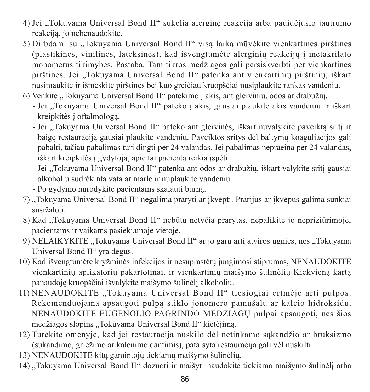- 4) Jei "Tokuyama Universal Bond II" sukelia alerginę reakciją arba padidėjusio jautrumo reakciją, jo nebenaudokite.
- 5) Dirbdami su "Tokuyama Universal Bond II" visa laika mūvėkite vienkartines pirštines (plastikines, vinilines, lateksines), kad išvengtumėte alerginių reakcijų į metakrilato monomerus tikimybės. Pastaba. Tam tikros medžiagos gali persiskverbti per vienkartines pirštines. Jei "Tokuvama Universal Bond II" patenka ant vienkartinių pirštinių, iškart nusimaukite ir išmeskite pirštines bei kuo greičiau kruopščiai nusiplaukite rankas vandeniu.
- 6) Venkite "Tokuyama Universal Bond II" patekimo į akis, ant gleivinių, odos ar drabužių.
	- Jei "Tokuyama Universal Bond II" pateko į akis, gausiai plaukite akis vandeniu ir iškart kreipkitės į oftalmologą.
	- Jei "Tokuyama Universal Bond II" pateko ant gleivinės, iškart nuvalykite paveikta sritį ir baigę restauraciją gausiai plaukite vandeniu. Paveiktos sritys dėl baltymų koaguliacijos gali pabalti, tačiau pabalimas turi dingti per 24 valandas. Jei pabalimas nepraeina per 24 valandas, iškart kreipkitės į gydytoją, apie tai pacientą reikia įspėti.
	- Jei "Tokuyama Universal Bond II" patenka ant odos ar drabužių, iškart valykite sriti gausiai alkoholiu sudrėkinta vata ar marle ir nuplaukite vandeniu.
	- Po gydymo nurodykite pacientams skalauti burną.
- 7) "Tokuyama Universal Bond II" negalima praryti ar įkvėpti. Prarijus ar įkvėpus galima sunkiai susižaloti.
- 8) Kad ...Tokuyama Universal Bond II" nebūtų netyčia prarytas, nepalikite jo neprižiūrimoje, pacientams ir vaikams pasiekiamoje vietoje.
- 9) NELAIKYKITE ...Tokuyama Universal Bond II" ar jo garų arti atviros ugnies, nes ...Tokuyama Universal Bond II" yra degus.
- 10) Kad išvengtumėte kryžminės infekcijos ir nesuprastėtų jungimosi stiprumas, NENAUDOKITE vienkartinių aplikatorių pakartotinai. ir vienkartinių maišymo šulinėlių Kiekvieną kartą panaudoję kruopščiai išvalykite maišymo šulinėlį alkoholiu.
- 11) NENAUDOKITE "Tokuyama Universal Bond II" tiesiogiai ertmėje arti pulpos. Rekomenduojama apsaugoti pulpą stiklo jonomero pamušalu ar kalcio hidroksidu. NENAUDOKITE EUGENOLIO PAGRINDO MEDŽIAGŲ pulpai apsaugoti, nes šios medžiagos slopins "Tokuvama Universal Bond II" kietėjimą.
- 12) Turėkite omenyje, kad jei restauracija nuskilo dėl netinkamo sąkandžio ar bruksizmo (sukandimo, griežimo ar kalenimo dantimis), pataisyta restauracija gali vėl nuskilti.
- 13) NENAUDOKITE kitų gamintojų tiekiamų maišymo šulinėlių.
- 14) "Tokuyama Universal Bond II" dozuoti ir maišyti naudokite tiekiamą maišymo šulinėlį arba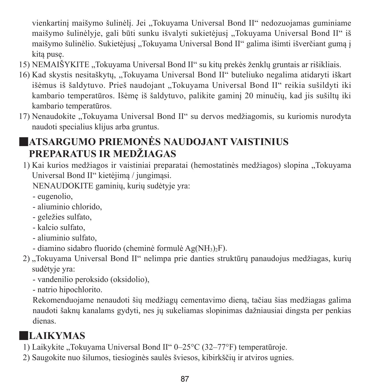vienkartinį maišymo šulinėlį. Jei "Tokuyama Universal Bond II" nedozuojamas guminiame maišymo šulinėlyje, gali būti sunku išvalyti sukietėjusi "Tokuyama Universal Bond II" iš maišymo šulinėlio. Sukietėjusį "Tokuyama Universal Bond II" galima išimti išverčiant gumą į kitą pusę.

- 15) NEMAIŠYKITE ..Tokuyama Universal Bond II" su kitų prekės ženklų gruntais ar rišikliais.
- 16) Kad skystis nesitaškytų, "Tokuyama Universal Bond II" buteliuko negalima atidaryti iškart išėmus iš šaldytuvo. Prieš naudojant "Tokuyama Universal Bond II" reikia sušildyti iki kambario temperatūros. Išėmę iš šaldytuvo, palikite gaminį 20 minučių, kad jis sušiltų iki kambario temperatūros.
- 17) Nenaudokite "Tokuyama Universal Bond II" su dervos medžiagomis, su kuriomis nurodyta naudoti specialius klijus arba gruntus.

# ■**ATSARGUMO PRIEMONĖS NAUDOJANT VAISTINIUS PREPARATUS IR MEDŽIAGAS**

1) Kai kurios medžiagos ir vaistiniai preparatai (hemostatinės medžiagos) slopina "Tokuyama Universal Bond II" kietėjimą / jungimąsi.

NENAUDOKITE gaminių, kurių sudėtyje yra:

- eugenolio,
- aliuminio chlorido,
- geležies sulfato,
- kalcio sulfato,
- aliuminio sulfato,
- diamino sidabro fluorido (cheminė formulė Ag(NH3)<sub>2</sub>F).
- 2) "Tokuyama Universal Bond II" nelimpa prie danties struktūrų panaudojus medžiagas, kurių sudėtyje yra:
	- vandenilio peroksido (oksidolio),
	- natrio hipochlorito.

 Rekomenduojame nenaudoti šių medžiagų cementavimo dieną, tačiau šias medžiagas galima naudoti šaknų kanalams gydyti, nes jų sukeliamas slopinimas dažniausiai dingsta per penkias dienas.

# ■**LAIKYMAS**

- 1) Laikykite "Tokuyama Universal Bond II" 0–25°C (32–77°F) temperatūroje.
- 2) Saugokite nuo šilumos, tiesioginės saulės šviesos, kibirkščių ir atviros ugnies.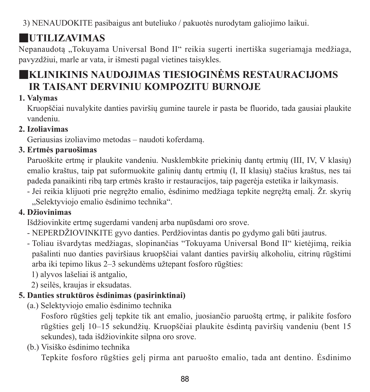3) NENAUDOKITE pasibaigus ant buteliuko / pakuotės nurodytam galiojimo laikui.

# ■**UTILIZAVIMAS**

Nepanaudota "Tokuyama Universal Bond II" reikia sugerti inertiška sugeriamaja medžiaga, pavyzdžiui, marle ar vata, ir išmesti pagal vietines taisykles.

# ■**KLINIKINIS NAUDOJIMAS TIESIOGINĖMS RESTAURACIJOMS IR TAISANT DERVINIU KOMPOZITU BURNOJE**

#### **1. Valymas**

Kruopščiai nuvalykite danties paviršių gumine taurele ir pasta be fluorido, tada gausiai plaukite vandeniu.

#### **2. Izoliavimas**

Geriausias izoliavimo metodas – naudoti koferdamą.

#### **3. Ertmės paruošimas**

Paruoškite ertmę ir plaukite vandeniu. Nusklembkite priekinių dantų ertmių (III, IV, V klasių) emalio kraštus, taip pat suformuokite galinių dantų ertmių (I, II klasių) stačius kraštus, nes tai padeda panaikinti ribą tarp ertmės krašto ir restauracijos, taip pagerėja estetika ir laikymasis.

- Jei reikia klijuoti prie negręžto emalio, ėsdinimo medžiaga tepkite negręžtą emalį. Žr. skyrių "Selektyviojo emalio ėsdinimo technika".

### **4. Džiovinimas**

Išdžiovinkite ertmę sugerdami vandenį arba nupūsdami oro srove.

- NEPERDŽIOVINKITE gyvo danties. Perdžiovintas dantis po gydymo gali būti jautrus.
- Toliau išvardytas medžiagas, slopinančias "Tokuyama Universal Bond II" kietėjimą, reikia pašalinti nuo danties paviršiaus kruopščiai valant danties paviršių alkoholiu, citrinų rūgštimi arba iki tepimo likus 2–3 sekundėms užtepant fosforo rūgšties:
	- 1) alyvos lašeliai iš antgalio,
	- 2) seilės, kraujas ir eksudatas.

### **5. Danties struktūros ėsdinimas (pasirinktinai)**

(a.) Selektyviojo emalio ėsdinimo technika

 Fosforo rūgšties gelį tepkite tik ant emalio, juosiančio paruoštą ertmę, ir palikite fosforo rūgšties gelį 10–15 sekundžių. Kruopščiai plaukite ėsdintą paviršių vandeniu (bent 15 sekundes), tada išdžiovinkite silpna oro srove.

(b.) Visiško ėsdinimo technika

Tepkite fosforo rūgšties gelį pirma ant paruošto emalio, tada ant dentino. Ėsdinimo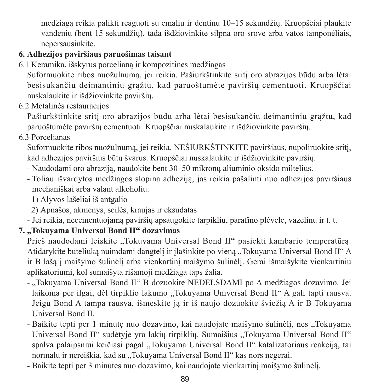medžiagą reikia palikti reaguoti su emaliu ir dentinu 10–15 sekundžių. Kruopščiai plaukite vandeniu (bent 15 sekundžių), tada išdžiovinkite silpna oro srove arba vatos tamponėliais, nepersausinkite.

### **6. Adhezijos paviršiaus paruošimas taisant**

6.1 Keramika, išskyrus porcelianą ir kompozitines medžiagas

Suformuokite ribos nuožulnumą, jei reikia. Pašiurkštinkite sritį oro abrazijos būdu arba lėtai besisukančiu deimantiniu grąžtu, kad paruoštumėte paviršių cementuoti. Kruopščiai nuskalaukite ir išdžiovinkite paviršių.

6.2 Metalinės restauracijos

Pašiurkštinkite sritį oro abrazijos būdu arba lėtai besisukančiu deimantiniu grąžtu, kad paruoštumėte paviršių cementuoti. Kruopščiai nuskalaukite ir išdžiovinkite paviršių.

6.3 Porcelianas

Suformuokite ribos nuožulnumą, jei reikia. NEŠIURKŠTINKITE paviršiaus, nupoliruokite sritį, kad adhezijos paviršius būtų švarus. Kruopščiai nuskalaukite ir išdžiovinkite paviršių.

- Naudodami oro abraziją, naudokite bent 30–50 mikronų aliuminio oksido miltelius.
- Toliau išvardytos medžiagos slopina adheziją, jas reikia pašalinti nuo adhezijos paviršiaus mechaniškai arba valant alkoholiu.

1) Alyvos lašeliai iš antgalio

2) Apnašos, akmenys, seilės, kraujas ir eksudatas

- Jei reikia, necementuojamą paviršių apsaugokite tarpikliu, parafino plėvele, vazelinu ir t. t.

#### **7. "Tokuyama Universal Bond II" dozavimas**

Prieš naudodami leiskite "Tokuyama Universal Bond II" pasiekti kambario temperatūrą. Atidarykite buteliuką nuimdami dangtelį ir įlašinkite po vieną "Tokuyama Universal Bond II" A ir B lašą į maišymo šulinėlį arba vienkartinį maišymo šulinėlį. Gerai išmaišykite vienkartiniu aplikatoriumi, kol sumaišyta rišamoji medžiaga taps žalia.

- "Tokuyama Universal Bond II" B dozuokite NEDELSDAMI po A medžiagos dozavimo. Jei laikoma per ilgai, dėl tirpiklio lakumo "Tokuyama Universal Bond II" A gali tapti rausva. Jeigu Bond A tampa rausva, išmeskite ją ir iš naujo dozuokite šviežią A ir B Tokuyama Universal Bond II.
- Baikite tepti per 1 minute nuo dozavimo, kai naudojate maišymo šulinėlį, nes "Tokuvama Universal Bond II" sudėtyje yra lakių tirpiklių. Sumaišius "Tokuyama Universal Bond II" spalva palaipsniui keičiasi pagal ...Tokuyama Universal Bond II" katalizatoriaus reakciją, tai normalu ir nereiškia, kad su "Tokuvama Universal Bond II" kas nors negerai.
- Baikite tepti per 3 minutes nuo dozavimo, kai naudojate vienkartinį maišymo šulinėlį.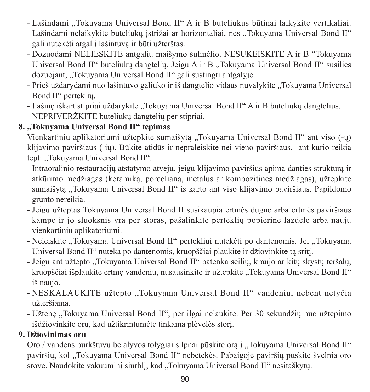- Lašindami "Tokuyama Universal Bond II" A ir B buteliukus būtinai laikykite vertikaliai. Lašindami nelaikykite buteliuku istrižai ar horizontaliai, nes "Tokuyama Universal Bond II" gali nutekėti atgal į lašintuvą ir būti užterštas.
- Dozuodami NELIESKITE antgaliu maišymo šulinėlio. NESUKEISKITE A ir B "Tokuyama Universal Bond II" buteliukų dangtelių. Jeigu A ir B "Tokuyama Universal Bond II" susilies dozuojant, "Tokuyama Universal Bond II" gali sustingti antgalyje.
- Prieš uždarydami nuo lašintuvo galiuko ir iš dangtelio vidaus nuvalykite "Tokuyama Universal Bond II" perteklių.
- Ilašinę iškart stipriai uždarykite "Tokuyama Universal Bond II" A ir B buteliukų dangtelius.
- NEPRIVERŽKITE buteliukų dangtelių per stipriai.

### **8. "Tokuyama Universal Bond II" tepimas**

Vienkartiniu aplikatoriumi užtepkite sumaišyta "Tokuyama Universal Bond II" ant viso (-u) klijavimo paviršiaus (-ių). Būkite atidūs ir nepraleiskite nei vieno paviršiaus, ant kurio reikia tepti ..Tokuvama Universal Bond II".

- Intraoralinio restauracijų atstatymo atveju, jeigu klijavimo paviršius apima danties struktūrą ir atkūrimo medžiagas (keramiką, porcelianą, metalus ar kompozitines medžiagas), užtepkite sumaišyta "Tokuyama Universal Bond II" iš karto ant viso klijavimo paviršiaus. Papildomo grunto nereikia.
- Jeigu užteptas Tokuyama Universal Bond II susikaupia ertmės dugne arba ertmės paviršiaus kampe ir jo sluoksnis yra per storas, pašalinkite perteklių popierine lazdele arba nauju vienkartiniu aplikatoriumi.
- Neleiskite "Tokuyama Universal Bond II" pertekliui nutekėti po dantenomis. Jei "Tokuyama Universal Bond II" nuteka po dantenomis, kruopščiai plaukite ir džiovinkite tą sritį.
- Jeigu ant užtepto "Tokuyama Universal Bond II" patenka seilių, kraujo ar kitų skystų teršalų, kruopščiai išplaukite ertme vandeniu, nusausinkite ir užtepkite "Tokuvama Universal Bond II" iš naujo.
- NESKALAUKITE užtepto "Tokuvama Universal Bond II" vandeniu, nebent netvčia užteršiama.
- Užtepę "Tokuyama Universal Bond II", per ilgai nelaukite. Per 30 sekundžių nuo užtepimo išdžiovinkite oru, kad užtikrintumėte tinkamą plėvelės storį.

### **9. Džiovinimas oru**

Oro / vandens purkštuvu be alyvos tolygiai silpnai pūskite ora į "Tokuvama Universal Bond II" paviršių, kol "Tokuvama Universal Bond II" nebetekės. Pabaigoje paviršių pūskite švelnia oro srove. Naudokite vakuuminį siurblį, kad "Tokuyama Universal Bond II" nesitaškytų.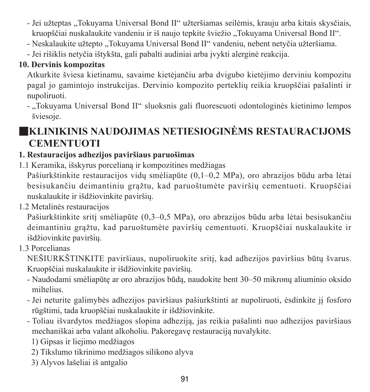- Jei užteptas "Tokuvama Universal Bond II" užteršiamas seilėmis, krauju arba kitais skysčiais, kruopščiai nuskalaukite vandeniu ir iš naujo tepkite šviežio "Tokuvama Universal Bond II".
- Neskalaukite užtepto "Tokuyama Universal Bond II" vandeniu, nebent netyčia užteršiama.
- Jei rišiklis netyčia ištykšta, gali pabalti audiniai arba įvykti alerginė reakcija.

#### **10. Dervinis kompozitas**

Atkurkite šviesa kietinamu, savaime kietėjančiu arba dvigubo kietėjimo derviniu kompozitu pagal jo gamintojo instrukcijas. Dervinio kompozito perteklių reikia kruopščiai pašalinti ir nupoliruoti.

- "Tokuyama Universal Bond II" sluoksnis gali fluorescuoti odontologinės kietinimo lempos šviesoje.

# ■**KLINIKINIS NAUDOJIMAS NETIESIOGINĖMS RESTAURACIJOMS CEMENTUOTI**

### **1. Restauracijos adhezijos paviršiaus paruošimas**

1.1 Keramika, išskyrus porcelianą ir kompozitines medžiagas

Pašiurkštinkite restauracijos vidų smėliapūte (0,1–0,2 MPa), oro abrazijos būdu arba lėtai besisukančiu deimantiniu grąžtu, kad paruoštumėte paviršių cementuoti. Kruopščiai nuskalaukite ir išdžiovinkite paviršių.

1.2 Metalinės restauracijos

Pašiurkštinkite sritį smėliapūte (0,3–0,5 MPa), oro abrazijos būdu arba lėtai besisukančiu deimantiniu grąžtu, kad paruoštumėte paviršių cementuoti. Kruopščiai nuskalaukite ir išdžiovinkite paviršių.

1.3 Porcelianas

NEŠIURKŠTINKITE paviršiaus, nupoliruokite sritį, kad adhezijos paviršius būtų švarus. Kruopščiai nuskalaukite ir išdžiovinkite paviršių.

- Naudodami smėliapūtę ar oro abrazijos būdą, naudokite bent 30–50 mikronų aliuminio oksido miltelius.
- Jei neturite galimybės adhezijos paviršiaus pašiurkštinti ar nupoliruoti, ėsdinkite jį fosforo rūgštimi, tada kruopščiai nuskalaukite ir išdžiovinkite.
- Toliau išvardytos medžiagos slopina adheziją, jas reikia pašalinti nuo adhezijos paviršiaus mechaniškai arba valant alkoholiu. Pakoregavę restauraciją nuvalykite.
	- 1) Gipsas ir liejimo medžiagos
	- 2) Tikslumo tikrinimo medžiagos silikono alyva
	- 3) Alyvos lašeliai iš antgalio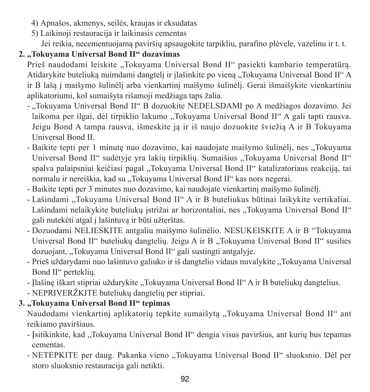- 4) Apnašos, akmenys, seilės, kraujas ir eksudatas
- 5) Laikinoji restauracija ir laikinasis cementas

Jei reikia, necementuojamą paviršių apsaugokite tarpikliu, parafino plėvele, vazelinu ir t. t.

#### **2. "Tokuyama Universal Bond II" dozavimas**

Prieš naudodami leiskite "Tokuyama Universal Bond II" pasiekti kambario temperatūrą. Atidarykite buteliuką nuimdami dangtelį ir įlašinkite po vieną "Tokuyama Universal Bond II" A ir B lašą į maišymo šulinėlį arba vienkartinį maišymo šulinėlį. Gerai išmaišykite vienkartiniu aplikatoriumi, kol sumaišyta rišamoji medžiaga taps žalia.

- "Tokuyama Universal Bond II" B dozuokite NEDELSDAMI po A medžiagos dozavimo. Jei laikoma per ilgai, dėl tirpiklio lakumo "Tokuyama Universal Bond II" A gali tapti rausva. Jeigu Bond A tampa rausva, išmeskite ją ir iš naujo dozuokite šviežią A ir B Tokuyama Universal Bond II.
- Baikite tepti per 1 minute nuo dozavimo, kai naudojate maišymo šulinėli, nes "Tokuyama Universal Bond II" sudėtvie yra lakių tirpiklių. Sumaišius "Tokuyama Universal Bond II" spalva palaipsniui keičiasi pagal "Tokuyama Universal Bond II" katalizatoriaus reakciją, tai normalu ir nereiškia, kad su "Tokuyama Universal Bond II" kas nors negerai.
- Baikite tepti per 3 minutes nuo dozavimo, kai naudojate vienkartinį maišymo šulinėlį.
- Lašindami "Tokuyama Universal Bond II" A ir B buteliukus būtinai laikykite vertikaliai. Lašindami nelaikykite buteliukų istrižai ar horizontaliai, nes "Tokuyama Universal Bond II" gali nutekėti atgal į lašintuvą ir būti užterštas.
- Dozuodami NELIESKITE antgaliu maišymo šulinėlio. NESUKEISKITE A ir B "Tokuyama Universal Bond II" buteliukų dangtelių. Jeigų A ir B. Tokuyama Universal Bond II" susilies dozuojant, "Tokuyama Universal Bond II" gali sustingti antgalyje.
- Prieš uždarydami nuo lašintuvo galiuko ir iš dangtelio vidaus nuvalykite "Tokuyama Universal Bond II" perteklių.
- Ilašine iškart stipriai uždarykite "Tokuvama Universal Bond II" A ir B buteliuku dangtelius.
- NEPRIVERŽKITE buteliukų dangtelių per stipriai.

#### **3. "Tokuyama Universal Bond II" tepimas**

Naudodami vienkartinį aplikatorių tepkite sumaišytą "Tokuyama Universal Bond II" ant reikiamo paviršiaus.

- Isitikinkite, kad "Tokuyama Universal Bond II" dengia visus paviršius, ant kurių bus tepamas cementas.
- NETEPKITE per daug. Pakanka vieno "Tokuyama Universal Bond II" sluoksnio. Dėl per storo sluoksnio restauracija gali netikti.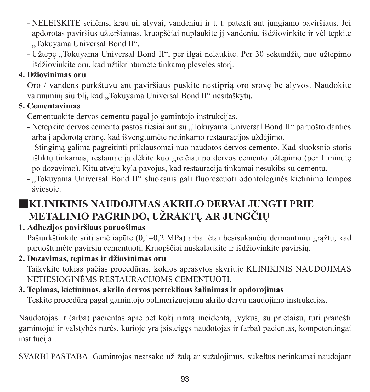- NELEISKITE seilėms, kraujui, alyvai, vandeniui ir t. t. patekti ant jungiamo paviršiaus. Jei apdorotas paviršius užteršiamas, kruopščiai nuplaukite jį vandeniu, išdžiovinkite ir vėl tepkite "Tokuyama Universal Bond II".
- Užtepe "Tokuyama Universal Bond II", per ilgai nelaukite. Per 30 sekundžiu nuo užtepimo išdžiovinkite oru, kad užtikrintumėte tinkamą plėvelės storį.

#### **4. Džiovinimas oru**

Oro / vandens purkštuvu ant paviršiaus pūskite nestiprią oro srovę be alyvos. Naudokite vakuuminį siurblį, kad "Tokuvama Universal Bond II" nesitaškytų.

### **5. Cementavimas**

Cementuokite dervos cementu pagal jo gamintojo instrukcijas.

- Netepkite dervos cemento pastos tiesiai ant su "Tokuyama Universal Bond II" paruošto danties arba į apdorotą ertmę, kad išvengtumėte netinkamo restauracijos uždėjimo.
- Stingimą galima pagreitinti priklausomai nuo naudotos dervos cemento. Kad sluoksnio storis išliktų tinkamas, restauraciją dėkite kuo greičiau po dervos cemento užtepimo (per 1 minutę po dozavimo). Kitu atveju kyla pavojus, kad restauracija tinkamai nesukibs su cementu.
- "Tokuyama Universal Bond II" sluoksnis gali fluorescuoti odontologinės kietinimo lempos šviesoje.

# ■**KLINIKINIS NAUDOJIMAS AKRILO DERVAI JUNGTI PRIE METALINIO PAGRINDO, UŽRAKTŲ AR JUNGČIŲ**

## **1. Adhezijos paviršiaus paruošimas**

Pašiurkštinkite sritį smėliapūte (0,1–0,2 MPa) arba lėtai besisukančiu deimantiniu grąžtu, kad paruoštumėte paviršių cementuoti. Kruopščiai nuskalaukite ir išdžiovinkite paviršių.

### **2. Dozavimas, tepimas ir džiovinimas oru**

Taikykite tokias pačias procedūras, kokios aprašytos skyriuje KLINIKINIS NAUDOJIMAS NETIESIOGINĖMS RESTAURACIJOMS CEMENTUOTI.

### **3. Tepimas, kietinimas, akrilo dervos pertekliaus šalinimas ir apdorojimas**

Tęskite procedūrą pagal gamintojo polimerizuojamų akrilo dervų naudojimo instrukcijas.

Naudotojas ir (arba) pacientas apie bet kokį rimtą incidentą, įvykusį su prietaisu, turi pranešti gamintojui ir valstybės narės, kurioje yra įsisteigęs naudotojas ir (arba) pacientas, kompetentingai institucijai.

SVARBI PASTABA. Gamintojas neatsako už žalą ar sužalojimus, sukeltus netinkamai naudojant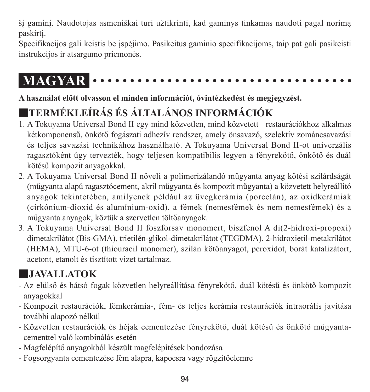šį gaminį. Naudotojas asmeniškai turi užtikrinti, kad gaminys tinkamas naudoti pagal norimą paskirtį.

Specifikacijos gali keistis be įspėjimo. Pasikeitus gaminio specifikacijoms, taip pat gali pasikeisti instrukcijos ir atsargumo priemonės.

# **MAGYAR**

### **A használat előtt olvasson el minden információt, óvintézkedést és megjegyzést.**

# ■**TERMÉKLEÍRÁS ÉS ÁLTALÁNOS INFORMÁCIÓK**

- 1. A Tokuyama Universal Bond II egy mind közvetlen, mind közvetett restaurációkhoz alkalmas kétkomponensű, önkötő fogászati adhezív rendszer, amely önsavazó, szelektív zománcsavazási és teljes savazási technikához használható. A Tokuyama Universal Bond II-ot univerzális ragasztóként úgy tervezték, hogy teljesen kompatibilis legyen a fényrekötő, önkötő és duál kötésű kompozit anyagokkal.
- 2. A Tokuyama Universal Bond II növeli a polimerizálandó műgyanta anyag kötési szilárdságát (műgyanta alapú ragasztócement, akril műgyanta és kompozit műgyanta) a közvetett helyreállító anyagok tekintetében, amilyenek például az üvegkerámia (porcelán), az oxidkerámiák (cirkónium-dioxid és alumínium-oxid), a fémek (nemesfémek és nem nemesfémek) és a műgyanta anyagok, köztük a szervetlen töltőanyagok.
- 3. A Tokuyama Universal Bond II foszforsav monomert, biszfenol A di(2-hidroxi-propoxi) dimetakrilátot (Bis-GMA), trietilén-glikol-dimetakrilátot (TEGDMA), 2-hidroxietil-metakrilátot (HEMA), MTU-6-ot (thiouracil monomer), szilán kötőanyagot, peroxidot, borát katalizátort, acetont, etanolt és tisztított vizet tartalmaz.

# ■**JAVALLATOK**

- Az elülső és hátsó fogak közvetlen helyreállítása fényrekötő, duál kötésű és önkötő kompozit anyagokkal
- Kompozit restaurációk, fémkerámia-, fém- és teljes kerámia restaurációk intraorális javítása további alapozó nélkül
- Közvetlen restaurációk és héjak cementezése fényrekötő, duál kötésű és önkötő műgyantacementtel való kombinálás esetén
- Magfelépítő anyagokból készült magfelépítések bondozása
- Fogsorgyanta cementezése fém alapra, kapocsra vagy rögzítőelemre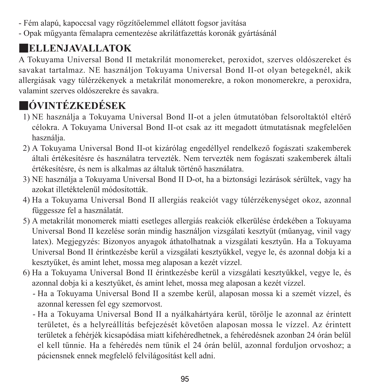- Fém alapú, kapoccsal vagy rögzítőelemmel ellátott fogsor javítása

- Opak műgyanta fémalapra cementezése akrilátfazettás koronák gyártásánál

# ■**ELLENJAVALLATOK**

A Tokuyama Universal Bond II metakrilát monomereket, peroxidot, szerves oldószereket és savakat tartalmaz. NE használjon Tokuyama Universal Bond II-ot olyan betegeknél, akik allergiásak vagy túlérzékenyek a metakrilát monomerekre, a rokon monomerekre, a peroxidra, valamint szerves oldószerekre és savakra.

# ■**ÓVINTÉZKEDÉSEK**

- 1) NE használja a Tokuyama Universal Bond II-ot a jelen útmutatóban felsoroltaktól eltérő célokra. A Tokuyama Universal Bond II-ot csak az itt megadott útmutatásnak megfelelően használja.
- 2) A Tokuyama Universal Bond II-ot kizárólag engedéllyel rendelkező fogászati szakemberek általi értékesítésre és használatra tervezték. Nem tervezték nem fogászati szakemberek általi értékesítésre, és nem is alkalmas az általuk történő használatra.
- 3) NE használja a Tokuyama Universal Bond II D-ot, ha a biztonsági lezárások sérültek, vagy ha azokat illetéktelenül módosították.
- 4) Ha a Tokuyama Universal Bond II allergiás reakciót vagy túlérzékenységet okoz, azonnal függessze fel a használatát.
- 5) A metakrilát monomerek miatti esetleges allergiás reakciók elkerülése érdekében a Tokuyama Universal Bond II kezelése során mindig használjon vizsgálati kesztyűt (műanyag, vinil vagy latex). Megjegyzés: Bizonyos anyagok áthatolhatnak a vizsgálati kesztyűn. Ha a Tokuyama Universal Bond II érintkezésbe kerül a vizsgálati kesztyűkkel, vegye le, és azonnal dobja ki a kesztyűket, és amint lehet, mossa meg alaposan a kezét vízzel.
- 6) Ha a Tokuyama Universal Bond II érintkezésbe kerül a vizsgálati kesztyűkkel, vegye le, és azonnal dobja ki a kesztyűket, és amint lehet, mossa meg alaposan a kezét vízzel.
	- - Ha a Tokuyama Universal Bond II a szembe kerül, alaposan mossa ki a szemét vízzel, és azonnal keressen fel egy szemorvost.
	- - Ha a Tokuyama Universal Bond II a nyálkahártyára kerül, törölje le azonnal az érintett területet, és a helyreállítás befejezését követően alaposan mossa le vízzel. Az érintett területek a fehérjék kicsapódása miatt kifehéredhetnek, a fehéredésnek azonban 24 órán belül el kell tűnnie. Ha a fehéredés nem tűnik el 24 órán belül, azonnal forduljon orvoshoz; a páciensnek ennek megfelelő felvilágosítást kell adni.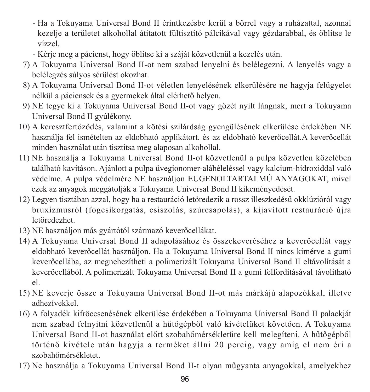- - Ha a Tokuyama Universal Bond II érintkezésbe kerül a bőrrel vagy a ruházattal, azonnal kezelje a területet alkohollal átitatott fültisztító pálcikával vagy gézdarabbal, és öblítse le vízzel.
- Kérje meg a pácienst, hogy öblítse ki a száját közvetlenül a kezelés után.
- 7) A Tokuyama Universal Bond II-ot nem szabad lenyelni és belélegezni. A lenyelés vagy a belélegzés súlyos sérülést okozhat.
- 8) A Tokuyama Universal Bond II-ot véletlen lenyelésének elkerülésére ne hagyja felügyelet nélkül a páciensek és a gyermekek által elérhető helyen.
- 9) NE tegye ki a Tokuyama Universal Bond II-ot vagy gőzét nyílt lángnak, mert a Tokuyama Universal Bond II gyúlékony.
- 10) A keresztfertőződés, valamint a kötési szilárdság gyengülésének elkerülése érdekében NE használja fel ismételten az eldobható applikátort. és az eldobható keverőcellát.A keverőcellát minden használat után tisztítsa meg alaposan alkohollal.
- 11) NE használja a Tokuyama Universal Bond II-ot közvetlenül a pulpa közvetlen közelében található kavitáson. Ajánlott a pulpa üvegionomer-alábéleléssel vagy kalcium-hidroxiddal való védelme. A pulpa védelmére NE használjon EUGENOLTARTALMÚ ANYAGOKAT, mivel ezek az anyagok meggátolják a Tokuyama Universal Bond II kikeményedését.
- 12) Legyen tisztában azzal, hogy ha a restauráció letöredezik a rossz illeszkedésű okklúzióról vagy bruxizmusról (fogcsikorgatás, csiszolás, szúrcsapolás), a kijavított restauráció újra letöredezhet.
- 13) NE használjon más gyártótól származó keverőcellákat.
- 14) A Tokuyama Universal Bond II adagolásához és összekeveréséhez a keverőcellát vagy eldobható keverőcellát használjon. Ha a Tokuyama Universal Bond II nincs kimérve a gumi keverőcellába, az megnehezítheti a polimerizált Tokuyama Universal Bond II eltávolítását a keverőcellából. A polimerizált Tokuyama Universal Bond II a gumi felfordításával távolítható el.
- 15) NE keverje össze a Tokuyama Universal Bond II-ot más márkájú alapozókkal, illetve adhezívekkel.
- 16) A folyadék kifröccsenésének elkerülése érdekében a Tokuyama Universal Bond II palackját nem szabad felnyitni közvetlenül a hűtőgépből való kivételüket követően. A Tokuyama Universal Bond II-ot használat előtt szobahőmérsékletűre kell melegíteni. A hűtőgépből történő kivétele után hagyja a terméket állni 20 percig, vagy amíg el nem éri a szobahőmérsékletet.
- 17) Ne használja a Tokuyama Universal Bond II-t olyan műgyanta anyagokkal, amelyekhez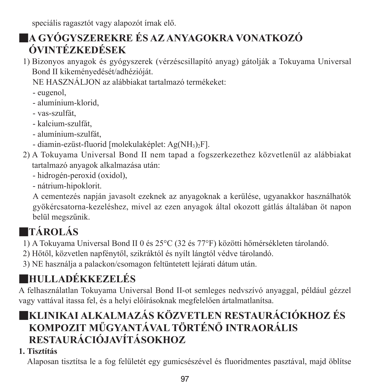speciális ragasztót vagy alapozót írnak elő.

# ■**A GYÓGYSZEREKRE ÉS AZ ANYAGOKRA VONATKOZÓ ÓVINTÉZKEDÉSEK**

- 1) Bizonyos anyagok és gyógyszerek (vérzéscsillapító anyag) gátolják a Tokuyama Universal Bond II kikeményedését/adhézióját.
	- NE HASZNÁLJON az alábbiakat tartalmazó termékeket:
	- eugenol,
	- alumínium-klorid,
	- vas-szulfát,
	- kalcium-szulfát,
	- alumínium-szulfát,
	- diamin-ezüst-fluorid [molekulaképlet: Ag(NH3)2F].
- 2) A Tokuyama Universal Bond II nem tapad a fogszerkezethez közvetlenül az alábbiakat tartalmazó anyagok alkalmazása után:
	- hidrogén-peroxid (oxidol),
	- nátrium-hipoklorit.

 A cementezés napján javasolt ezeknek az anyagoknak a kerülése, ugyanakkor használhatók gyökércsatorna-kezeléshez, mivel az ezen anyagok által okozott gátlás általában öt napon belül megszűnik.

# ■**TÁROLÁS**

- 1) A Tokuyama Universal Bond II 0 és 25°C (32 és 77°F) közötti hőmérsékleten tárolandó.
- 2) Hőtől, közvetlen napfénytől, szikráktól és nyílt lángtól védve tárolandó.
- 3) NE használja a palackon/csomagon feltüntetett lejárati dátum után.

# ■**HULLADÉKKEZELÉS**

A felhasználatlan Tokuyama Universal Bond II-ot semleges nedvszívó anyaggal, például gézzel vagy vattával itassa fel, és a helyi előírásoknak megfelelően ártalmatlanítsa.

# ■**KLINIKAI ALKALMAZÁS KÖZVETLEN RESTAURÁCIÓKHOZ ÉS KOMPOZIT MŰGYANTÁVAL TÖRTÉNŐ INTRAORÁLIS RESTAURÁCIÓJAVÍTÁSOKHOZ**

## **1. Tisztítás**

Alaposan tisztítsa le a fog felületét egy gumicsészével és fluoridmentes pasztával, majd öblítse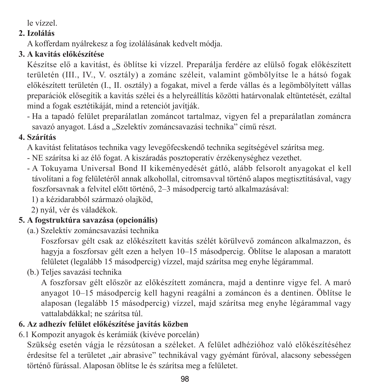le vízzel.

#### **2. Izolálás**

A kofferdam nyálrekesz a fog izolálásának kedvelt módja.

#### **3. A kavitás előkészítése**

Készítse elő a kavitást, és öblítse ki vízzel. Preparálja ferdére az elülső fogak előkészített területén (III., IV., V. osztály) a zománc széleit, valamint gömbölyítse le a hátsó fogak előkészített területén (I., II. osztály) a fogakat, mivel a ferde vállas és a legömbölyített vállas preparációk elősegítik a kavitás szélei és a helyreállítás közötti határvonalak eltüntetését, ezáltal mind a fogak esztétikáját, mind a retenciót javítják.

- Ha a tapadó felület preparálatlan zománcot tartalmaz, vigyen fel a preparálatlan zománcra savazó anyagot. Lásd a "Szelektív zománcsavazási technika" című részt.

#### **4. Szárítás**

A kavitást felitatásos technika vagy levegőfecskendő technika segítségével szárítsa meg.

- NE szárítsa ki az élő fogat. A kiszáradás posztoperatív érzékenységhez vezethet.
- A Tokuyama Universal Bond II kikeményedését gátló, alább felsorolt anyagokat el kell távolítani a fog felületéről annak alkohollal, citromsavval történő alapos megtisztításával, vagy foszforsavnak a felvitel előtt történő, 2–3 másodpercig tartó alkalmazásával:
	- 1) a kézidarabból származó olajköd,
	- 2) nyál, vér és váladékok.

#### **5. A fogstruktúra savazása (opcionális)**

(a.) Szelektív zománcsavazási technika

 Foszforsav gélt csak az előkészített kavitás szélét körülvevő zománcon alkalmazzon, és hagyja a foszforsay gélt ezen a helyen 10–15 másodpercig. Öblítse le alaposan a maratott felületet (legalább 15 másodpercig) vízzel, majd szárítsa meg enyhe légárammal.

(b.) Teljes savazási technika

 A foszforsav gélt először az előkészített zománcra, majd a dentinre vigye fel. A maró anyagot 10–15 másodpercig kell hagyni reagálni a zománcon és a dentinen. Öblítse le alaposan (legalább 15 másodpercig) vízzel, majd szárítsa meg enyhe légárammal vagy vattalabdákkal; ne szárítsa túl.

### **6. Az adhezív felület előkészítése javítás közben**

6.1 Kompozit anyagok és kerámiák (kivéve porcelán)

Szükség esetén vágja le rézsútosan a széleket. A felület adhézióhoz való előkészítéséhez érdesítse fel a területet "air abrasive" technikával vagy gyémánt fúróval, alacsony sebességen történő fúrással. Alaposan öblítse le és szárítsa meg a felületet.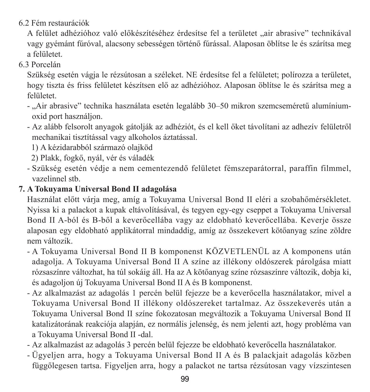#### 6.2 Fém restaurációk

A felület adhézióhoz való előkészítéséhez érdesítse fel a területet "air abrasive" technikával vagy gyémánt fúróval, alacsony sebességen történő fúrással. Alaposan öblítse le és szárítsa meg a felületet.

#### 6.3 Porcelán

Szükség esetén vágja le rézsútosan a széleket. NE érdesítse fel a felületet; polírozza a területet, hogy tiszta és friss felületet készítsen elő az adhézióhoz. Alaposan öblítse le és szárítsa meg a felületet.

- "Air abrasive" technika használata esetén legalább 30–50 mikron szemcseméretű alumíniumoxid port használjon.
- Az alább felsorolt anyagok gátolják az adhéziót, és el kell őket távolítani az adhezív felületről mechanikai tisztítással vagy alkoholos áztatással.

1) A kézidarabból származó olajköd

2) Plakk, fogkő, nyál, vér és váladék

- Szükség esetén védje a nem cementezendő felületet fémszeparátorral, paraffin filmmel, vazelinnel stb.

#### **7. A Tokuyama Universal Bond II adagolása**

Használat előtt várja meg, amíg a Tokuyama Universal Bond II eléri a szobahőmérsékletet. Nyissa ki a palackot a kupak eltávolításával, és tegyen egy-egy cseppet a Tokuyama Universal Bond II A-ból és B-ből a keverőcellába vagy az eldobható keverőcellába. Keverje össze alaposan egy eldobható applikátorral mindaddig, amíg az összekevert kötőanyag színe zöldre nem változik.

- A Tokuyama Universal Bond II B komponenst KÖZVETLENÜL az A komponens után adagolja. A Tokuyama Universal Bond II A színe az illékony oldószerek párolgása miatt rózsaszínre változhat, ha túl sokáig áll. Ha az A kötőanyag színe rózsaszínre változik, dobja ki, és adagoljon új Tokuyama Universal Bond II A és B komponenst.
- Az alkalmazást az adagolás 1 percén belül fejezze be a keverőcella használatakor, mivel a Tokuyama Universal Bond II illékony oldószereket tartalmaz. Az összekeverés után a Tokuyama Universal Bond II színe fokozatosan megváltozik a Tokuyama Universal Bond II katalizátorának reakciója alapján, ez normális jelenség, és nem jelenti azt, hogy probléma van a Tokuyama Universal Bond II -dal.
- Az alkalmazást az adagolás 3 percén belül fejezze be eldobható keverőcella használatakor.
- Ügyeljen arra, hogy a Tokuyama Universal Bond II A és B palackjait adagolás közben függőlegesen tartsa. Figyeljen arra, hogy a palackot ne tartsa rézsútosan vagy vízszintesen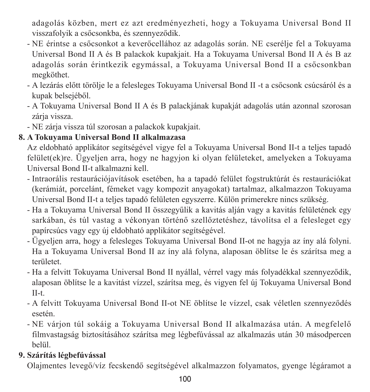adagolás közben, mert ez azt eredményezheti, hogy a Tokuyama Universal Bond II visszafolyik a csőcsonkba, és szennyeződik.

- NE érintse a csőcsonkot a keverőcellához az adagolás során. NE cserélje fel a Tokuyama Universal Bond II A és B palackok kupakjait. Ha a Tokuyama Universal Bond II A és B az adagolás során érintkezik egymással, a Tokuyama Universal Bond II a csőcsonkban megköthet.
- A lezárás előtt törölje le a felesleges Tokuyama Universal Bond II -t a csőcsonk csúcsáról és a kupak belsejéből.
- A Tokuyama Universal Bond II A és B palackjának kupakját adagolás után azonnal szorosan zárja vissza.
- NE zárja vissza túl szorosan a palackok kupakjait.

### **8. A Tokuyama Universal Bond II alkalmazasa**

Az eldobható applikátor segítségével vigye fel a Tokuyama Universal Bond II-t a teljes tapadó felület(ek)re. Ügyeljen arra, hogy ne hagyjon ki olyan felületeket, amelyeken a Tokuyama Universal Bond II-t alkalmazni kell.

- Intraorális restaurációjavítások esetében, ha a tapadó felület fogstruktúrát és restaurációkat (kerámiát, porcelánt, fémeket vagy kompozit anyagokat) tartalmaz, alkalmazzon Tokuyama Universal Bond II-t a teljes tapadó felületen egyszerre. Külön primerekre nincs szükség.
- Ha a Tokuyama Universal Bond II összegyűlik a kavitás alján vagy a kavitás felületének egy sarkában, és túl vastag a vékonyan történő szellőztetéshez, távolítsa el a felesleget egy papírcsúcs vagy egy új eldobható applikátor segítségével.
- Ügyeljen arra, hogy a felesleges Tokuyama Universal Bond II-ot ne hagyja az íny alá folyni. Ha a Tokuyama Universal Bond II az íny alá folyna, alaposan öblítse le és szárítsa meg a területet.
- Ha a felvitt Tokuyama Universal Bond II nyállal, vérrel vagy más folyadékkal szennyeződik, alaposan öblítse le a kavitást vízzel, szárítsa meg, és vigyen fel új Tokuyama Universal Bond II-t.
- A felvitt Tokuyama Universal Bond II-ot NE öblítse le vízzel, csak véletlen szennyeződés esetén.
- NE várjon túl sokáig a Tokuyama Universal Bond II alkalmazása után. A megfelelő filmvastagság biztosításához szárítsa meg légbefúvással az alkalmazás után 30 másodpercen belül.

### **9. Szárítás légbefúvással**

Olajmentes levegő/víz fecskendő segítségével alkalmazzon folyamatos, gyenge légáramot a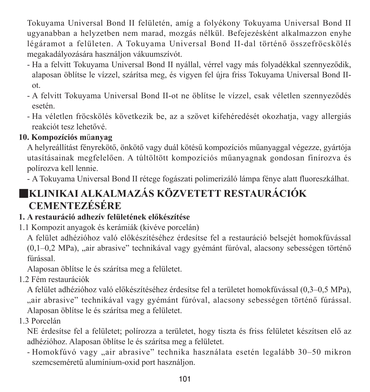Tokuyama Universal Bond II felületén, amíg a folyékony Tokuyama Universal Bond II ugyanabban a helyzetben nem marad, mozgás nélkül. Befejezésként alkalmazzon enyhe légáramot a felületen. A Tokuyama Universal Bond II-dal történő összefröcskölés megakadályozására használjon vákuumszívót.

- Ha a felvitt Tokuyama Universal Bond II nyállal, vérrel vagy más folyadékkal szennyeződik, alaposan öblítse le vízzel, szárítsa meg, és vigyen fel újra friss Tokuyama Universal Bond IIot.
- A felvitt Tokuyama Universal Bond II-ot ne öblítse le vízzel, csak véletlen szennyeződés esetén.
- Ha véletlen fröcskölés következik be, az a szövet kifehéredését okozhatja, vagy allergiás reakciót tesz lehetővé.

### **10. Kompozíciós m**ű**anyag**

A helyreállítást fényrekötő, önkötő vagy duál kötésű kompozíciós műanyaggal végezze, gyártója utasításainak megfelelően. A túltöltött kompozíciós műanyagnak gondosan finírozva és polírozva kell lennie.

- A Tokuyama Universal Bond II rétege fogászati polimerizáló lámpa fénye alatt fluoreszkálhat.

# ■**KLINIKAI ALKALMAZÁS KÖZVETETT RESTAURÁCIÓK CEMENTEZÉSÉRE**

#### **1. A restauráció adhezív felületének előkészítése**

1.1 Kompozit anyagok és kerámiák (kivéve porcelán)

A felület adhézióhoz való előkészítéséhez érdesítse fel a restauráció belsejét homokfúvással  $(0,1-0,2$  MPa), "air abrasive" technikával vagy gyémánt fúróval, alacsony sebességen történő fúrással.

Alaposan öblítse le és szárítsa meg a felületet.

1.2 Fém restaurációk

A felület adhézióhoz való előkészítéséhez érdesítse fel a területet homokfúvással (0,3–0,5 MPa), "air abrasive" technikával vagy gyémánt fúróval, alacsony sebességen történő fúrással. Alaposan öblítse le és szárítsa meg a felületet.

1.3 Porcelán

NE érdesítse fel a felületet; polírozza a területet, hogy tiszta és friss felületet készítsen elő az adhézióhoz. Alaposan öblítse le és szárítsa meg a felületet.

- Homokfúvó vagy "air abrasive" technika használata esetén legalább 30–50 mikron szemcseméretű alumínium-oxid port használjon.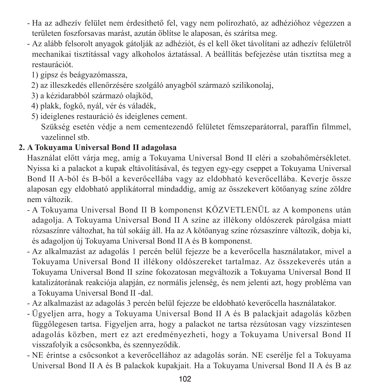- Ha az adhezív felület nem érdesíthető fel, vagy nem polírozható, az adhézióhoz végezzen a területen foszforsavas marást, azután öblítse le alaposan, és szárítsa meg.
- Az alább felsorolt anyagok gátolják az adhéziót, és el kell őket távolítani az adhezív felületről mechanikai tisztítással vagy alkoholos áztatással. A beállítás befejezése után tisztítsa meg a restaurációt.
	- 1) gipsz és beágyazómassza,
	- 2) az illeszkedés ellenőrzésére szolgáló anyagból származó szilikonolaj,
	- 3) a kézidarabból származó olajköd,
	- 4) plakk, fogkő, nyál, vér és váladék,
	- 5) ideiglenes restauráció és ideiglenes cement. Szükség esetén védje a nem cementezendő felületet fémszeparátorral, paraffin filmmel, vazelinnel stb.

### **2. A Tokuyama Universal Bond II adagolasa**

Használat előtt várja meg, amíg a Tokuyama Universal Bond II eléri a szobahőmérsékletet. Nyissa ki a palackot a kupak eltávolításával, és tegyen egy-egy cseppet a Tokuyama Universal Bond II A-ból és B-ből a keverőcellába vagy az eldobható keverőcellába. Keverje össze alaposan egy eldobható applikátorral mindaddig, amíg az összekevert kötőanyag színe zöldre nem változik.

- A Tokuyama Universal Bond II B komponenst KÖZVETLENÜL az A komponens után adagolja. A Tokuyama Universal Bond II A színe az illékony oldószerek párolgása miatt rózsaszínre változhat, ha túl sokáig áll. Ha az A kötőanyag színe rózsaszínre változik, dobja ki, és adagoljon új Tokuyama Universal Bond II A és B komponenst.
- Az alkalmazást az adagolás 1 percén belül fejezze be a keverőcella használatakor, mivel a Tokuyama Universal Bond II illékony oldószereket tartalmaz. Az összekeverés után a Tokuyama Universal Bond II színe fokozatosan megváltozik a Tokuyama Universal Bond II katalizátorának reakciója alapján, ez normális jelenség, és nem jelenti azt, hogy probléma van a Tokuyama Universal Bond II -dal.
- Az alkalmazást az adagolás 3 percén belül fejezze be eldobható keverőcella használatakor.
- Ügyeljen arra, hogy a Tokuyama Universal Bond II A és B palackjait adagolás közben függőlegesen tartsa. Figyeljen arra, hogy a palackot ne tartsa rézsútosan vagy vízszintesen adagolás közben, mert ez azt eredményezheti, hogy a Tokuyama Universal Bond II visszafolyik a csőcsonkba, és szennyeződik.
- NE érintse a csőcsonkot a keverőcellához az adagolás során. NE cserélje fel a Tokuyama Universal Bond II A és B palackok kupakjait. Ha a Tokuyama Universal Bond II A és B az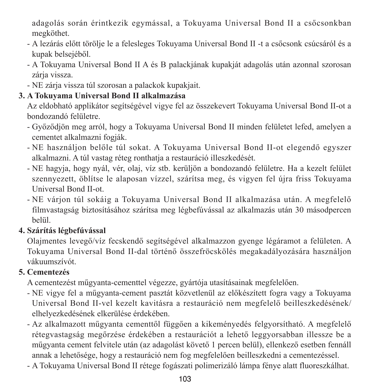adagolás során érintkezik egymással, a Tokuyama Universal Bond II a csőcsonkban megköthet.

- A lezárás előtt törölje le a felesleges Tokuyama Universal Bond II -t a csőcsonk csúcsáról és a kupak belsejéből.
- A Tokuyama Universal Bond II A és B palackjának kupakját adagolás után azonnal szorosan zárja vissza.
- NE zárja vissza túl szorosan a palackok kupakjait.

### **3. A Tokuyama Universal Bond II alkalmazása**

Az eldobható applikátor segítségével vigye fel az összekevert Tokuyama Universal Bond II-ot a bondozandó felületre.

- Győződjön meg arról, hogy a Tokuyama Universal Bond II minden felületet lefed, amelyen a cementet alkalmazni fogják.
- NE használjon belőle túl sokat. A Tokuyama Universal Bond II-ot elegendő egyszer alkalmazni. A túl vastag réteg ronthatia a restauráció illeszkedését.
- NE hagyja, hogy nyál, vér, olaj, víz stb. kerüljön a bondozandó felületre. Ha a kezelt felület szennyezett, öblítse le alaposan vízzel, szárítsa meg, és vigyen fel újra friss Tokuyama Universal Bond II-ot.
- NE várjon túl sokáig a Tokuyama Universal Bond II alkalmazása után. A megfelelő filmvastagság biztosításához szárítsa meg légbefúvással az alkalmazás után 30 másodpercen belül.

### **4. Szárítás légbefúvással**

Olajmentes levegő/víz fecskendő segítségével alkalmazzon gyenge légáramot a felületen. A Tokuyama Universal Bond II-dal történő összefröcskölés megakadályozására használjon vákuumszívót.

### **5. Cementezés**

A cementezést műgyanta-cementtel végezze, gyártója utasításainak megfelelően.

- NE vigye fel a műgyanta-cement pasztát közvetlenül az előkészített fogra vagy a Tokuyama Universal Bond II-vel kezelt kavitásra a restauráció nem megfelelő beilleszkedésének/ elhelyezkedésének elkerülése érdekében.
- Az alkalmazott műgyanta cementtől függően a kikeményedés felgyorsítható. A megfelelő rétegvastagság megőrzése érdekében a restaurációt a lehető leggyorsabban illessze be a műgyanta cement felvitele után (az adagolást követő 1 percen belül), ellenkező esetben fennáll annak a lehetősége, hogy a restauráció nem fog megfelelően beilleszkedni a cementezéssel.
- A Tokuyama Universal Bond II rétege fogászati polimerizáló lámpa fénye alatt fluoreszkálhat.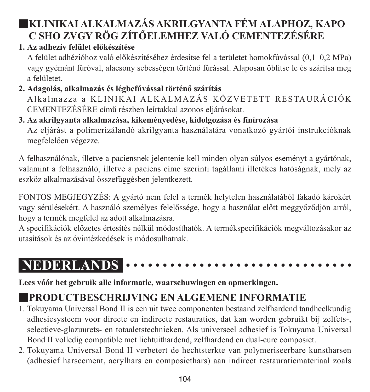# ■**KLINIKAI ALKALMAZÁS AKRILGYANTA FÉM ALAPHOZ, KAPO C SHO ZVGY RÖG ZÍTŐELEMHEZ VALÓ CEMENTEZÉSÉRE**

### **1. Az adhezív felület előkészítése**

A felület adhézióhoz való előkészítéséhez érdesítse fel a területet homokfúvással (0,1–0,2 MPa) vagy gyémánt fúróval, alacsony sebességen történő fúrással. Alaposan öblítse le és szárítsa meg a felületet.

#### **2. Adagolás, alkalmazás és légbefúvással történő szárítás** A l kalmazza a KLINIK AL ALKALMAZÁS KÖZVETETT RESTAURÁCIÓK CEMENTEZÉSÉRE című részben leírtakkal azonos eljárásokat.

## **3. Az akrilgyanta alkalmazása, kikeményedése, kidolgozása és finírozása**

Az eljárást a polimerizálandó akrilgyanta használatára vonatkozó gyártói instrukcióknak megfelelően végezze.

A felhasználónak, illetve a paciensnek jelentenie kell minden olyan súlyos eseményt a gyártónak, valamint a felhasználó, illetve a paciens címe szerinti tagállami illetékes hatóságnak, mely az eszköz alkalmazásával összefüggésben jelentkezett.

FONTOS MEGJEGYZÉS: A gyártó nem felel a termék helytelen használatából fakadó károkért vagy sérülésekért. A használó személyes felelőssége, hogy a használat előtt meggyőződjön arról, hogy a termék megfelel az adott alkalmazásra.

A specifikációk előzetes értesítés nélkül módosíthatók. A termékspecifikációk megváltozásakor az utasítások és az óvintézkedések is módosulhatnak.

#### **NEDERLANDS** . . . . . . . . . . . . .

**Lees vóór het gebruik alle informatie, waarschuwingen en opmerkingen.**

# ■**PRODUCTBESCHRIJVING EN ALGEMENE INFORMATIE**

- 1. Tokuyama Universal Bond II is een uit twee componenten bestaand zelfhardend tandheelkundig adhesiesysteem voor directe en indirecte restauraties, dat kan worden gebruikt bij zelfets-, selectieve-glazuurets- en totaaletstechnieken. Als universeel adhesief is Tokuyama Universal Bond II volledig compatible met lichtuithardend, zelfhardend en dual-cure composiet.
- 2. Tokuyama Universal Bond II verbetert de hechtsterkte van polymeriseerbare kunstharsen (adhesief harscement, acrylhars en composiethars) aan indirect restauratiemateriaal zoals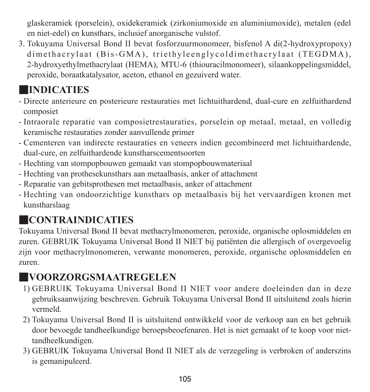glaskeramiek (porselein), oxidekeramiek (zirkoniumoxide en aluminiumoxide), metalen (edel en niet-edel) en kunsthars, inclusief anorganische vulstof.

3. Tokuyama Universal Bond II bevat fosforzuurmonomeer, bisfenol A di(2-hydroxypropoxy) dimethacrylaat (Bis-GMA), triethyleenglycoldimethacrylaat (TEGDMA), 2-hydroxyethylmethacrylaat (HEMA), MTU-6 (thiouracilmonomeer), silaankoppelingsmiddel, peroxide, boraatkatalysator, aceton, ethanol en gezuiverd water.

# ■**INDICATIES**

- Directe anterieure en posterieure restauraties met lichtuithardend, dual-cure en zelfuithardend composiet
- Intraorale reparatie van composietrestauraties, porselein op metaal, metaal, en volledig keramische restauraties zonder aanvullende primer
- Cementeren van indirecte restauraties en veneers indien gecombineerd met lichtuithardende, dual-cure, en zelfuithardende kunstharscementsoorten
- Hechting van stompopbouwen gemaakt van stompopbouwmateriaal
- Hechting van prothesekunsthars aan metaalbasis, anker of attachment
- Reparatie van gebitsprothesen met metaalbasis, anker of attachment
- Hechting van ondoorzichtige kunsthars op metaalbasis bij het vervaardigen kronen met kunstharslaag

# ■**CONTRAINDICATIES**

Tokuyama Universal Bond II bevat methacrylmonomeren, peroxide, organische oplosmiddelen en zuren. GEBRUIK Tokuyama Universal Bond II NIET bij patiënten die allergisch of overgevoelig zijn voor methacrylmonomeren, verwante monomeren, peroxide, organische oplosmiddelen en zuren.

# ■**VOORZORGSMAATREGELEN**

- 1) GEBRUIK Tokuyama Universal Bond II NIET voor andere doeleinden dan in deze gebruiksaanwijzing beschreven. Gebruik Tokuyama Universal Bond II uitsluitend zoals hierin vermeld.
- 2) Tokuyama Universal Bond II is uitsluitend ontwikkeld voor de verkoop aan en het gebruik door bevoegde tandheelkundige beroepsbeoefenaren. Het is niet gemaakt of te koop voor niettandheelkundigen.
- 3) GEBRUIK Tokuyama Universal Bond II NIET als de verzegeling is verbroken of anderszins is gemanipuleerd.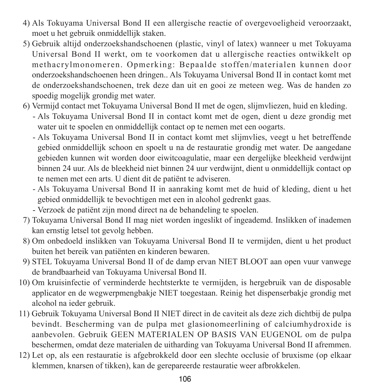- 4) Als Tokuyama Universal Bond II een allergische reactie of overgevoeligheid veroorzaakt, moet u het gebruik onmiddellijk staken.
- 5) Gebruik altijd onderzoekshandschoenen (plastic, vinyl of latex) wanneer u met Tokuyama Universal Bond II werkt, om te voorkomen dat u allergische reacties ontwikkelt op methacrylmonomeren. Opmerking: Bepaalde stoffen/materialen kunnen door onderzoekshandschoenen heen dringen.. Als Tokuyama Universal Bond II in contact komt met de onderzoekshandschoenen, trek deze dan uit en gooi ze meteen weg. Was de handen zo spoedig mogelijk grondig met water.
- 6) Vermijd contact met Tokuyama Universal Bond II met de ogen, slijmvliezen, huid en kleding.
	- - Als Tokuyama Universal Bond II in contact komt met de ogen, dient u deze grondig met water uit te spoelen en onmiddellijk contact op te nemen met een oogarts.
	- - Als Tokuyama Universal Bond II in contact komt met slijmvlies, veegt u het betreffende gebied onmiddellijk schoon en spoelt u na de restauratie grondig met water. De aangedane gebieden kunnen wit worden door eiwitcoagulatie, maar een dergelijke bleekheid verdwijnt binnen 24 uur. Als de bleekheid niet binnen 24 uur verdwijnt, dient u onmiddellijk contact op te nemen met een arts. U dient dit de patiënt te adviseren.
	- - Als Tokuyama Universal Bond II in aanraking komt met de huid of kleding, dient u het gebied onmiddellijk te bevochtigen met een in alcohol gedrenkt gaas.
	- Verzoek de patiënt zijn mond direct na de behandeling te spoelen.
- 7) Tokuyama Universal Bond II mag niet worden ingeslikt of ingeademd. Inslikken of inademen kan ernstig letsel tot gevolg hebben.
- 8) Om onbedoeld inslikken van Tokuyama Universal Bond II te vermijden, dient u het product buiten het bereik van patiënten en kinderen bewaren.
- 9) STEL Tokuyama Universal Bond II of de damp ervan NIET BLOOT aan open vuur vanwege de brandbaarheid van Tokuyama Universal Bond II.
- 10) Om kruisinfectie of verminderde hechtsterkte te vermijden, is hergebruik van de disposable applicator en de wegwerpmengbakje NIET toegestaan. Reinig het dispenserbakje grondig met alcohol na ieder gebruik.
- 11) Gebruik Tokuyama Universal Bond II NIET direct in de caviteit als deze zich dichtbij de pulpa bevindt. Bescherming van de pulpa met glasionomeerlining of calciumhydroxide is aanbevolen. Gebruik GEEN MATERIALEN OP BASIS VAN EUGENOL om de pulpa beschermen, omdat deze materialen de uitharding van Tokuyama Universal Bond II afremmen.
- 12) Let op, als een restauratie is afgebrokkeld door een slechte occlusie of bruxisme (op elkaar klemmen, knarsen of tikken), kan de gerepareerde restauratie weer afbrokkelen.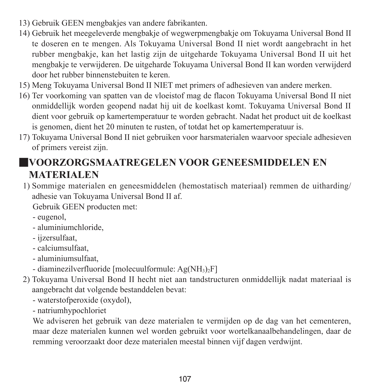- 13) Gebruik GEEN mengbakjes van andere fabrikanten.
- 14) Gebruik het meegeleverde mengbakje of wegwerpmengbakje om Tokuyama Universal Bond II te doseren en te mengen. Als Tokuyama Universal Bond II niet wordt aangebracht in het rubber mengbakje, kan het lastig zijn de uitgeharde Tokuyama Universal Bond II uit het mengbakje te verwijderen. De uitgeharde Tokuyama Universal Bond II kan worden verwijderd door het rubber binnenstebuiten te keren.
- 15) Meng Tokuyama Universal Bond II NIET met primers of adhesieven van andere merken.
- 16) Ter voorkoming van spatten van de vloeistof mag de flacon Tokuyama Universal Bond II niet onmiddellijk worden geopend nadat hij uit de koelkast komt. Tokuyama Universal Bond II dient voor gebruik op kamertemperatuur te worden gebracht. Nadat het product uit de koelkast is genomen, dient het 20 minuten te rusten, of totdat het op kamertemperatuur is.
- 17) Tokuyama Universal Bond II niet gebruiken voor harsmaterialen waarvoor speciale adhesieven of primers vereist zijn.

## ■**VOORZORGSMAATREGELEN VOOR GENEESMIDDELEN EN MATERIALEN**

1) Sommige materialen en geneesmiddelen (hemostatisch materiaal) remmen de uitharding/ adhesie van Tokuyama Universal Bond II af.

Gebruik GEEN producten met:

- eugenol,
- aluminiumchloride,
- ijzersulfaat,
- calciumsulfaat,
- aluminiumsulfaat,
- diaminezilverfluoride [molecuulformule: Ag(NH<sub>3</sub>)<sub>2</sub>F]
- 2) Tokuyama Universal Bond II hecht niet aan tandstructuren onmiddellijk nadat materiaal is aangebracht dat volgende bestanddelen bevat:
	- waterstofperoxide (oxydol),
	- natriumhypochloriet

 We adviseren het gebruik van deze materialen te vermijden op de dag van het cementeren, maar deze materialen kunnen wel worden gebruikt voor wortelkanaalbehandelingen, daar de remming veroorzaakt door deze materialen meestal binnen vijf dagen verdwijnt.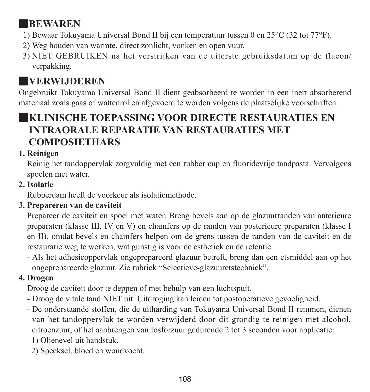# ■**BEWAREN**

- 1) Bewaar Tokuyama Universal Bond II bij een temperatuur tussen 0 en 25°C (32 tot 77°F).
- 2) Weg houden van warmte, direct zonlicht, vonken en open vuur.
- 3) NIET GEBRUIKEN nà het verstrijken van de uiterste gebruiksdatum op de flacon/ verpakking.

# ■**VERWIJDEREN**

Ongebruikt Tokuyama Universal Bond II dient geabsorbeerd te worden in een inert absorberend materiaal zoals gaas of wattenrol en afgevoerd te worden volgens de plaatselijke voorschriften.

## ■**KLINISCHE TOEPASSING VOOR DIRECTE RESTAURATIES EN INTRAORALE REPARATIE VAN RESTAURATIES MET COMPOSIETHARS**

### **1. Reinigen**

Reinig het tandoppervlak zorgvuldig met een rubber cup en fluoridevrije tandpasta. Vervolgens spoelen met water.

### **2. Isolatie**

Rubberdam heeft de voorkeur als isolatiemethode.

### **3. Prepareren van de caviteit**

Prepareer de caviteit en spoel met water. Breng bevels aan op de glazuurranden van anterieure preparaten (klasse III, IV en V) en chamfers op de randen van posterieure preparaten (klasse I en II), omdat bevels en chamfers helpen om de grens tussen de randen van de caviteit en de restauratie weg te werken, wat gunstig is voor de esthetiek en de retentie.

- Als het adhesieoppervlak ongeprepareerd glazuur betreft, breng dan een etsmiddel aan op het ongeprepareerde glazuur. Zie rubriek "Selectieve-glazuuretstechniek".

## **4. Drogen**

Droog de caviteit door te deppen of met behulp van een luchtspuit.

- Droog de vitale tand NIET uit. Uitdroging kan leiden tot postoperatieve gevoeligheid.
- De onderstaande stoffen, die de uitharding van Tokuyama Universal Bond II remmen, dienen van het tandoppervlak te worden verwijderd door dit grondig te reinigen met alcohol, citroenzuur, of het aanbrengen van fosforzuur gedurende 2 tot 3 seconden voor applicatie: 1) Olienevel uit handstuk,
	- 2) Speeksel, bloed en wondvocht.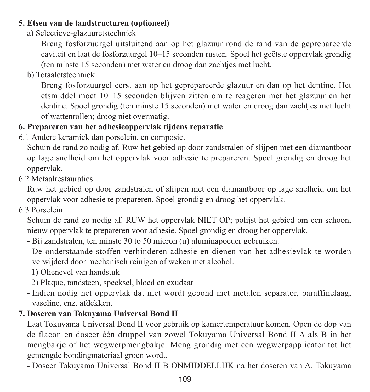#### **5. Etsen van de tandstructuren (optioneel)**

a) Selectieve-glazuuretstechniek

 Breng fosforzuurgel uitsluitend aan op het glazuur rond de rand van de geprepareerde caviteit en laat de fosforzuurgel 10–15 seconden rusten. Spoel het geëtste oppervlak grondig (ten minste 15 seconden) met water en droog dan zachtjes met lucht.

b) Totaaletstechniek

 Breng fosforzuurgel eerst aan op het geprepareerde glazuur en dan op het dentine. Het etsmiddel moet 10–15 seconden blijven zitten om te reageren met het glazuur en het dentine. Spoel grondig (ten minste 15 seconden) met water en droog dan zachtjes met lucht of wattenrollen; droog niet overmatig.

## **6. Prepareren van het adhesieoppervlak tijdens reparatie**

6.1 Andere keramiek dan porselein, en composiet

Schuin de rand zo nodig af. Ruw het gebied op door zandstralen of slijpen met een diamantboor op lage snelheid om het oppervlak voor adhesie te prepareren. Spoel grondig en droog het oppervlak.

6.2 Metaalrestauraties

Ruw het gebied op door zandstralen of slijpen met een diamantboor op lage snelheid om het oppervlak voor adhesie te prepareren. Spoel grondig en droog het oppervlak.

6.3 Porselein

Schuin de rand zo nodig af. RUW het oppervlak NIET OP; polijst het gebied om een schoon, nieuw oppervlak te prepareren voor adhesie. Spoel grondig en droog het oppervlak.

- Bij zandstralen, ten minste 30 to 50 micron (μ) aluminapoeder gebruiken.
- De onderstaande stoffen verhinderen adhesie en dienen van het adhesievlak te worden verwijderd door mechanisch reinigen of weken met alcohol.
	- 1) Olienevel van handstuk
	- 2) Plaque, tandsteen, speeksel, bloed en exudaat
- Indien nodig het oppervlak dat niet wordt gebond met metalen separator, paraffinelaag, vaseline, enz. afdekken.

## **7. Doseren van Tokuyama Universal Bond II**

Laat Tokuyama Universal Bond II voor gebruik op kamertemperatuur komen. Open de dop van de flacon en doseer één druppel van zowel Tokuyama Universal Bond II A als B in het mengbakje of het wegwerpmengbakje. Meng grondig met een wegwerpapplicator tot het gemengde bondingmateriaal groen wordt.

- Doseer Tokuyama Universal Bond II B ONMIDDELLIJK na het doseren van A. Tokuyama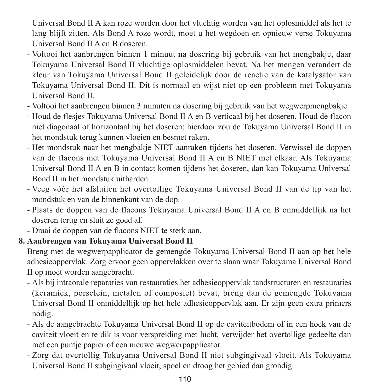Universal Bond II A kan roze worden door het vluchtig worden van het oplosmiddel als het te lang blijft zitten. Als Bond A roze wordt, moet u het wegdoen en opnieuw verse Tokuyama Universal Bond II A en B doseren.

- Voltooi het aanbrengen binnen 1 minuut na dosering bij gebruik van het mengbakje, daar Tokuyama Universal Bond II vluchtige oplosmiddelen bevat. Na het mengen verandert de kleur van Tokuyama Universal Bond II geleidelijk door de reactie van de katalysator van Tokuyama Universal Bond II. Dit is normaal en wijst niet op een probleem met Tokuyama Universal Bond II.
- Voltooi het aanbrengen binnen 3 minuten na dosering bij gebruik van het wegwerpmengbakje.
- Houd de flesjes Tokuyama Universal Bond II A en B verticaal bij het doseren. Houd de flacon niet diagonaal of horizontaal bij het doseren; hierdoor zou de Tokuyama Universal Bond II in het mondstuk terug kunnen vloeien en besmet raken.
- Het mondstuk naar het mengbakje NIET aanraken tijdens het doseren. Verwissel de doppen van de flacons met Tokuyama Universal Bond II A en B NIET met elkaar. Als Tokuyama Universal Bond II A en B in contact komen tijdens het doseren, dan kan Tokuyama Universal Bond II in het mondstuk uitharden.
- Veeg vóór het afsluiten het overtollige Tokuyama Universal Bond II van de tip van het mondstuk en van de binnenkant van de dop.
- Plaats de doppen van de flacons Tokuyama Universal Bond II A en B onmiddellijk na het doseren terug en sluit ze goed af.
- Draai de doppen van de flacons NIET te sterk aan.

#### **8. Aanbrengen van Tokuyama Universal Bond II**

Breng met de wegwerpapplicator de gemengde Tokuyama Universal Bond II aan op het hele adhesieoppervlak. Zorg ervoor geen oppervlakken over te slaan waar Tokuyama Universal Bond II op moet worden aangebracht.

- Als bij intraorale reparaties van restauraties het adhesieoppervlak tandstructuren en restauraties (keramiek, porselein, metalen of composiet) bevat, breng dan de gemengde Tokuyama Universal Bond II onmiddellijk op het hele adhesieoppervlak aan. Er zijn geen extra primers nodig.
- Als de aangebrachte Tokuyama Universal Bond II op de caviteitbodem of in een hoek van de caviteit vloeit en te dik is voor verspreiding met lucht, verwijder het overtollige gedeelte dan met een puntje papier of een nieuwe wegwerpapplicator.
- Zorg dat overtollig Tokuyama Universal Bond II niet subgingivaal vloeit. Als Tokuyama Universal Bond II subgingivaal vloeit, spoel en droog het gebied dan grondig.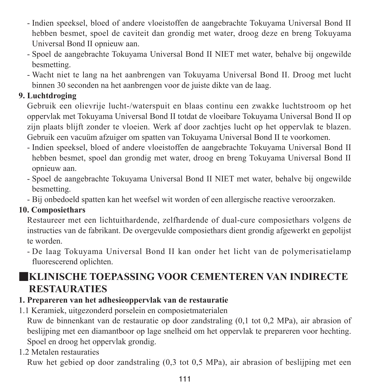- Indien speeksel, bloed of andere vloeistoffen de aangebrachte Tokuyama Universal Bond II hebben besmet, spoel de caviteit dan grondig met water, droog deze en breng Tokuyama Universal Bond II opnieuw aan.
- Spoel de aangebrachte Tokuyama Universal Bond II NIET met water, behalve bij ongewilde besmetting.
- Wacht niet te lang na het aanbrengen van Tokuyama Universal Bond II. Droog met lucht binnen 30 seconden na het aanbrengen voor de juiste dikte van de laag.

#### **9. Luchtdroging**

Gebruik een olievrije lucht-/waterspuit en blaas continu een zwakke luchtstroom op het oppervlak met Tokuyama Universal Bond II totdat de vloeibare Tokuyama Universal Bond II op zijn plaats blijft zonder te vloeien. Werk af door zachtjes lucht op het oppervlak te blazen. Gebruik een vacuüm afzuiger om spatten van Tokuyama Universal Bond II te voorkomen.

- Indien speeksel, bloed of andere vloeistoffen de aangebrachte Tokuyama Universal Bond II hebben besmet, spoel dan grondig met water, droog en breng Tokuyama Universal Bond II opnieuw aan.
- Spoel de aangebrachte Tokuyama Universal Bond II NIET met water, behalve bij ongewilde besmetting.
- Bij onbedoeld spatten kan het weefsel wit worden of een allergische reactive veroorzaken.

#### **10. Composiethars**

Restaureer met een lichtuithardende, zelfhardende of dual-cure composiethars volgens de instructies van de fabrikant. De overgevulde composiethars dient grondig afgewerkt en gepolijst te worden.

- De laag Tokuyama Universal Bond II kan onder het licht van de polymerisatielamp fluorescerend oplichten.

# ■**KLINISCHE TOEPASSING VOOR CEMENTEREN VAN INDIRECTE RESTAURATIES**

### **1. Prepareren van het adhesieoppervlak van de restauratie**

1.1 Keramiek, uitgezonderd porselein en composietmaterialen

Ruw de binnenkant van de restauratie op door zandstraling (0,1 tot 0,2 MPa), air abrasion of beslijping met een diamantboor op lage snelheid om het oppervlak te prepareren voor hechting. Spoel en droog het oppervlak grondig.

1.2 Metalen restauraties

Ruw het gebied op door zandstraling (0,3 tot 0,5 MPa), air abrasion of beslijping met een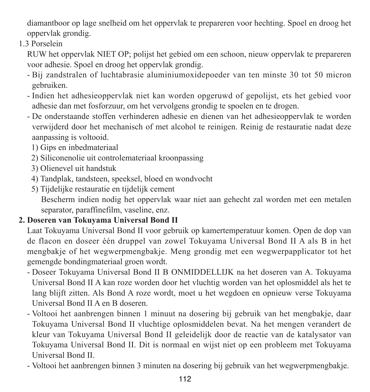diamantboor op lage snelheid om het oppervlak te prepareren voor hechting. Spoel en droog het oppervlak grondig.

1.3 Porselein

RUW het oppervlak NIET OP; polijst het gebied om een schoon, nieuw oppervlak te prepareren voor adhesie. Spoel en droog het oppervlak grondig.

- Bij zandstralen of luchtabrasie aluminiumoxidepoeder van ten minste 30 tot 50 micron gebruiken.
- Indien het adhesieoppervlak niet kan worden opgeruwd of gepolijst, ets het gebied voor adhesie dan met fosforzuur, om het vervolgens grondig te spoelen en te drogen.
- De onderstaande stoffen verhinderen adhesie en dienen van het adhesieoppervlak te worden verwijderd door het mechanisch of met alcohol te reinigen. Reinig de restauratie nadat deze aanpassing is voltooid.
	- 1) Gips en inbedmateriaal
	- 2) Siliconenolie uit controlemateriaal kroonpassing
	- 3) Olienevel uit handstuk
	- 4) Tandplak, tandsteen, speeksel, bloed en wondvocht
	- 5) Tijdelijke restauratie en tijdelijk cement

 Bescherm indien nodig het oppervlak waar niet aan gehecht zal worden met een metalen separator, paraffinefilm, vaseline, enz.

#### **2. Doseren van Tokuyama Universal Bond II**

Laat Tokuyama Universal Bond II voor gebruik op kamertemperatuur komen. Open de dop van de flacon en doseer één druppel van zowel Tokuyama Universal Bond II A als B in het mengbakje of het wegwerpmengbakje. Meng grondig met een wegwerpapplicator tot het gemengde bondingmateriaal groen wordt.

- Doseer Tokuyama Universal Bond II B ONMIDDELLIJK na het doseren van A. Tokuyama Universal Bond II A kan roze worden door het vluchtig worden van het oplosmiddel als het te lang blijft zitten. Als Bond A roze wordt, moet u het wegdoen en opnieuw verse Tokuyama Universal Bond II A en B doseren.
- Voltooi het aanbrengen binnen 1 minuut na dosering bij gebruik van het mengbakje, daar Tokuyama Universal Bond II vluchtige oplosmiddelen bevat. Na het mengen verandert de kleur van Tokuyama Universal Bond II geleidelijk door de reactie van de katalysator van Tokuyama Universal Bond II. Dit is normaal en wijst niet op een probleem met Tokuyama Universal Bond II.
- Voltooi het aanbrengen binnen 3 minuten na dosering bij gebruik van het wegwerpmengbakje.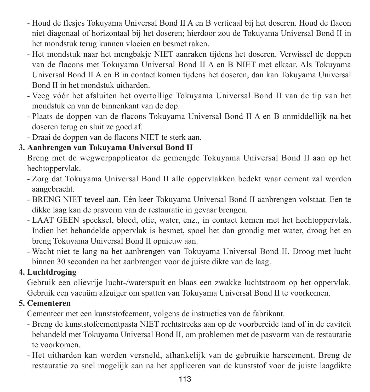- Houd de flesjes Tokuyama Universal Bond II A en B verticaal bij het doseren. Houd de flacon niet diagonaal of horizontaal bij het doseren; hierdoor zou de Tokuyama Universal Bond II in het mondstuk terug kunnen vloeien en besmet raken.
- Het mondstuk naar het mengbakje NIET aanraken tijdens het doseren. Verwissel de doppen van de flacons met Tokuyama Universal Bond II A en B NIET met elkaar. Als Tokuyama Universal Bond II A en B in contact komen tijdens het doseren, dan kan Tokuyama Universal Bond II in het mondstuk uitharden.
- Veeg vóór het afsluiten het overtollige Tokuyama Universal Bond II van de tip van het mondstuk en van de binnenkant van de dop.
- Plaats de doppen van de flacons Tokuyama Universal Bond II A en B onmiddellijk na het doseren terug en sluit ze goed af.
- Draai de doppen van de flacons NIET te sterk aan.

#### **3. Aanbrengen van Tokuyama Universal Bond II**

Breng met de wegwerpapplicator de gemengde Tokuyama Universal Bond II aan op het hechtoppervlak.

- Zorg dat Tokuyama Universal Bond II alle oppervlakken bedekt waar cement zal worden aangebracht.
- BRENG NIET teveel aan. Eén keer Tokuyama Universal Bond II aanbrengen volstaat. Een te dikke laag kan de pasvorm van de restauratie in gevaar brengen.
- LAAT GEEN speeksel, bloed, olie, water, enz., in contact komen met het hechtoppervlak. Indien het behandelde oppervlak is besmet, spoel het dan grondig met water, droog het en breng Tokuyama Universal Bond II opnieuw aan.
- Wacht niet te lang na het aanbrengen van Tokuyama Universal Bond II. Droog met lucht binnen 30 seconden na het aanbrengen voor de juiste dikte van de laag.

#### **4. Luchtdroging**

Gebruik een olievrije lucht-/waterspuit en blaas een zwakke luchtstroom op het oppervlak. Gebruik een vacuüm afzuiger om spatten van Tokuyama Universal Bond II te voorkomen.

#### **5. Cementeren**

Cementeer met een kunststofcement, volgens de instructies van de fabrikant.

- Breng de kunststofcementpasta NIET rechtstreeks aan op de voorbereide tand of in de caviteit behandeld met Tokuyama Universal Bond II, om problemen met de pasvorm van de restauratie te voorkomen.
- Het uitharden kan worden versneld, afhankelijk van de gebruikte harscement. Breng de restauratie zo snel mogelijk aan na het appliceren van de kunststof voor de juiste laagdikte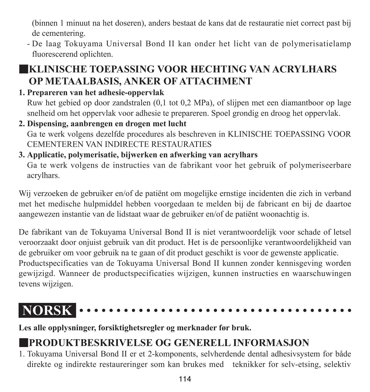(binnen 1 minuut na het doseren), anders bestaat de kans dat de restauratie niet correct past bij de cementering.

- De laag Tokuyama Universal Bond II kan onder het licht van de polymerisatielamp fluorescerend oplichten.

# ■**KLINISCHE TOEPASSING VOOR HECHTING VAN ACRYLHARS OP METAALBASIS, ANKER OF ATTACHMENT**

## **1. Prepareren van het adhesie-oppervlak**

Ruw het gebied op door zandstralen (0,1 tot 0,2 MPa), of slijpen met een diamantboor op lage snelheid om het oppervlak voor adhesie te prepareren. Spoel grondig en droog het oppervlak.

**2. Dispensing, aanbrengen en drogen met lucht** Ga te werk volgens dezelfde procedures als beschreven in KLINISCHE TOEPASSING VOOR CEMENTEREN VAN INDIRECTE RESTAURATIES

# **3. Applicatie, polymerisatie, bijwerken en afwerking van acrylhars**

Ga te werk volgens de instructies van de fabrikant voor het gebruik of polymeriseerbare acrylhars.

Wij verzoeken de gebruiker en/of de patiënt om mogelijke ernstige incidenten die zich in verband met het medische hulpmiddel hebben voorgedaan te melden bij de fabricant en bij de daartoe aangewezen instantie van de lidstaat waar de gebruiker en/of de patiënt woonachtig is.

De fabrikant van de Tokuyama Universal Bond II is niet verantwoordelijk voor schade of letsel veroorzaakt door onjuist gebruik van dit product. Het is de persoonlijke verantwoordelijkheid van de gebruiker om voor gebruik na te gaan of dit product geschikt is voor de gewenste applicatie. Productspecificaties van de Tokuyama Universal Bond II kunnen zonder kennisgeving worden gewijzigd. Wanneer de productspecificaties wijzigen, kunnen instructies en waarschuwingen tevens wijzigen.

#### **NORSK**

**Les alle opplysninger, forsiktighetsregler og merknader før bruk.**

# ■**PRODUKTBESKRIVELSE OG GENERELL INFORMASJON**

1. Tokuyama Universal Bond II er et 2-komponents, selvherdende dental adhesivsystem for både direkte og indirekte restaureringer som kan brukes med teknikker for selv-etsing, selektiv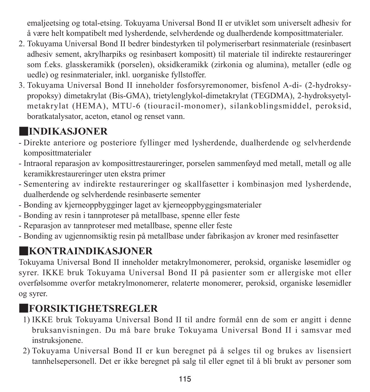emaljeetsing og total-etsing. Tokuyama Universal Bond II er utviklet som universelt adhesiv for å være helt kompatibelt med lysherdende, selvherdende og dualherdende komposittmaterialer.

- 2. Tokuyama Universal Bond II bedrer bindestyrken til polymeriserbart resinmateriale (resinbasert adhesiv sement, akrylharpiks og resinbasert kompositt) til materiale til indirekte restaureringer som f.eks. glasskeramikk (porselen), oksidkeramikk (zirkonia og alumina), metaller (edle og uedle) og resinmaterialer, inkl. uorganiske fyllstoffer.
- 3. Tokuyama Universal Bond II inneholder fosforsyremonomer, bisfenol A-di- (2-hydroksypropoksy) dimetakrylat (Bis-GMA), trietylenglykol-dimetakrylat (TEGDMA), 2-hydroksyetylmetakrylat (HEMA), MTU-6 (tiouracil-monomer), silankoblingsmiddel, peroksid, boratkatalysator, aceton, etanol og renset vann.

# ■**INDIKASJONER**

- Direkte anteriore og posteriore fyllinger med lysherdende, dualherdende og selvherdende komposittmaterialer
- Intraoral reparasjon av komposittrestaureringer, porselen sammenføyd med metall, metall og alle keramikkrestaureringer uten ekstra primer
- Sementering av indirekte restaureringer og skallfasetter i kombinasjon med lysherdende, dualherdende og selvherdende resinbaserte sementer
- Bonding av kjerneoppbygginger laget av kjerneoppbyggingsmaterialer
- Bonding av resin i tannproteser på metallbase, spenne eller feste
- Reparasjon av tannproteser med metallbase, spenne eller feste
- Bonding av ugjennomsiktig resin på metallbase under fabrikasjon av kroner med resinfasetter

# ■**KONTRAINDIKASJONER**

Tokuyama Universal Bond II inneholder metakrylmonomerer, peroksid, organiske løsemidler og syrer. IKKE bruk Tokuyama Universal Bond II på pasienter som er allergiske mot eller overfølsomme overfor metakrylmonomerer, relaterte monomerer, peroksid, organiske løsemidler og syrer.

# ■**FORSIKTIGHETSREGLER**

- 1) IKKE bruk Tokuyama Universal Bond II til andre formål enn de som er angitt i denne bruksanvisningen. Du må bare bruke Tokuyama Universal Bond II i samsvar med instruksjonene.
- 2) Tokuyama Universal Bond II er kun beregnet på å selges til og brukes av lisensiert tannhelsepersonell. Det er ikke beregnet på salg til eller egnet til å bli brukt av personer som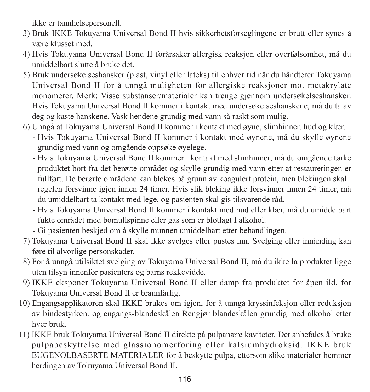ikke er tannhelsepersonell.

- 3) Bruk IKKE Tokuyama Universal Bond II hvis sikkerhetsforseglingene er brutt eller synes å være klusset med.
- 4) Hvis Tokuyama Universal Bond II forårsaker allergisk reaksjon eller overfølsomhet, må du umiddelbart slutte å bruke det.
- 5) Bruk undersøkelseshansker (plast, vinyl eller lateks) til enhver tid når du håndterer Tokuyama Universal Bond II for å unngå muligheten for allergiske reaksjoner mot metakrylate monomerer. Merk: Visse substanser/materialer kan trenge gjennom undersøkelseshansker. Hvis Tokuyama Universal Bond II kommer i kontakt med undersøkelseshanskene, må du ta av deg og kaste hanskene. Vask hendene grundig med vann så raskt som mulig.
- 6) Unngå at Tokuyama Universal Bond II kommer i kontakt med øyne, slimhinner, hud og klær.
	- - Hvis Tokuyama Universal Bond II kommer i kontakt med øynene, må du skylle øynene grundig med vann og omgående oppsøke øyelege.
	- - Hvis Tokuyama Universal Bond II kommer i kontakt med slimhinner, må du omgående tørke produktet bort fra det berørte området og skylle grundig med vann etter at restaureringen er fullført. De berørte områdene kan blekes på grunn av koagulert protein, men blekingen skal i regelen forsvinne igjen innen 24 timer. Hvis slik bleking ikke forsvinner innen 24 timer, må du umiddelbart ta kontakt med lege, og pasienten skal gis tilsvarende råd.
	- - Hvis Tokuyama Universal Bond II kommer i kontakt med hud eller klær, må du umiddelbart fukte området med bomullspinne eller gas som er bløtlagt I alkohol.
	- Gi pasienten beskjed om å skylle munnen umiddelbart etter behandlingen.
- 7) Tokuyama Universal Bond II skal ikke svelges eller pustes inn. Svelging eller innånding kan føre til alvorlige personskader.
- 8) For å unngå utilsiktet svelging av Tokuyama Universal Bond II, må du ikke la produktet ligge uten tilsyn innenfor pasienters og barns rekkevidde.
- 9) IKKE eksponer Tokuyama Universal Bond II eller damp fra produktet for åpen ild, for Tokuyama Universal Bond II er brannfarlig.
- 10) Engangsapplikatoren skal IKKE brukes om igjen, for å unngå kryssinfeksjon eller reduksjon av bindestyrken. og engangs-blandeskålen Rengjør blandeskålen grundig med alkohol etter hver bruk.
- 11) IKKE bruk Tokuyama Universal Bond II direkte på pulpanære kaviteter. Det anbefales å bruke pulpabeskyttelse med glassionomerforing eller kalsiumhydroksid. IKKE bruk EUGENOLBASERTE MATERIALER for å beskytte pulpa, ettersom slike materialer hemmer herdingen av Tokuyama Universal Bond II.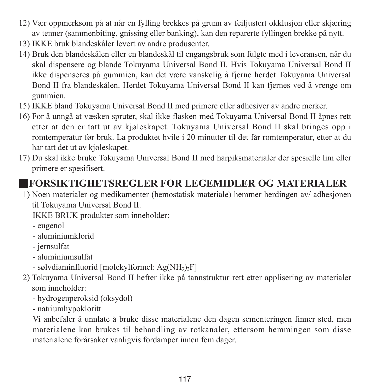- 12) Vær oppmerksom på at når en fylling brekkes på grunn av feiljustert okklusjon eller skjæring av tenner (sammenbiting, gnissing eller banking), kan den reparerte fyllingen brekke på nytt.
- 13) IKKE bruk blandeskåler levert av andre produsenter.
- 14) Bruk den blandeskålen eller en blandeskål til engangsbruk som fulgte med i leveransen, når du skal dispensere og blande Tokuyama Universal Bond II. Hvis Tokuyama Universal Bond II ikke dispenseres på gummien, kan det være vanskelig å fjerne herdet Tokuyama Universal Bond II fra blandeskålen. Herdet Tokuyama Universal Bond II kan fjernes ved å vrenge om gummien.
- 15) IKKE bland Tokuyama Universal Bond II med primere eller adhesiver av andre merker.
- 16) For å unngå at væsken spruter, skal ikke flasken med Tokuyama Universal Bond II åpnes rett etter at den er tatt ut av kjøleskapet. Tokuyama Universal Bond II skal bringes opp i romtemperatur før bruk. La produktet hvile i 20 minutter til det får romtemperatur, etter at du har tatt det ut av kjøleskapet.
- 17) Du skal ikke bruke Tokuyama Universal Bond II med harpiksmaterialer der spesielle lim eller primere er spesifisert.

## ■**FORSIKTIGHETSREGLER FOR LEGEMIDLER OG MATERIALER**

1) Noen materialer og medikamenter (hemostatisk materiale) hemmer herdingen av/ adhesjonen til Tokuyama Universal Bond II.

IKKE BRUK produkter som inneholder:

- eugenol
- aluminiumklorid
- jernsulfat
- aluminiumsulfat
- sølvdiaminfluorid [molekylformel: Ag(NH3)2F]
- 2) Tokuyama Universal Bond II hefter ikke på tannstruktur rett etter applisering av materialer som inneholder:
	- hydrogenperoksid (oksydol)
	- natriumhypokloritt

 Vi anbefaler å unnlate å bruke disse materialene den dagen sementeringen finner sted, men materialene kan brukes til behandling av rotkanaler, ettersom hemmingen som disse materialene forårsaker vanligvis fordamper innen fem dager.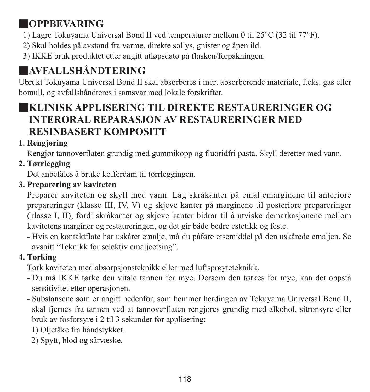# ■**OPPBEVARING**

- 1) Lagre Tokuyama Universal Bond II ved temperaturer mellom 0 til 25°C (32 til 77°F).
- 2) Skal holdes på avstand fra varme, direkte sollys, gnister og åpen ild.
- 3) IKKE bruk produktet etter angitt utløpsdato på flasken/forpakningen.

# ■**AVFALLSHÅNDTERING**

Ubrukt Tokuyama Universal Bond II skal absorberes i inert absorberende materiale, f.eks. gas eller bomull, og avfallshåndteres i samsvar med lokale forskrifter.

# ■**KLINISK APPLISERING TIL DIREKTE RESTAURERINGER OG INTERORAL REPARASJON AV RESTAURERINGER MED RESINBASERT KOMPOSITT**

## **1. Rengjøring**

Rengjør tannoverflaten grundig med gummikopp og fluoridfri pasta. Skyll deretter med vann.

## **2. Tørrlegging**

Det anbefales å bruke kofferdam til tørrleggingen.

### **3. Preparering av kaviteten**

Preparer kaviteten og skyll med vann. Lag skråkanter på emaljemarginene til anteriore prepareringer (klasse III, IV, V) og skjeve kanter på marginene til posteriore prepareringer (klasse I, II), fordi skråkanter og skjeve kanter bidrar til å utviske demarkasjonene mellom kavitetens marginer og restaureringen, og det gir både bedre estetikk og feste.

- Hvis en kontaktflate har uskåret emalje, må du påføre etsemiddel på den uskårede emaljen. Se avsnitt "Teknikk for selektiv emaljeetsing".

## **4. Tørking**

Tørk kaviteten med absorpsjonsteknikk eller med luftsprøyteteknikk.

- Du må IKKE tørke den vitale tannen for mye. Dersom den tørkes for mye, kan det oppstå sensitivitet etter operasjonen.
- Substansene som er angitt nedenfor, som hemmer herdingen av Tokuyama Universal Bond II, skal fjernes fra tannen ved at tannoverflaten rengjøres grundig med alkohol, sitronsyre eller bruk av fosforsyre i 2 til 3 sekunder før applisering:

1) Oljetåke fra håndstykket.

2) Spytt, blod og sårvæske.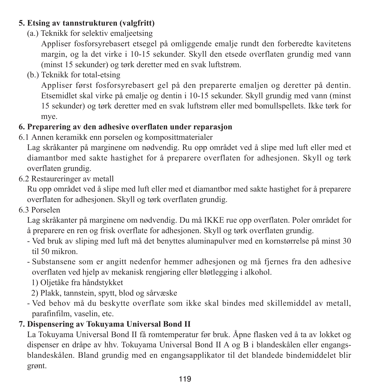#### **5. Etsing av tannstrukturen (valgfritt)**

(a.) Teknikk for selektiv emaljeetsing

 Appliser fosforsyrebasert etsegel på omliggende emalje rundt den forberedte kavitetens margin, og la det virke i 10-15 sekunder. Skyll den etsede overflaten grundig med vann (minst 15 sekunder) og tørk deretter med en svak luftstrøm.

(b.) Teknikk for total-etsing

 Appliser først fosforsyrebasert gel på den preparerte emaljen og deretter på dentin. Etsemidlet skal virke på emalje og dentin i 10-15 sekunder. Skyll grundig med vann (minst 15 sekunder) og tørk deretter med en svak luftstrøm eller med bomullspellets. Ikke tørk for mye.

### **6. Preparering av den adhesive overflaten under reparasjon**

6.1 Annen keramikk enn porselen og komposittmaterialer

Lag skråkanter på marginene om nødvendig. Ru opp området ved å slipe med luft eller med et diamantbor med sakte hastighet for å preparere overflaten for adhesjonen. Skyll og tørk overflaten grundig.

6.2 Restaureringer av metall

Ru opp området ved å slipe med luft eller med et diamantbor med sakte hastighet for å preparere overflaten for adhesjonen. Skyll og tørk overflaten grundig.

6.3 Porselen

Lag skråkanter på marginene om nødvendig. Du må IKKE rue opp overflaten. Poler området for å preparere en ren og frisk overflate for adhesjonen. Skyll og tørk overflaten grundig.

- Ved bruk av sliping med luft må det benyttes aluminapulver med en kornstørrelse på minst 30 til 50 mikron.
- Substansene som er angitt nedenfor hemmer adhesjonen og må fjernes fra den adhesive overflaten ved hjelp av mekanisk rengjøring eller bløtlegging i alkohol.
	- 1) Oljetåke fra håndstykket
	- 2) Plakk, tannstein, spytt, blod og sårvæske
- Ved behov må du beskytte overflate som ikke skal bindes med skillemiddel av metall, parafinfilm, vaselin, etc.

## **7. Dispensering av Tokuyama Universal Bond II**

La Tokuyama Universal Bond II få romtemperatur før bruk. Åpne flasken ved å ta av lokket og dispenser en dråpe av hhv. Tokuyama Universal Bond II A og B i blandeskålen eller engangsblandeskålen. Bland grundig med en engangsapplikator til det blandede bindemiddelet blir grønt.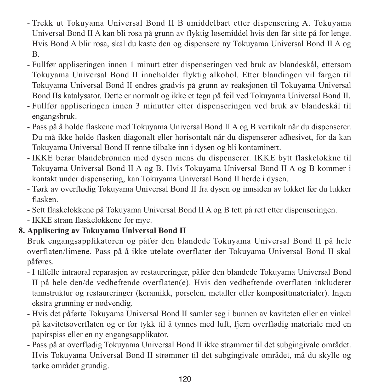- Trekk ut Tokuyama Universal Bond II B umiddelbart etter dispensering A. Tokuyama Universal Bond II A kan bli rosa på grunn av flyktig løsemiddel hvis den får sitte på for lenge. Hvis Bond A blir rosa, skal du kaste den og dispensere ny Tokuyama Universal Bond II A og B.
- Fullfør appliseringen innen 1 minutt etter dispenseringen ved bruk av blandeskål, ettersom Tokuyama Universal Bond II inneholder flyktig alkohol. Etter blandingen vil fargen til Tokuyama Universal Bond II endres gradvis på grunn av reaksjonen til Tokuyama Universal Bond IIs katalysator. Dette er normalt og ikke et tegn på feil ved Tokuyama Universal Bond II.
- Fullfør appliseringen innen 3 minutter etter dispenseringen ved bruk av blandeskål til engangsbruk.
- Pass på å holde flaskene med Tokuyama Universal Bond II A og B vertikalt når du dispenserer. Du må ikke holde flasken diagonalt eller horisontalt når du dispenserer adhesivet, for da kan Tokuyama Universal Bond II renne tilbake inn i dysen og bli kontaminert.
- IKKE berør blandebrønnen med dysen mens du dispenserer. IKKE bytt flaskelokkne til Tokuyama Universal Bond II A og B. Hvis Tokuyama Universal Bond II A og B kommer i kontakt under dispensering, kan Tokuyama Universal Bond II herde i dysen.
- Tørk av overflødig Tokuyama Universal Bond II fra dysen og innsiden av lokket før du lukker flasken.
- Sett flaskelokkene på Tokuyama Universal Bond II A og B tett på rett etter dispenseringen.
- IKKE stram flaskelokkene for mye.

## **8. Applisering av Tokuyama Universal Bond II**

Bruk engangsapplikatoren og påfør den blandede Tokuyama Universal Bond II på hele overflaten/limene. Pass på å ikke utelate overflater der Tokuyama Universal Bond II skal påføres.

- I tilfelle intraoral reparasjon av restaureringer, påfør den blandede Tokuyama Universal Bond II på hele den/de vedheftende overflaten(e). Hvis den vedheftende overflaten inkluderer tannstruktur og restaureringer (keramikk, porselen, metaller eller komposittmaterialer). Ingen ekstra grunning er nødvendig.
- Hvis det påførte Tokuyama Universal Bond II samler seg i bunnen av kaviteten eller en vinkel på kavitetsoverflaten og er for tykk til å tynnes med luft, fjern overflødig materiale med en papirspiss eller en ny engangsapplikator.
- Pass på at overflødig Tokuyama Universal Bond II ikke strømmer til det subgingivale området. Hvis Tokuyama Universal Bond II strømmer til det subgingivale området, må du skylle og tørke området grundig.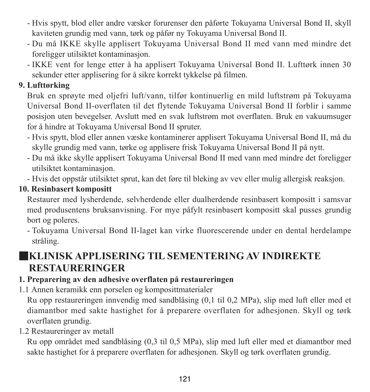- Hvis spytt, blod eller andre væsker forurenser den påførte Tokuyama Universal Bond II, skyll kaviteten grundig med vann, tørk og påfør ny Tokuyama Universal Bond II.
- Du må IKKE skylle applisert Tokuyama Universal Bond II med vann med mindre det foreligger utilsiktet kontaminasjon.
- IKKE vent for lenge etter å ha applisert Tokuyama Universal Bond II. Lufttørk innen 30 sekunder etter applisering for å sikre korrekt tykkelse på filmen.

#### **9. Lufttørking**

Bruk en sprøyte med oljefri luft/vann, tilfør kontinuerlig en mild luftstrøm på Tokuyama Universal Bond II-overflaten til det flytende Tokuyama Universal Bond II forblir i samme posisjon uten bevegelser. Avslutt med en svak luftstrøm mot overflaten. Bruk en vakuumsuger for å hindre at Tokuyama Universal Bond II spruter.

- Hvis spytt, blod eller annen væske kontaminerer applisert Tokuyama Universal Bond II, må du skylle grundig med vann, tørke og applisere frisk Tokuyama Universal Bond II på nytt.
- Du må ikke skylle applisert Tokuyama Universal Bond II med vann med mindre det foreligger utilsiktet kontaminasjon.
- Hvis det oppstår utilsiktet sprut, kan det føre til bleking av vev eller mulig allergisk reaksjon.

### **10. Resinbasert kompositt**

Restaurer med lysherdende, selvherdende eller dualherdende resinbasert kompositt i samsvar med produsentens bruksanvisning. For mye påfylt resinbasert kompositt skal pusses grundig bort og poleres.

- Tokuyama Universal Bond II-laget kan virke fluorescerende under en dental herdelampe stråling.

# ■**KLINISK APPLISERING TIL SEMENTERING AV INDIREKTE RESTAURERINGER**

#### **1. Preparering av den adhesive overflaten på restaureringen**

1.1 Annen keramikk enn porselen og komposittmaterialer

Ru opp restaureringen innvendig med sandblåsing (0,1 til 0,2 MPa), slip med luft eller med et diamantbor med sakte hastighet for å preparere overflaten for adhesjonen. Skyll og tørk overflaten grundig.

#### 1.2 Restaureringer av metall

Ru opp området med sandblåsing (0,3 til 0,5 MPa), slip med luft eller med et diamantbor med sakte hastighet for å preparere overflaten for adhesjonen. Skyll og tørk overflaten grundig.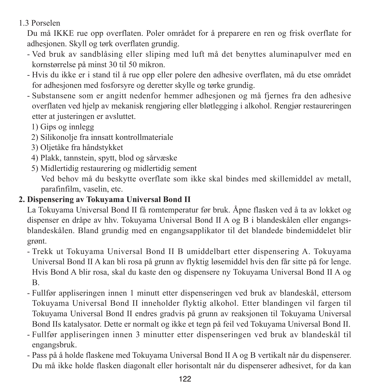## 1.3 Porselen

Du må IKKE rue opp overflaten. Poler området for å preparere en ren og frisk overflate for adhesjonen. Skyll og tørk overflaten grundig.

- Ved bruk av sandblåsing eller sliping med luft må det benyttes aluminapulver med en kornstørrelse på minst 30 til 50 mikron.
- Hvis du ikke er i stand til å rue opp eller polere den adhesive overflaten, må du etse området for adhesjonen med fosforsyre og deretter skylle og tørke grundig.
- Substansene som er angitt nedenfor hemmer adhesjonen og må fjernes fra den adhesive overflaten ved hjelp av mekanisk rengjøring eller bløtlegging i alkohol. Rengjør restaureringen etter at justeringen er avsluttet.

1) Gips og innlegg

- 2) Silikonolje fra innsatt kontrollmateriale
- 3) Oljetåke fra håndstykket
- 4) Plakk, tannstein, spytt, blod og sårvæske
- 5) Midlertidig restaurering og midlertidig sement

 Ved behov må du beskytte overflate som ikke skal bindes med skillemiddel av metall, parafinfilm, vaselin, etc.

### **2. Dispensering av Tokuyama Universal Bond II**

La Tokuyama Universal Bond II få romtemperatur før bruk. Åpne flasken ved å ta av lokket og dispenser en dråpe av hhv. Tokuyama Universal Bond II A og B i blandeskålen eller engangsblandeskålen. Bland grundig med en engangsapplikator til det blandede bindemiddelet blir grønt.

- Trekk ut Tokuyama Universal Bond II B umiddelbart etter dispensering A. Tokuyama Universal Bond II A kan bli rosa på grunn av flyktig løsemiddel hvis den får sitte på for lenge. Hvis Bond A blir rosa, skal du kaste den og dispensere ny Tokuyama Universal Bond II A og B.
- Fullfør appliseringen innen 1 minutt etter dispenseringen ved bruk av blandeskål, ettersom Tokuyama Universal Bond II inneholder flyktig alkohol. Etter blandingen vil fargen til Tokuyama Universal Bond II endres gradvis på grunn av reaksjonen til Tokuyama Universal Bond IIs katalysator. Dette er normalt og ikke et tegn på feil ved Tokuyama Universal Bond II.
- Fullfør appliseringen innen 3 minutter etter dispenseringen ved bruk av blandeskål til engangsbruk.
- Pass på å holde flaskene med Tokuyama Universal Bond II A og B vertikalt når du dispenserer. Du må ikke holde flasken diagonalt eller horisontalt når du dispenserer adhesivet, for da kan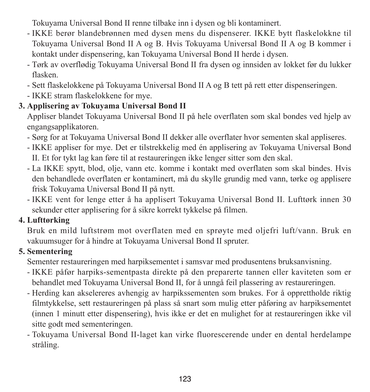Tokuyama Universal Bond II renne tilbake inn i dysen og bli kontaminert.

- IKKE berør blandebrønnen med dysen mens du dispenserer. IKKE bytt flaskelokkne til Tokuyama Universal Bond II A og B. Hvis Tokuyama Universal Bond II A og B kommer i kontakt under dispensering, kan Tokuyama Universal Bond II herde i dysen.
- Tørk av overflødig Tokuyama Universal Bond II fra dysen og innsiden av lokket før du lukker flasken.
- Sett flaskelokkene på Tokuyama Universal Bond II A og B tett på rett etter dispenseringen.
- IKKE stram flaskelokkene for mye.

#### **3. Applisering av Tokuyama Universal Bond II**

Appliser blandet Tokuyama Universal Bond II på hele overflaten som skal bondes ved hjelp av engangsapplikatoren.

- Sørg for at Tokuyama Universal Bond II dekker alle overflater hvor sementen skal appliseres.
- IKKE appliser for mye. Det er tilstrekkelig med én applisering av Tokuyama Universal Bond II. Et for tykt lag kan føre til at restaureringen ikke lenger sitter som den skal.
- La IKKE spytt, blod, olje, vann etc. komme i kontakt med overflaten som skal bindes. Hvis den behandlede overflaten er kontaminert, må du skylle grundig med vann, tørke og applisere frisk Tokuyama Universal Bond II på nytt.
- IKKE vent for lenge etter å ha applisert Tokuyama Universal Bond II. Lufttørk innen 30 sekunder etter applisering for å sikre korrekt tykkelse på filmen.

#### **4. Lufttørking**

Bruk en mild luftstrøm mot overflaten med en sprøyte med oljefri luft/vann. Bruk en vakuumsuger for å hindre at Tokuyama Universal Bond II spruter.

#### **5. Sementering**

Sementer restaureringen med harpiksementet i samsvar med produsentens bruksanvisning.

- IKKE påfør harpiks-sementpasta direkte på den preparerte tannen eller kaviteten som er behandlet med Tokuyama Universal Bond II, for å unngå feil plassering av restaureringen.
- Herding kan akselereres avhengig av harpikssementen som brukes. For å opprettholde riktig filmtykkelse, sett restaureringen på plass så snart som mulig etter påføring av harpiksementet (innen 1 minutt etter dispensering), hvis ikke er det en mulighet for at restaureringen ikke vil sitte godt med sementeringen.
- Tokuyama Universal Bond II-laget kan virke fluorescerende under en dental herdelampe stråling.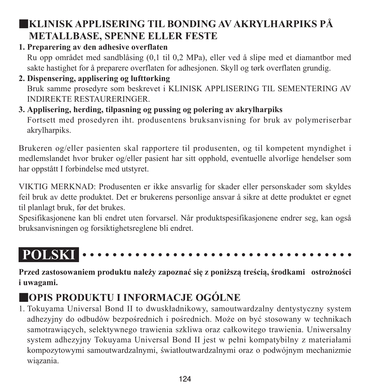# ■**KLINISK APPLISERING TIL BONDING AV AKRYLHARPIKS PÅ METALLBASE, SPENNE ELLER FESTE**

**1. Preparering av den adhesive overflaten**

Ru opp området med sandblåsing (0,1 til 0,2 MPa), eller ved å slipe med et diamantbor med sakte hastighet for å preparere overflaten for adhesjonen. Skyll og tørk overflaten grundig.

- **2. Dispensering, applisering og lufttørking** Bruk samme prosedyre som beskrevet i KLINISK APPLISERING TIL SEMENTERING AV INDIREKTE RESTAURERINGER.
- **3. Applisering, herding, tilpasning og pussing og polering av akrylharpiks** Fortsett med prosedyren iht. produsentens bruksanvisning for bruk av polymeriserbar akrylharpiks.

Brukeren og/eller pasienten skal rapportere til produsenten, og til kompetent myndighet i medlemslandet hvor bruker og/eller pasient har sitt opphold, eventuelle alvorlige hendelser som har oppstått I forbindelse med utstyret.

VIKTIG MERKNAD: Produsenten er ikke ansvarlig for skader eller personskader som skyldes feil bruk av dette produktet. Det er brukerens personlige ansvar å sikre at dette produktet er egnet til planlagt bruk, før det brukes.

Spesifikasjonene kan bli endret uten forvarsel. Når produktspesifikasjonene endrer seg, kan også bruksanvisningen og forsiktighetsreglene bli endret.

```
POLSKI
```
**Przed zastosowaniem produktu należy zapoznać się z poniższą treścią, środkami ostrożności i uwagami.**

# ■**OPIS PRODUKTU I INFORMACJE OGÓLNE**

1. Tokuyama Universal Bond II to dwuskładnikowy, samoutwardzalny dentystyczny system adhezyjny do odbudów bezpośrednich i pośrednich. Może on być stosowany w technikach samotrawiących, selektywnego trawienia szkliwa oraz całkowitego trawienia. Uniwersalny system adhezyjny Tokuyama Universal Bond II jest w pełni kompatybilny z materiałami kompozytowymi samoutwardzalnymi, światłoutwardzalnymi oraz o podwójnym mechanizmie wiązania.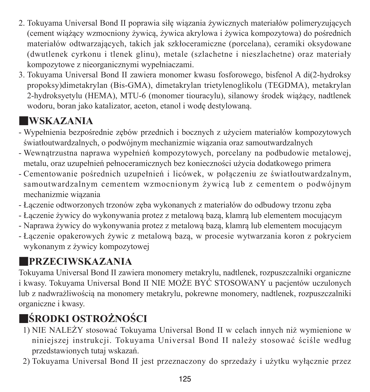- 2. Tokuyama Universal Bond II poprawia siłę wiązania żywicznych materiałów polimeryzujących (cement wiążący wzmocniony żywicą, żywica akrylowa i żywica kompozytowa) do pośrednich materiałów odtwarzających, takich jak szkłoceramiczne (porcelana), ceramiki oksydowane (dwutlenek cyrkonu i tlenek glinu), metale (szlachetne i nieszlachetne) oraz materiały kompozytowe z nieorganicznymi wypełniaczami.
- 3. Tokuyama Universal Bond II zawiera monomer kwasu fosforowego, bisfenol A di(2-hydroksy propoksy)dimetakrylan (Bis-GMA), dimetakrylan trietylenoglikolu (TEGDMA), metakrylan 2-hydroksyetylu (HEMA), MTU-6 (monomer tiouracylu), silanowy środek wiążący, nadtlenek wodoru, boran jako katalizator, aceton, etanol i wodę destylowaną.

# ■**WSKAZANIA**

- Wypełnienia bezpośrednie zębów przednich i bocznych z użyciem materiałów kompozytowych światłoutwardzalnych, o podwójnym mechanizmie wiązania oraz samoutwardzalnych
- Wewnątrzustna naprawa wypełnień kompozytowych, porcelany na podbudowie metalowej, metalu, oraz uzupełnień pełnoceramicznych bez konieczności użycia dodatkowego primera
- Cementowanie pośrednich uzupełnień i licówek, w połączeniu ze światłoutwardzalnym, samoutwardzalnym cementem wzmocnionym żywicą lub z cementem o podwójnym mechanizmie wiązania
- Łączenie odtworzonych trzonów zęba wykonanych z materiałów do odbudowy trzonu zęba
- Łączenie żywicy do wykonywania protez z metalową bazą, klamrą lub elementem mocującym
- Naprawa żywicy do wykonywania protez z metalową bazą, klamrą lub elementem mocującym
- Łączenie opakerowych żywic z metalową bazą, w procesie wytwarzania koron z pokryciem wykonanym z żywicy kompozytowej

# ■**PRZECIWSKAZANIA**

Tokuyama Universal Bond II zawiera monomery metakrylu, nadtlenek, rozpuszczalniki organiczne i kwasy. Tokuyama Universal Bond II NIE MOŻE BYĆ STOSOWANY u pacjentów uczulonych lub z nadwrażliwością na monomery metakrylu, pokrewne monomery, nadtlenek, rozpuszczalniki organiczne i kwasy.

# ■**ŚRODKI OSTROŻNOŚCI**

- 1) NIE NALEŻY stosować Tokuyama Universal Bond II w celach innych niż wymienione w niniejszej instrukcji. Tokuyama Universal Bond II należy stosować ściśle według przedstawionych tutaj wskazań.
- 2) Tokuyama Universal Bond II jest przeznaczony do sprzedaży i użytku wyłącznie przez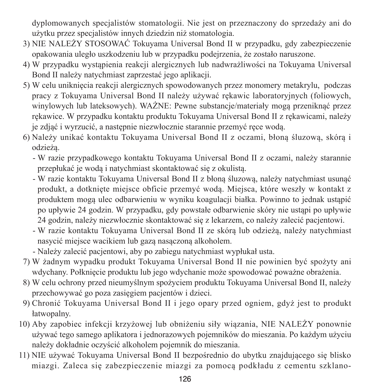dyplomowanych specjalistów stomatologii. Nie jest on przeznaczony do sprzedaży ani do użytku przez specjalistów innych dziedzin niż stomatologia.

- 3) NIE NALEŻY STOSOWAĆ Tokuyama Universal Bond II w przypadku, gdy zabezpieczenie opakowania uległo uszkodzeniu lub w przypadku podejrzenia, że zostało naruszone.
- 4) W przypadku wystąpienia reakcji alergicznych lub nadwrażliwości na Tokuyama Universal Bond II należy natychmiast zaprzestać jego aplikacji.
- 5) W celu uniknięcia reakcji alergicznych spowodowanych przez monomery metakrylu, podczas pracy z Tokuyama Universal Bond II należy używać rękawic laboratoryjnych (foliowych, winylowych lub lateksowych). WAŻNE: Pewne substancje/materiały mogą przeniknąć przez rękawice. W przypadku kontaktu produktu Tokuyama Universal Bond II z rękawicami, należy je zdjąć i wyrzucić, a następnie niezwłocznie starannie przemyć ręce wodą.
- 6) Należy unikać kontaktu Tokuyama Universal Bond II z oczami, błoną śluzową, skórą i odzieżą.
	- - W razie przypadkowego kontaktu Tokuyama Universal Bond II z oczami, należy starannie przepłukać je wodą i natychmiast skontaktować się z okulistą.
	- - W razie kontaktu Tokuyama Universal Bond II z błoną śluzową, należy natychmiast usunąć produkt, a dotknięte miejsce obficie przemyć wodą. Miejsca, które weszły w kontakt z produktem mogą ulec odbarwieniu w wyniku koagulacji białka. Powinno to jednak ustąpić po upływie 24 godzin. W przypadku, gdy powstałe odbarwienie skóry nie ustąpi po upływie 24 godzin, należy niezwłocznie skontaktować się z lekarzem, co należy zalecić pacjentowi.
	- - W razie kontaktu Tokuyama Universal Bond II ze skórą lub odzieżą, należy natychmiast nasycić miejsce wacikiem lub gazą nasączoną alkoholem.
	- Należy zalecić pacjentowi, aby po zabiegu natychmiast wypłukał usta.
- 7) W żadnym wypadku produkt Tokuyama Universal Bond II nie powinien być spożyty ani wdychany. Połknięcie produktu lub jego wdychanie może spowodować poważne obrażenia.
- 8) W celu ochrony przed nieumyślnym spożyciem produktu Tokuyama Universal Bond II, należy przechowywać go poza zasięgiem pacjentów i dzieci.
- 9) Chronić Tokuyama Universal Bond II i jego opary przed ogniem, gdyż jest to produkt łatwopalny.
- 10) Aby zapobiec infekcji krzyżowej lub obniżeniu siły wiązania, NIE NALEŻY ponownie używać tego samego aplikatora i jednorazowych pojemników do mieszania. Po każdym użyciu należy dokładnie oczyścić alkoholem pojemnik do mieszania.
- 11) NIE używać Tokuyama Universal Bond II bezpośrednio do ubytku znajdującego się blisko miazgi. Zaleca się zabezpieczenie miazgi za pomocą podkładu z cementu szklano‐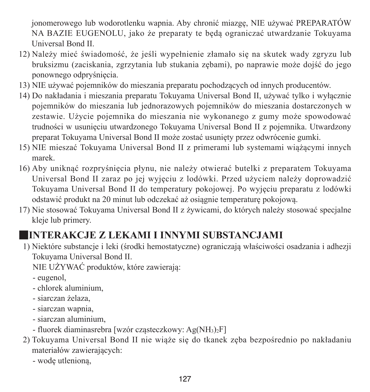jonomerowego lub wodorotlenku wapnia. Aby chronić miazgę, NIE używać PREPARATÓW NA BAZIE EUGENOLU, jako że preparaty te będą ograniczać utwardzanie Tokuyama Universal Bond II.

- 12) Należy mieć świadomość, że jeśli wypełnienie złamało się na skutek wady zgryzu lub bruksizmu (zaciskania, zgrzytania lub stukania zębami), po naprawie może dojść do jego ponownego odpryśnięcia.
- 13) NIE używać pojemników do mieszania preparatu pochodzących od innych producentów.
- 14) Do nakładania i mieszania preparatu Tokuyama Universal Bond II, używać tylko i wyłącznie pojemników do mieszania lub jednorazowych pojemników do mieszania dostarczonych w zestawie. Użycie pojemnika do mieszania nie wykonanego z gumy może spowodować trudności w usunięciu utwardzonego Tokuyama Universal Bond II z pojemnika. Utwardzony preparat Tokuyama Universal Bond II może zostać usunięty przez odwrócenie gumki.
- 15) NIE mieszać Tokuyama Universal Bond II z primerami lub systemami wiążącymi innych marek.
- 16) Aby uniknąć rozpryśnięcia płynu, nie należy otwierać butelki z preparatem Tokuyama Universal Bond II zaraz po jej wyjęciu z lodówki. Przed użyciem należy doprowadzić Tokuyama Universal Bond II do temperatury pokojowej. Po wyjęciu preparatu z lodówki odstawić produkt na 20 minut lub odczekać aż osiągnie temperaturę pokojową.
- 17) Nie stosować Tokuyama Universal Bond II z żywicami, do których należy stosować specjalne kleje lub primery.

# ■**INTERAKCJE Z LEKAMI I INNYMI SUBSTANCJAMI**

1) Niektóre substancje i leki (środki hemostatyczne) ograniczają właściwości osadzania i adhezji Tokuyama Universal Bond II.

NIE UŻYWAĆ produktów, które zawierają:

- ‐ eugenol,
- ‐ chlorek aluminium,
- ‐ siarczan żelaza,
- ‐ siarczan wapnia,
- ‐ siarczan aluminium,
- ‐ fluorek diaminasrebra [wzór cząsteczkowy: Ag(NH3)2F]
- 2) Tokuyama Universal Bond II nie wiąże się do tkanek zęba bezpośrednio po nakładaniu materiałów zawierających:
	- ‐ wodę utlenioną,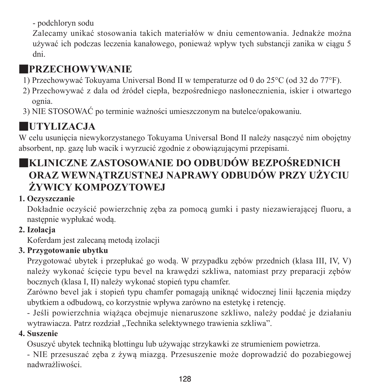‐ podchloryn sodu

 Zalecamy unikać stosowania takich materiałów w dniu cementowania. Jednakże można używać ich podczas leczenia kanałowego, ponieważ wpływ tych substancji zanika w ciągu 5 dni.

# ■**PRZECHOWYWANIE**

- 1) Przechowywać Tokuyama Universal Bond II w temperaturze od 0 do 25°C (od 32 do 77°F).
- 2) Przechowywać z dala od źródeł ciepła, bezpośredniego nasłonecznienia, iskier i otwartego ognia.
- 3) NIE STOSOWAĆ po terminie ważności umieszczonym na butelce/opakowaniu.

# ■**UTYLIZACJA**

W celu usunięcia niewykorzystanego Tokuyama Universal Bond II należy nasączyć nim obojętny absorbent, np. gazę lub wacik i wyrzucić zgodnie z obowiązującymi przepisami.

# ■**KLINICZNE ZASTOSOWANIE DO ODBUDÓW BEZPOŚREDNICH ORAZ WEWNĄTRZUSTNEJ NAPRAWY ODBUDÓW PRZY UŻYCIU ŻYWICY KOMPOZYTOWEJ**

### **1. Oczyszczanie**

Dokładnie oczyścić powierzchnię zęba za pomocą gumki i pasty niezawierającej fluoru, a następnie wypłukać wodą.

### **2. Izolacja**

Koferdam jest zalecaną metodą izolacji

## **3. Przygotowanie ubytku**

Przygotować ubytek i przepłukać go wodą. W przypadku zębów przednich (klasa III, IV, V) należy wykonać ścięcie typu bevel na krawędzi szkliwa, natomiast przy preparacji zębów bocznych (klasa I, II) należy wykonać stopień typu chamfer.

Zarówno bevel jak i stopień typu chamfer pomagają uniknąć widocznej linii łączenia między ubytkiem a odbudową, co korzystnie wpływa zarówno na estetykę i retencję.

‐ Jeśli powierzchnia wiążąca obejmuje nienaruszone szkliwo, należy poddać je działaniu wytrawiacza. Patrz rozdział "Technika selektywnego trawienia szkliwa".

#### **4. Suszenie**

Osuszyć ubytek techniką blottingu lub używając strzykawki ze strumieniem powietrza.

‐ NIE przesuszać zęba z żywą miazgą. Przesuszenie może doprowadzić do pozabiegowej nadwrażliwości.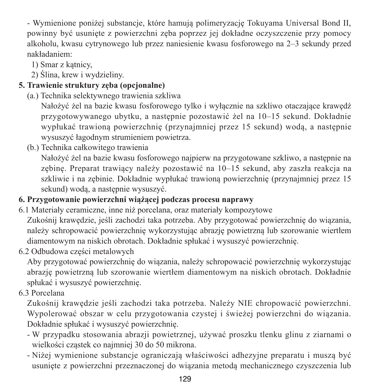‐ Wymienione poniżej substancje, które hamują polimeryzację Tokuyama Universal Bond II, powinny być usunięte z powierzchni zęba poprzez jej dokładne oczyszczenie przy pomocy alkoholu, kwasu cytrynowego lub przez naniesienie kwasu fosforowego na 2–3 sekundy przed nakładaniem:

1) Smar z kątnicy,

2) Ślina, krew i wydzieliny.

## **5. Trawienie struktury zęba (opcjonalne)**

(a.) Technika selektywnego trawienia szkliwa

 Nałożyć żel na bazie kwasu fosforowego tylko i wyłącznie na szkliwo otaczające krawędź przygotowywanego ubytku, a następnie pozostawić żel na 10–15 sekund. Dokładnie wypłukać trawioną powierzchnię (przynajmniej przez 15 sekund) wodą, a następnie wysuszyć łagodnym strumieniem powietrza.

(b.) Technika całkowitego trawienia

 Nałożyć żel na bazie kwasu fosforowego najpierw na przygotowane szkliwo, a następnie na zębinę. Preparat trawiący należy pozostawić na 10–15 sekund, aby zaszła reakcja na szkliwie i na zębinie. Dokładnie wypłukać trawioną powierzchnię (przynajmniej przez 15 sekund) wodą, a następnie wysuszyć.

## **6. Przygotowanie powierzchni wiążącej podczas procesu naprawy**

6.1 Materiały ceramiczne, inne niż porcelana, oraz materiały kompozytowe

Zukośnij krawędzie, jeśli zachodzi taka potrzeba. Aby przygotować powierzchnię do wiązania, należy schropowacić powierzchnię wykorzystując abrazję powietrzną lub szorowanie wiertłem diamentowym na niskich obrotach. Dokładnie spłukać i wysuszyć powierzchnię.

6.2 Odbudowa części metalowych

Aby przygotować powierzchnię do wiązania, należy schropowacić powierzchnię wykorzystując abrazję powietrzną lub szorowanie wiertłem diamentowym na niskich obrotach. Dokładnie spłukać i wysuszyć powierzchnię.

6.3 Porcelana

Zukośnij krawędzie jeśli zachodzi taka potrzeba. Należy NIE chropowacić powierzchni. Wypolerować obszar w celu przygotowania czystej i świeżej powierzchni do wiązania. Dokładnie spłukać i wysuszyć powierzchnię.

- ‐ W przypadku stosowania abrazji powietrznej, używać proszku tlenku glinu z ziarnami o wielkości cząstek co najmniej 30 do 50 mikrona.
- ‐ Niżej wymienione substancje ograniczają właściwości adhezyjne preparatu i muszą być usunięte z powierzchni przeznaczonej do wiązania metodą mechanicznego czyszczenia lub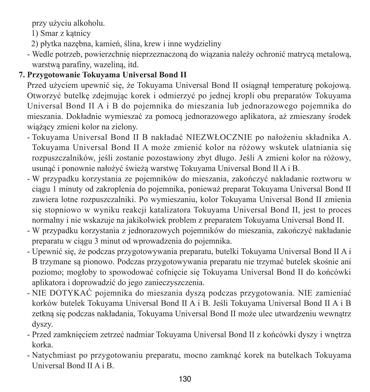przy użyciu alkoholu.

1) Smar z kątnicy

- 2) płytka nazębna, kamień, ślina, krew i inne wydzieliny
- ‐ Wedle potrzeb, powierzchnię nieprzeznaczoną do wiązania należy ochronić matrycą metalową, warstwą parafiny, wazeliną, itd.

## **7. Przygotowanie Tokuyama Universal Bond II**

Przed użyciem upewnić się, że Tokuyama Universal Bond II osiągnął temperaturę pokojową. Otworzyć butelkę zdejmując korek i odmierzyć po jednej kropli obu preparatów Tokuyama Universal Bond II A i B do pojemnika do mieszania lub jednorazowego pojemnika do mieszania. Dokładnie wymieszać za pomocą jednorazowego aplikatora, aż zmieszany środek wiążący zmieni kolor na zielony.

- Tokuyama Universal Bond II B nakładać NIEZWŁOCZNIE po nałożeniu składnika A. Tokuyama Universal Bond II A może zmienić kolor na różowy wskutek ulatniania się rozpuszczalników, jeśli zostanie pozostawiony zbyt długo. Jeśli A zmieni kolor na różowy, usunąć i ponownie nałożyć świeżą warstwę Tokuyama Universal Bond II A i B.
- W przypadku korzystania ze pojemników do mieszania, zakończyć nakładanie roztworu w ciągu 1 minuty od zakroplenia do pojemnika, ponieważ preparat Tokuyama Universal Bond II zawiera lotne rozpuszczalniki. Po wymieszaniu, kolor Tokuyama Universal Bond II zmienia się stopniowo w wyniku reakcji katalizatora Tokuyama Universal Bond II, jest to proces normalny i nie wskazuje na jakikolwiek problem z preparatem Tokuyama Universal Bond II.
- W przypadku korzystania z jednorazowych pojemników do mieszania, zakończyć nakładanie preparatu w ciągu 3 minut od wprowadzenia do pojemnika.
- Upewnić się, że podczas przygotowywania preparatu, butelki Tokuyama Universal Bond II A i B trzymane są pionowo. Podczas przygotowywania preparatu nie trzymać butelek skośnie ani poziomo; mogłoby to spowodować cofnięcie się Tokuyama Universal Bond II do końcówki aplikatora i doprowadzić do jego zanieczyszczenia.
- NIE DOTYKAĆ pojemnika do mieszania dyszą podczas przygotowania. NIE zamieniać korków butelek Tokuyama Universal Bond II A i B. Jeśli Tokuyama Universal Bond II A i B zetkną się podczas nakładania, Tokuyama Universal Bond II może ulec utwardzeniu wewnątrz dyszy.
- Przed zamknięciem zetrzeć nadmiar Tokuyama Universal Bond II z końcówki dyszy i wnętrza korka.
- Natychmiast po przygotowaniu preparatu, mocno zamknąć korek na butelkach Tokuyama Universal Bond II A i B.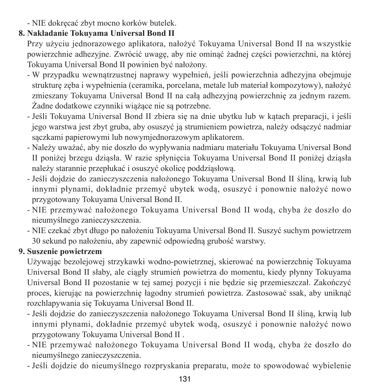- NIE dokręcać zbyt mocno korków butelek.

#### **8. Nakładanie Tokuyama Universal Bond II**

Przy użyciu jednorazowego aplikatora, nałożyć Tokuyama Universal Bond II na wszystkie powierzchnie adhezyjne. Zwrócić uwagę, aby nie ominąć żadnej części powierzchni, na której Tokuyama Universal Bond II powinien być nałożony.

- W przypadku wewnątrzustnej naprawy wypełnień, jeśli powierzchnia adhezyjna obejmuje strukturę zęba i wypełnienia (ceramika, porcelana, metale lub materiał kompozytowy), nałożyć zmieszany Tokuyama Universal Bond II na całą adhezyjną powierzchnię za jednym razem. Żadne dodatkowe czynniki wiążące nie są potrzebne.
- Jeśli Tokuyama Universal Bond II zbiera się na dnie ubytku lub w kątach preparacji, i jeśli jego warstwa jest zbyt gruba, aby osuszyć ją strumieniem powietrza, należy odsączyć nadmiar sączkami papierowymi lub nowymjednorazowym aplikatorem.
- Należy uważać, aby nie doszło do wypływania nadmiaru materiału Tokuyama Universal Bond II poniżej brzegu dziąsła. W razie spłynięcia Tokuyama Universal Bond II poniżej dziąsła należy starannie przepłukać i osuszyć okolicę poddziąsłową.
- Jeśli dojdzie do zanieczyszczenia nałożonego Tokuyama Universal Bond II śliną, krwią lub innymi płynami, dokładnie przemyć ubytek wodą, osuszyć i ponownie nałożyć nowo przygotowany Tokuyama Universal Bond II.
- NIE przemywać nałożonego Tokuyama Universal Bond II wodą, chyba że doszło do nieumyślnego zanieczyszczenia.
- NIE czekać zbyt długo po nałożeniu Tokuyama Universal Bond II. Suszyć suchym powietrzem 30 sekund po nałożeniu, aby zapewnić odpowiedną grubość warstwy.

### **9. Suszenie powietrzem**

Używając bezolejowej strzykawki wodno‐powietrznej, skierować na powierzchnię Tokuyama Universal Bond II słaby, ale ciągły strumień powietrza do momentu, kiedy płynny Tokuyama Universal Bond II pozostanie w tej samej pozycji i nie będzie się przemieszczał. Zakończyć proces, kierując na powierzchnię łagodny strumień powietrza. Zastosować ssak, aby uniknąć rozchlapywania się Tokuyama Universal Bond II.

- Jeśli dojdzie do zanieczyszczenia nałożonego Tokuyama Universal Bond II śliną, krwią lub innymi płynami, dokładnie przemyć ubytek wodą, osuszyć i ponownie nałożyć nowo przygotowany Tokuyama Universal Bond II .
- NIE przemywać nałożonego Tokuyama Universal Bond II wodą, chyba że doszło do nieumyślnego zanieczyszczenia.
- Jeśli dojdzie do nieumyślnego rozpryskania preparatu, może to spowodować wybielenie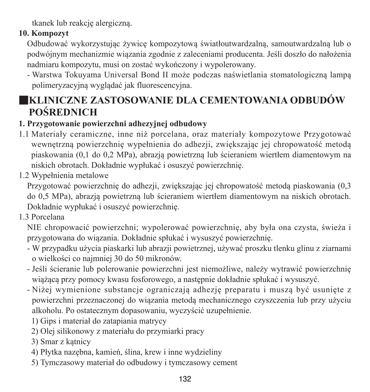tkanek lub reakcję alergiczną.

## **10. Kompozyt**

Odbudować wykorzystując żywicę kompozytową światłoutwardzalną, samoutwardzalną lub o podwójnym mechanizmie wiązania zgodnie z zaleceniami producenta. Jeśli doszło do nałożenia nadmiaru kompozytu, musi on zostać wykończony i wypolerowany.

- Warstwa Tokuyama Universal Bond II może podczas naświetlania stomatologiczną lampą polimeryzacyjną wyglądać jak fluorescencyjna.

# ■**KLINICZNE ZASTOSOWANIE DLA CEMENTOWANIA ODBUDÓW POŚREDNICH**

## **1. Przygotowanie powierzchni adhezyjnej odbudowy**

- 1.1 Materiały ceramiczne, inne niż porcelana, oraz materiały kompozytowe Przygotować wewnętrzną powierzchnię wypełnienia do adhezji, zwiększając jej chropowatość metodą piaskowania (0,1 do 0,2 MPa), abrazją powietrzną lub ścieraniem wiertłem diamentowym na niskich obrotach. Dokładnie wypłukać i osuszyć powierzchnię.
- 1.2 Wypełnienia metalowe

Przygotować powierzchnię do adhezji, zwiększając jej chropowatość metodą piaskowania (0,3 do 0,5 MPa), abrazją powietrzną lub ścieraniem wiertłem diamentowym na niskich obrotach. Dokładnie wypłukać i osuszyć powierzchnię.

1.3 Porcelana

NIE chropowacić powierzchni; wypolerować powierzchnię, aby była ona czysta, świeża i przygotowana do wiązania. Dokładnie spłukać i wysuszyć powierzchnię.

- ‐ W przypadku użycia piaskarki lub abrazji powietrznej, używać proszku tlenku glinu z ziarnami o wielkości co najmniej 30 do 50 mikronów.
- ‐ Jeśli ścieranie lub polerowanie powierzchni jest niemożliwe, należy wytrawić powierzchnię wiążącą przy pomocy kwasu fosforowego, a następnie dokładnie spłukać i wysuszyć.
- ‐ Niżej wymienione substancje ograniczają adhezję preparatu i muszą być usunięte z powierzchni przeznaczonej do wiązania metodą mechanicznego czyszczenia lub przy użyciu alkoholu. Po ostatecznym dopasowaniu, wyczyścić uzupełnienie.
	- 1) Gips i materiał do zatapiania matrycy
	- 2) Olej silikonowy z materiału do przymiarki pracy
	- 3) Smar z kątnicy
	- 4) Płytka nazębna, kamień, ślina, krew i inne wydzieliny
	- 5) Tymczasowy materiał do odbudowy i tymczasowy cement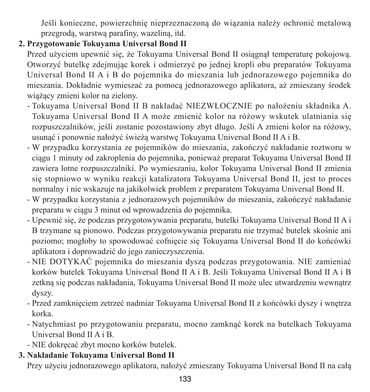Jeśli konieczne, powierzchnię nieprzeznaczoną do wiązania należy ochronić metalową przegrodą, warstwą parafiny, wazeliną, itd.

## **2. Przygotowanie Tokuyama Universal Bond II**

Przed użyciem upewnić się, że Tokuyama Universal Bond II osiągnął temperaturę pokojową. Otworzyć butelkę zdejmując korek i odmierzyć po jednej kropli obu preparatów Tokuyama Universal Bond II A i B do pojemnika do mieszania lub jednorazowego pojemnika do mieszania. Dokładnie wymieszać za pomocą jednorazowego aplikatora, aż zmieszany środek wiążący zmieni kolor na zielony.

- Tokuyama Universal Bond II B nakładać NIEZWŁOCZNIE po nałożeniu składnika A. Tokuyama Universal Bond II A może zmienić kolor na różowy wskutek ulatniania się rozpuszczalników, jeśli zostanie pozostawiony zbyt długo. Jeśli A zmieni kolor na różowy, usunąć i ponownie nałożyć świeżą warstwę Tokuyama Universal Bond II A i B.
- W przypadku korzystania ze pojemników do mieszania, zakończyć nakładanie roztworu w ciągu 1 minuty od zakroplenia do pojemnika, ponieważ preparat Tokuyama Universal Bond II zawiera lotne rozpuszczalniki. Po wymieszaniu, kolor Tokuyama Universal Bond II zmienia się stopniowo w wyniku reakcji katalizatora Tokuyama Universal Bond II, jest to proces normalny i nie wskazuje na jakikolwiek problem z preparatem Tokuyama Universal Bond II.
- W przypadku korzystania z jednorazowych pojemników do mieszania, zakończyć nakładanie preparatu w ciągu 3 minut od wprowadzenia do pojemnika.
- Upewnić się, że podczas przygotowywania preparatu, butelki Tokuyama Universal Bond II A i B trzymane są pionowo. Podczas przygotowywania preparatu nie trzymać butelek skośnie ani poziomo; mogłoby to spowodować cofnięcie się Tokuyama Universal Bond II do końcówki aplikatora i doprowadzić do jego zanieczyszczenia.
- NIE DOTYKAĆ pojemnika do mieszania dyszą podczas przygotowania. NIE zamieniać korków butelek Tokuyama Universal Bond II A i B. Jeśli Tokuyama Universal Bond II A i B zetkną się podczas nakładania, Tokuyama Universal Bond II może ulec utwardzeniu wewnątrz dyszy.
- Przed zamknięciem zetrzeć nadmiar Tokuyama Universal Bond II z końcówki dyszy i wnętrza korka.
- Natychmiast po przygotowaniu preparatu, mocno zamknąć korek na butelkach Tokuyama Universal Bond II A i B.
- NIE dokręcać zbyt mocno korków butelek.

## **3. Nakładanie Tokuyama Universal Bond II**

Przy użyciu jednorazowego aplikatora, nałożyć zmieszany Tokuyama Universal Bond II na całą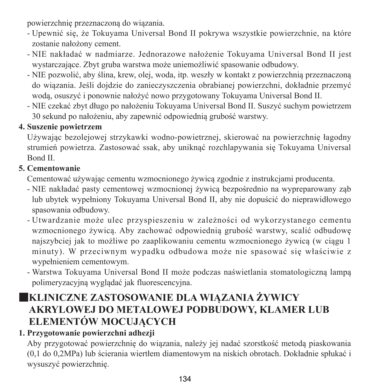powierzchnię przeznaczoną do wiązania.

- ‐ Upewnić się, że Tokuyama Universal Bond II pokrywa wszystkie powierzchnie, na które zostanie nałożony cement.
- ‐ NIE nakładać w nadmiarze. Jednorazowe nałożenie Tokuyama Universal Bond II jest wystarczające. Zbyt gruba warstwa może uniemożliwić spasowanie odbudowy.
- ‐ NIE pozwolić, aby ślina, krew, olej, woda, itp. weszły w kontakt z powierzchnią przeznaczoną do wiązania. Jeśli dojdzie do zanieczyszczenia obrabianej powierzchni, dokładnie przemyć wodą, osuszyć i ponownie nałożyć nowo przygotowany Tokuyama Universal Bond II.
- ‐ NIE czekać zbyt długo po nałożeniu Tokuyama Universal Bond II. Suszyć suchym powietrzem 30 sekund po nałożeniu, aby zapewnić odpowiednią grubość warstwy.

#### **4. Suszenie powietrzem**

Używając bezolejowej strzykawki wodno‐powietrznej, skierować na powierzchnię łagodny strumień powietrza. Zastosować ssak, aby uniknąć rozchlapywania się Tokuyama Universal Bond II.

## **5. Cementowanie**

Cementować używając cementu wzmocnionego żywicą zgodnie z instrukcjami producenta.

- NIE nakładać pasty cementowej wzmocnionej żywicą bezpośrednio na wypreparowany ząb lub ubytek wypełniony Tokuyama Universal Bond II, aby nie dopuścić do nieprawidłowego spasowania odbudowy.
- Utwardzanie może ulec przyspieszeniu w zależności od wykorzystanego cementu wzmocnionego żywicą. Aby zachować odpowiednią grubość warstwy, scalić odbudowę najszybciej jak to możliwe po zaaplikowaniu cementu wzmocnionego żywicą (w ciągu 1 minuty). W przeciwnym wypadku odbudowa może nie spasować się właściwie z wypełnieniem cementowym.
- Warstwa Tokuyama Universal Bond II może podczas naświetlania stomatologiczną lampą polimeryzacyjną wyglądać jak fluorescencyjna.

# ■**KLINICZNE ZASTOSOWANIE DLA WIĄZANIA ŻYWICY AKRYLOWEJ DO METALOWEJ PODBUDOWY, KLAMER LUB ELEMENTÓW MOCUJĄCYCH**

## **1. Przygotowanie powierzchni adhezji**

Aby przygotować powierzchnię do wiązania, należy jej nadać szorstkość metodą piaskowania (0,1 do 0,2MPa) lub ścierania wiertłem diamentowym na niskich obrotach. Dokładnie spłukać i wysuszyć powierzchnię.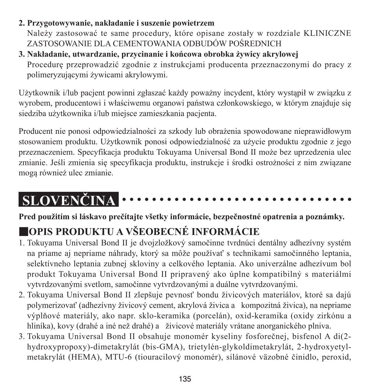#### **2. Przygotowywanie, nakładanie i suszenie powietrzem**

Należy zastosować te same procedury, które opisane zostały w rozdziale KLINICZNE ZASTOSOWANIE DLA CEMENTOWANIA ODBUDÓW POŚREDNICH

## **3. Nakładanie, utwardzanie, przycinanie i końcowa obrobka żywicy akrylowej** Procedurę przeprowadzić zgodnie z instrukcjami producenta przeznaczonymi do pracy z

polimeryzującymi żywicami akrylowymi.

Użytkownik i/lub pacjent powinni zgłaszać każdy poważny incydent, który wystąpił w związku z wyrobem, producentowi i właściwemu organowi państwa członkowskiego, w którym znajduje się siedziba użytkownika i/lub miejsce zamieszkania pacjenta.

Producent nie ponosi odpowiedzialności za szkody lub obrażenia spowodowane nieprawidłowym stosowaniem produktu. Użytkownik ponosi odpowiedzialność za użycie produktu zgodnie z jego przeznaczeniem. Specyfikacja produktu Tokuyama Universal Bond II może bez uprzedzenia ulec zmianie. Jeśli zmienia się specyfikacja produktu, instrukcje i środki ostrożności z nim związane mogą również ulec zmianie.

#### **SLOVENČINA** . . . . . . . . . . .

**Pred použitím si láskavo prečítajte všetky informácie, bezpečnostné opatrenia a poznámky.**

# ■**OPIS PRODUKTU A VŠEOBECNÉ INFORMÁCIE**

- 1. Tokuyama Universal Bond II je dvojzložkový samočinne tvrdnúci dentálny adhezívny systém na priame aj nepriame náhrady, ktorý sa môže používať s technikami samočinného leptania, selektívneho leptania zubnej skloviny a celkového leptania. Ako univerzálne adhezívum bol produkt Tokuyama Universal Bond II pripravený ako úplne kompatibilný s materiálmi vytvrdzovanými svetlom, samočinne vytvrdzovanými a duálne vytvrdzovanými.
- 2. Tokuyama Universal Bond II zlepšuje pevnosť bondu živicových materiálov, ktoré sa dajú polymerizovať (adhezívny živicový cement, akrylová živica a kompozitná živica), na nepriame výplňové materiály, ako napr. sklo-keramika (porcelán), oxid-keramika (oxidy zirkónu a hliníka), kovy (drahé a iné než drahé) a živicové materiály vrátane anorganického plniva.
- 3. Tokuyama Universal Bond II obsahuje monomér kyseliny fosforečnej, bisfenol A di(2 hydroxypropoxy)-dimetakrylát (bis-GMA), trietylén-glykoldimetakrylát, 2-hydroxyetylmetakrylát (HEMA), MTU-6 (tiouracilový monomér), silánové väzobné činidlo, peroxid,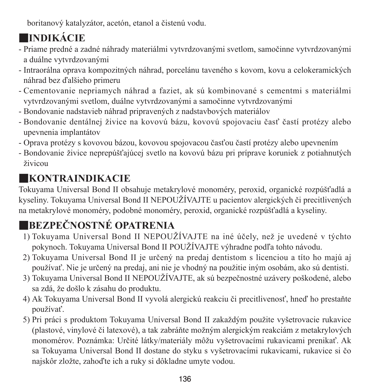boritanový katalyzátor, acetón, etanol a čistenú vodu.

# ■**INDIKÁCIE**

- Priame predné a zadné náhrady materiálmi vytvrdzovanými svetlom, samočinne vytvrdzovanými a duálne vytvrdzovanými
- Intraorálna oprava kompozitných náhrad, porcelánu taveného s kovom, kovu a celokeramických náhrad bez ďalšieho primeru
- Cementovanie nepriamych náhrad a faziet, ak sú kombinované s cementmi s materiálmi vytvrdzovanými svetlom, duálne vytvrdzovanými a samočinne vytvrdzovanými
- Bondovanie nadstavieb náhrad pripravených z nadstavbových materiálov
- Bondovanie dentálnej živice na kovovú bázu, kovovú spojovaciu časť častí protézy alebo upevnenia implantátov
- Oprava protézy s kovovou bázou, kovovou spojovacou časťou častí protézy alebo upevnením
- Bondovanie živice neprepúšťajúcej svetlo na kovovú bázu pri príprave koruniek z potiahnutých živicou

# ■**KONTRAINDIKACIE**

Tokuyama Universal Bond II obsahuje metakrylové monoméry, peroxid, organické rozpúšťadlá a kyseliny. Tokuyama Universal Bond II NEPOUŽÍVAJTE u pacientov alergických či precitlivených na metakrylové monoméry, podobné monoméry, peroxid, organické rozpúšťadlá a kyseliny.

# ■**BEZPEČNOSTNÉ OPATRENIA**

- 1) Tokuyama Universal Bond II NEPOUŽÍVAJTE na iné účely, než je uvedené v týchto pokynoch. Tokuyama Universal Bond II POUŽÍVAJTE výhradne podľa tohto návodu.
- 2) Tokuyama Universal Bond II je určený na predaj dentistom s licenciou a títo ho majú aj používať. Nie je určený na predaj, ani nie je vhodný na použitie iným osobám, ako sú dentisti.
- 3) Tokuyama Universal Bond II NEPOUŽÍVAJTE, ak sú bezpečnostné uzávery poškodené, alebo sa zdá, že došlo k zásahu do produktu.
- 4) Ak Tokuyama Universal Bond II vyvolá alergickú reakciu či precitlivenosť, hneď ho prestaňte používať.
- 5) Pri práci s produktom Tokuyama Universal Bond II zakaždým použite vyšetrovacie rukavice (plastové, vinylové či latexové), a tak zabráňte možným alergickým reakciám z metakrylových monomérov. Poznámka: Určité látky/materiály môžu vyšetrovacími rukavicami prenikať. Ak sa Tokuyama Universal Bond II dostane do styku s vyšetrovacími rukavicami, rukavice si čo najskôr zložte, zahoďte ich a ruky si dôkladne umyte vodou.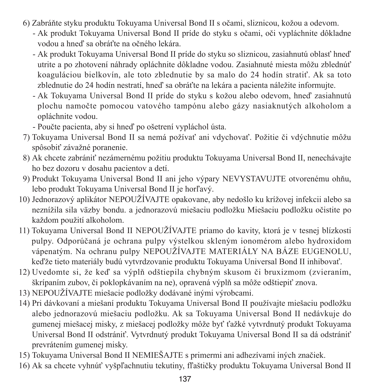- 6) Zabráňte styku produktu Tokuyama Universal Bond II s očami, sliznicou, kožou a odevom.
	- - Ak produkt Tokuyama Universal Bond II príde do styku s očami, oči vypláchnite dôkladne vodou a hneď sa obráťte na očného lekára.
	- - Ak produkt Tokuyama Universal Bond II príde do styku so sliznicou, zasiahnutú oblasť hneď utrite a po zhotovení náhrady opláchnite dôkladne vodou. Zasiahnuté miesta môžu zblednúť koaguláciou bielkovín, ale toto zblednutie by sa malo do 24 hodín stratiť. Ak sa toto zblednutie do 24 hodín nestratí, hneď sa obráťte na lekára a pacienta náležite informujte.
	- - Ak Tokuyama Universal Bond II príde do styku s kožou alebo odevom, hneď zasiahnutú plochu namočte pomocou vatového tampónu alebo gázy nasiaknutých alkoholom a opláchnite vodou.
	- Poučte pacienta, aby si hneď po ošetrení vypláchol ústa.
- 7) Tokuyama Universal Bond II sa nemá požívať ani vdychovať. Požitie či vdýchnutie môžu spôsobiť závažné poranenie.
- 8) Ak chcete zabrániť nezámernému požitiu produktu Tokuyama Universal Bond II, nenechávajte ho bez dozoru v dosahu pacientov a detí.
- 9) Produkt Tokuyama Universal Bond II ani jeho výpary NEVYSTAVUJTE otvorenému ohňu, lebo produkt Tokuyama Universal Bond II je horľavý.
- 10) Jednorazový aplikátor NEPOUŽÍVAJTE opakovane, aby nedošlo ku krížovej infekcii alebo sa neznížila sila väzby bondu. a jednorazovú miešaciu podložku Miešaciu podložku očistite po každom použití alkoholom.
- 11) Tokuyama Universal Bond II NEPOUŽÍVAJTE priamo do kavity, ktorá je v tesnej blízkosti pulpy. Odporúčaná je ochrana pulpy výstelkou skleným ionomérom alebo hydroxidom vápenatým. Na ochranu pulpy NEPOUŽÍVAJTE MATERIÁLY NA BÁZE EUGENOLU, keďže tieto materiály budú vytvrdzovanie produktu Tokuyama Universal Bond II inhibovať.
- 12) Uvedomte si, že keď sa výplň odštiepila chybným skusom či bruxizmom (zvieraním, škrípaním zubov, či poklopkávaním na ne), opravená výplň sa môže odštiepiť znova.
- 13) NEPOUŽÍVAJTE miešacie podložky dodávané inými výrobcami.
- 14) Pri dávkovaní a miešaní produktu Tokuyama Universal Bond II používajte miešaciu podložku alebo jednorazovú miešaciu podložku. Ak sa Tokuyama Universal Bond II nedávkuje do gumenej miešacej misky, z miešacej podložky môže byť ťažké vytvrdnutý produkt Tokuyama Universal Bond II odstrániť. Vytvrdnutý produkt Tokuyama Universal Bond II sa dá odstrániť prevrátením gumenej misky.
- 15) Tokuyama Universal Bond II NEMIEŠAJTE s primermi ani adhezívami iných značiek.
- 16) Ak sa chcete vyhnúť vyšpľachnutiu tekutiny, fľaštičky produktu Tokuyama Universal Bond II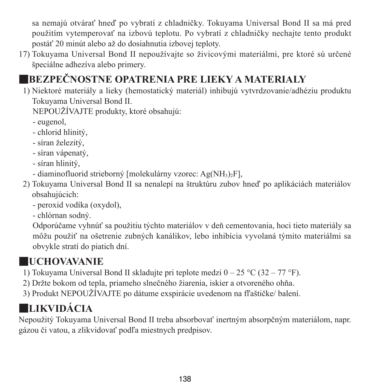sa nemajú otvárať hneď po vybratí z chladničky. Tokuyama Universal Bond II sa má pred použitím vytemperovať na izbovú teplotu. Po vybratí z chladničky nechajte tento produkt postáť 20 minút alebo až do dosiahnutia izbovej teploty.

17) Tokuyama Universal Bond II nepoužívajte so živicovými materiálmi, pre ktoré sú určené špeciálne adhezíva alebo primery.

# ■**BEZPEČNOSTNE OPATRENIA PRE LIEKY A MATERIALY**

1) Niektoré materiály a lieky (hemostatický materiál) inhibujú vytvrdzovanie/adhéziu produktu Tokuyama Universal Bond II.

NEPOUŽÍVAJTE produkty, ktoré obsahujú:

- eugenol,

- chlorid hlinitý,
- síran železitý,
- síran vápenatý,
- síran hlinitý,
- diaminofluorid strieborný [molekulárny vzorec: Ag(NH3)2F],
- 2) Tokuyama Universal Bond II sa nenalepí na štruktúru zubov hneď po aplikáciách materiálov obsahujúcich:
	- peroxid vodíka (oxydol),

- chlórnan sodný.

 Odporúčame vyhnúť sa použitiu týchto materiálov v deň cementovania, hoci tieto materiály sa môžu použiť na ošetrenie zubných kanálikov, lebo inhibícia vyvolaná týmito materiálmi sa obvykle stratí do piatich dní.

# ■**UCHOVAVANIE**

- 1) Tokuyama Universal Bond II skladujte pri teplote medzi 0 25 °C (32 77 °F).
- 2) Držte bokom od tepla, priameho slnečného žiarenia, iskier a otvoreného ohňa.
- 3) Produkt NEPOUŽÍVAJTE po dátume exspirácie uvedenom na fľaštičke/ balení.

# ■**LIKVIDÁCIA**

Nepoužitý Tokuyama Universal Bond II treba absorbovať inertným absorpčným materiálom, napr. gázou či vatou, a zlikvidovať podľa miestnych predpisov.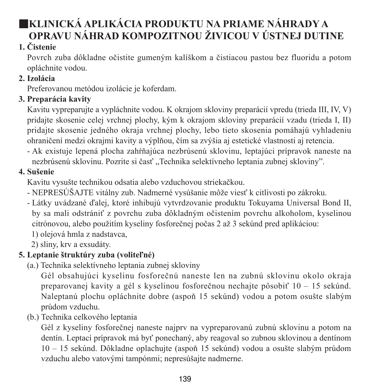# ■**KLINICKÁ APLIKÁCIA PRODUKTU NA PRIAME NÁHRADY A OPRAVU NÁHRAD KOMPOZITNOU ŽIVICOU V ÚSTNEJ DUTINE**

## **1. Čistenie**

Povrch zuba dôkladne očistite gumeným kalíškom a čistiacou pastou bez fluoridu a potom opláchnite vodou.

## **2. Izolácia**

Preferovanou metódou izolácie je koferdam.

## **3. Preparácia kavity**

Kavitu vypreparujte a vypláchnite vodou. K okrajom skloviny preparácií vpredu (trieda III, IV, V) pridajte skosenie celej vrchnej plochy, kým k okrajom skloviny preparácií vzadu (trieda I, II) pridajte skosenie jedného okraja vrchnej plochy, lebo tieto skosenia pomáhajú vyhladeniu ohraničení medzi okrajmi kavity a výplňou, čím sa zvýšia aj estetické vlastnosti aj retencia.

- Ak existuje lepená plocha zahŕňajúca nezbrúsenú sklovinu, leptajúci prípravok naneste na nezbrúsenú sklovinu. Pozrite si časť "Technika selektívneho leptania zubnej skloviny".

# **4. Sušenie**

Kavitu vysušte technikou odsatia alebo vzduchovou striekačkou.

- NEPRESÚŠAJTE vitálny zub. Nadmerné vysúšanie môže viesť k citlivosti po zákroku.
- Látky uvádzané ďalej, ktoré inhibujú vytvrdzovanie produktu Tokuyama Universal Bond II, by sa mali odstrániť z povrchu zuba dôkladným očistením povrchu alkoholom, kyselinou citrónovou, alebo použitím kyseliny fosforečnej počas 2 až 3 sekúnd pred aplikáciou:
	- 1) olejová hmla z nadstavca,
	- 2) sliny, krv a exsudáty.

# **5. Leptanie štruktúry zuba (voliteľné)**

(a.) Technika selektívneho leptania zubnej skloviny

 Gél obsahujúci kyselinu fosforečnú naneste len na zubnú sklovinu okolo okraja preparovanej kavity a gél s kyselinou fosforečnou nechajte pôsobiť 10 – 15 sekúnd. Naleptanú plochu opláchnite dobre (aspoň 15 sekúnd) vodou a potom osušte slabým prúdom vzduchu.

(b.) Technika celkového leptania

 Gél z kyseliny fosforečnej naneste najprv na vypreparovanú zubnú sklovinu a potom na dentín. Leptací prípravok má byť ponechaný, aby reagoval so zubnou sklovinou a dentínom 10 – 15 sekúnd. Dôkladne oplachujte (aspoň 15 sekúnd) vodou a osušte slabým prúdom vzduchu alebo vatovými tampónmi; nepresúšajte nadmerne.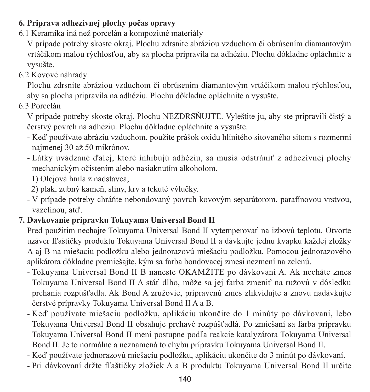### **6. Priprava adhezivnej plochy počas opravy**

6.1 Keramika iná než porcelán a kompozitné materiály

V prípade potreby skoste okraj. Plochu zdrsnite abráziou vzduchom či obrúsením diamantovým vrtáčikom malou rýchlosťou, aby sa plocha pripravila na adhéziu. Plochu dôkladne opláchnite a vysušte.

6.2 Kovové náhrady

Plochu zdrsnite abráziou vzduchom či obrúsením diamantovým vrtáčikom malou rýchlosťou, aby sa plocha pripravila na adhéziu. Plochu dôkladne opláchnite a vysušte.

6.3 Porcelán

V prípade potreby skoste okraj. Plochu NEZDRSŇUJTE. Vyleštite ju, aby ste pripravili čistý a čerstvý povrch na adhéziu. Plochu dôkladne opláchnite a vysušte.

- Keď používate abráziu vzduchom, použite prášok oxidu hlinitého sitovaného sitom s rozmermi najmenej 30 až 50 mikrónov.
- Látky uvádzané ďalej, ktoré inhibujú adhéziu, sa musia odstrániť z adhezívnej plochy mechanickým očistením alebo nasiaknutím alkoholom.
	- 1) Olejová hmla z nadstavca,
	- 2) plak, zubný kameň, sliny, krv a tekuté výlučky.
- V prípade potreby chráňte nebondovaný povrch kovovým separátorom, parafínovou vrstvou, vazelínou, atď.

#### **7. Davkovanie pripravku Tokuyama Universal Bond II**

Pred použitím nechajte Tokuyama Universal Bond II vytemperovať na izbovú teplotu. Otvorte uzáver fľaštičky produktu Tokuyama Universal Bond II a dávkujte jednu kvapku každej zložky A aj B na miešaciu podložku alebo jednorazovú miešaciu podložku. Pomocou jednorazového aplikátora dôkladne premiešajte, kým sa farba bondovacej zmesi nezmení na zelenú.

- Tokuyama Universal Bond II B naneste OKAMŽITE po dávkovaní A. Ak necháte zmes Tokuyama Universal Bond II A stáť dlho, môže sa jej farba zmeniť na ružovú v dôsledku prchania rozpúšťadla. Ak Bond A zružovie, pripravenú zmes zlikvidujte a znovu nadávkujte čerstvé prípravky Tokuyama Universal Bond II A a B.
- Keď používate miešaciu podložku, aplikáciu ukončite do 1 minúty po dávkovaní, lebo Tokuyama Universal Bond II obsahuje prchavé rozpúšťadlá. Po zmiešaní sa farba prípravku Tokuyama Universal Bond II mení postupne podľa reakcie katalyzátora Tokuyama Universal Bond II. Je to normálne a neznamená to chybu prípravku Tokuyama Universal Bond II.
- Keď používate jednorazovú miešaciu podložku, aplikáciu ukončite do 3 minút po dávkovaní.
- Pri dávkovaní držte fľaštičky zložiek A a B produktu Tokuyama Universal Bond II určite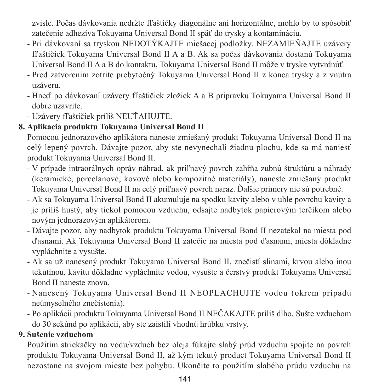zvisle. Počas dávkovania nedržte fľaštičky diagonálne ani horizontálne, mohlo by to spôsobiť zatečenie adhezíva Tokuyama Universal Bond II späť do trysky a kontamináciu.

- Pri dávkovaní sa tryskou NEDOTÝKAJTE miešacej podložky. NEZAMIEŇAJTE uzávery fľaštičiek Tokuyama Universal Bond II A a B. Ak sa počas dávkovania dostanú Tokuyama Universal Bond II A a B do kontaktu, Tokuyama Universal Bond II môže v tryske vytvrdnúť.
- Pred zatvorením zotrite prebytočný Tokuyama Universal Bond II z konca trysky a z vnútra uzáveru.
- Hneď po dávkovaní uzávery fľaštičiek zložiek A a B prípravku Tokuyama Universal Bond II dobre uzavrite.
- Uzávery fľaštičiek príliš NEUŤAHUJTE.

## **8. Aplikacia produktu Tokuyama Universal Bond II**

Pomocou jednorazového aplikátora naneste zmiešaný produkt Tokuyama Universal Bond II na celý lepený povrch. Dávajte pozor, aby ste nevynechali žiadnu plochu, kde sa má naniesť produkt Tokuyama Universal Bond II.

- V prípade intraorálnych opráv náhrad, ak priľnavý povrch zahŕňa zubnú štruktúru a náhrady (keramické, porcelánové, kovové alebo kompozitné materiály), naneste zmiešaný produkt Tokuyama Universal Bond II na celý priľnavý povrch naraz. Ďalšie primery nie sú potrebné.
- Ak sa Tokuyama Universal Bond II akumuluje na spodku kavity alebo v uhle povrchu kavity a je príliš hustý, aby tiekol pomocou vzduchu, odsajte nadbytok papierovým terčíkom alebo novým jednorazovým aplikátorom.
- Dávajte pozor, aby nadbytok produktu Tokuyama Universal Bond II nezatekal na miesta pod ďasnami. Ak Tokuyama Universal Bond II zatečie na miesta pod ďasnami, miesta dôkladne vypláchnite a vysušte.
- Ak sa už nanesený produkt Tokuyama Universal Bond II, znečistí slinami, krvou alebo inou tekutinou, kavitu dôkladne vypláchnite vodou, vysušte a čerstvý produkt Tokuyama Universal Bond II naneste znova.
- Nanesený Tokuyama Universal Bond II NEOPLACHUJTE vodou (okrem prípadu neúmyselného znečistenia).
- Po aplikácii produktu Tokuyama Universal Bond II NEČAKAJTE príliš dlho. Sušte vzduchom do 30 sekúnd po aplikácii, aby ste zaistili vhodnú hrúbku vrstvy.

## **9. Sušenie vzduchom**

Použitím striekačky na vodu/vzduch bez oleja fúkajte slabý prúd vzduchu spojite na povrch produktu Tokuyama Universal Bond II, až kým tekutý product Tokuyama Universal Bond II nezostane na svojom mieste bez pohybu. Ukončite to použitím slabého prúdu vzduchu na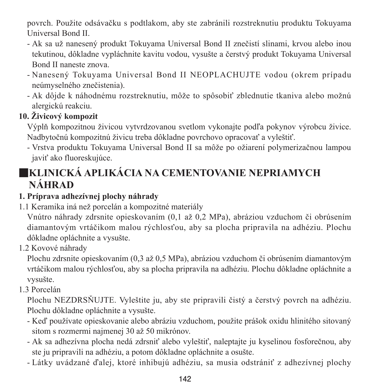povrch. Použite odsávačku s podtlakom, aby ste zabránili rozstreknutiu produktu Tokuyama Universal Bond II.

- Ak sa už nanesený produkt Tokuyama Universal Bond II znečistí slinami, krvou alebo inou tekutinou, dôkladne vypláchnite kavitu vodou, vysušte a čerstvý produkt Tokuyama Universal Bond II naneste znova.
- Nanesený Tokuyama Universal Bond II NEOPLACHUJTE vodou (okrem prípadu neúmyselného znečistenia).
- Ak dôjde k náhodnému rozstreknutiu, môže to spôsobiť zblednutie tkaniva alebo možnú alergickú reakciu.

## **10. Živicový kompozit**

Výplň kompozitnou živicou vytvrdzovanou svetlom vykonajte podľa pokynov výrobcu živice. Nadbytočnú kompozitnú živicu treba dôkladne povrchovo opracovať a vyleštiť.

- Vrstva produktu Tokuyama Universal Bond II sa môže po ožiarení polymerizačnou lampou javiť ako fluoreskujúce.

# ■**KLINICKÁ APLIKÁCIA NA CEMENTOVANIE NEPRIAMYCH NÁHRAD**

## **1. Príprava adhezívnej plochy náhrady**

1.1 Keramika iná než porcelán a kompozitné materiály

Vnútro náhrady zdrsnite opieskovaním (0,1 až 0,2 MPa), abráziou vzduchom či obrúsením diamantovým vrtáčikom malou rýchlosťou, aby sa plocha pripravila na adhéziu. Plochu dôkladne opláchnite a vysušte.

1.2 Kovové náhrady

Plochu zdrsnite opieskovaním (0,3 až 0,5 MPa), abráziou vzduchom či obrúsením diamantovým vrtáčikom malou rýchlosťou, aby sa plocha pripravila na adhéziu. Plochu dôkladne opláchnite a vysušte.

1.3 Porcelán

Plochu NEZDRSŇUJTE. Vyleštite ju, aby ste pripravili čistý a čerstvý povrch na adhéziu. Plochu dôkladne opláchnite a vysušte.

- Keď používate opieskovanie alebo abráziu vzduchom, použite prášok oxidu hlinitého sitovaný sitom s rozmermi najmenej 30 až 50 mikrónov.
- Ak sa adhezívna plocha nedá zdrsniť alebo vyleštiť, naleptajte ju kyselinou fosforečnou, aby ste ju pripravili na adhéziu, a potom dôkladne opláchnite a osušte.
- Látky uvádzané ďalej, ktoré inhibujú adhéziu, sa musia odstrániť z adhezívnej plochy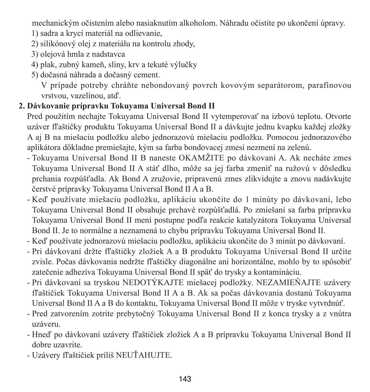mechanickým očistením alebo nasiaknutím alkoholom. Náhradu očistite po ukončení úpravy. 1) sadra a krycí materiál na odlievanie,

- 2) silikónový olej z materiálu na kontrolu zhody,
- 3) olejová hmla z nadstavca
- 4) plak, zubný kameň, sliny, krv a tekuté výlučky
- 5) dočasná náhrada a dočasný cement.

 V prípade potreby chráňte nebondovaný povrch kovovým separátorom, parafínovou vrstvou, vazelínou, atď.

#### **2. Dávkovanie prípravku Tokuyama Universal Bond II**

Pred použitím nechajte Tokuyama Universal Bond II vytemperovať na izbovú teplotu. Otvorte uzáver fľaštičky produktu Tokuyama Universal Bond II a dávkujte jednu kvapku každej zložky A aj B na miešaciu podložku alebo jednorazovú miešaciu podložku. Pomocou jednorazového aplikátora dôkladne premiešajte, kým sa farba bondovacej zmesi nezmení na zelenú.

- Tokuyama Universal Bond II B naneste OKAMŽITE po dávkovaní A. Ak necháte zmes Tokuyama Universal Bond II A stáť dlho, môže sa jej farba zmeniť na ružovú v dôsledku prchania rozpúšťadla. Ak Bond A zružovie, pripravenú zmes zlikvidujte a znovu nadávkujte čerstvé prípravky Tokuyama Universal Bond II A a B.
- Keď používate miešaciu podložku, aplikáciu ukončite do 1 minúty po dávkovaní, lebo Tokuyama Universal Bond II obsahuje prchavé rozpúšťadlá. Po zmiešaní sa farba prípravku Tokuyama Universal Bond II mení postupne podľa reakcie katalyzátora Tokuyama Universal Bond II. Je to normálne a neznamená to chybu prípravku Tokuyama Universal Bond II.
- Keď používate jednorazovú miešaciu podložku, aplikáciu ukončite do 3 minút po dávkovaní.
- Pri dávkovaní držte fľaštičky zložiek A a B produktu Tokuyama Universal Bond II určite zvisle. Počas dávkovania nedržte fľaštičky diagonálne ani horizontálne, mohlo by to spôsobiť zatečenie adhezíva Tokuyama Universal Bond II späť do trysky a kontamináciu.
- Pri dávkovaní sa tryskou NEDOTÝKAJTE miešacej podložky. NEZAMIEŇAJTE uzávery fľaštičiek Tokuyama Universal Bond II A a B. Ak sa počas dávkovania dostanú Tokuyama Universal Bond II A a B do kontaktu, Tokuyama Universal Bond II môže v tryske vytvrdnúť.
- Pred zatvorením zotrite prebytočný Tokuyama Universal Bond II z konca trysky a z vnútra uzáveru.
- Hneď po dávkovaní uzávery fľaštičiek zložiek A a B prípravku Tokuyama Universal Bond II dobre uzavrite.
- Uzávery fľaštičiek príliš NEUŤAHUJTE.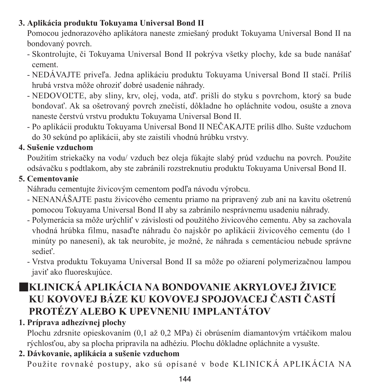### **3. Aplikácia produktu Tokuyama Universal Bond II**

Pomocou jednorazového aplikátora naneste zmiešaný produkt Tokuyama Universal Bond II na bondovaný povrch.

- Skontrolujte, či Tokuyama Universal Bond II pokrýva všetky plochy, kde sa bude nanášať cement.
- NEDÁVAJTE priveľa. Jedna aplikáciu produktu Tokuyama Universal Bond II stačí. Príliš hrubá vrstva môže ohroziť dobré usadenie náhrady.
- NEDOVOĽTE, aby sliny, krv, olej, voda, atď. prišli do styku s povrchom, ktorý sa bude bondovať. Ak sa ošetrovaný povrch znečistí, dôkladne ho opláchnite vodou, osušte a znova naneste čerstvú vrstvu produktu Tokuyama Universal Bond II.
- Po aplikácii produktu Tokuyama Universal Bond II NEČAKAJTE príliš dlho. Sušte vzduchom do 30 sekúnd po aplikácii, aby ste zaistili vhodnú hrúbku vrstvy.

## **4. Sušenie vzduchom**

Použitím striekačky na vodu/ vzduch bez oleja fúkajte slabý prúd vzduchu na povrch. Použite odsávačku s podtlakom, aby ste zabránili rozstreknutiu produktu Tokuyama Universal Bond II.

## **5. Cementovanie**

Náhradu cementujte živicovým cementom podľa návodu výrobcu.

- NENANÁŠAJTE pastu živicového cementu priamo na pripravený zub ani na kavitu ošetrenú pomocou Tokuyama Universal Bond II aby sa zabránilo nesprávnemu usadeniu náhrady.
- Polymerácia sa môže urýchliť v závislosti od použitého živicového cementu. Aby sa zachovala vhodná hrúbka filmu, nasaďte náhradu čo najskôr po aplikácii živicového cementu (do 1 minúty po nanesení), ak tak neurobíte, je možné, že náhrada s cementáciou nebude správne sedieť.
- Vrstva produktu Tokuyama Universal Bond II sa môže po ožiarení polymerizačnou lampou javiť ako fluoreskujúce.

# ■**KLINICKÁ APLIKÁCIA NA BONDOVANIE AKRYLOVEJ ŽIVICE KU KOVOVEJ BÁZE KU KOVOVEJ SPOJOVACEJ ČASTI ČASTÍ PROTÉZY ALEBO K UPEVNENIU IMPLANTÁTOV**

**1. Príprava adhezívnej plochy**

Plochu zdrsnite opieskovaním (0,1 až 0,2 MPa) či obrúsením diamantovým vrtáčikom malou rýchlosťou, aby sa plocha pripravila na adhéziu. Plochu dôkladne opláchnite a vysušte.

## **2. Dávkovanie, aplikácia a sušenie vzduchom** Použite rovnaké postupy, ako sú opísané v bode KLINICKÁ APLIKÁCIA NA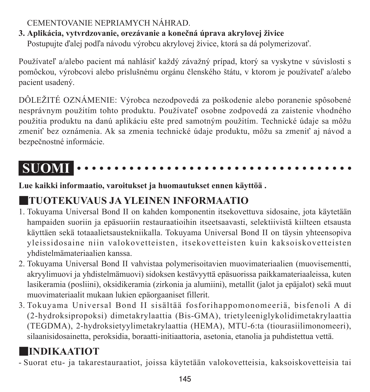### CEMENTOVANIE NEPRIAMYCH NÁHRAD.

### **3. Aplikácia, vytvrdzovanie, orezávanie a konečná úprava akrylovej živice**

Postupujte ďalej podľa návodu výrobcu akrylovej živice, ktorá sa dá polymerizovať.

Používateľ a/alebo pacient má nahlásiť každý závažný prípad, ktorý sa vyskytne v súvislosti s pomôckou, výrobcovi alebo príslušnému orgánu členského štátu, v ktorom je používateľ a/alebo pacient usadený.

DÔLEŽITÉ OZNÁMENIE: Výrobca nezodpovedá za poškodenie alebo poranenie spôsobené nesprávnym použitím tohto produktu. Používateľ osobne zodpovedá za zaistenie vhodného použitia produktu na danú aplikáciu ešte pred samotným použitím. Technické údaje sa môžu zmeniť bez oznámenia. Ak sa zmenia technické údaje produktu, môžu sa zmeniť aj návod a bezpečnostné informácie.

#### **SUOMI** . . . . . . . . . . . . . . . . . . . .

**Lue kaikki informaatio, varoitukset ja huomautukset ennen käyttöä .**

# ■**TUOTEKUVAUS JA YLEINEN INFORMAATIO**

- 1. Tokuyama Universal Bond II on kahden komponentin itsekovettuva sidosaine, jota käytetään hampaiden suoriin ja epäsuoriin restauraatioihin itseetsaavasti, selektiivistä kiilteen etsausta käyttäen sekä totaaalietsaustekniikalla. Tokuyama Universal Bond II on täysin yhteensopiva yleissidosaine niin valokovetteisten, itsekovetteisten kuin kaksoiskovetteisten yhdistelmämateriaalien kanssa.
- 2. Tokuyama Universal Bond II vahvistaa polymerisoitavien muovimateriaalien (muovisementti, akryylimuovi ja yhdistelmämuovi) sidoksen kestävyyttä epäsuorissa paikkamateriaaleissa, kuten lasikeramia (posliini), oksidikeramia (zirkonia ja alumiini), metallit (jalot ja epäjalot) sekä muut muovimateriaalit mukaan lukien epäorgaaniset fillerit.
- 3. Tokuyama Universal Bond II sisältää fosforihappomonomeeriä, bisfenoli A di (2-hydroksipropoksi) dimetakrylaattia (Bis-GMA), trietyleeniglykolidimetakrylaattia (TEGDMA), 2-hydroksietyylimetakrylaattia (HEMA), MTU-6:ta (tiourasiilimonomeeri), silaanisidosainetta, peroksidia, boraatti-initiaattoria, asetonia, etanolia ja puhdistettua vettä.

# ■**INDIKAATIOT**

- Suorat etu- ja takarestauraatiot, joissa käytetään valokovetteisia, kaksoiskovetteisia tai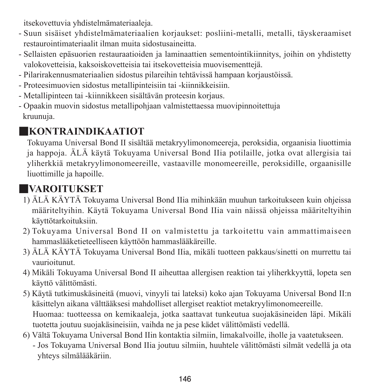itsekovettuvia yhdistelmämateriaaleja.

- Suun sisäiset yhdistelmämateriaalien korjaukset: posliini-metalli, metalli, täyskeraamiset restaurointimateriaalit ilman muita sidostusaineitta.
- Sellaisten epäsuorien restauraatioiden ja laminaattien sementointikiinnitys, joihin on yhdistetty valokovetteisia, kaksoiskovetteisia tai itsekovetteisia muovisementtejä.
- Pilarirakennusmateriaalien sidostus pilareihin tehtävissä hampaan korjaustöissä.
- Proteesimuovien sidostus metallipinteisiin tai -kiinnikkeisiin.
- Metallipinteen tai -kiinnikkeen sisältävän proteesin korjaus.
- Opaakin muovin sidostus metallipohjaan valmistettaessa muovipinnoitettuja kruunuja.

### ■**KONTRAINDIKAATIOT**

Tokuyama Universal Bond II sisältää metakryylimonomeereja, peroksidia, orgaanisia liuottimia ja happoja. ÄLÄ käytä Tokuyama Universal Bond IIia potilaille, jotka ovat allergisia tai yliherkkiä metakryylimonomeereille, vastaaville monomeereille, peroksidille, orgaanisille liuottimille ja hapoille.

# ■**VAROITUKSET**

- 1) ÄLÄ KÄYTÄ Tokuyama Universal Bond IIia mihinkään muuhun tarkoitukseen kuin ohjeissa määriteltyihin. Käytä Tokuyama Universal Bond IIia vain näissä ohjeissa määriteltyihin käyttötarkoituksiin.
- 2) Tokuyama Universal Bond II on valmistettu ja tarkoitettu vain ammattimaiseen hammaslääketieteelliseen käyttöön hammaslääkäreille.
- 3) ÄLÄ KÄYTÄ Tokuyama Universal Bond IIia, mikäli tuotteen pakkaus/sinetti on murrettu tai vaurioitunut.
- 4) Mikäli Tokuyama Universal Bond II aiheuttaa allergisen reaktion tai yliherkkyyttä, lopeta sen käyttö välittömästi.
- 5) Käytä tutkimuskäsineitä (muovi, vinyyli tai lateksi) koko ajan Tokuyama Universal Bond II:n käsittelyn aikana välttääksesi mahdolliset allergiset reaktiot metakryylimonomeereille. Huomaa: tuotteessa on kemikaaleja, jotka saattavat tunkeutua suojakäsineiden läpi. Mikäli tuotetta joutuu suojakäsineisiin, vaihda ne ja pese kädet välittömästi vedellä.
- 6) Vältä Tokuyama Universal Bond IIin kontaktia silmiin, limakalvoille, iholle ja vaatetukseen. - Jos Tokuyama Universal Bond IIia joutuu silmiin, huuhtele välittömästi silmät vedellä ja ota yhteys silmälääkäriin.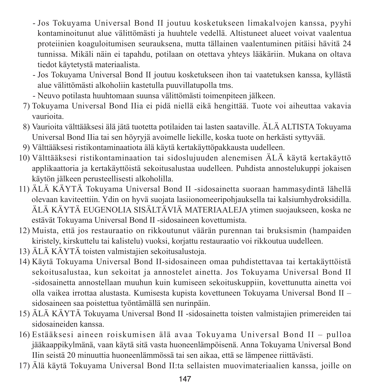- - Jos Tokuyama Universal Bond II joutuu kosketukseen limakalvojen kanssa, pyyhi kontaminoitunut alue välittömästi ja huuhtele vedellä. Altistuneet alueet voivat vaalentua proteiinien koaguloitumisen seurauksena, mutta tällainen vaalentuminen pitäisi hävitä 24 tunnissa. Mikäli näin ei tapahdu, potilaan on otettava yhteys lääkäriin. Mukana on oltava tiedot käytetystä materiaalista.
- - Jos Tokuyama Universal Bond II joutuu kosketukseen ihon tai vaatetuksen kanssa, kyllästä alue välittömästi alkoholiin kastetulla puuvillatupolla tms.
- Neuvo potilasta huuhtomaan suunsa välittömästi toimenpiteen jälkeen.
- 7) Tokuyama Universal Bond IIia ei pidä niellä eikä hengittää. Tuote voi aiheuttaa vakavia vaurioita.
- 8) Vaurioita välttääksesi älä jätä tuotetta potilaiden tai lasten saataville. ÄLÄ ALTISTA Tokuyama Universal Bond IIia tai sen höyryjä avoimelle liekille, koska tuote on herkästi syttyvää.
- 9) Välttääksesi ristikontaminaatiota älä käytä kertakäyttöpakkausta uudelleen.
- 10) Välttääksesi ristikontaminaation tai sidoslujuuden alenemisen ÄLÄ käytä kertakäyttö applikaattoria ja kertakäyttöistä sekoitusalustaa uudelleen. Puhdista annostelukuppi jokaisen käytön jälkeen perusteellisesti alkoholilla.
- 11) ÄLÄ KÄYTÄ Tokuyama Universal Bond II -sidosainetta suoraan hammasydintä lähellä olevaan kaviteettiin. Ydin on hyvä suojata lasiionomeeripohjauksella tai kalsiumhydroksidilla. ÄLÄ KÄYTÄ EUGENOLIA SISÄLTÄVIÄ MATERIAALEJA ytimen suojaukseen, koska ne estävät Tokuyama Universal Bond II -sidosaineen kovettumista.
- 12) Muista, että jos restauraatio on rikkoutunut väärän purennan tai bruksismin (hampaiden kiristely, kirskuttelu tai kalistelu) vuoksi, korjattu restauraatio voi rikkoutua uudelleen.
- 13) ÄLÄ KÄYTÄ toisten valmistajien sekoitusalustoja.
- 14) Käytä Tokuyama Universal Bond II-sidosaineen omaa puhdistettavaa tai kertakäyttöistä sekoitusalustaa, kun sekoitat ja annostelet ainetta. Jos Tokuyama Universal Bond II -sidosainetta annostellaan muuhun kuin kumiseen sekoituskuppiin, kovettunutta ainetta voi olla vaikea irrottaa alustasta. Kumisesta kupista kovettuneen Tokuyama Universal Bond II – sidosaineen saa poistettua työntämällä sen nurinpäin.
- 15) ÄLÄ KÄYTÄ Tokuyama Universal Bond II -sidosainetta toisten valmistajien primereiden tai sidosaineiden kanssa.
- 16) Estääksesi aineen roiskumisen älä avaa Tokuyama Universal Bond II pulloa jääkaappikylmänä, vaan käytä sitä vasta huoneenlämpöisenä. Anna Tokuyama Universal Bond IIin seistä 20 minuuttia huoneenlämmössä tai sen aikaa, että se lämpenee riittävästi.
- 17) Älä käytä Tokuyama Universal Bond II:ta sellaisten muovimateriaalien kanssa, joille on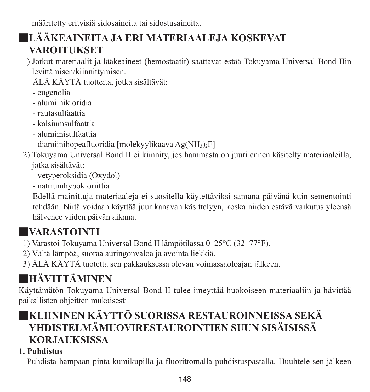määritetty erityisiä sidosaineita tai sidostusaineita.

# ■**LÄÄKEAINEITA JA ERI MATERIAALEJA KOSKEVAT VAROITUKSET**

- 1) Jotkut materiaalit ja lääkeaineet (hemostaatit) saattavat estää Tokuyama Universal Bond IIin levittämisen/kiinnittymisen.
	- ÄLÄ KÄYTÄ tuotteita, jotka sisältävät:
	- eugenolia
	- alumiinikloridia
	- rautasulfaattia
	- kalsiumsulfaattia
	- alumiinisulfaattia
	- diamiinihopeafluoridia [molekyylikaava Ag(NH3)2F]
- 2) Tokuyama Universal Bond II ei kiinnity, jos hammasta on juuri ennen käsitelty materiaaleilla, jotka sisältävät:
	- vetyperoksidia (Oxydol)
	- natriumhypokloriittia

 Edellä mainittuja materiaaleja ei suositella käytettäviksi samana päivänä kuin sementointi tehdään. Niitä voidaan käyttää juurikanavan käsittelyyn, koska niiden estävä vaikutus yleensä hälvenee viiden päivän aikana.

# ■**VARASTOINTI**

- 1) Varastoi Tokuyama Universal Bond II lämpötilassa 0–25°C (32–77°F).
- 2) Vältä lämpöä, suoraa auringonvaloa ja avointa liekkiä.
- 3) ÄLÄ KÄYTÄ tuotetta sen pakkauksessa olevan voimassaoloajan jälkeen.

# ■**HÄVITTÄMINEN**

Käyttämätön Tokuyama Universal Bond II tulee imeyttää huokoiseen materiaaliin ja hävittää paikallisten ohjeitten mukaisesti.

# ■**KLIININEN KÄYTTÖ SUORISSA RESTAUROINNEISSA SEKÄ YHDISTELMÄMUOVIRESTAUROINTIEN SUUN SISÄISISSÄ KORJAUKSISSA**

### **1. Puhdistus**

Puhdista hampaan pinta kumikupilla ja fluorittomalla puhdistuspastalla. Huuhtele sen jälkeen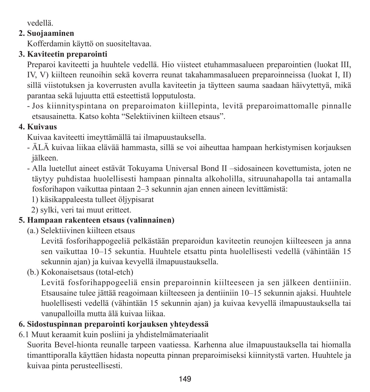vedellä.

#### **2. Suojaaminen**

Kofferdamin käyttö on suositeltavaa.

### **3. Kaviteetin preparointi**

Preparoi kaviteetti ja huuhtele vedellä. Hio viisteet etuhammasalueen preparointien (luokat III, IV, V) kiilteen reunoihin sekä koverra reunat takahammasalueen preparoinneissa (luokat I, II) sillä viistotuksen ja koverrusten avulla kaviteetin ja täytteen sauma saadaan häivytettyä, mikä parantaa sekä lujuutta että esteettistä lopputulosta.

- Jos kiinnityspintana on preparoimaton kiillepinta, levitä preparoimattomalle pinnalle etsausainetta. Katso kohta "Selektiivinen kiilteen etsaus".

### **4. Kuivaus**

Kuivaa kaviteetti imeyttämällä tai ilmapuustauksella.

- ÄLÄ kuivaa liikaa elävää hammasta, sillä se voi aiheuttaa hampaan herkistymisen korjauksen jälkeen.
- Alla luetellut aineet estävät Tokuyama Universal Bond II –sidosaineen kovettumista, joten ne täytyy puhdistaa huolellisesti hampaan pinnalta alkoholilla, sitruunahapolla tai antamalla fosforihapon vaikuttaa pintaan 2–3 sekunnin ajan ennen aineen levittämistä:
	- 1) käsikappaleesta tulleet öljypisarat
	- 2) sylki, veri tai muut eritteet.

### **5. Hampaan rakenteen etsaus (valinnainen)**

(a.) Selektiivinen kiilteen etsaus

 Levitä fosforihappogeeliä pelkästään preparoidun kaviteetin reunojen kiilteeseen ja anna sen vaikuttaa 10–15 sekuntia. Huuhtele etsattu pinta huolellisesti vedellä (vähintään 15 sekunnin ajan) ja kuivaa kevyellä ilmapuustauksella.

(b.) Kokonaisetsaus (total-etch)

 Levitä fosforihappogeeliä ensin preparoinnin kiilteeseen ja sen jälkeen dentiiniin. Etsausaine tulee jättää reagoimaan kiilteeseen ja dentiiniin 10–15 sekunnin ajaksi. Huuhtele huolellisesti vedellä (vähintään 15 sekunnin ajan) ja kuivaa kevyellä ilmapuustauksella tai vanupalloilla mutta älä kuivaa liikaa.

### **6. Sidostuspinnan preparointi korjauksen yhteydessä**

6.1 Muut keraamit kuin posliini ja yhdistelmämateriaalit

Suorita Bevel-hionta reunalle tarpeen vaatiessa. Karhenna alue ilmapuustauksella tai hiomalla timanttiporalla käyttäen hidasta nopeutta pinnan preparoimiseksi kiinnitystä varten. Huuhtele ja kuivaa pinta perusteellisesti.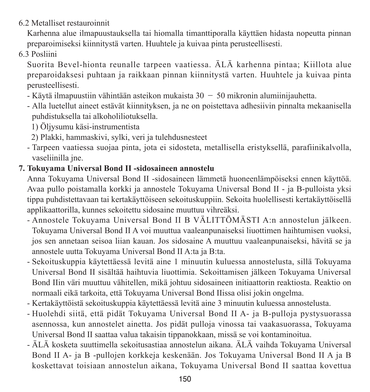6.2 Metalliset restauroinnit

Karhenna alue ilmapuustauksella tai hiomalla timanttiporalla käyttäen hidasta nopeutta pinnan preparoimiseksi kiinnitystä varten. Huuhtele ja kuivaa pinta perusteellisesti.

6.3 Posliini

Suorita Bevel-hionta reunalle tarpeen vaatiessa. ÄLÄ karhenna pintaa; Kiillota alue preparoidaksesi puhtaan ja raikkaan pinnan kiinnitystä varten. Huuhtele ja kuivaa pinta perusteellisesti.

- $-$  Käytä ilmapuustiin vähintään asteikon mukaista  $30 50$  mikronin alumiinijauhetta.
- Alla luetellut aineet estävät kiinnityksen, ja ne on poistettava adhesiivin pinnalta mekaanisella puhdistuksella tai alkoholiliotuksella.
	- 1) Öljysumu käsi-instrumentista
	- 2) Plakki, hammaskivi, sylki, veri ja tulehdusnesteet
- Tarpeen vaatiessa suojaa pinta, jota ei sidosteta, metallisella eristyksellä, parafiinikalvolla, vaseliinilla jne.

### **7. Tokuyama Universal Bond II -sidosaineen annostelu**

Anna Tokuyama Universal Bond II -sidosaineen lämmetä huoneenlämpöiseksi ennen käyttöä. Avaa pullo poistamalla korkki ja annostele Tokuyama Universal Bond II - ja B-pulloista yksi tippa puhdistettavaan tai kertakäyttöiseen sekoituskuppiin. Sekoita huolellisesti kertakäyttöisellä applikaattorilla, kunnes sekoitettu sidosaine muuttuu vihreäksi.

- Annostele Tokuyama Universal Bond II B VÄLITTÖMÄSTI A:n annostelun jälkeen. Tokuyama Universal Bond II A voi muuttua vaaleanpunaiseksi liuottimen haihtumisen vuoksi, jos sen annetaan seisoa liian kauan. Jos sidosaine A muuttuu vaaleanpunaiseksi, hävitä se ja annostele uutta Tokuyama Universal Bond II A:ta ja B:ta.
- Sekoituskuppia käytettäessä levitä aine 1 minuutin kuluessa annostelusta, sillä Tokuyama Universal Bond II sisältää haihtuvia liuottimia. Sekoittamisen jälkeen Tokuyama Universal Bond IIin väri muuttuu vähitellen, mikä johtuu sidosaineen initiaattorin reaktiosta. Reaktio on normaali eikä tarkoita, että Tokuyama Universal Bond IIissa olisi jokin ongelma.
- Kertakäyttöistä sekoituskuppia käytettäessä levitä aine 3 minuutin kuluessa annostelusta.
- Huolehdi siitä, että pidät Tokuyama Universal Bond II A- ja B-pulloja pystysuorassa asennossa, kun annostelet ainetta. Jos pidät pulloja vinossa tai vaakasuorassa, Tokuyama Universal Bond II saattaa valua takaisin tippanokkaan, missä se voi kontaminoitua.
- ÄLÄ kosketa suuttimella sekoitusastiaa annostelun aikana. ÄLÄ vaihda Tokuyama Universal Bond II A- ja B -pullojen korkkeja keskenään. Jos Tokuyama Universal Bond II A ja B koskettavat toisiaan annostelun aikana, Tokuyama Universal Bond II saattaa kovettua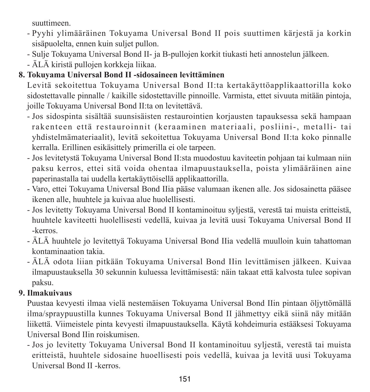suuttimeen.

- Pyyhi ylimääräinen Tokuyama Universal Bond II pois suuttimen kärjestä ja korkin sisäpuolelta, ennen kuin suliet pullon.
- Sulje Tokuyama Universal Bond II- ja B-pullojen korkit tiukasti heti annostelun jälkeen.
- ÄLÄ kiristä pullojen korkkeja liikaa.

### **8. Tokuyama Universal Bond II -sidosaineen levittäminen**

Levitä sekoitettua Tokuyama Universal Bond II:ta kertakäyttöapplikaattorilla koko sidostettavalle pinnalle / kaikille sidostettaville pinnoille. Varmista, ettet sivuuta mitään pintoja, joille Tokuyama Universal Bond II:ta on levitettävä.

- Jos sidospinta sisältää suunsisäisten restaurointien korjausten tapauksessa sekä hampaan rakenteen että restauroinnit (keraaminen materiaali, posliini-, metalli- tai yhdistelmämateriaalit), levitä sekoitettua Tokuyama Universal Bond II:ta koko pinnalle kerralla. Erillinen esikäsittely primerilla ei ole tarpeen.
- Jos levitetystä Tokuyama Universal Bond II:sta muodostuu kaviteetin pohjaan tai kulmaan niin paksu kerros, ettei sitä voida ohentaa ilmapuustauksella, poista ylimääräinen aine paperinastalla tai uudella kertakäyttöisellä applikaattorilla.
- Varo, ettei Tokuyama Universal Bond IIia pääse valumaan ikenen alle. Jos sidosainetta pääsee ikenen alle, huuhtele ja kuivaa alue huolellisesti.
- Jos levitetty Tokuyama Universal Bond II kontaminoituu syljestä, verestä tai muista eritteistä, huuhtele kaviteetti huolellisesti vedellä, kuivaa ja levitä uusi Tokuyama Universal Bond II -kerros.
- ÄLÄ huuhtele jo levitettyä Tokuyama Universal Bond IIia vedellä muulloin kuin tahattoman kontaminaation takia.
- ÄLÄ odota liian pitkään Tokuyama Universal Bond IIin levittämisen jälkeen. Kuivaa ilmapuustauksella 30 sekunnin kuluessa levittämisestä: näin takaat että kalvosta tulee sopivan paksu.

### **9. Ilmakuivaus**

Puustaa kevyesti ilmaa vielä nestemäisen Tokuyama Universal Bond IIin pintaan öljyttömällä ilma/spraypuustilla kunnes Tokuyama Universal Bond II jähmettyy eikä siinä näy mitään liikettä. Viimeistele pinta kevyesti ilmapuustauksella. Käytä kohdeimuria estääksesi Tokuyama Universal Bond IIin roiskumisen.

- Jos jo levitetty Tokuyama Universal Bond II kontaminoituu syljestä, verestä tai muista eritteistä, huuhtele sidosaine huoellisesti pois vedellä, kuivaa ja levitä uusi Tokuyama Universal Bond II -kerros.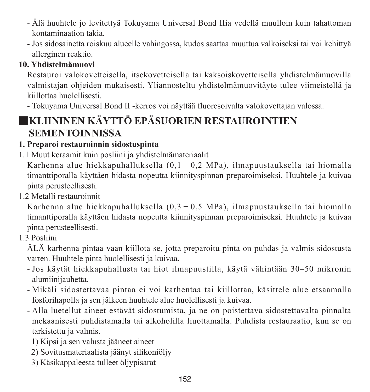- Älä huuhtele jo levitettyä Tokuyama Universal Bond IIia vedellä muulloin kuin tahattoman kontaminaation takia.
- Jos sidosainetta roiskuu alueelle vahingossa, kudos saattaa muuttua valkoiseksi tai voi kehittyä allerginen reaktio.

### **10. Yhdistelmämuovi**

Restauroi valokovetteisella, itsekovetteisella tai kaksoiskovetteisella yhdistelmämuovilla valmistajan ohjeiden mukaisesti. Yliannosteltu yhdistelmämuovitäyte tulee viimeistellä ja kiillottaa huolellisesti.

- Tokuyama Universal Bond II -kerros voi näyttää fluoresoivalta valokovettajan valossa.

# ■**KLIININEN KÄYTTÖ EPÄSUORIEN RESTAUROINTIEN SEMENTOINNISSA**

### **1. Preparoi restauroinnin sidostuspinta**

1.1 Muut keraamit kuin posliini ja yhdistelmämateriaalit

Karhenna alue hiekkapuhalluksella (0,1-0,2 MPa), ilmapuustauksella tai hiomalla timanttiporalla käyttäen hidasta nopeutta kiinnityspinnan preparoimiseksi. Huuhtele ja kuivaa pinta perusteellisesti.

1.2 Metalli restauroinnit

Karhenna alue hiekkapuhalluksella  $(0,3-0,5$  MPa), ilmapuustauksella tai hiomalla timanttiporalla käyttäen hidasta nopeutta kiinnityspinnan preparoimiseksi. Huuhtele ja kuivaa pinta perusteellisesti.

1.3 Posliini

ÄLÄ karhenna pintaa vaan kiillota se, jotta preparoitu pinta on puhdas ja valmis sidostusta varten. Huuhtele pinta huolellisesti ja kuivaa.

- Jos käytät hiekkapuhallusta tai hiot ilmapuustilla, käytä vähintään 30–50 mikronin alumiinijauhetta.
- Mikäli sidostettavaa pintaa ei voi karhentaa tai kiillottaa, käsittele alue etsaamalla fosforihapolla ja sen jälkeen huuhtele alue huolellisesti ja kuivaa.
- Alla luetellut aineet estävät sidostumista, ja ne on poistettava sidostettavalta pinnalta mekaanisesti puhdistamalla tai alkoholilla liuottamalla. Puhdista restauraatio, kun se on tarkistettu ja valmis.
	- 1) Kipsi ja sen valusta jääneet aineet
	- 2) Sovitusmateriaalista jäänyt silikoniöljy
	- 3) Käsikappaleesta tulleet öljypisarat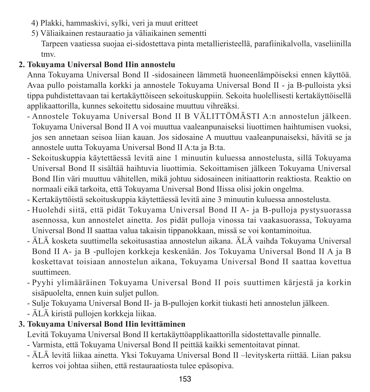- 4) Plakki, hammaskivi, sylki, veri ja muut eritteet
- 5) Väliaikainen restauraatio ja väliaikainen sementti

 Tarpeen vaatiessa suojaa ei-sidostettava pinta metallieristeellä, parafiinikalvolla, vaseliinilla tmv.

### **2. Tokuyama Universal Bond IIin annostelu**

Anna Tokuyama Universal Bond II -sidosaineen lämmetä huoneenlämpöiseksi ennen käyttöä. Avaa pullo poistamalla korkki ja annostele Tokuyama Universal Bond II - ja B-pulloista yksi tippa puhdistettavaan tai kertakäyttöiseen sekoituskuppiin. Sekoita huolellisesti kertakäyttöisellä applikaattorilla, kunnes sekoitettu sidosaine muuttuu vihreäksi.

- Annostele Tokuyama Universal Bond II B VÄLITTÖMÄSTI A:n annostelun jälkeen. Tokuyama Universal Bond II A voi muuttua vaaleanpunaiseksi liuottimen haihtumisen vuoksi, jos sen annetaan seisoa liian kauan. Jos sidosaine A muuttuu vaaleanpunaiseksi, hävitä se ja annostele uutta Tokuyama Universal Bond II A:ta ja B:ta.
- Sekoituskuppia käytettäessä levitä aine 1 minuutin kuluessa annostelusta, sillä Tokuyama Universal Bond II sisältää haihtuvia liuottimia. Sekoittamisen jälkeen Tokuyama Universal Bond IIin väri muuttuu vähitellen, mikä johtuu sidosaineen initiaattorin reaktiosta. Reaktio on normaali eikä tarkoita, että Tokuyama Universal Bond IIissa olisi jokin ongelma.
- Kertakäyttöistä sekoituskuppia käytettäessä levitä aine 3 minuutin kuluessa annostelusta.
- Huolehdi siitä, että pidät Tokuyama Universal Bond II A- ja B-pulloja pystysuorassa asennossa, kun annostelet ainetta. Jos pidät pulloja vinossa tai vaakasuorassa, Tokuyama Universal Bond II saattaa valua takaisin tippanokkaan, missä se voi kontaminoitua.
- ÄLÄ kosketa suuttimella sekoitusastiaa annostelun aikana. ÄLÄ vaihda Tokuyama Universal Bond II A- ja B -pullojen korkkeja keskenään. Jos Tokuyama Universal Bond II A ja B koskettavat toisiaan annostelun aikana, Tokuyama Universal Bond II saattaa kovettua suuttimeen.
- Pyyhi ylimääräinen Tokuyama Universal Bond II pois suuttimen kärjestä ja korkin sisäpuolelta, ennen kuin suljet pullon.
- Sulje Tokuyama Universal Bond II- ja B-pullojen korkit tiukasti heti annostelun jälkeen.
- ÄLÄ kiristä pullojen korkkeja liikaa.

### **3. Tokuyama Universal Bond IIin levittäminen**

Levitä Tokuyama Universal Bond II kertakäyttöapplikaattorilla sidostettavalle pinnalle.

- Varmista, että Tokuyama Universal Bond II peittää kaikki sementoitavat pinnat.
- ÄLÄ levitä liikaa ainetta. Yksi Tokuyama Universal Bond II –levityskerta riittää. Liian paksu kerros voi johtaa siihen, että restauraatiosta tulee epäsopiva.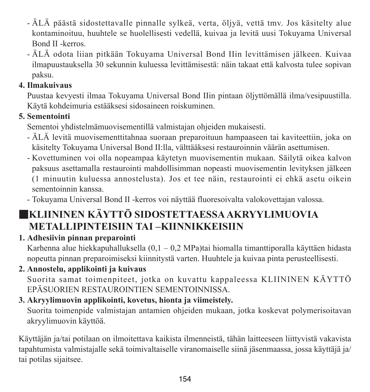- ÄLÄ päästä sidostettavalle pinnalle sylkeä, verta, öljyä, vettä tmv. Jos käsitelty alue kontaminoituu, huuhtele se huolellisesti vedellä, kuivaa ja levitä uusi Tokuyama Universal Bond II -kerros.
- ÄLÄ odota liian pitkään Tokuyama Universal Bond IIin levittämisen jälkeen. Kuivaa ilmapuustauksella 30 sekunnin kuluessa levittämisestä: näin takaat että kalvosta tulee sopivan paksu.

### **4. Ilmakuivaus**

Puustaa kevyesti ilmaa Tokuyama Universal Bond IIin pintaan öljyttömällä ilma/vesipuustilla. Käytä kohdeimuria estääksesi sidosaineen roiskuminen.

### **5. Sementointi**

Sementoi yhdistelmämuovisementillä valmistajan ohjeiden mukaisesti.

- ÄLÄ levitä muovisementtitahnaa suoraan preparoituun hampaaseen tai kaviteettiin, joka on käsitelty Tokuyama Universal Bond II:lla, välttääksesi restauroinnin väärän asettumisen.
- Kovettuminen voi olla nopeampaa käytetyn muovisementin mukaan. Säilytä oikea kalvon paksuus asettamalla restaurointi mahdollisimman nopeasti muovisementin levityksen jälkeen (1 minuutin kuluessa annostelusta). Jos et tee näin, restaurointi ei ehkä asetu oikein

sementoinnin kanssa.

- Tokuyama Universal Bond II -kerros voi näyttää fluoresoivalta valokovettajan valossa.

### ■**KLIININEN KÄYTTÖ SIDOSTETTAESSAAKRYYLIMUOVIA METALLIPINTEISIIN TAI –KIINNIKKEISIIN**

**1. Adhesiivin pinnan preparointi**

Karhenna alue hiekkapuhalluksella (0,1 – 0,2 MPa)tai hiomalla timanttiporalla käyttäen hidasta nopeutta pinnan preparoimiseksi kiinnitystä varten. Huuhtele ja kuivaa pinta perusteellisesti.

### **2. Annostelu, applikointi ja kuivaus**

Suorita samat toimenpiteet, jotka on kuvattu kappaleessa KLIININEN KÄYTTÖ EPÄSUORIEN RESTAUROINTIEN SEMENTOINNISSA.

### **3. Akryylimuovin applikointi, kovetus, hionta ja viimeistely.**

Suorita toimenpide valmistajan antamien ohjeiden mukaan, jotka koskevat polymerisoitavan akryylimuovin käyttöä.

Käyttäjän ja/tai potilaan on ilmoitettava kaikista ilmenneistä, tähän laitteeseen liittyvistä vakavista tapahtumista valmistajalle sekä toimivaltaiselle viranomaiselle siinä jäsenmaassa, jossa käyttäjä ja/ tai potilas sijaitsee.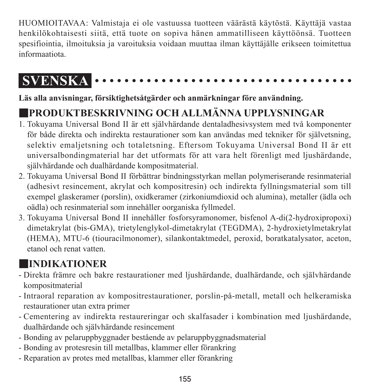HUOMIOITAVAA: Valmistaja ei ole vastuussa tuotteen väärästä käytöstä. Käyttäjä vastaa henkilökohtaisesti siitä, että tuote on sopiva hänen ammatilliseen käyttöönsä. Tuotteen spesifiointia, ilmoituksia ja varoituksia voidaan muuttaa ilman käyttäjälle erikseen toimitettua informaatiota.

#### **SVENSKA** . . . . . . . . . . . . .

**Läs alla anvisningar, försiktighetsåtgärder och anmärkningar före användning.**

# ■**PRODUKTBESKRIVNING OCH ALLMÄNNA UPPLYSNINGAR**

- 1. Tokuyama Universal Bond II är ett självhärdande dentaladhesivsystem med två komponenter för både direkta och indirekta restaurationer som kan användas med tekniker för självetsning, selektiv emaljetsning och totaletsning. Eftersom Tokuyama Universal Bond II är ett universalbondingmaterial har det utformats för att vara helt förenligt med ljushärdande, självhärdande och dualhärdande kompositmaterial.
- 2. Tokuyama Universal Bond II förbättrar bindningsstyrkan mellan polymeriserande resinmaterial (adhesivt resincement, akrylat och kompositresin) och indirekta fyllningsmaterial som till exempel glaskeramer (porslin), oxidkeramer (zirkoniumdioxid och alumina), metaller (ädla och oädla) och resinmaterial som innehåller oorganiska fyllmedel.
- 3. Tokuyama Universal Bond II innehåller fosforsyramonomer, bisfenol A-di(2-hydroxipropoxi) dimetakrylat (bis-GMA), trietylenglykol-dimetakrylat (TEGDMA), 2-hydroxietylmetakrylat (HEMA), MTU-6 (tiouracilmonomer), silankontaktmedel, peroxid, boratkatalysator, aceton, etanol och renat vatten.

# ■**INDIKATIONER**

- Direkta främre och bakre restaurationer med ljushärdande, dualhärdande, och självhärdande kompositmaterial
- Intraoral reparation av kompositrestaurationer, porslin-på-metall, metall och helkeramiska restaurationer utan extra primer
- Cementering av indirekta restaureringar och skalfasader i kombination med ljushärdande, dualhärdande och självhärdande resincement
- Bonding av pelaruppbyggnader bestående av pelaruppbyggnadsmaterial
- Bonding av protesresin till metallbas, klammer eller förankring
- Reparation av protes med metallbas, klammer eller förankring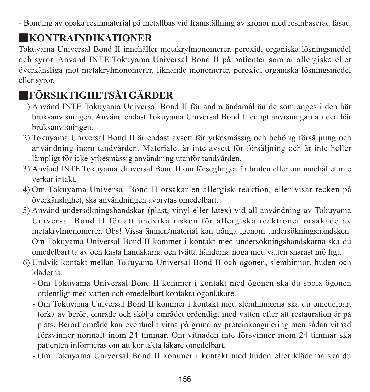- Bonding av opaka resinmaterial på metallbas vid framställning av kronor med resinbaserad fasad

# ■**KONTRAINDIKATIONER**

Tokuyama Universal Bond II innehåller metakrylmonomerer, peroxid, organiska lösningsmedel och syror. Använd INTE Tokuyama Universal Bond II på patienter som är allergiska eller överkänsliga mot metakrylmonomerer, liknande monomerer, peroxid, organiska lösningsmedel eller syror.

# ■**FÖRSIKTIGHETSÅTGÄRDER**

- 1) Använd INTE Tokuyama Universal Bond II för andra ändamål än de som anges i den här bruksanvisningen. Använd endast Tokuyama Universal Bond II enligt anvisningarna i den här bruksanvisningen.
- 2) Tokuyama Universal Bond II är endast avsett för yrkesmässig och behörig försäljning och användning inom tandvården. Materialet är inte avsett för försäljning och är inte heller lämpligt för icke-yrkesmässig användning utanför tandvården.
- 3) Använd INTE Tokuyama Universal Bond II om förseglingen är bruten eller om innehållet inte verkar intakt.
- 4) Om Tokuyama Universal Bond II orsakar en allergisk reaktion, eller visar tecken på överkänslighet, ska användningen avbrytas omedelbart.
- 5) Använd undersökningshandskar (plast, vinyl eller latex) vid all användning av Tokuyama Universal Bond II för att undvika risken för allergiska reaktioner orsakade av metakrylmonomerer. Obs! Vissa ämnen/material kan tränga igenom undersökningshandsken. Om Tokuyama Universal Bond II kommer i kontakt med undersökningshandskarna ska du omedelbart ta av och kasta handskarna och tvätta händerna noga med vatten snarast möjligt.
- 6) Undvik kontakt mellan Tokuyama Universal Bond II och ögonen, slemhinnor, huden och kläderna.
	- - Om Tokuyama Universal Bond II kommer i kontakt med ögonen ska du spola ögonen ordentligt med vatten och omedelbart kontakta ögonläkare.
	- - Om Tokuyama Universal Bond II kommer i kontakt med slemhinnorna ska du omedelbart torka av berört område och skölja området ordentligt med vatten efter att restauration är på plats. Berört område kan eventuellt vitna på grund av proteinkoagulering men sådan vitnad försvinner normalt inom 24 timmar. Om vitnaden inte försvinner inom 24 timmar ska patienten informeras om att kontakta läkare omedelbart.
	- Om Tokuyama Universal Bond II kommer i kontakt med huden eller kläderna ska du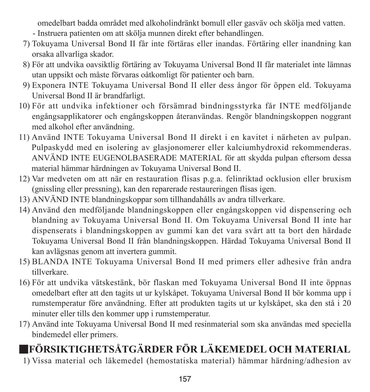omedelbart badda området med alkoholindränkt bomull eller gasväv och skölja med vatten. - Instruera patienten om att skölja munnen direkt efter behandlingen.

- 7) Tokuyama Universal Bond II får inte förtäras eller inandas. Förtäring eller inandning kan orsaka allvarliga skador.
- 8) För att undvika oavsiktlig förtäring av Tokuyama Universal Bond II får materialet inte lämnas utan uppsikt och måste förvaras oåtkomligt för patienter och barn.
- 9) Exponera INTE Tokuyama Universal Bond II eller dess ångor för öppen eld. Tokuyama Universal Bond II är brandfarligt.
- 10) För att undvika infektioner och försämrad bindningsstyrka får INTE medföljande engångsapplikatorer och engångskoppen återanvändas. Rengör blandningskoppen noggrant med alkohol efter användning.
- 11) Använd INTE Tokuyama Universal Bond II direkt i en kavitet i närheten av pulpan. Pulpaskydd med en isolering av glasjonomerer eller kalciumhydroxid rekommenderas. ANVÄND INTE EUGENOLBASERADE MATERIAL för att skydda pulpan eftersom dessa material hämmar härdningen av Tokuyama Universal Bond II.
- 12) Var medveten om att när en restauration flisas p.g.a. felinriktad ocklusion eller bruxism (gnissling eller pressning), kan den reparerade restaureringen flisas igen.
- 13) ANVÄND INTE blandningskoppar som tillhandahålls av andra tillverkare.
- 14) Använd den medföljande blandningskoppen eller engångskoppen vid dispensering och blandning av Tokuyama Universal Bond II. Om Tokuyama Universal Bond II inte har dispenserats i blandningskoppen av gummi kan det vara svårt att ta bort den härdade Tokuyama Universal Bond II från blandningskoppen. Härdad Tokuyama Universal Bond II kan avlägsnas genom att invertera gummit.
- 15) BLANDA INTE Tokuyama Universal Bond II med primers eller adhesive från andra tillverkare.
- 16) För att undvika vätskestänk, bör flaskan med Tokuyama Universal Bond II inte öppnas omedelbart efter att den tagits ut ur kylskåpet. Tokuyama Universal Bond II bör komma upp i rumstemperatur före användning. Efter att produkten tagits ut ur kylskåpet, ska den stå i 20 minuter eller tills den kommer upp i rumstemperatur.
- 17) Använd inte Tokuyama Universal Bond II med resinmaterial som ska användas med speciella bindemedel eller primers.

# ■**FÖRSIKTIGHETSÅTGÄRDER FÖR LÄKEMEDEL OCH MATERIAL**

1) Vissa material och läkemedel (hemostatiska material) hämmar härdning/adhesion av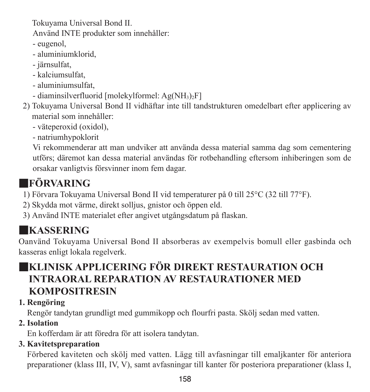Tokuyama Universal Bond II. Använd INTE produkter som innehåller:

- eugenol,
- aluminiumklorid,
- järnsulfat,
- kalciumsulfat,
- aluminiumsulfat,
- diaminsilverfluorid [molekylformel: Ag(NH3)2F]
- 2) Tokuyama Universal Bond II vidhäftar inte till tandstrukturen omedelbart efter applicering av material som innehåller:
	- väteperoxid (oxidol),
	- natriumhypoklorit

 Vi rekommenderar att man undviker att använda dessa material samma dag som cementering utförs; däremot kan dessa material användas för rotbehandling eftersom inhiberingen som de orsakar vanligtvis försvinner inom fem dagar.

# ■**FÖRVARING**

- 1) Förvara Tokuyama Universal Bond II vid temperaturer på 0 till 25°C (32 till 77°F).
- 2) Skydda mot värme, direkt solljus, gnistor och öppen eld.
- 3) Använd INTE materialet efter angivet utgångsdatum på flaskan.

# ■**KASSERING**

Oanvänd Tokuyama Universal Bond II absorberas av exempelvis bomull eller gasbinda och kasseras enligt lokala regelverk.

### ■**KLINISK APPLICERING FÖR DIREKT RESTAURATION OCH INTRAORAL REPARATION AV RESTAURATIONER MED KOMPOSITRESIN**

### **1. Rengöring**

Rengör tandytan grundligt med gummikopp och flourfri pasta. Skölj sedan med vatten.

### **2. Isolation**

En kofferdam är att föredra för att isolera tandytan.

### **3. Kavitetspreparation**

Förbered kaviteten och skölj med vatten. Lägg till avfasningar till emaljkanter för anteriora preparationer (klass III, IV, V), samt avfasningar till kanter för posteriora preparationer (klass I,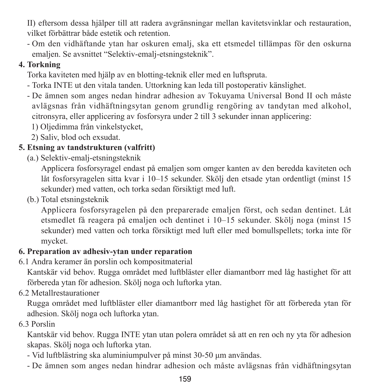II) eftersom dessa hjälper till att radera avgränsningar mellan kavitetsvinklar och restauration, vilket förbättrar både estetik och retention.

- Om den vidhäftande ytan har oskuren emalj, ska ett etsmedel tillämpas för den oskurna emaljen. Se avsnittet "Selektiv-emalj-etsningsteknik".

### **4. Torkning**

Torka kaviteten med hjälp av en blotting-teknik eller med en luftspruta.

- Torka INTE ut den vitala tanden. Uttorkning kan leda till postoperativ känslighet.
- De ämnen som anges nedan hindrar adhesion av Tokuyama Universal Bond II och måste avlägsnas från vidhäftningsytan genom grundlig rengöring av tandytan med alkohol, citronsyra, eller applicering av fosforsyra under 2 till 3 sekunder innan applicering:
	- 1) Oljedimma från vinkelstycket,
	- 2) Saliv, blod och exsudat.

### **5. Etsning av tandstrukturen (valfritt)**

(a.) Selektiv-emalj-etsningsteknik

 Applicera fosforsyragel endast på emaljen som omger kanten av den beredda kaviteten och låt fosforsyragelen sitta kvar i 10–15 sekunder. Skölj den etsade ytan ordentligt (minst 15 sekunder) med vatten, och torka sedan försiktigt med luft.

(b.) Total etsningsteknik

 Applicera fosforsyragelen på den preparerade emaljen först, och sedan dentinet. Låt etsmedlet få reagera på emaljen och dentinet i 10–15 sekunder. Skölj noga (minst 15 sekunder) med vatten och torka försiktigt med luft eller med bomullspellets; torka inte för mycket.

### **6. Preparation av adhesiv-ytan under reparation**

6.1 Andra keramer än porslin och kompositmaterial

Kantskär vid behov. Rugga området med luftbläster eller diamantborr med låg hastighet för att förbereda ytan för adhesion. Skölj noga och luftorka ytan.

6.2 Metallrestaurationer

Rugga området med luftbläster eller diamantborr med låg hastighet för att förbereda ytan för adhesion. Skölj noga och luftorka ytan.

### 6.3 Porslin

Kantskär vid behov. Rugga INTE ytan utan polera området så att en ren och ny yta för adhesion skapas. Skölj noga och luftorka ytan.

- Vid luftblästring ska aluminiumpulver på minst 30-50 μm användas.
- De ämnen som anges nedan hindrar adhesion och måste avlägsnas från vidhäftningsytan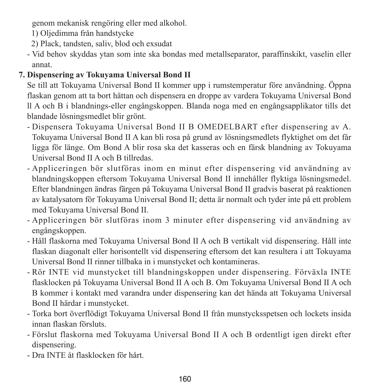genom mekanisk rengöring eller med alkohol.

1) Oljedimma från handstycke

- 2) Plack, tandsten, saliv, blod och exsudat
- Vid behov skyddas ytan som inte ska bondas med metallseparator, paraffinskikt, vaselin eller annat.

### **7. Dispensering av Tokuyama Universal Bond II**

Se till att Tokuyama Universal Bond II kommer upp i rumstemperatur före användning. Öppna flaskan genom att ta bort hättan och dispensera en droppe av vardera Tokuyama Universal Bond ll A och B i blandnings-eller engångskoppen. Blanda noga med en engångsapplikator tills det blandade lösningsmedlet blir grönt.

- Dispensera Tokuyama Universal Bond II B OMEDELBART efter dispensering av A. Tokuyama Universal Bond II A kan bli rosa på grund av lösningsmedlets flyktighet om det får ligga för länge. Om Bond A blir rosa ska det kasseras och en färsk blandning av Tokuyama Universal Bond II A och B tillredas.
- Appliceringen bör slutföras inom en minut efter dispensering vid användning av blandningskoppen eftersom Tokuyama Universal Bond II innehåller flyktiga lösningsmedel. Efter blandningen ändras färgen på Tokuyama Universal Bond II gradvis baserat på reaktionen av katalysatorn för Tokuyama Universal Bond II; detta är normalt och tyder inte på ett problem med Tokuyama Universal Bond II.
- Appliceringen bör slutföras inom 3 minuter efter dispensering vid användning av engångskoppen.
- Håll flaskorna med Tokuyama Universal Bond II A och B vertikalt vid dispensering. Håll inte flaskan diagonalt eller horisontellt vid dispensering eftersom det kan resultera i att Tokuyama Universal Bond II rinner tillbaka in i munstycket och kontamineras.
- Rör INTE vid munstycket till blandningskoppen under dispensering. Förväxla INTE flasklocken på Tokuyama Universal Bond II A och B. Om Tokuyama Universal Bond II A och B kommer i kontakt med varandra under dispensering kan det hända att Tokuyama Universal Bond II härdar i munstycket.
- Torka bort överflödigt Tokuyama Universal Bond II från munstycksspetsen och lockets insida innan flaskan försluts.
- Förslut flaskorna med Tokuyama Universal Bond II A och B ordentligt igen direkt efter dispensering.
- Dra INTE åt flasklocken för hårt.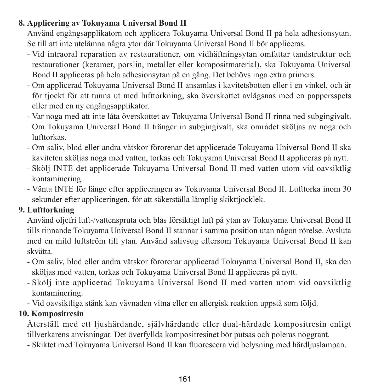### **8. Applicering av Tokuyama Universal Bond II**

Använd engångsapplikatorn och applicera Tokuyama Universal Bond II på hela adhesionsytan. Se till att inte utelämna några ytor där Tokuyama Universal Bond II bör appliceras.

- Vid intraoral reparation av restaurationer, om vidhäftningsytan omfattar tandstruktur och restaurationer (keramer, porslin, metaller eller kompositmaterial), ska Tokuyama Universal Bond II appliceras på hela adhesionsytan på en gång. Det behövs inga extra primers.
- Om applicerad Tokuyama Universal Bond II ansamlas i kavitetsbotten eller i en vinkel, och är för tjockt för att tunna ut med lufttorkning, ska överskottet avlägsnas med en pappersspets eller med en ny engångsapplikator.
- Var noga med att inte låta överskottet av Tokuyama Universal Bond II rinna ned subgingivalt. Om Tokuyama Universal Bond II tränger in subgingivalt, ska området sköljas av noga och lufttorkas.
- Om saliv, blod eller andra vätskor förorenar det applicerade Tokuyama Universal Bond II ska kaviteten sköljas noga med vatten, torkas och Tokuyama Universal Bond II appliceras på nytt.
- Skölj INTE det applicerade Tokuyama Universal Bond II med vatten utom vid oavsiktlig kontaminering.
- Vänta INTE för länge efter appliceringen av Tokuyama Universal Bond II. Lufttorka inom 30 sekunder efter appliceringen, för att säkerställa lämplig skikttjocklek.

### **9. Lufttorkning**

Använd oljefri luft-/vattenspruta och blås försiktigt luft på ytan av Tokuyama Universal Bond II tills rinnande Tokuyama Universal Bond II stannar i samma position utan någon rörelse. Avsluta med en mild luftström till ytan. Använd salivsug eftersom Tokuyama Universal Bond II kan skvätta.

- Om saliv, blod eller andra vätskor förorenar applicerad Tokuyama Universal Bond II, ska den sköljas med vatten, torkas och Tokuyama Universal Bond II appliceras på nytt.
- Skölj inte applicerad Tokuyama Universal Bond II med vatten utom vid oavsiktlig kontaminering.
- Vid oavsiktliga stänk kan vävnaden vitna eller en allergisk reaktion uppstå som följd.

### **10. Kompositresin**

Återställ med ett ljushärdande, självhärdande eller dual-härdade kompositresin enligt tillverkarens anvisningar. Det överfyllda kompositresinet bör putsas och poleras noggrant.

- Skiktet med Tokuyama Universal Bond II kan fluorescera vid belysning med härdljuslampan.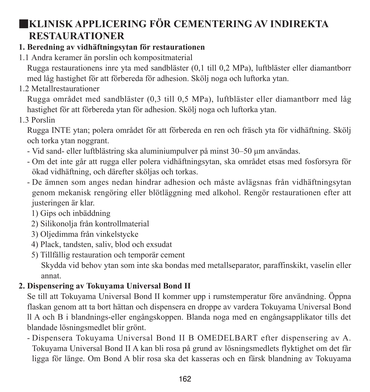### ■**KLINISK APPLICERING FÖR CEMENTERING AV INDIREKTA RESTAURATIONER**

### **1. Beredning av vidhäftningsytan för restaurationen**

1.1 Andra keramer än porslin och kompositmaterial

Rugga restaurationens inre yta med sandbläster (0,1 till 0,2 MPa), luftbläster eller diamantborr med låg hastighet för att förbereda för adhesion. Skölj noga och luftorka ytan.

1.2 Metallrestaurationer

Rugga området med sandbläster (0,3 till 0,5 MPa), luftbläster eller diamantborr med låg hastighet för att förbereda ytan för adhesion. Skölj noga och luftorka ytan.

1.3 Porslin

Rugga INTE ytan; polera området för att förbereda en ren och fräsch yta för vidhäftning. Skölj och torka ytan noggrant.

- Vid sand- eller luftblästring ska aluminiumpulver på minst 30–50 μm användas.
- Om det inte går att rugga eller polera vidhäftningsytan, ska området etsas med fosforsyra för ökad vidhäftning, och därefter sköljas och torkas.
- De ämnen som anges nedan hindrar adhesion och måste avlägsnas från vidhäftningsytan genom mekanisk rengöring eller blötläggning med alkohol. Rengör restaurationen efter att justeringen är klar.
	- 1) Gips och inbäddning
	- 2) Silikonolja från kontrollmaterial
	- 3) Oljedimma från vinkelstycke
	- 4) Plack, tandsten, saliv, blod och exsudat
	- 5) Tillfällig restauration och temporär cement Skydda vid behov ytan som inte ska bondas med metallseparator, paraffinskikt, vaselin eller annat.

### **2. Dispensering av Tokuyama Universal Bond II**

Se till att Tokuyama Universal Bond II kommer upp i rumstemperatur före användning. Öppna flaskan genom att ta bort hättan och dispensera en droppe av vardera Tokuyama Universal Bond ll A och B i blandnings-eller engångskoppen. Blanda noga med en engångsapplikator tills det blandade lösningsmedlet blir grönt.

- Dispensera Tokuyama Universal Bond II B OMEDELBART efter dispensering av A. Tokuyama Universal Bond II A kan bli rosa på grund av lösningsmedlets flyktighet om det får ligga för länge. Om Bond A blir rosa ska det kasseras och en färsk blandning av Tokuyama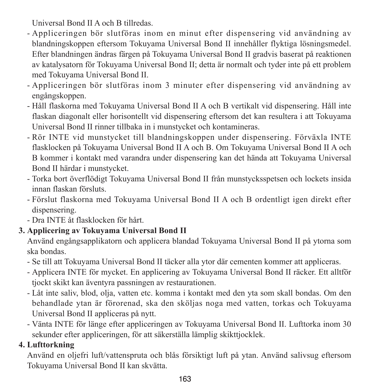Universal Bond II A och B tillredas.

- Appliceringen bör slutföras inom en minut efter dispensering vid användning av blandningskoppen eftersom Tokuyama Universal Bond II innehåller flyktiga lösningsmedel. Efter blandningen ändras färgen på Tokuyama Universal Bond II gradvis baserat på reaktionen av katalysatorn för Tokuyama Universal Bond II; detta är normalt och tyder inte på ett problem med Tokuyama Universal Bond II.
- Appliceringen bör slutföras inom 3 minuter efter dispensering vid användning av engångskoppen.
- Håll flaskorna med Tokuyama Universal Bond II A och B vertikalt vid dispensering. Håll inte flaskan diagonalt eller horisontellt vid dispensering eftersom det kan resultera i att Tokuyama Universal Bond II rinner tillbaka in i munstycket och kontamineras.
- Rör INTE vid munstycket till blandningskoppen under dispensering. Förväxla INTE flasklocken på Tokuyama Universal Bond II A och B. Om Tokuyama Universal Bond II A och B kommer i kontakt med varandra under dispensering kan det hända att Tokuyama Universal Bond II härdar i munstycket.
- Torka bort överflödigt Tokuyama Universal Bond II från munstycksspetsen och lockets insida innan flaskan försluts.
- Förslut flaskorna med Tokuyama Universal Bond II A och B ordentligt igen direkt efter dispensering.
- Dra INTE åt flasklocken för hårt.

### **3. Applicering av Tokuyama Universal Bond II**

Använd engångsapplikatorn och applicera blandad Tokuyama Universal Bond II på ytorna som ska bondas.

- Se till att Tokuyama Universal Bond II täcker alla ytor där cementen kommer att appliceras.
- Applicera INTE för mycket. En applicering av Tokuyama Universal Bond II räcker. Ett alltför tjockt skikt kan äventyra passningen av restaurationen.
- Låt inte saliv, blod, olja, vatten etc. komma i kontakt med den yta som skall bondas. Om den behandlade ytan är förorenad, ska den sköljas noga med vatten, torkas och Tokuyama Universal Bond II appliceras på nytt.
- Vänta INTE för länge efter appliceringen av Tokuyama Universal Bond II. Lufttorka inom 30 sekunder efter appliceringen, för att säkerställa lämplig skikttjocklek.

### **4. Lufttorkning**

Använd en oljefri luft/vattenspruta och blås försiktigt luft på ytan. Använd salivsug eftersom Tokuyama Universal Bond II kan skvätta.